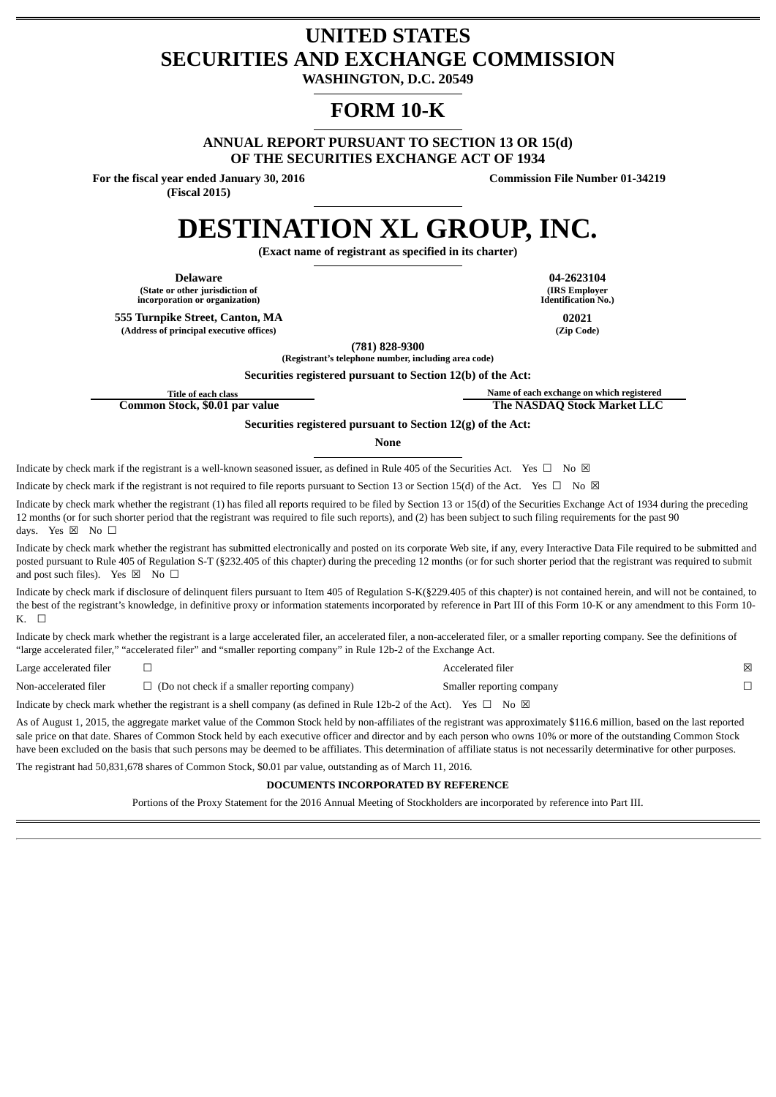# **UNITED STATES SECURITIES AND EXCHANGE COMMISSION**

**WASHINGTON, D.C. 20549**

# **FORM 10-K**

**ANNUAL REPORT PURSUANT TO SECTION 13 OR 15(d) OF THE SECURITIES EXCHANGE ACT OF 1934**

**For the fiscal year ended January 30, 2016 (Fiscal 2015)**

**Commission File Number 01-34219**

# **DESTINATION XL GROUP, INC.**

**(Exact name of registrant as specified in its charter)**

**Delaware 04-2623104 (State or other jurisdiction of incorporation or organization)**

**555 Turnpike Street, Canton, MA 02021 (Address of principal executive offices) (Zip Code)**

**(IRS Employer Identification No.)**

**(781) 828-9300 (Registrant's telephone number, including area code)**

**Securities registered pursuant to Section 12(b) of the Act:**

Title of each class Title of each class **Name of each exchange on** which registered<br> **Common Stock, \$0.01 par value** 

**Securities registered pursuant to Section 12(g) of the Act:**

**None**

Indicate by check mark if the registrant is a well-known seasoned issuer, as defined in Rule 405 of the Securities Act. Yes  $\Box$  No  $\boxtimes$ 

Indicate by check mark if the registrant is not required to file reports pursuant to Section 13 or Section 15(d) of the Act. Yes  $\Box$  No  $\boxtimes$ 

Indicate by check mark whether the registrant (1) has filed all reports required to be filed by Section 13 or 15(d) of the Securities Exchange Act of 1934 during the preceding 12 months (or for such shorter period that the registrant was required to file such reports), and (2) has been subject to such filing requirements for the past 90 days. Yes  $\boxtimes$  No  $\square$ 

Indicate by check mark whether the registrant has submitted electronically and posted on its corporate Web site, if any, every Interactive Data File required to be submitted and posted pursuant to Rule 405 of Regulation S-T (§232.405 of this chapter) during the preceding 12 months (or for such shorter period that the registrant was required to submit and post such files). Yes  $\boxtimes$  No  $\Box$ 

Indicate by check mark if disclosure of delinquent filers pursuant to Item 405 of Regulation S-K(§229.405 of this chapter) is not contained herein, and will not be contained, to the best of the registrant's knowledge, in definitive proxy or information statements incorporated by reference in Part III of this Form 10-K or any amendment to this Form 10- K.  $\Box$ 

Indicate by check mark whether the registrant is a large accelerated filer, an accelerated filer, a non-accelerated filer, or a smaller reporting company. See the definitions of "large accelerated filer," "accelerated filer" and "smaller reporting company" in Rule 12b-2 of the Exchange Act.

| Large accelerated filer |                                                                                                                                                                   | Accelerated filer         |  |
|-------------------------|-------------------------------------------------------------------------------------------------------------------------------------------------------------------|---------------------------|--|
| Non-accelerated filer   | $\Box$ (Do not check if a smaller reporting company)                                                                                                              | Smaller reporting company |  |
|                         | $\overline{1}$ altaces be about an extendion that is statened to a chall according (as defined to Deck 49b, 49b, Asia). We $\overline{1}$ May $\overline{\nabla}$ |                           |  |

Indicate by check mark whether the registrant is a shell company (as defined in Rule 12b-2 of the Act). Yes  $\Box$  No  $\boxtimes$ 

As of August 1, 2015, the aggregate market value of the Common Stock held by non-affiliates of the registrant was approximately \$116.6 million, based on the last reported sale price on that date. Shares of Common Stock held by each executive officer and director and by each person who owns 10% or more of the outstanding Common Stock have been excluded on the basis that such persons may be deemed to be affiliates. This determination of affiliate status is not necessarily determinative for other purposes.

The registrant had 50,831,678 shares of Common Stock, \$0.01 par value, outstanding as of March 11, 2016.

#### **DOCUMENTS INCORPORATED BY REFERENCE**

Portions of the Proxy Statement for the 2016 Annual Meeting of Stockholders are incorporated by reference into Part III.

 $The$  **NASDAQ Stock Market LLC**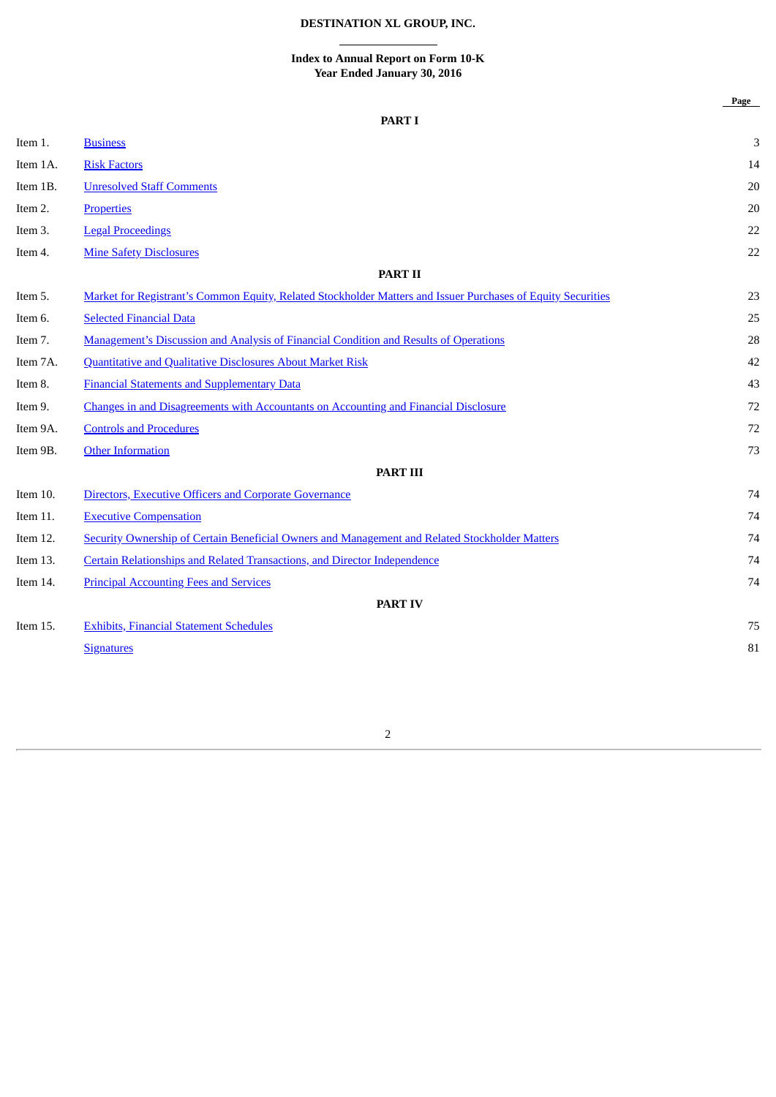# **DESTINATION XL GROUP, INC.**

#### **Index to Annual Report on Form 10-K Year Ended January 30, 2016**

**Page**

|          | <b>PART I</b>                                                                                                |    |
|----------|--------------------------------------------------------------------------------------------------------------|----|
| Item 1.  | <b>Business</b>                                                                                              | 3  |
| Item 1A. | <b>Risk Factors</b>                                                                                          | 14 |
| Item 1B. | <b>Unresolved Staff Comments</b>                                                                             | 20 |
| Item 2.  | <b>Properties</b>                                                                                            | 20 |
| Item 3.  | <b>Legal Proceedings</b>                                                                                     | 22 |
| Item 4.  | <b>Mine Safety Disclosures</b>                                                                               | 22 |
|          | <b>PART II</b>                                                                                               |    |
| Item 5.  | Market for Registrant's Common Equity, Related Stockholder Matters and Issuer Purchases of Equity Securities | 23 |
| Item 6.  | <b>Selected Financial Data</b>                                                                               | 25 |
| Item 7.  | Management's Discussion and Analysis of Financial Condition and Results of Operations                        | 28 |
| Item 7A. | <b>Quantitative and Qualitative Disclosures About Market Risk</b>                                            | 42 |
| Item 8.  | <b>Financial Statements and Supplementary Data</b>                                                           | 43 |
| Item 9.  | Changes in and Disagreements with Accountants on Accounting and Financial Disclosure                         | 72 |
| Item 9A. | <b>Controls and Procedures</b>                                                                               | 72 |
| Item 9B. | <b>Other Information</b>                                                                                     | 73 |
|          | <b>PART III</b>                                                                                              |    |
| Item 10. | Directors, Executive Officers and Corporate Governance                                                       | 74 |
| Item 11. | <b>Executive Compensation</b>                                                                                | 74 |
| Item 12. | Security Ownership of Certain Beneficial Owners and Management and Related Stockholder Matters               | 74 |
| Item 13. | <b>Certain Relationships and Related Transactions, and Director Independence</b>                             | 74 |
| Item 14. | <b>Principal Accounting Fees and Services</b>                                                                | 74 |
|          | <b>PART IV</b>                                                                                               |    |
| Item 15. | <b>Exhibits, Financial Statement Schedules</b>                                                               | 75 |
|          | <b>Signatures</b>                                                                                            | 81 |
|          |                                                                                                              |    |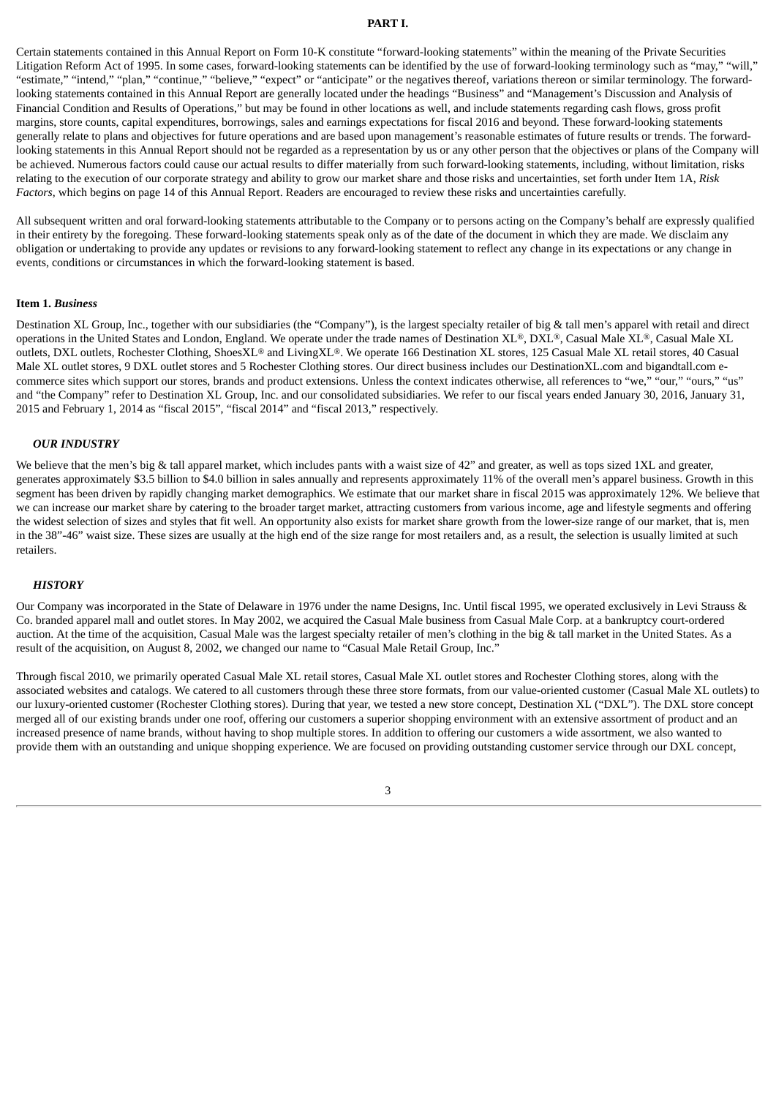# **PART I.**

Certain statements contained in this Annual Report on Form 10-K constitute "forward-looking statements" within the meaning of the Private Securities Litigation Reform Act of 1995. In some cases, forward-looking statements can be identified by the use of forward-looking terminology such as "may," "will," "estimate," "intend," "plan," "continue," "believe," "expect" or "anticipate" or the negatives thereof, variations thereon or similar terminology. The forwardlooking statements contained in this Annual Report are generally located under the headings "Business" and "Management's Discussion and Analysis of Financial Condition and Results of Operations," but may be found in other locations as well, and include statements regarding cash flows, gross profit margins, store counts, capital expenditures, borrowings, sales and earnings expectations for fiscal 2016 and beyond. These forward-looking statements generally relate to plans and objectives for future operations and are based upon management's reasonable estimates of future results or trends. The forwardlooking statements in this Annual Report should not be regarded as a representation by us or any other person that the objectives or plans of the Company will be achieved. Numerous factors could cause our actual results to differ materially from such forward-looking statements, including, without limitation, risks relating to the execution of our corporate strategy and ability to grow our market share and those risks and uncertainties, set forth under Item 1A, *Risk Factors*, which begins on page 14 of this Annual Report. Readers are encouraged to review these risks and uncertainties carefully.

All subsequent written and oral forward-looking statements attributable to the Company or to persons acting on the Company's behalf are expressly qualified in their entirety by the foregoing. These forward-looking statements speak only as of the date of the document in which they are made. We disclaim any obligation or undertaking to provide any updates or revisions to any forward-looking statement to reflect any change in its expectations or any change in events, conditions or circumstances in which the forward-looking statement is based.

#### <span id="page-2-0"></span>**Item 1.** *Business*

Destination XL Group, Inc., together with our subsidiaries (the "Company"), is the largest specialty retailer of big & tall men's apparel with retail and direct operations in the United States and London, England. We operate under the trade names of Destination XL®, DXL®, Casual Male XL®, Casual Male XL outlets, DXL outlets, Rochester Clothing, ShoesXL® and LivingXL®. We operate 166 Destination XL stores, 125 Casual Male XL retail stores, 40 Casual Male XL outlet stores, 9 DXL outlet stores and 5 Rochester Clothing stores. Our direct business includes our DestinationXL.com and bigandtall.com ecommerce sites which support our stores, brands and product extensions. Unless the context indicates otherwise, all references to "we," "our," "ours," "us" and "the Company" refer to Destination XL Group, Inc. and our consolidated subsidiaries. We refer to our fiscal years ended January 30, 2016, January 31, 2015 and February 1, 2014 as "fiscal 2015", "fiscal 2014" and "fiscal 2013," respectively.

#### *OUR INDUSTRY*

We believe that the men's big & tall apparel market, which includes pants with a waist size of 42" and greater, as well as tops sized 1XL and greater. generates approximately \$3.5 billion to \$4.0 billion in sales annually and represents approximately 11% of the overall men's apparel business. Growth in this segment has been driven by rapidly changing market demographics. We estimate that our market share in fiscal 2015 was approximately 12%. We believe that we can increase our market share by catering to the broader target market, attracting customers from various income, age and lifestyle segments and offering the widest selection of sizes and styles that fit well. An opportunity also exists for market share growth from the lower-size range of our market, that is, men in the 38"-46" waist size. These sizes are usually at the high end of the size range for most retailers and, as a result, the selection is usually limited at such retailers.

#### *HISTORY*

Our Company was incorporated in the State of Delaware in 1976 under the name Designs, Inc. Until fiscal 1995, we operated exclusively in Levi Strauss & Co. branded apparel mall and outlet stores. In May 2002, we acquired the Casual Male business from Casual Male Corp. at a bankruptcy court-ordered auction. At the time of the acquisition, Casual Male was the largest specialty retailer of men's clothing in the big & tall market in the United States. As a result of the acquisition, on August 8, 2002, we changed our name to "Casual Male Retail Group, Inc."

Through fiscal 2010, we primarily operated Casual Male XL retail stores, Casual Male XL outlet stores and Rochester Clothing stores, along with the associated websites and catalogs. We catered to all customers through these three store formats, from our value-oriented customer (Casual Male XL outlets) to our luxury-oriented customer (Rochester Clothing stores). During that year, we tested a new store concept, Destination XL ("DXL"). The DXL store concept merged all of our existing brands under one roof, offering our customers a superior shopping environment with an extensive assortment of product and an increased presence of name brands, without having to shop multiple stores. In addition to offering our customers a wide assortment, we also wanted to provide them with an outstanding and unique shopping experience. We are focused on providing outstanding customer service through our DXL concept,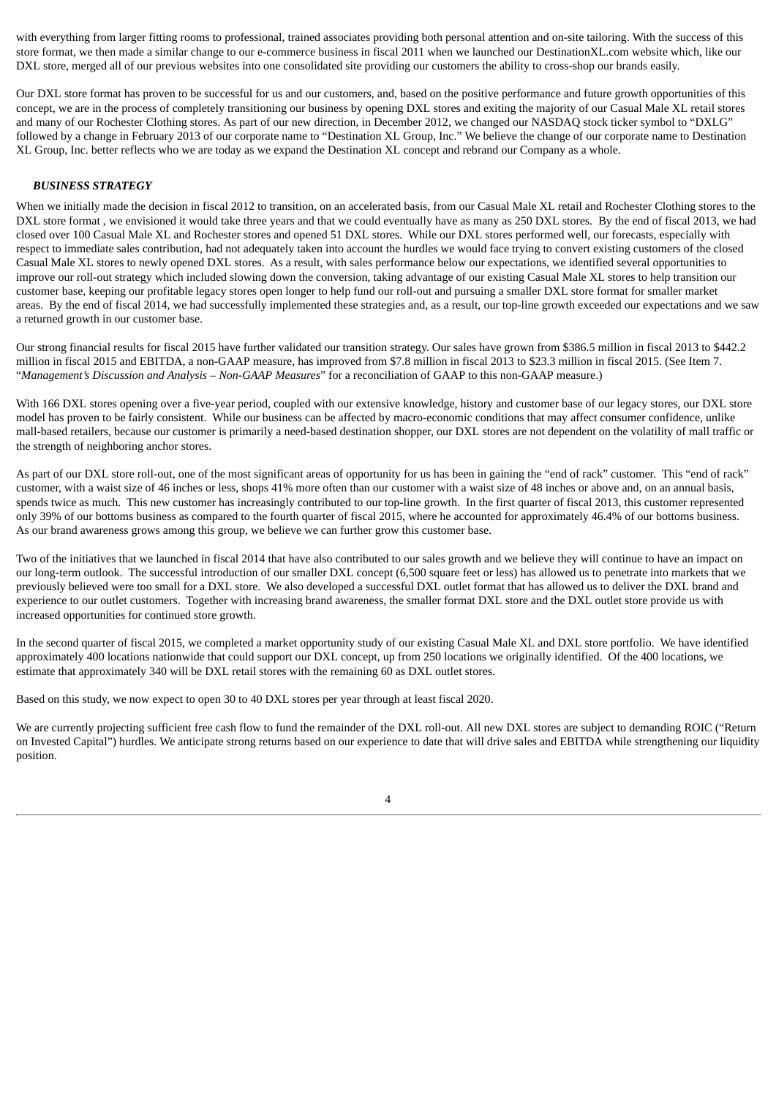with everything from larger fitting rooms to professional, trained associates providing both personal attention and on-site tailoring. With the success of this store format, we then made a similar change to our e-commerce business in fiscal 2011 when we launched our DestinationXL.com website which, like our DXL store, merged all of our previous websites into one consolidated site providing our customers the ability to cross-shop our brands easily.

Our DXL store format has proven to be successful for us and our customers, and, based on the positive performance and future growth opportunities of this concept, we are in the process of completely transitioning our business by opening DXL stores and exiting the majority of our Casual Male XL retail stores and many of our Rochester Clothing stores. As part of our new direction, in December 2012, we changed our NASDAQ stock ticker symbol to "DXLG" followed by a change in February 2013 of our corporate name to "Destination XL Group, Inc." We believe the change of our corporate name to Destination XL Group, Inc. better reflects who we are today as we expand the Destination XL concept and rebrand our Company as a whole.

# *BUSINESS STRATEGY*

When we initially made the decision in fiscal 2012 to transition, on an accelerated basis, from our Casual Male XL retail and Rochester Clothing stores to the DXL store format , we envisioned it would take three years and that we could eventually have as many as 250 DXL stores. By the end of fiscal 2013, we had closed over 100 Casual Male XL and Rochester stores and opened 51 DXL stores. While our DXL stores performed well, our forecasts, especially with respect to immediate sales contribution, had not adequately taken into account the hurdles we would face trying to convert existing customers of the closed Casual Male XL stores to newly opened DXL stores. As a result, with sales performance below our expectations, we identified several opportunities to improve our roll-out strategy which included slowing down the conversion, taking advantage of our existing Casual Male XL stores to help transition our customer base, keeping our profitable legacy stores open longer to help fund our roll-out and pursuing a smaller DXL store format for smaller market areas. By the end of fiscal 2014, we had successfully implemented these strategies and, as a result, our top-line growth exceeded our expectations and we saw a returned growth in our customer base.

Our strong financial results for fiscal 2015 have further validated our transition strategy. Our sales have grown from \$386.5 million in fiscal 2013 to \$442.2 million in fiscal 2015 and EBITDA, a non-GAAP measure, has improved from \$7.8 million in fiscal 2013 to \$23.3 million in fiscal 2015. (See Item 7. "*Management's Discussion and Analysis – Non-GAAP Measures*" for a reconciliation of GAAP to this non-GAAP measure.)

With 166 DXL stores opening over a five-year period, coupled with our extensive knowledge, history and customer base of our legacy stores, our DXL store model has proven to be fairly consistent. While our business can be affected by macro-economic conditions that may affect consumer confidence, unlike mall-based retailers, because our customer is primarily a need-based destination shopper, our DXL stores are not dependent on the volatility of mall traffic or the strength of neighboring anchor stores.

As part of our DXL store roll-out, one of the most significant areas of opportunity for us has been in gaining the "end of rack" customer. This "end of rack" customer, with a waist size of 46 inches or less, shops 41% more often than our customer with a waist size of 48 inches or above and, on an annual basis, spends twice as much. This new customer has increasingly contributed to our top-line growth. In the first quarter of fiscal 2013, this customer represented only 39% of our bottoms business as compared to the fourth quarter of fiscal 2015, where he accounted for approximately 46.4% of our bottoms business. As our brand awareness grows among this group, we believe we can further grow this customer base.

Two of the initiatives that we launched in fiscal 2014 that have also contributed to our sales growth and we believe they will continue to have an impact on our long-term outlook. The successful introduction of our smaller DXL concept (6,500 square feet or less) has allowed us to penetrate into markets that we previously believed were too small for a DXL store. We also developed a successful DXL outlet format that has allowed us to deliver the DXL brand and experience to our outlet customers. Together with increasing brand awareness, the smaller format DXL store and the DXL outlet store provide us with increased opportunities for continued store growth.

In the second quarter of fiscal 2015, we completed a market opportunity study of our existing Casual Male XL and DXL store portfolio. We have identified approximately 400 locations nationwide that could support our DXL concept, up from 250 locations we originally identified. Of the 400 locations, we estimate that approximately 340 will be DXL retail stores with the remaining 60 as DXL outlet stores.

Based on this study, we now expect to open 30 to 40 DXL stores per year through at least fiscal 2020.

We are currently projecting sufficient free cash flow to fund the remainder of the DXL roll-out. All new DXL stores are subject to demanding ROIC ("Return on Invested Capital") hurdles. We anticipate strong returns based on our experience to date that will drive sales and EBITDA while strengthening our liquidity position.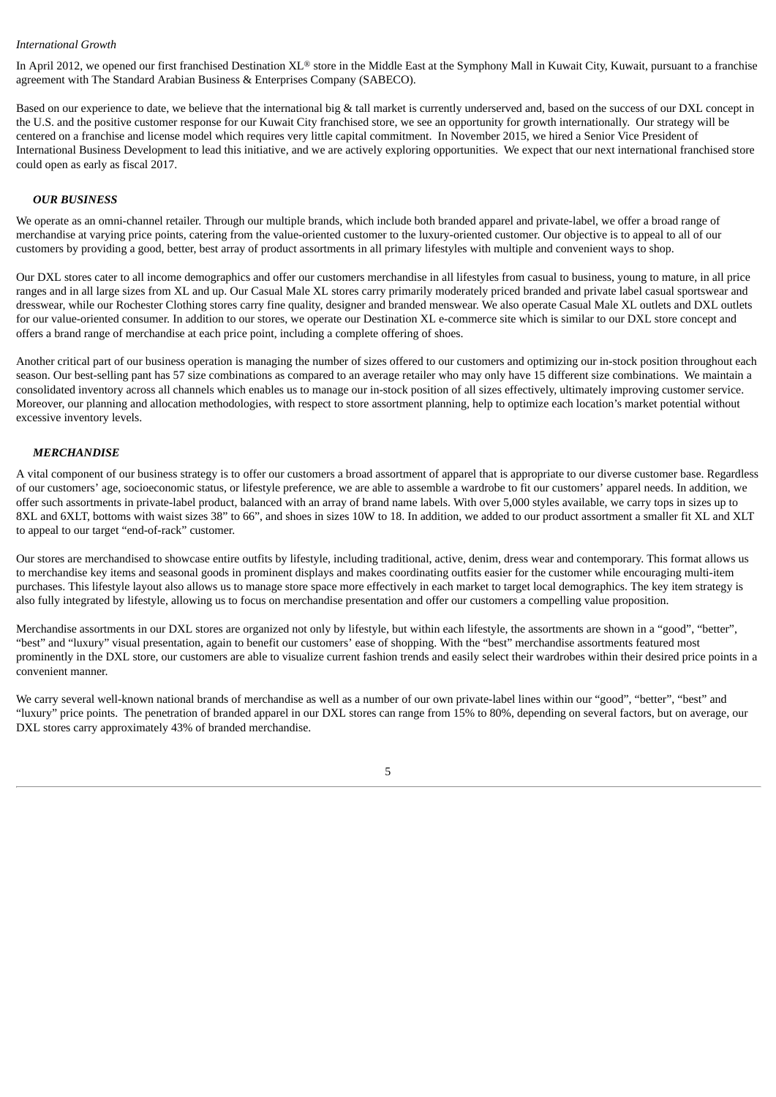#### *International Growth*

In April 2012, we opened our first franchised Destination XL® store in the Middle East at the Symphony Mall in Kuwait City, Kuwait, pursuant to a franchise agreement with The Standard Arabian Business & Enterprises Company (SABECO).

Based on our experience to date, we believe that the international big & tall market is currently underserved and, based on the success of our DXL concept in the U.S. and the positive customer response for our Kuwait City franchised store, we see an opportunity for growth internationally. Our strategy will be centered on a franchise and license model which requires very little capital commitment. In November 2015, we hired a Senior Vice President of International Business Development to lead this initiative, and we are actively exploring opportunities. We expect that our next international franchised store could open as early as fiscal 2017.

#### *OUR BUSINESS*

We operate as an omni-channel retailer. Through our multiple brands, which include both branded apparel and private-label, we offer a broad range of merchandise at varying price points, catering from the value-oriented customer to the luxury-oriented customer. Our objective is to appeal to all of our customers by providing a good, better, best array of product assortments in all primary lifestyles with multiple and convenient ways to shop.

Our DXL stores cater to all income demographics and offer our customers merchandise in all lifestyles from casual to business, young to mature, in all price ranges and in all large sizes from XL and up. Our Casual Male XL stores carry primarily moderately priced branded and private label casual sportswear and dresswear, while our Rochester Clothing stores carry fine quality, designer and branded menswear. We also operate Casual Male XL outlets and DXL outlets for our value-oriented consumer. In addition to our stores, we operate our Destination XL e-commerce site which is similar to our DXL store concept and offers a brand range of merchandise at each price point, including a complete offering of shoes.

Another critical part of our business operation is managing the number of sizes offered to our customers and optimizing our in-stock position throughout each season. Our best-selling pant has 57 size combinations as compared to an average retailer who may only have 15 different size combinations. We maintain a consolidated inventory across all channels which enables us to manage our in-stock position of all sizes effectively, ultimately improving customer service. Moreover, our planning and allocation methodologies, with respect to store assortment planning, help to optimize each location's market potential without excessive inventory levels.

#### *MERCHANDISE*

A vital component of our business strategy is to offer our customers a broad assortment of apparel that is appropriate to our diverse customer base. Regardless of our customers' age, socioeconomic status, or lifestyle preference, we are able to assemble a wardrobe to fit our customers' apparel needs. In addition, we offer such assortments in private-label product, balanced with an array of brand name labels. With over 5,000 styles available, we carry tops in sizes up to 8XL and 6XLT, bottoms with waist sizes 38" to 66", and shoes in sizes 10W to 18. In addition, we added to our product assortment a smaller fit XL and XLT to appeal to our target "end-of-rack" customer.

Our stores are merchandised to showcase entire outfits by lifestyle, including traditional, active, denim, dress wear and contemporary. This format allows us to merchandise key items and seasonal goods in prominent displays and makes coordinating outfits easier for the customer while encouraging multi-item purchases. This lifestyle layout also allows us to manage store space more effectively in each market to target local demographics. The key item strategy is also fully integrated by lifestyle, allowing us to focus on merchandise presentation and offer our customers a compelling value proposition.

Merchandise assortments in our DXL stores are organized not only by lifestyle, but within each lifestyle, the assortments are shown in a "good", "better", "best" and "luxury" visual presentation, again to benefit our customers' ease of shopping. With the "best" merchandise assortments featured most prominently in the DXL store, our customers are able to visualize current fashion trends and easily select their wardrobes within their desired price points in a convenient manner.

We carry several well-known national brands of merchandise as well as a number of our own private-label lines within our "good", "better", "best" and "luxury" price points. The penetration of branded apparel in our DXL stores can range from 15% to 80%, depending on several factors, but on average, our DXL stores carry approximately 43% of branded merchandise.

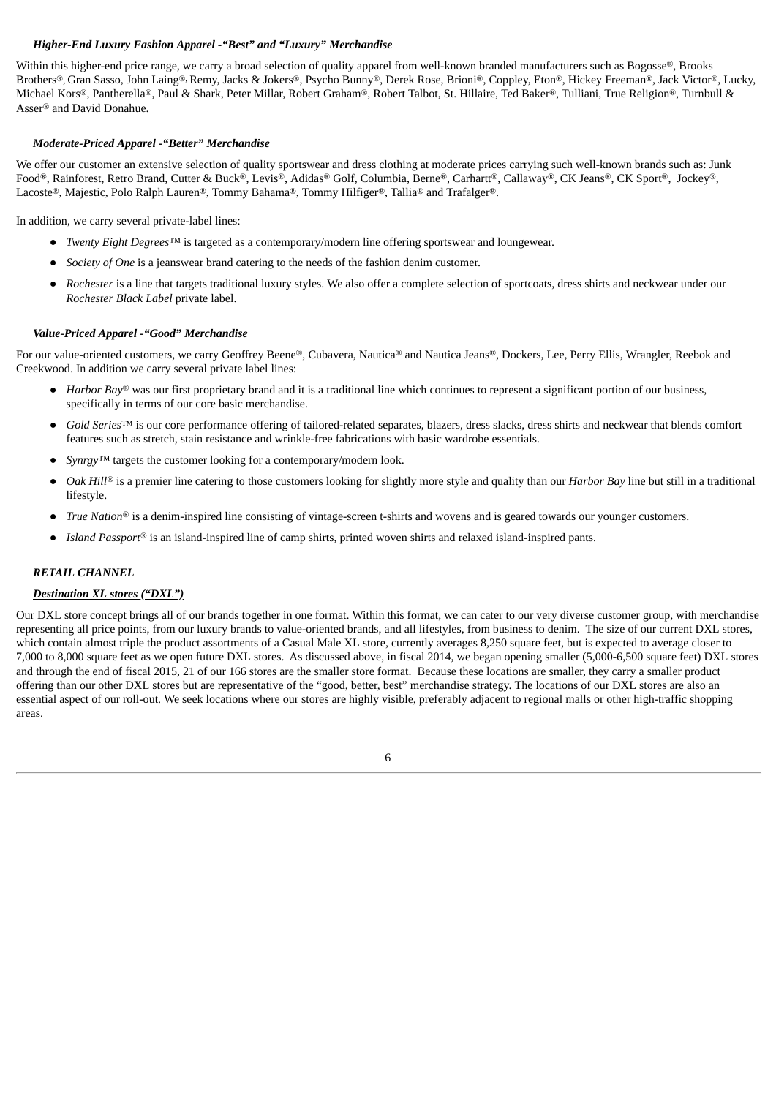# *Higher-End Luxury Fashion Apparel -"Best" and "Luxury" Merchandise*

Within this higher-end price range, we carry a broad selection of quality apparel from well-known branded manufacturers such as Bogosse®, Brooks Brothers®, Gran Sasso, John Laing®, Remy, Jacks & Jokers®, Psycho Bunny®, Derek Rose, Brioni®, Coppley, Eton®, Hickey Freeman®, Jack Victor®, Lucky, Michael Kors®, Pantherella®, Paul & Shark, Peter Millar, Robert Graham®, Robert Talbot, St. Hillaire, Ted Baker®, Tulliani, True Religion®, Turnbull & Asser® and David Donahue.

# *Moderate-Priced Apparel -"Better" Merchandise*

We offer our customer an extensive selection of quality sportswear and dress clothing at moderate prices carrying such well-known brands such as: Junk Food®, Rainforest, Retro Brand, Cutter & Buck®, Levis®, Adidas® Golf, Columbia, Berne®, Carhartt®, Callaway®, CK Jeans®, CK Sport®, Jockey®, Lacoste®, Majestic, Polo Ralph Lauren®, Tommy Bahama®, Tommy Hilfiger®, Tallia® and Trafalger®.

In addition, we carry several private-label lines:

- *Twenty Eight Degrees™* is targeted as a contemporary/modern line offering sportswear and loungewear.
- *Society of One* is a jeanswear brand catering to the needs of the fashion denim customer.
- Rochester is a line that targets traditional luxury styles. We also offer a complete selection of sportcoats, dress shirts and neckwear under our *Rochester Black Label* private label.

# *Value-Priced Apparel -"Good" Merchandise*

For our value-oriented customers, we carry Geoffrey Beene®, Cubavera, Nautica® and Nautica Jeans®, Dockers, Lee, Perry Ellis, Wrangler, Reebok and Creekwood. In addition we carry several private label lines:

- *Harbor Bay<sup>®</sup>* was our first proprietary brand and it is a traditional line which continues to represent a significant portion of our business, specifically in terms of our core basic merchandise.
- *Gold Series™* is our core performance offering of tailored-related separates, blazers, dress slacks, dress shirts and neckwear that blends comfort features such as stretch, stain resistance and wrinkle-free fabrications with basic wardrobe essentials.
- *Synrgy™* targets the customer looking for a contemporary/modern look.
- *Oak Hill®* is a premier line catering to those customers looking for slightly more style and quality than our *Harbor Bay* line but still in a traditional lifestyle.
- *True Nation*<sup>®</sup> is a denim-inspired line consisting of vintage-screen t-shirts and wovens and is geared towards our younger customers.
- *Island Passport®* is an island-inspired line of camp shirts, printed woven shirts and relaxed island-inspired pants.

# *RETAIL CHANNEL*

# *Destination XL stores ("DXL")*

Our DXL store concept brings all of our brands together in one format. Within this format, we can cater to our very diverse customer group, with merchandise representing all price points, from our luxury brands to value-oriented brands, and all lifestyles, from business to denim. The size of our current DXL stores, which contain almost triple the product assortments of a Casual Male XL store, currently averages 8,250 square feet, but is expected to average closer to 7,000 to 8,000 square feet as we open future DXL stores. As discussed above, in fiscal 2014, we began opening smaller (5,000-6,500 square feet) DXL stores and through the end of fiscal 2015, 21 of our 166 stores are the smaller store format. Because these locations are smaller, they carry a smaller product offering than our other DXL stores but are representative of the "good, better, best" merchandise strategy. The locations of our DXL stores are also an essential aspect of our roll-out. We seek locations where our stores are highly visible, preferably adjacent to regional malls or other high-traffic shopping areas.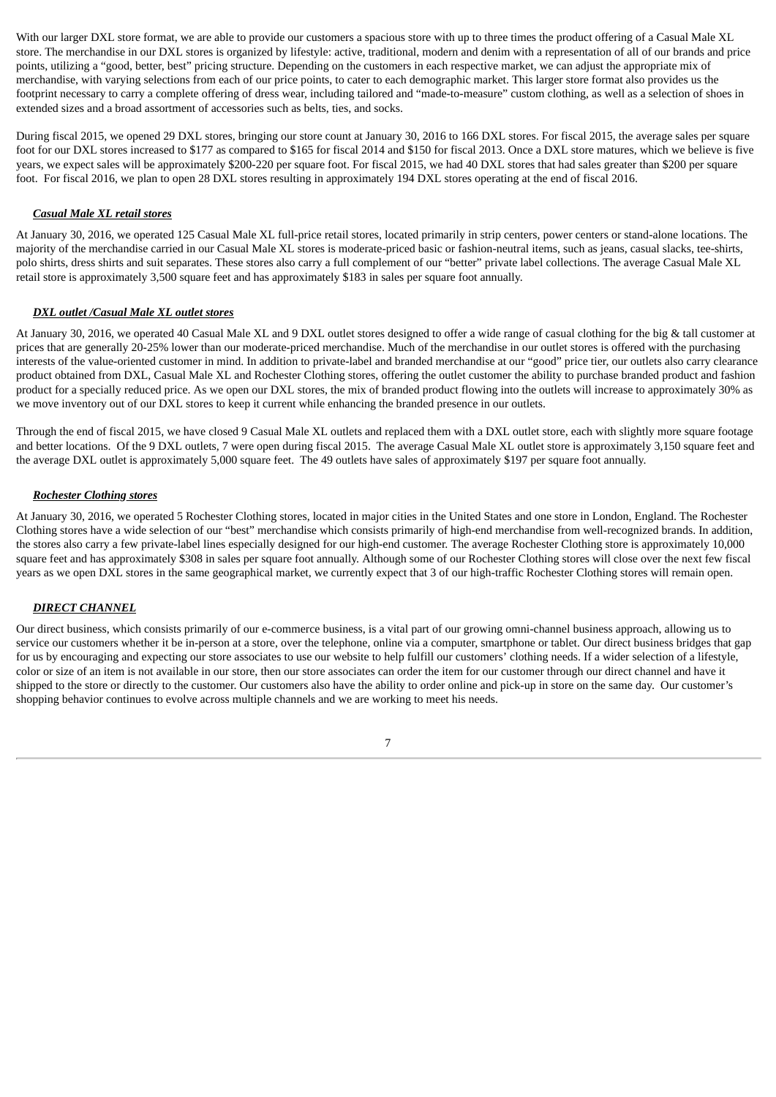With our larger DXL store format, we are able to provide our customers a spacious store with up to three times the product offering of a Casual Male XL store. The merchandise in our DXL stores is organized by lifestyle: active, traditional, modern and denim with a representation of all of our brands and price points, utilizing a "good, better, best" pricing structure. Depending on the customers in each respective market, we can adjust the appropriate mix of merchandise, with varying selections from each of our price points, to cater to each demographic market. This larger store format also provides us the footprint necessary to carry a complete offering of dress wear, including tailored and "made-to-measure" custom clothing, as well as a selection of shoes in extended sizes and a broad assortment of accessories such as belts, ties, and socks.

During fiscal 2015, we opened 29 DXL stores, bringing our store count at January 30, 2016 to 166 DXL stores. For fiscal 2015, the average sales per square foot for our DXL stores increased to \$177 as compared to \$165 for fiscal 2014 and \$150 for fiscal 2013. Once a DXL store matures, which we believe is five years, we expect sales will be approximately \$200-220 per square foot. For fiscal 2015, we had 40 DXL stores that had sales greater than \$200 per square foot. For fiscal 2016, we plan to open 28 DXL stores resulting in approximately 194 DXL stores operating at the end of fiscal 2016.

# *Casual Male XL retail stores*

At January 30, 2016, we operated 125 Casual Male XL full-price retail stores, located primarily in strip centers, power centers or stand-alone locations. The majority of the merchandise carried in our Casual Male XL stores is moderate-priced basic or fashion-neutral items, such as jeans, casual slacks, tee-shirts, polo shirts, dress shirts and suit separates. These stores also carry a full complement of our "better" private label collections. The average Casual Male XL retail store is approximately 3,500 square feet and has approximately \$183 in sales per square foot annually.

# *DXL outlet /Casual Male XL outlet stores*

At January 30, 2016, we operated 40 Casual Male XL and 9 DXL outlet stores designed to offer a wide range of casual clothing for the big & tall customer at prices that are generally 20-25% lower than our moderate-priced merchandise. Much of the merchandise in our outlet stores is offered with the purchasing interests of the value-oriented customer in mind. In addition to private-label and branded merchandise at our "good" price tier, our outlets also carry clearance product obtained from DXL, Casual Male XL and Rochester Clothing stores, offering the outlet customer the ability to purchase branded product and fashion product for a specially reduced price. As we open our DXL stores, the mix of branded product flowing into the outlets will increase to approximately 30% as we move inventory out of our DXL stores to keep it current while enhancing the branded presence in our outlets.

Through the end of fiscal 2015, we have closed 9 Casual Male XL outlets and replaced them with a DXL outlet store, each with slightly more square footage and better locations. Of the 9 DXL outlets, 7 were open during fiscal 2015. The average Casual Male XL outlet store is approximately 3,150 square feet and the average DXL outlet is approximately 5,000 square feet. The 49 outlets have sales of approximately \$197 per square foot annually.

#### *Rochester Clothing stores*

At January 30, 2016, we operated 5 Rochester Clothing stores, located in major cities in the United States and one store in London, England. The Rochester Clothing stores have a wide selection of our "best" merchandise which consists primarily of high-end merchandise from well-recognized brands. In addition, the stores also carry a few private-label lines especially designed for our high-end customer. The average Rochester Clothing store is approximately 10,000 square feet and has approximately \$308 in sales per square foot annually. Although some of our Rochester Clothing stores will close over the next few fiscal years as we open DXL stores in the same geographical market, we currently expect that 3 of our high-traffic Rochester Clothing stores will remain open.

#### *DIRECT CHANNEL*

Our direct business, which consists primarily of our e-commerce business, is a vital part of our growing omni-channel business approach, allowing us to service our customers whether it be in-person at a store, over the telephone, online via a computer, smartphone or tablet. Our direct business bridges that gap for us by encouraging and expecting our store associates to use our website to help fulfill our customers' clothing needs. If a wider selection of a lifestyle, color or size of an item is not available in our store, then our store associates can order the item for our customer through our direct channel and have it shipped to the store or directly to the customer. Our customers also have the ability to order online and pick-up in store on the same day. Our customer's shopping behavior continues to evolve across multiple channels and we are working to meet his needs.

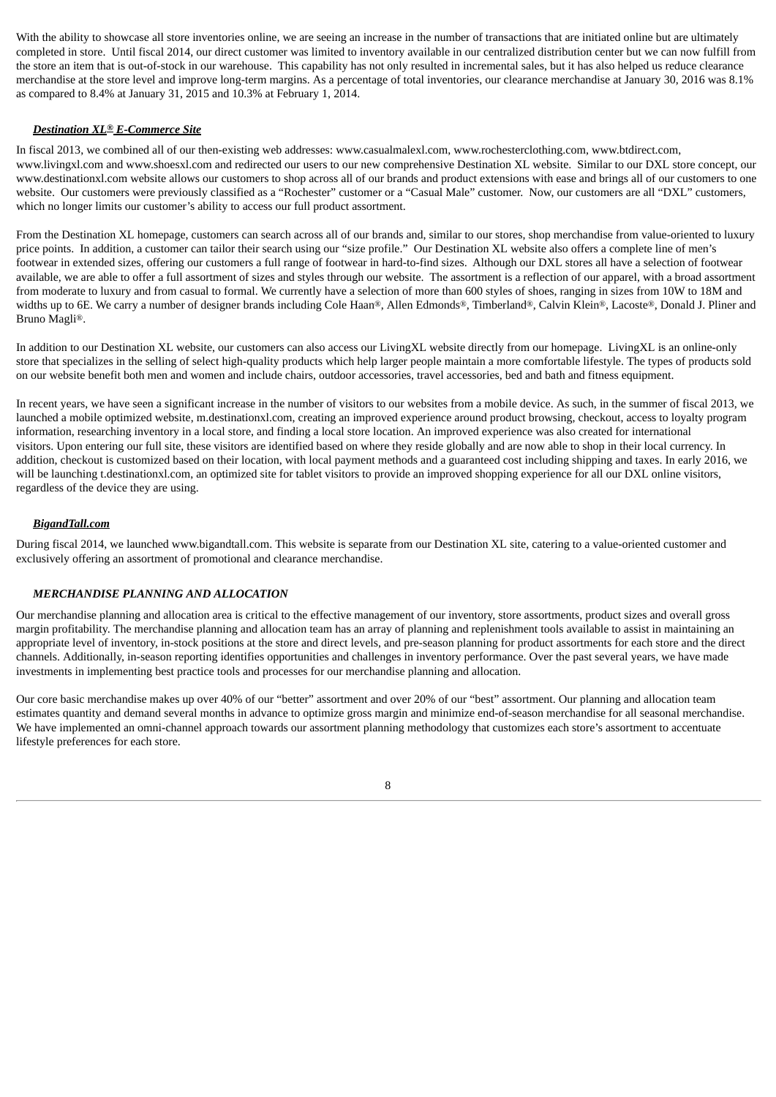With the ability to showcase all store inventories online, we are seeing an increase in the number of transactions that are initiated online but are ultimately completed in store. Until fiscal 2014, our direct customer was limited to inventory available in our centralized distribution center but we can now fulfill from the store an item that is out-of-stock in our warehouse. This capability has not only resulted in incremental sales, but it has also helped us reduce clearance merchandise at the store level and improve long-term margins. As a percentage of total inventories, our clearance merchandise at January 30, 2016 was 8.1% as compared to 8.4% at January 31, 2015 and 10.3% at February 1, 2014.

# *Destination XL® E-Commerce Site*

In fiscal 2013, we combined all of our then-existing web addresses: www.casualmalexl.com, www.rochesterclothing.com, www.btdirect.com, www.livingxl.com and www.shoesxl.com and redirected our users to our new comprehensive Destination XL website. Similar to our DXL store concept, our www.destinationxl.com website allows our customers to shop across all of our brands and product extensions with ease and brings all of our customers to one website. Our customers were previously classified as a "Rochester" customer or a "Casual Male" customer. Now, our customers are all "DXL" customers, which no longer limits our customer's ability to access our full product assortment.

From the Destination XL homepage, customers can search across all of our brands and, similar to our stores, shop merchandise from value-oriented to luxury price points. In addition, a customer can tailor their search using our "size profile." Our Destination XL website also offers a complete line of men's footwear in extended sizes, offering our customers a full range of footwear in hard-to-find sizes. Although our DXL stores all have a selection of footwear available, we are able to offer a full assortment of sizes and styles through our website. The assortment is a reflection of our apparel, with a broad assortment from moderate to luxury and from casual to formal. We currently have a selection of more than 600 styles of shoes, ranging in sizes from 10W to 18M and widths up to 6E. We carry a number of designer brands including Cole Haan®, Allen Edmonds®, Timberland®, Calvin Klein®, Lacoste®, Donald J. Pliner and Bruno Magli®.

In addition to our Destination XL website, our customers can also access our LivingXL website directly from our homepage. LivingXL is an online-only store that specializes in the selling of select high-quality products which help larger people maintain a more comfortable lifestyle. The types of products sold on our website benefit both men and women and include chairs, outdoor accessories, travel accessories, bed and bath and fitness equipment.

In recent years, we have seen a significant increase in the number of visitors to our websites from a mobile device. As such, in the summer of fiscal 2013, we launched a mobile optimized website, m.destinationxl.com, creating an improved experience around product browsing, checkout, access to loyalty program information, researching inventory in a local store, and finding a local store location. An improved experience was also created for international visitors. Upon entering our full site, these visitors are identified based on where they reside globally and are now able to shop in their local currency. In addition, checkout is customized based on their location, with local payment methods and a guaranteed cost including shipping and taxes. In early 2016, we will be launching t.destinationxl.com, an optimized site for tablet visitors to provide an improved shopping experience for all our DXL online visitors, regardless of the device they are using.

#### *BigandTall.com*

During fiscal 2014, we launched www.bigandtall.com. This website is separate from our Destination XL site, catering to a value-oriented customer and exclusively offering an assortment of promotional and clearance merchandise.

#### *MERCHANDISE PLANNING AND ALLOCATION*

Our merchandise planning and allocation area is critical to the effective management of our inventory, store assortments, product sizes and overall gross margin profitability. The merchandise planning and allocation team has an array of planning and replenishment tools available to assist in maintaining an appropriate level of inventory, in-stock positions at the store and direct levels, and pre-season planning for product assortments for each store and the direct channels. Additionally, in-season reporting identifies opportunities and challenges in inventory performance. Over the past several years, we have made investments in implementing best practice tools and processes for our merchandise planning and allocation.

Our core basic merchandise makes up over 40% of our "better" assortment and over 20% of our "best" assortment. Our planning and allocation team estimates quantity and demand several months in advance to optimize gross margin and minimize end-of-season merchandise for all seasonal merchandise. We have implemented an omni-channel approach towards our assortment planning methodology that customizes each store's assortment to accentuate lifestyle preferences for each store.

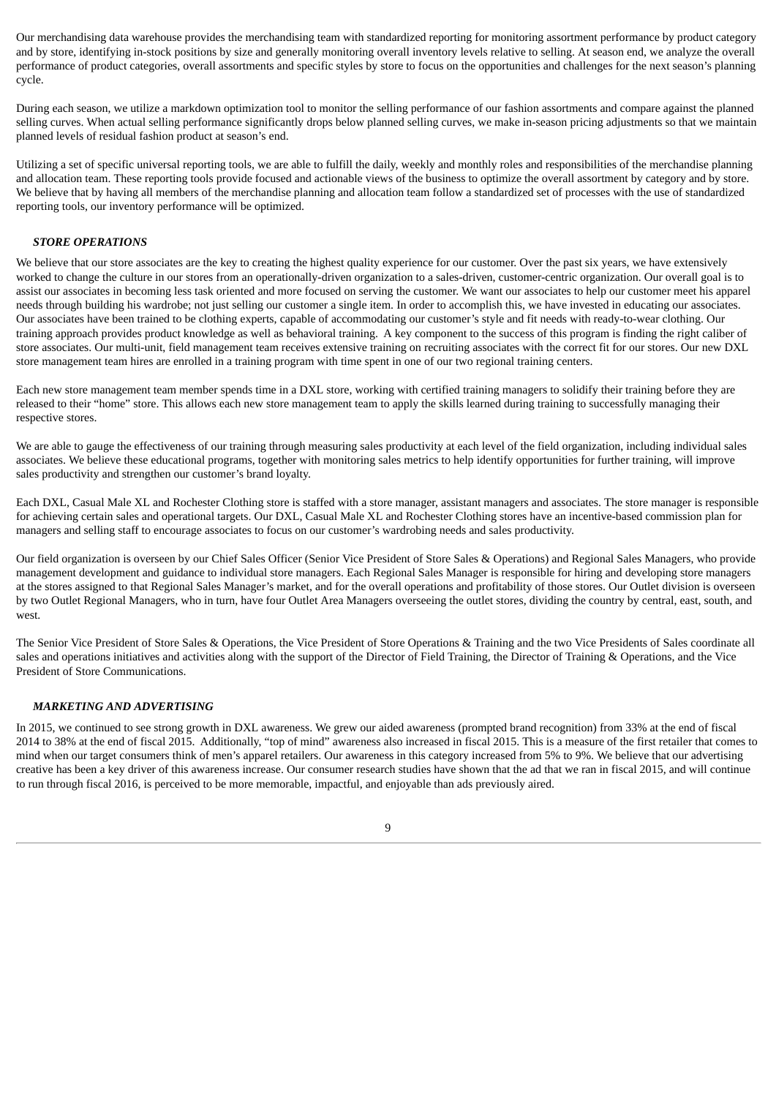Our merchandising data warehouse provides the merchandising team with standardized reporting for monitoring assortment performance by product category and by store, identifying in-stock positions by size and generally monitoring overall inventory levels relative to selling. At season end, we analyze the overall performance of product categories, overall assortments and specific styles by store to focus on the opportunities and challenges for the next season's planning cycle.

During each season, we utilize a markdown optimization tool to monitor the selling performance of our fashion assortments and compare against the planned selling curves. When actual selling performance significantly drops below planned selling curves, we make in-season pricing adjustments so that we maintain planned levels of residual fashion product at season's end.

Utilizing a set of specific universal reporting tools, we are able to fulfill the daily, weekly and monthly roles and responsibilities of the merchandise planning and allocation team. These reporting tools provide focused and actionable views of the business to optimize the overall assortment by category and by store. We believe that by having all members of the merchandise planning and allocation team follow a standardized set of processes with the use of standardized reporting tools, our inventory performance will be optimized.

#### *STORE OPERATIONS*

We believe that our store associates are the key to creating the highest quality experience for our customer. Over the past six years, we have extensively worked to change the culture in our stores from an operationally-driven organization to a sales-driven, customer-centric organization. Our overall goal is to assist our associates in becoming less task oriented and more focused on serving the customer. We want our associates to help our customer meet his apparel needs through building his wardrobe; not just selling our customer a single item. In order to accomplish this, we have invested in educating our associates. Our associates have been trained to be clothing experts, capable of accommodating our customer's style and fit needs with ready-to-wear clothing. Our training approach provides product knowledge as well as behavioral training. A key component to the success of this program is finding the right caliber of store associates. Our multi-unit, field management team receives extensive training on recruiting associates with the correct fit for our stores. Our new DXL store management team hires are enrolled in a training program with time spent in one of our two regional training centers.

Each new store management team member spends time in a DXL store, working with certified training managers to solidify their training before they are released to their "home" store. This allows each new store management team to apply the skills learned during training to successfully managing their respective stores.

We are able to gauge the effectiveness of our training through measuring sales productivity at each level of the field organization, including individual sales associates. We believe these educational programs, together with monitoring sales metrics to help identify opportunities for further training, will improve sales productivity and strengthen our customer's brand loyalty.

Each DXL, Casual Male XL and Rochester Clothing store is staffed with a store manager, assistant managers and associates. The store manager is responsible for achieving certain sales and operational targets. Our DXL, Casual Male XL and Rochester Clothing stores have an incentive-based commission plan for managers and selling staff to encourage associates to focus on our customer's wardrobing needs and sales productivity.

Our field organization is overseen by our Chief Sales Officer (Senior Vice President of Store Sales & Operations) and Regional Sales Managers, who provide management development and guidance to individual store managers. Each Regional Sales Manager is responsible for hiring and developing store managers at the stores assigned to that Regional Sales Manager's market, and for the overall operations and profitability of those stores. Our Outlet division is overseen by two Outlet Regional Managers, who in turn, have four Outlet Area Managers overseeing the outlet stores, dividing the country by central, east, south, and west.

The Senior Vice President of Store Sales & Operations, the Vice President of Store Operations & Training and the two Vice Presidents of Sales coordinate all sales and operations initiatives and activities along with the support of the Director of Field Training, the Director of Training & Operations, and the Vice President of Store Communications.

#### *MARKETING AND ADVERTISING*

In 2015, we continued to see strong growth in DXL awareness. We grew our aided awareness (prompted brand recognition) from 33% at the end of fiscal 2014 to 38% at the end of fiscal 2015. Additionally, "top of mind" awareness also increased in fiscal 2015. This is a measure of the first retailer that comes to mind when our target consumers think of men's apparel retailers. Our awareness in this category increased from 5% to 9%. We believe that our advertising creative has been a key driver of this awareness increase. Our consumer research studies have shown that the ad that we ran in fiscal 2015, and will continue to run through fiscal 2016, is perceived to be more memorable, impactful, and enjoyable than ads previously aired.

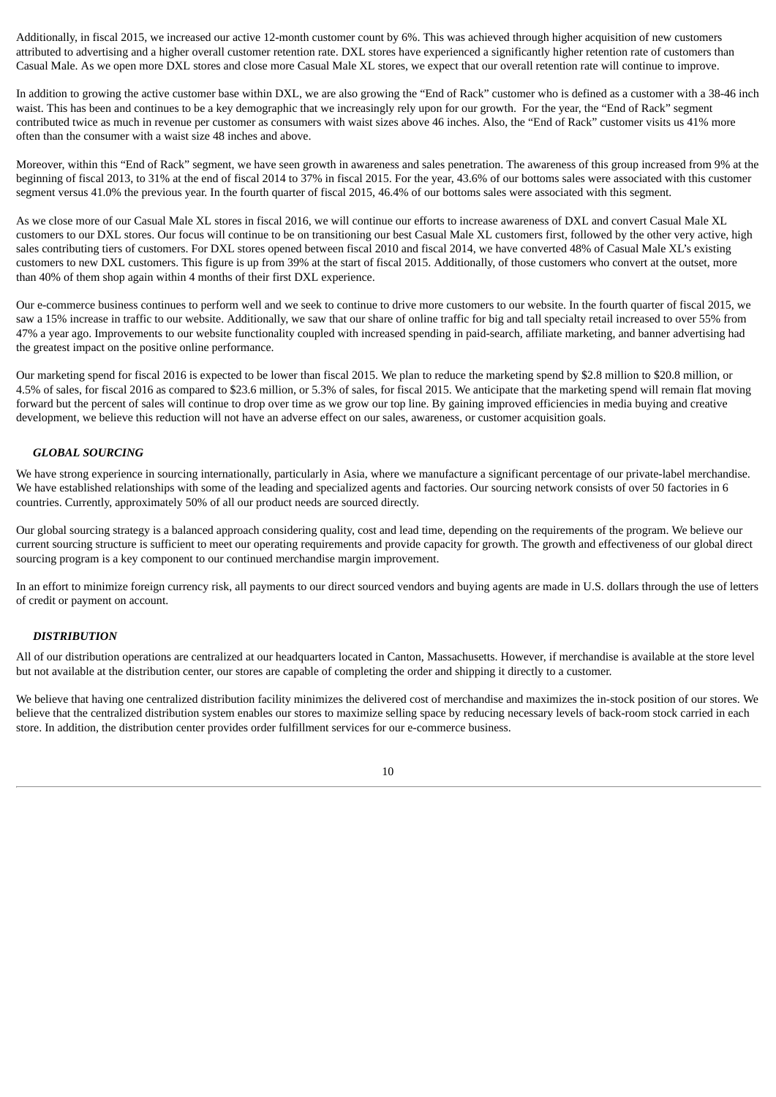Additionally, in fiscal 2015, we increased our active 12-month customer count by 6%. This was achieved through higher acquisition of new customers attributed to advertising and a higher overall customer retention rate. DXL stores have experienced a significantly higher retention rate of customers than Casual Male. As we open more DXL stores and close more Casual Male XL stores, we expect that our overall retention rate will continue to improve.

In addition to growing the active customer base within DXL, we are also growing the "End of Rack" customer who is defined as a customer with a 38-46 inch waist. This has been and continues to be a key demographic that we increasingly rely upon for our growth. For the year, the "End of Rack" segment contributed twice as much in revenue per customer as consumers with waist sizes above 46 inches. Also, the "End of Rack" customer visits us 41% more often than the consumer with a waist size 48 inches and above.

Moreover, within this "End of Rack" segment, we have seen growth in awareness and sales penetration. The awareness of this group increased from 9% at the beginning of fiscal 2013, to 31% at the end of fiscal 2014 to 37% in fiscal 2015. For the year, 43.6% of our bottoms sales were associated with this customer segment versus 41.0% the previous year. In the fourth quarter of fiscal 2015, 46.4% of our bottoms sales were associated with this segment.

As we close more of our Casual Male XL stores in fiscal 2016, we will continue our efforts to increase awareness of DXL and convert Casual Male XL customers to our DXL stores. Our focus will continue to be on transitioning our best Casual Male XL customers first, followed by the other very active, high sales contributing tiers of customers. For DXL stores opened between fiscal 2010 and fiscal 2014, we have converted 48% of Casual Male XL's existing customers to new DXL customers. This figure is up from 39% at the start of fiscal 2015. Additionally, of those customers who convert at the outset, more than 40% of them shop again within 4 months of their first DXL experience.

Our e-commerce business continues to perform well and we seek to continue to drive more customers to our website. In the fourth quarter of fiscal 2015, we saw a 15% increase in traffic to our website. Additionally, we saw that our share of online traffic for big and tall specialty retail increased to over 55% from 47% a year ago. Improvements to our website functionality coupled with increased spending in paid-search, affiliate marketing, and banner advertising had the greatest impact on the positive online performance.

Our marketing spend for fiscal 2016 is expected to be lower than fiscal 2015. We plan to reduce the marketing spend by \$2.8 million to \$20.8 million, or 4.5% of sales, for fiscal 2016 as compared to \$23.6 million, or 5.3% of sales, for fiscal 2015. We anticipate that the marketing spend will remain flat moving forward but the percent of sales will continue to drop over time as we grow our top line. By gaining improved efficiencies in media buying and creative development, we believe this reduction will not have an adverse effect on our sales, awareness, or customer acquisition goals.

# *GLOBAL SOURCING*

We have strong experience in sourcing internationally, particularly in Asia, where we manufacture a significant percentage of our private-label merchandise. We have established relationships with some of the leading and specialized agents and factories. Our sourcing network consists of over 50 factories in 6 countries. Currently, approximately 50% of all our product needs are sourced directly.

Our global sourcing strategy is a balanced approach considering quality, cost and lead time, depending on the requirements of the program. We believe our current sourcing structure is sufficient to meet our operating requirements and provide capacity for growth. The growth and effectiveness of our global direct sourcing program is a key component to our continued merchandise margin improvement.

In an effort to minimize foreign currency risk, all payments to our direct sourced vendors and buying agents are made in U.S. dollars through the use of letters of credit or payment on account.

#### *DISTRIBUTION*

All of our distribution operations are centralized at our headquarters located in Canton, Massachusetts. However, if merchandise is available at the store level but not available at the distribution center, our stores are capable of completing the order and shipping it directly to a customer.

We believe that having one centralized distribution facility minimizes the delivered cost of merchandise and maximizes the in-stock position of our stores. We believe that the centralized distribution system enables our stores to maximize selling space by reducing necessary levels of back-room stock carried in each store. In addition, the distribution center provides order fulfillment services for our e-commerce business.

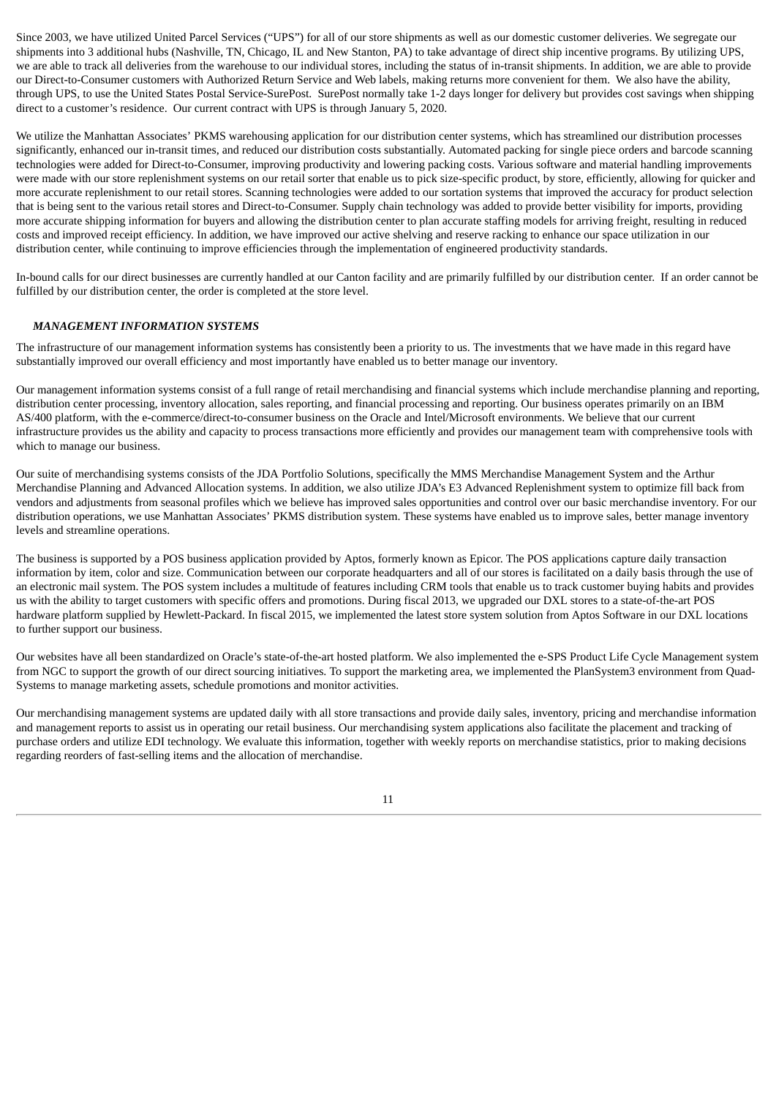Since 2003, we have utilized United Parcel Services ("UPS") for all of our store shipments as well as our domestic customer deliveries. We segregate our shipments into 3 additional hubs (Nashville, TN, Chicago, IL and New Stanton, PA) to take advantage of direct ship incentive programs. By utilizing UPS, we are able to track all deliveries from the warehouse to our individual stores, including the status of in-transit shipments. In addition, we are able to provide our Direct-to-Consumer customers with Authorized Return Service and Web labels, making returns more convenient for them. We also have the ability, through UPS, to use the United States Postal Service-SurePost. SurePost normally take 1-2 days longer for delivery but provides cost savings when shipping direct to a customer's residence. Our current contract with UPS is through January 5, 2020.

We utilize the Manhattan Associates' PKMS warehousing application for our distribution center systems, which has streamlined our distribution processes significantly, enhanced our in-transit times, and reduced our distribution costs substantially. Automated packing for single piece orders and barcode scanning technologies were added for Direct-to-Consumer, improving productivity and lowering packing costs. Various software and material handling improvements were made with our store replenishment systems on our retail sorter that enable us to pick size-specific product, by store, efficiently, allowing for quicker and more accurate replenishment to our retail stores. Scanning technologies were added to our sortation systems that improved the accuracy for product selection that is being sent to the various retail stores and Direct-to-Consumer. Supply chain technology was added to provide better visibility for imports, providing more accurate shipping information for buyers and allowing the distribution center to plan accurate staffing models for arriving freight, resulting in reduced costs and improved receipt efficiency. In addition, we have improved our active shelving and reserve racking to enhance our space utilization in our distribution center, while continuing to improve efficiencies through the implementation of engineered productivity standards.

In-bound calls for our direct businesses are currently handled at our Canton facility and are primarily fulfilled by our distribution center. If an order cannot be fulfilled by our distribution center, the order is completed at the store level.

# *MANAGEMENT INFORMATION SYSTEMS*

The infrastructure of our management information systems has consistently been a priority to us. The investments that we have made in this regard have substantially improved our overall efficiency and most importantly have enabled us to better manage our inventory.

Our management information systems consist of a full range of retail merchandising and financial systems which include merchandise planning and reporting, distribution center processing, inventory allocation, sales reporting, and financial processing and reporting. Our business operates primarily on an IBM AS/400 platform, with the e-commerce/direct-to-consumer business on the Oracle and Intel/Microsoft environments. We believe that our current infrastructure provides us the ability and capacity to process transactions more efficiently and provides our management team with comprehensive tools with which to manage our business.

Our suite of merchandising systems consists of the JDA Portfolio Solutions, specifically the MMS Merchandise Management System and the Arthur Merchandise Planning and Advanced Allocation systems. In addition, we also utilize JDA's E3 Advanced Replenishment system to optimize fill back from vendors and adjustments from seasonal profiles which we believe has improved sales opportunities and control over our basic merchandise inventory. For our distribution operations, we use Manhattan Associates' PKMS distribution system. These systems have enabled us to improve sales, better manage inventory levels and streamline operations.

The business is supported by a POS business application provided by Aptos, formerly known as Epicor. The POS applications capture daily transaction information by item, color and size. Communication between our corporate headquarters and all of our stores is facilitated on a daily basis through the use of an electronic mail system. The POS system includes a multitude of features including CRM tools that enable us to track customer buying habits and provides us with the ability to target customers with specific offers and promotions. During fiscal 2013, we upgraded our DXL stores to a state-of-the-art POS hardware platform supplied by Hewlett-Packard. In fiscal 2015, we implemented the latest store system solution from Aptos Software in our DXL locations to further support our business.

Our websites have all been standardized on Oracle's state-of-the-art hosted platform. We also implemented the e-SPS Product Life Cycle Management system from NGC to support the growth of our direct sourcing initiatives. To support the marketing area, we implemented the PlanSystem3 environment from Quad-Systems to manage marketing assets, schedule promotions and monitor activities.

Our merchandising management systems are updated daily with all store transactions and provide daily sales, inventory, pricing and merchandise information and management reports to assist us in operating our retail business. Our merchandising system applications also facilitate the placement and tracking of purchase orders and utilize EDI technology. We evaluate this information, together with weekly reports on merchandise statistics, prior to making decisions regarding reorders of fast-selling items and the allocation of merchandise.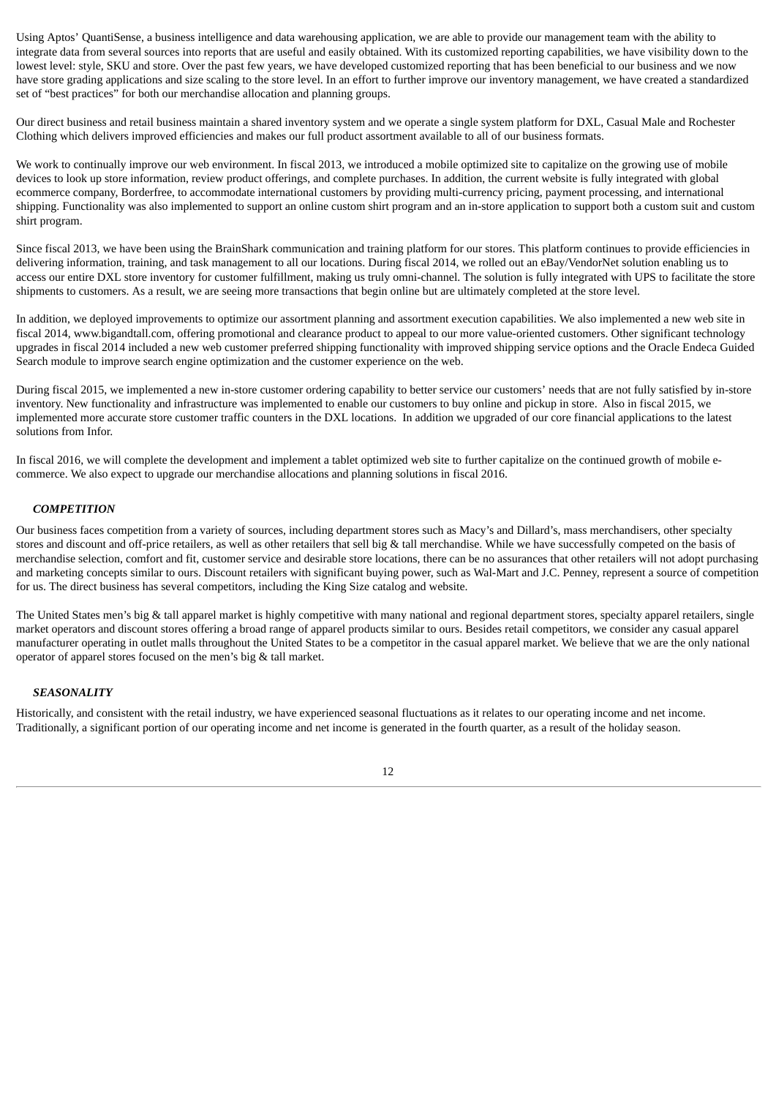Using Aptos' QuantiSense, a business intelligence and data warehousing application, we are able to provide our management team with the ability to integrate data from several sources into reports that are useful and easily obtained. With its customized reporting capabilities, we have visibility down to the lowest level: style, SKU and store. Over the past few years, we have developed customized reporting that has been beneficial to our business and we now have store grading applications and size scaling to the store level. In an effort to further improve our inventory management, we have created a standardized set of "best practices" for both our merchandise allocation and planning groups.

Our direct business and retail business maintain a shared inventory system and we operate a single system platform for DXL, Casual Male and Rochester Clothing which delivers improved efficiencies and makes our full product assortment available to all of our business formats.

We work to continually improve our web environment. In fiscal 2013, we introduced a mobile optimized site to capitalize on the growing use of mobile devices to look up store information, review product offerings, and complete purchases. In addition, the current website is fully integrated with global ecommerce company, Borderfree, to accommodate international customers by providing multi-currency pricing, payment processing, and international shipping. Functionality was also implemented to support an online custom shirt program and an in-store application to support both a custom suit and custom shirt program.

Since fiscal 2013, we have been using the BrainShark communication and training platform for our stores. This platform continues to provide efficiencies in delivering information, training, and task management to all our locations. During fiscal 2014, we rolled out an eBay/VendorNet solution enabling us to access our entire DXL store inventory for customer fulfillment, making us truly omni-channel. The solution is fully integrated with UPS to facilitate the store shipments to customers. As a result, we are seeing more transactions that begin online but are ultimately completed at the store level.

In addition, we deployed improvements to optimize our assortment planning and assortment execution capabilities. We also implemented a new web site in fiscal 2014, www.bigandtall.com, offering promotional and clearance product to appeal to our more value-oriented customers. Other significant technology upgrades in fiscal 2014 included a new web customer preferred shipping functionality with improved shipping service options and the Oracle Endeca Guided Search module to improve search engine optimization and the customer experience on the web.

During fiscal 2015, we implemented a new in-store customer ordering capability to better service our customers' needs that are not fully satisfied by in-store inventory. New functionality and infrastructure was implemented to enable our customers to buy online and pickup in store. Also in fiscal 2015, we implemented more accurate store customer traffic counters in the DXL locations. In addition we upgraded of our core financial applications to the latest solutions from Infor.

In fiscal 2016, we will complete the development and implement a tablet optimized web site to further capitalize on the continued growth of mobile ecommerce. We also expect to upgrade our merchandise allocations and planning solutions in fiscal 2016.

# *COMPETITION*

Our business faces competition from a variety of sources, including department stores such as Macy's and Dillard's, mass merchandisers, other specialty stores and discount and off-price retailers, as well as other retailers that sell big & tall merchandise. While we have successfully competed on the basis of merchandise selection, comfort and fit, customer service and desirable store locations, there can be no assurances that other retailers will not adopt purchasing and marketing concepts similar to ours. Discount retailers with significant buying power, such as Wal-Mart and J.C. Penney, represent a source of competition for us. The direct business has several competitors, including the King Size catalog and website.

The United States men's big & tall apparel market is highly competitive with many national and regional department stores, specialty apparel retailers, single market operators and discount stores offering a broad range of apparel products similar to ours. Besides retail competitors, we consider any casual apparel manufacturer operating in outlet malls throughout the United States to be a competitor in the casual apparel market. We believe that we are the only national operator of apparel stores focused on the men's big & tall market.

# *SEASONALITY*

Historically, and consistent with the retail industry, we have experienced seasonal fluctuations as it relates to our operating income and net income. Traditionally, a significant portion of our operating income and net income is generated in the fourth quarter, as a result of the holiday season.

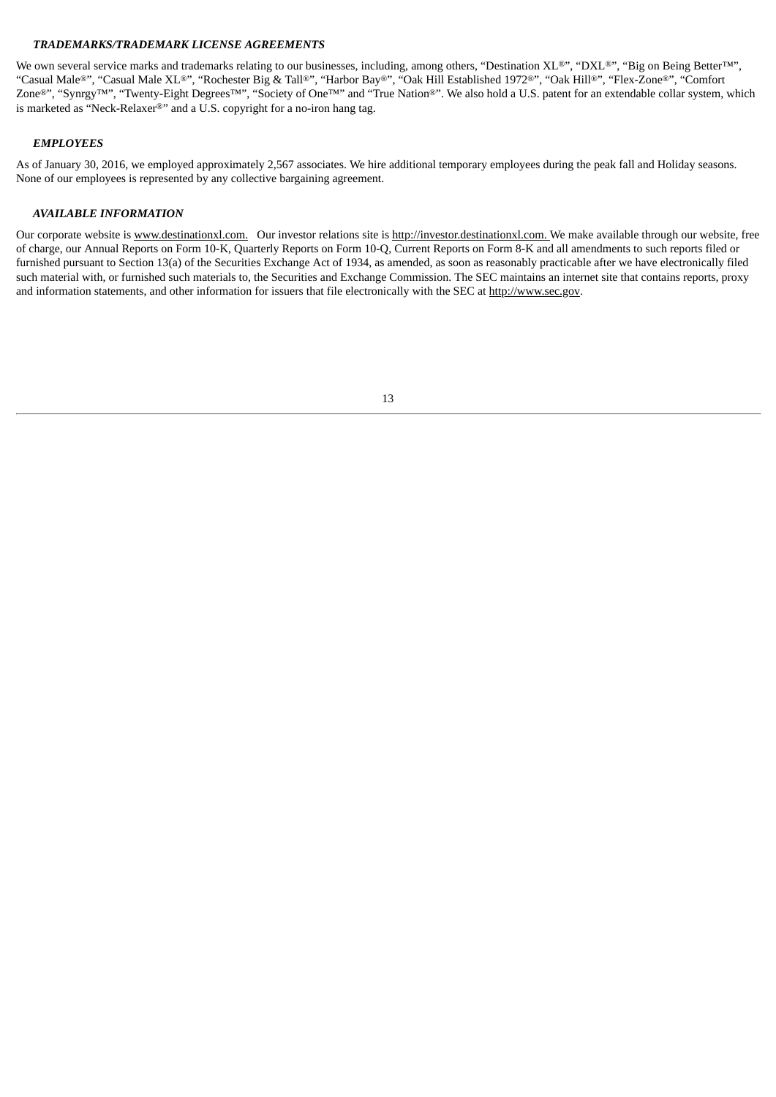#### *TRADEMARKS/TRADEMARK LICENSE AGREEMENTS*

We own several service marks and trademarks relating to our businesses, including, among others, "Destination XL®", "DXL®", "Big on Being Better™", "Casual Male®", "Casual Male XL®", "Rochester Big & Tall®", "Harbor Bay®", "Oak Hill Established 1972®", "Oak Hill®", "Flex-Zone®", "Comfort Zone®", "Synrgy™", "Twenty-Eight Degrees™", "Society of One™" and "True Nation®". We also hold a U.S. patent for an extendable collar system, which is marketed as "Neck-Relaxer®" and a U.S. copyright for a no-iron hang tag.

# *EMPLOYEES*

As of January 30, 2016, we employed approximately 2,567 associates. We hire additional temporary employees during the peak fall and Holiday seasons. None of our employees is represented by any collective bargaining agreement.

# *AVAILABLE INFORMATION*

Our corporate website is www.destinationxl.com. Our investor relations site is http://investor.destinationxl.com. We make available through our website, free of charge, our Annual Reports on Form 10-K, Quarterly Reports on Form 10-Q, Current Reports on Form 8-K and all amendments to such reports filed or furnished pursuant to Section 13(a) of the Securities Exchange Act of 1934, as amended, as soon as reasonably practicable after we have electronically filed such material with, or furnished such materials to, the Securities and Exchange Commission. The SEC maintains an internet site that contains reports, proxy and information statements, and other information for issuers that file electronically with the SEC at http://www.sec.gov.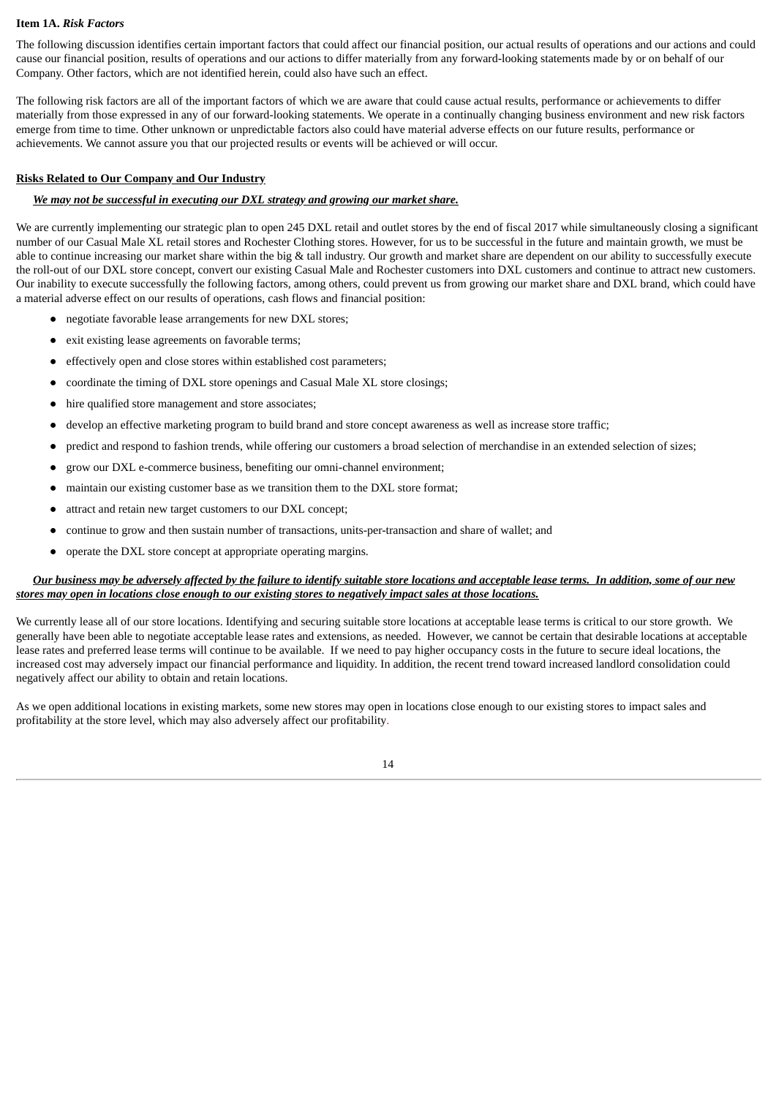#### <span id="page-13-0"></span>**Item 1A.** *Risk Factors*

The following discussion identifies certain important factors that could affect our financial position, our actual results of operations and our actions and could cause our financial position, results of operations and our actions to differ materially from any forward-looking statements made by or on behalf of our Company. Other factors, which are not identified herein, could also have such an effect.

The following risk factors are all of the important factors of which we are aware that could cause actual results, performance or achievements to differ materially from those expressed in any of our forward-looking statements. We operate in a continually changing business environment and new risk factors emerge from time to time. Other unknown or unpredictable factors also could have material adverse effects on our future results, performance or achievements. We cannot assure you that our projected results or events will be achieved or will occur.

# **Risks Related to Our Company and Our Industry**

#### *We may not be successful in executing our DXL strategy and growing our market share.*

We are currently implementing our strategic plan to open 245 DXL retail and outlet stores by the end of fiscal 2017 while simultaneously closing a significant number of our Casual Male XL retail stores and Rochester Clothing stores. However, for us to be successful in the future and maintain growth, we must be able to continue increasing our market share within the big & tall industry. Our growth and market share are dependent on our ability to successfully execute the roll-out of our DXL store concept, convert our existing Casual Male and Rochester customers into DXL customers and continue to attract new customers. Our inability to execute successfully the following factors, among others, could prevent us from growing our market share and DXL brand, which could have a material adverse effect on our results of operations, cash flows and financial position:

- negotiate favorable lease arrangements for new DXL stores;
- exit existing lease agreements on favorable terms;
- effectively open and close stores within established cost parameters;
- coordinate the timing of DXL store openings and Casual Male XL store closings;
- hire qualified store management and store associates;
- develop an effective marketing program to build brand and store concept awareness as well as increase store traffic;
- predict and respond to fashion trends, while offering our customers a broad selection of merchandise in an extended selection of sizes;
- grow our DXL e-commerce business, benefiting our omni-channel environment;
- maintain our existing customer base as we transition them to the DXL store format;
- attract and retain new target customers to our DXL concept;
- continue to grow and then sustain number of transactions, units-per-transaction and share of wallet; and
- operate the DXL store concept at appropriate operating margins.

# Our business may be adversely affected by the failure to identify suitable store locations and acceptable lease terms. In addition, some of our new stores may open in locations close enough to our existing stores to negatively impact sales at those locations.

We currently lease all of our store locations. Identifying and securing suitable store locations at acceptable lease terms is critical to our store growth. We generally have been able to negotiate acceptable lease rates and extensions, as needed. However, we cannot be certain that desirable locations at acceptable lease rates and preferred lease terms will continue to be available. If we need to pay higher occupancy costs in the future to secure ideal locations, the increased cost may adversely impact our financial performance and liquidity. In addition, the recent trend toward increased landlord consolidation could negatively affect our ability to obtain and retain locations.

As we open additional locations in existing markets, some new stores may open in locations close enough to our existing stores to impact sales and profitability at the store level, which may also adversely affect our profitability.

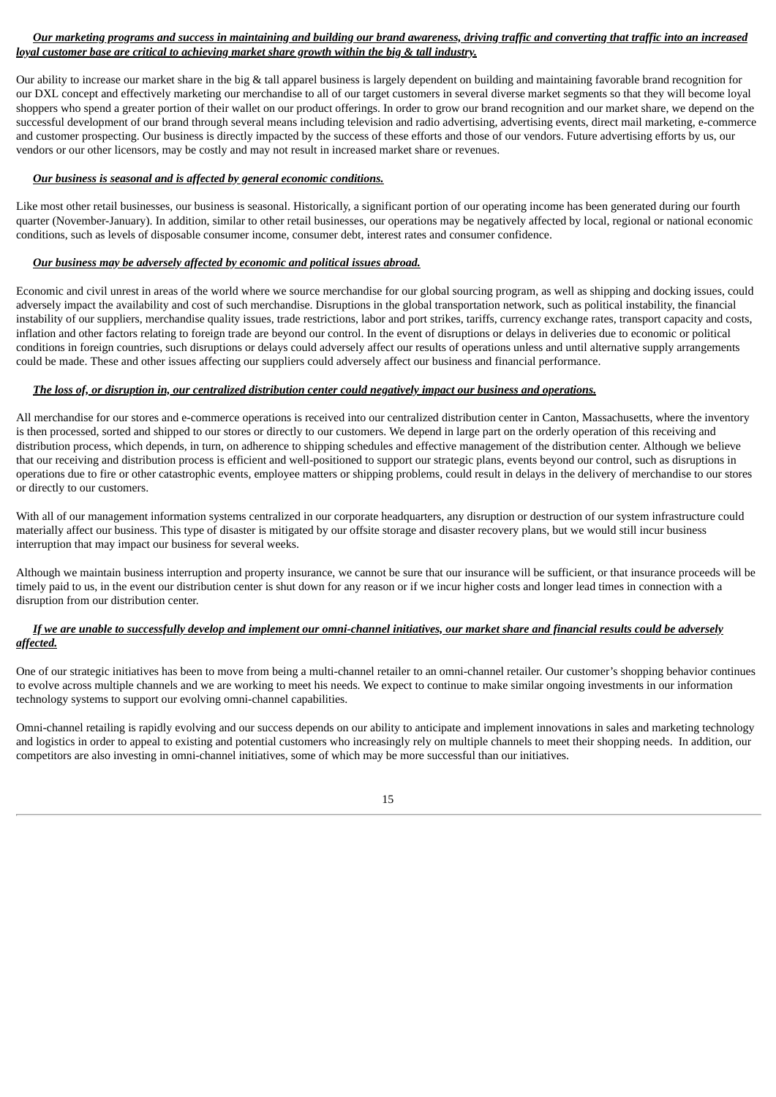# Our marketing programs and success in maintaining and building our brand awareness, driving traffic and converting that traffic into an increased *loyal customer base are critical to achieving market share growth within the big & tall industry.*

Our ability to increase our market share in the big & tall apparel business is largely dependent on building and maintaining favorable brand recognition for our DXL concept and effectively marketing our merchandise to all of our target customers in several diverse market segments so that they will become loyal shoppers who spend a greater portion of their wallet on our product offerings. In order to grow our brand recognition and our market share, we depend on the successful development of our brand through several means including television and radio advertising, advertising events, direct mail marketing, e-commerce and customer prospecting. Our business is directly impacted by the success of these efforts and those of our vendors. Future advertising efforts by us, our vendors or our other licensors, may be costly and may not result in increased market share or revenues.

# *Our business is seasonal and is affected by general economic conditions.*

Like most other retail businesses, our business is seasonal. Historically, a significant portion of our operating income has been generated during our fourth quarter (November-January). In addition, similar to other retail businesses, our operations may be negatively affected by local, regional or national economic conditions, such as levels of disposable consumer income, consumer debt, interest rates and consumer confidence.

# *Our business may be adversely affected by economic and political issues abroad.*

Economic and civil unrest in areas of the world where we source merchandise for our global sourcing program, as well as shipping and docking issues, could adversely impact the availability and cost of such merchandise. Disruptions in the global transportation network, such as political instability, the financial instability of our suppliers, merchandise quality issues, trade restrictions, labor and port strikes, tariffs, currency exchange rates, transport capacity and costs, inflation and other factors relating to foreign trade are beyond our control. In the event of disruptions or delays in deliveries due to economic or political conditions in foreign countries, such disruptions or delays could adversely affect our results of operations unless and until alternative supply arrangements could be made. These and other issues affecting our suppliers could adversely affect our business and financial performance.

# The loss of, or disruption in, our centralized distribution center could negatively impact our business and operations.

All merchandise for our stores and e-commerce operations is received into our centralized distribution center in Canton, Massachusetts, where the inventory is then processed, sorted and shipped to our stores or directly to our customers. We depend in large part on the orderly operation of this receiving and distribution process, which depends, in turn, on adherence to shipping schedules and effective management of the distribution center. Although we believe that our receiving and distribution process is efficient and well-positioned to support our strategic plans, events beyond our control, such as disruptions in operations due to fire or other catastrophic events, employee matters or shipping problems, could result in delays in the delivery of merchandise to our stores or directly to our customers.

With all of our management information systems centralized in our corporate headquarters, any disruption or destruction of our system infrastructure could materially affect our business. This type of disaster is mitigated by our offsite storage and disaster recovery plans, but we would still incur business interruption that may impact our business for several weeks.

Although we maintain business interruption and property insurance, we cannot be sure that our insurance will be sufficient, or that insurance proceeds will be timely paid to us, in the event our distribution center is shut down for any reason or if we incur higher costs and longer lead times in connection with a disruption from our distribution center.

# If we are unable to successfully develop and implement our omni-channel initiatives, our market share and financial results could be adversely *affected.*

One of our strategic initiatives has been to move from being a multi-channel retailer to an omni-channel retailer. Our customer's shopping behavior continues to evolve across multiple channels and we are working to meet his needs. We expect to continue to make similar ongoing investments in our information technology systems to support our evolving omni-channel capabilities.

Omni-channel retailing is rapidly evolving and our success depends on our ability to anticipate and implement innovations in sales and marketing technology and logistics in order to appeal to existing and potential customers who increasingly rely on multiple channels to meet their shopping needs. In addition, our competitors are also investing in omni-channel initiatives, some of which may be more successful than our initiatives.

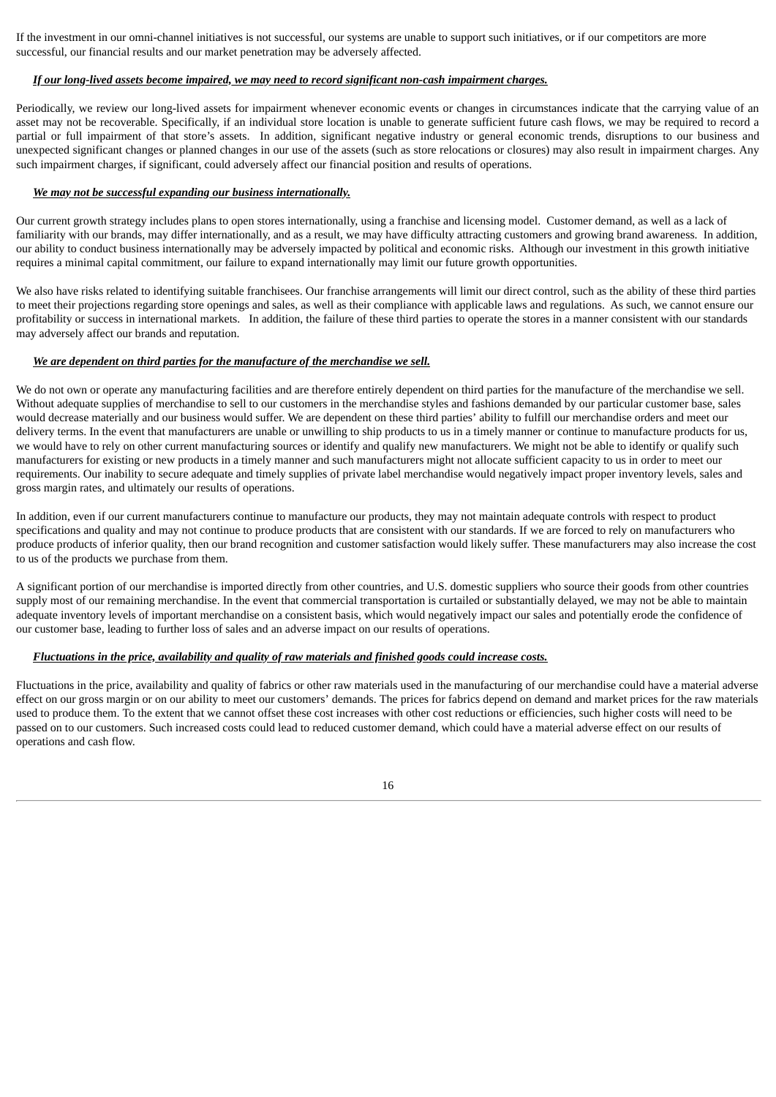If the investment in our omni-channel initiatives is not successful, our systems are unable to support such initiatives, or if our competitors are more successful, our financial results and our market penetration may be adversely affected.

# *If our long-lived assets become impaired, we may need to record significant non-cash impairment charges.*

Periodically, we review our long-lived assets for impairment whenever economic events or changes in circumstances indicate that the carrying value of an asset may not be recoverable. Specifically, if an individual store location is unable to generate sufficient future cash flows, we may be required to record a partial or full impairment of that store's assets. In addition, significant negative industry or general economic trends, disruptions to our business and unexpected significant changes or planned changes in our use of the assets (such as store relocations or closures) may also result in impairment charges. Any such impairment charges, if significant, could adversely affect our financial position and results of operations.

# *We may not be successful expanding our business internationally.*

Our current growth strategy includes plans to open stores internationally, using a franchise and licensing model. Customer demand, as well as a lack of familiarity with our brands, may differ internationally, and as a result, we may have difficulty attracting customers and growing brand awareness. In addition, our ability to conduct business internationally may be adversely impacted by political and economic risks. Although our investment in this growth initiative requires a minimal capital commitment, our failure to expand internationally may limit our future growth opportunities.

We also have risks related to identifying suitable franchisees. Our franchise arrangements will limit our direct control, such as the ability of these third parties to meet their projections regarding store openings and sales, as well as their compliance with applicable laws and regulations. As such, we cannot ensure our profitability or success in international markets. In addition, the failure of these third parties to operate the stores in a manner consistent with our standards may adversely affect our brands and reputation.

#### *We are dependent on third parties for the manufacture of the merchandise we sell.*

We do not own or operate any manufacturing facilities and are therefore entirely dependent on third parties for the manufacture of the merchandise we sell. Without adequate supplies of merchandise to sell to our customers in the merchandise styles and fashions demanded by our particular customer base, sales would decrease materially and our business would suffer. We are dependent on these third parties' ability to fulfill our merchandise orders and meet our delivery terms. In the event that manufacturers are unable or unwilling to ship products to us in a timely manner or continue to manufacture products for us, we would have to rely on other current manufacturing sources or identify and qualify new manufacturers. We might not be able to identify or qualify such manufacturers for existing or new products in a timely manner and such manufacturers might not allocate sufficient capacity to us in order to meet our requirements. Our inability to secure adequate and timely supplies of private label merchandise would negatively impact proper inventory levels, sales and gross margin rates, and ultimately our results of operations.

In addition, even if our current manufacturers continue to manufacture our products, they may not maintain adequate controls with respect to product specifications and quality and may not continue to produce products that are consistent with our standards. If we are forced to rely on manufacturers who produce products of inferior quality, then our brand recognition and customer satisfaction would likely suffer. These manufacturers may also increase the cost to us of the products we purchase from them.

A significant portion of our merchandise is imported directly from other countries, and U.S. domestic suppliers who source their goods from other countries supply most of our remaining merchandise. In the event that commercial transportation is curtailed or substantially delayed, we may not be able to maintain adequate inventory levels of important merchandise on a consistent basis, which would negatively impact our sales and potentially erode the confidence of our customer base, leading to further loss of sales and an adverse impact on our results of operations.

#### *Fluctuations in the price, availability and quality of raw materials and finished goods could increase costs.*

Fluctuations in the price, availability and quality of fabrics or other raw materials used in the manufacturing of our merchandise could have a material adverse effect on our gross margin or on our ability to meet our customers' demands. The prices for fabrics depend on demand and market prices for the raw materials used to produce them. To the extent that we cannot offset these cost increases with other cost reductions or efficiencies, such higher costs will need to be passed on to our customers. Such increased costs could lead to reduced customer demand, which could have a material adverse effect on our results of operations and cash flow.

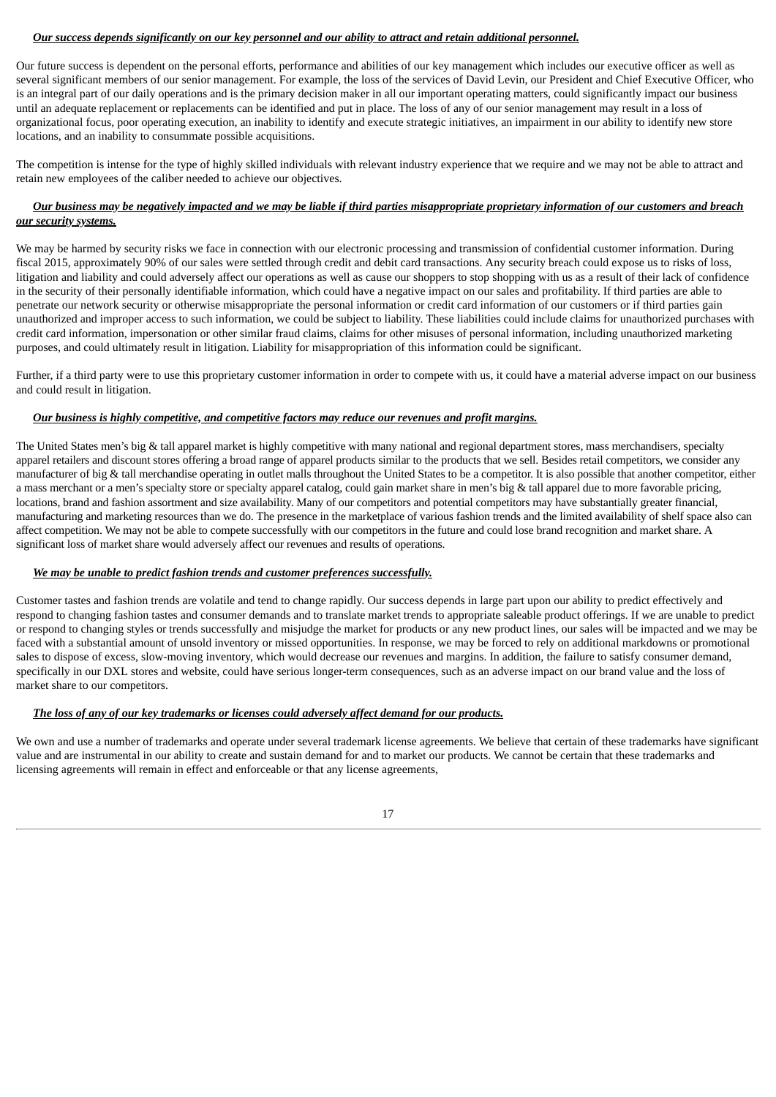# Our success depends significantly on our key personnel and our ability to attract and retain additional personnel.

Our future success is dependent on the personal efforts, performance and abilities of our key management which includes our executive officer as well as several significant members of our senior management. For example, the loss of the services of David Levin, our President and Chief Executive Officer, who is an integral part of our daily operations and is the primary decision maker in all our important operating matters, could significantly impact our business until an adequate replacement or replacements can be identified and put in place. The loss of any of our senior management may result in a loss of organizational focus, poor operating execution, an inability to identify and execute strategic initiatives, an impairment in our ability to identify new store locations, and an inability to consummate possible acquisitions.

The competition is intense for the type of highly skilled individuals with relevant industry experience that we require and we may not be able to attract and retain new employees of the caliber needed to achieve our objectives.

# Our business may be negatively impacted and we may be liable if third parties misappropriate proprietary information of our customers and breach *our security systems.*

We may be harmed by security risks we face in connection with our electronic processing and transmission of confidential customer information. During fiscal 2015, approximately 90% of our sales were settled through credit and debit card transactions. Any security breach could expose us to risks of loss, litigation and liability and could adversely affect our operations as well as cause our shoppers to stop shopping with us as a result of their lack of confidence in the security of their personally identifiable information, which could have a negative impact on our sales and profitability. If third parties are able to penetrate our network security or otherwise misappropriate the personal information or credit card information of our customers or if third parties gain unauthorized and improper access to such information, we could be subject to liability. These liabilities could include claims for unauthorized purchases with credit card information, impersonation or other similar fraud claims, claims for other misuses of personal information, including unauthorized marketing purposes, and could ultimately result in litigation. Liability for misappropriation of this information could be significant.

Further, if a third party were to use this proprietary customer information in order to compete with us, it could have a material adverse impact on our business and could result in litigation.

# *Our business is highly competitive, and competitive factors may reduce our revenues and profit margins.*

The United States men's big & tall apparel market is highly competitive with many national and regional department stores, mass merchandisers, specialty apparel retailers and discount stores offering a broad range of apparel products similar to the products that we sell. Besides retail competitors, we consider any manufacturer of big & tall merchandise operating in outlet malls throughout the United States to be a competitor. It is also possible that another competitor, either a mass merchant or a men's specialty store or specialty apparel catalog, could gain market share in men's big & tall apparel due to more favorable pricing, locations, brand and fashion assortment and size availability. Many of our competitors and potential competitors may have substantially greater financial, manufacturing and marketing resources than we do. The presence in the marketplace of various fashion trends and the limited availability of shelf space also can affect competition. We may not be able to compete successfully with our competitors in the future and could lose brand recognition and market share. A significant loss of market share would adversely affect our revenues and results of operations.

# *We may be unable to predict fashion trends and customer preferences successfully.*

Customer tastes and fashion trends are volatile and tend to change rapidly. Our success depends in large part upon our ability to predict effectively and respond to changing fashion tastes and consumer demands and to translate market trends to appropriate saleable product offerings. If we are unable to predict or respond to changing styles or trends successfully and misjudge the market for products or any new product lines, our sales will be impacted and we may be faced with a substantial amount of unsold inventory or missed opportunities. In response, we may be forced to rely on additional markdowns or promotional sales to dispose of excess, slow-moving inventory, which would decrease our revenues and margins. In addition, the failure to satisfy consumer demand, specifically in our DXL stores and website, could have serious longer-term consequences, such as an adverse impact on our brand value and the loss of market share to our competitors.

# *The loss of any of our key trademarks or licenses could adversely affect demand for our products.*

We own and use a number of trademarks and operate under several trademark license agreements. We believe that certain of these trademarks have significant value and are instrumental in our ability to create and sustain demand for and to market our products. We cannot be certain that these trademarks and licensing agreements will remain in effect and enforceable or that any license agreements,

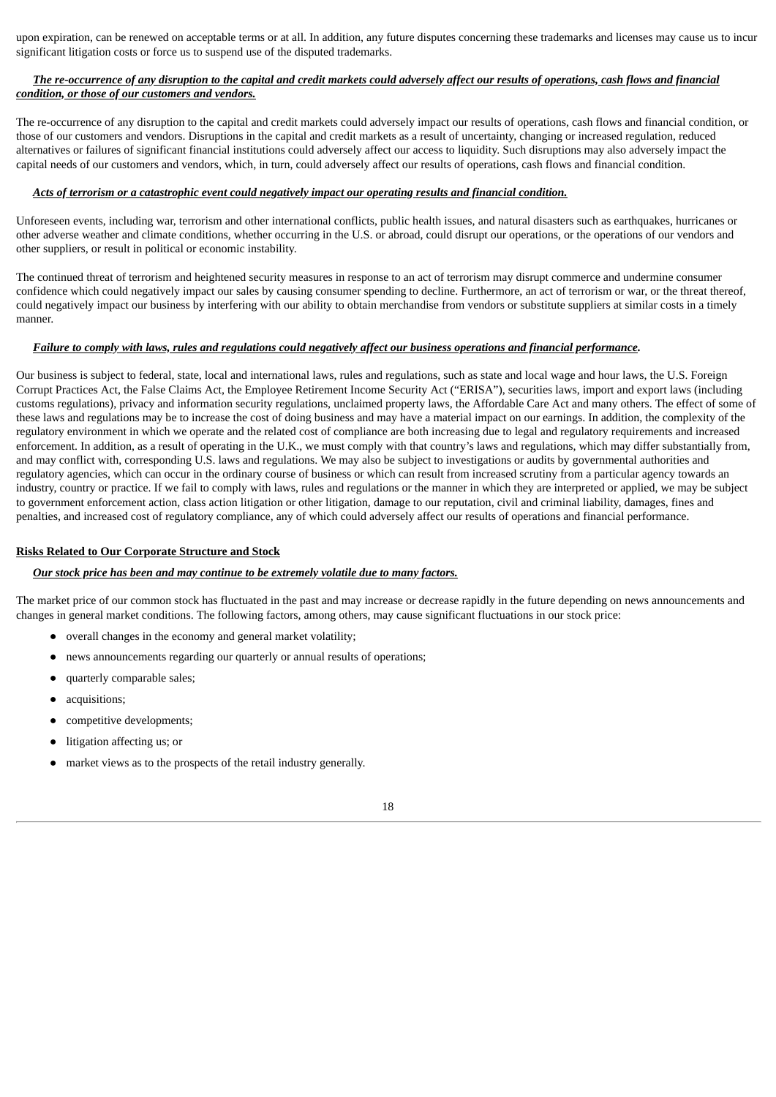upon expiration, can be renewed on acceptable terms or at all. In addition, any future disputes concerning these trademarks and licenses may cause us to incur significant litigation costs or force us to suspend use of the disputed trademarks.

# The re-occurrence of any disruption to the capital and credit markets could adversely affect our results of operations, cash flows and financial *condition, or those of our customers and vendors.*

The re-occurrence of any disruption to the capital and credit markets could adversely impact our results of operations, cash flows and financial condition, or those of our customers and vendors. Disruptions in the capital and credit markets as a result of uncertainty, changing or increased regulation, reduced alternatives or failures of significant financial institutions could adversely affect our access to liquidity. Such disruptions may also adversely impact the capital needs of our customers and vendors, which, in turn, could adversely affect our results of operations, cash flows and financial condition.

#### *Acts of terrorism or a catastrophic event could negatively impact our operating results and financial condition.*

Unforeseen events, including war, terrorism and other international conflicts, public health issues, and natural disasters such as earthquakes, hurricanes or other adverse weather and climate conditions, whether occurring in the U.S. or abroad, could disrupt our operations, or the operations of our vendors and other suppliers, or result in political or economic instability.

The continued threat of terrorism and heightened security measures in response to an act of terrorism may disrupt commerce and undermine consumer confidence which could negatively impact our sales by causing consumer spending to decline. Furthermore, an act of terrorism or war, or the threat thereof, could negatively impact our business by interfering with our ability to obtain merchandise from vendors or substitute suppliers at similar costs in a timely manner.

# Failure to comply with laws, rules and regulations could negatively affect our business operations and financial performance.

Our business is subject to federal, state, local and international laws, rules and regulations, such as state and local wage and hour laws, the U.S. Foreign Corrupt Practices Act, the False Claims Act, the Employee Retirement Income Security Act ("ERISA"), securities laws, import and export laws (including customs regulations), privacy and information security regulations, unclaimed property laws, the Affordable Care Act and many others. The effect of some of these laws and regulations may be to increase the cost of doing business and may have a material impact on our earnings. In addition, the complexity of the regulatory environment in which we operate and the related cost of compliance are both increasing due to legal and regulatory requirements and increased enforcement. In addition, as a result of operating in the U.K., we must comply with that country's laws and regulations, which may differ substantially from, and may conflict with, corresponding U.S. laws and regulations. We may also be subject to investigations or audits by governmental authorities and regulatory agencies, which can occur in the ordinary course of business or which can result from increased scrutiny from a particular agency towards an industry, country or practice. If we fail to comply with laws, rules and regulations or the manner in which they are interpreted or applied, we may be subject to government enforcement action, class action litigation or other litigation, damage to our reputation, civil and criminal liability, damages, fines and penalties, and increased cost of regulatory compliance, any of which could adversely affect our results of operations and financial performance.

# **Risks Related to Our Corporate Structure and Stock**

#### *Our stock price has been and may continue to be extremely volatile due to many factors.*

The market price of our common stock has fluctuated in the past and may increase or decrease rapidly in the future depending on news announcements and changes in general market conditions. The following factors, among others, may cause significant fluctuations in our stock price:

- overall changes in the economy and general market volatility;
- news announcements regarding our quarterly or annual results of operations;
- quarterly comparable sales;
- acquisitions;
- competitive developments;
- litigation affecting us; or
- market views as to the prospects of the retail industry generally.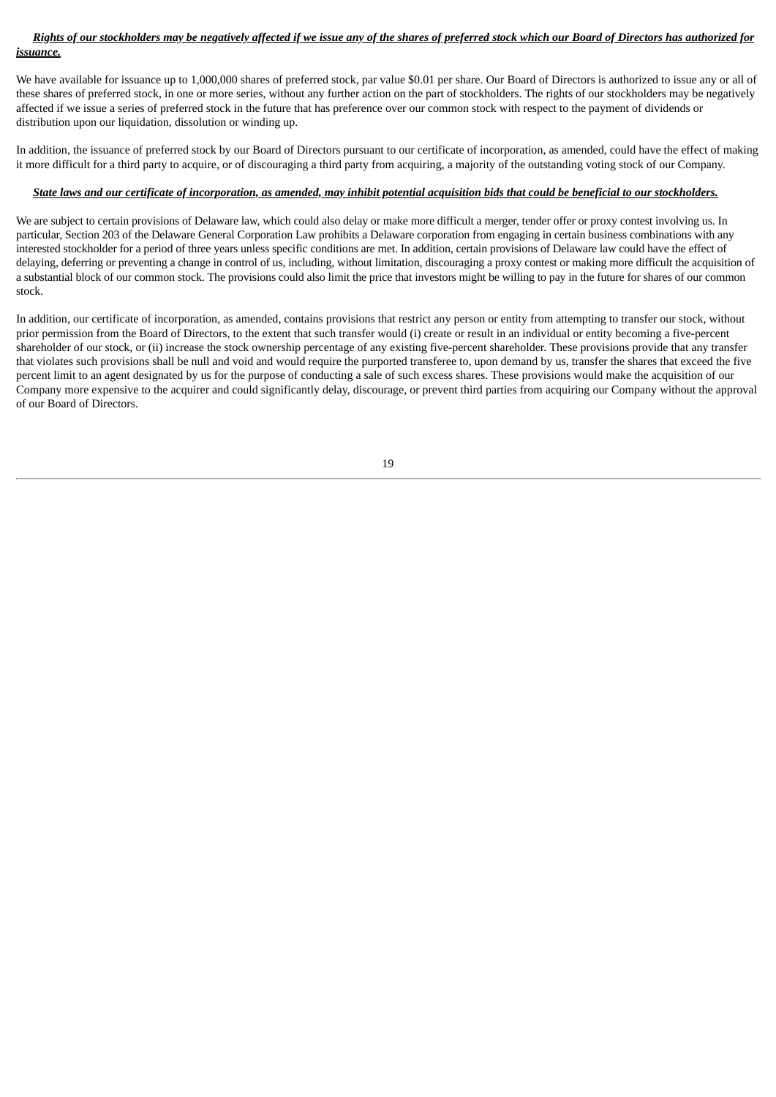# Rights of our stockholders may be negatively affected if we issue any of the shares of preferred stock which our Board of Directors has authorized for *issuance.*

We have available for issuance up to 1,000,000 shares of preferred stock, par value \$0.01 per share. Our Board of Directors is authorized to issue any or all of these shares of preferred stock, in one or more series, without any further action on the part of stockholders. The rights of our stockholders may be negatively affected if we issue a series of preferred stock in the future that has preference over our common stock with respect to the payment of dividends or distribution upon our liquidation, dissolution or winding up.

In addition, the issuance of preferred stock by our Board of Directors pursuant to our certificate of incorporation, as amended, could have the effect of making it more difficult for a third party to acquire, or of discouraging a third party from acquiring, a majority of the outstanding voting stock of our Company.

# State laws and our certificate of incorporation, as amended, may inhibit potential acquisition bids that could be beneficial to our stockholders.

We are subject to certain provisions of Delaware law, which could also delay or make more difficult a merger, tender offer or proxy contest involving us. In particular, Section 203 of the Delaware General Corporation Law prohibits a Delaware corporation from engaging in certain business combinations with any interested stockholder for a period of three years unless specific conditions are met. In addition, certain provisions of Delaware law could have the effect of delaying, deferring or preventing a change in control of us, including, without limitation, discouraging a proxy contest or making more difficult the acquisition of a substantial block of our common stock. The provisions could also limit the price that investors might be willing to pay in the future for shares of our common stock.

In addition, our certificate of incorporation, as amended, contains provisions that restrict any person or entity from attempting to transfer our stock, without prior permission from the Board of Directors, to the extent that such transfer would (i) create or result in an individual or entity becoming a five-percent shareholder of our stock, or (ii) increase the stock ownership percentage of any existing five-percent shareholder. These provisions provide that any transfer that violates such provisions shall be null and void and would require the purported transferee to, upon demand by us, transfer the shares that exceed the five percent limit to an agent designated by us for the purpose of conducting a sale of such excess shares. These provisions would make the acquisition of our Company more expensive to the acquirer and could significantly delay, discourage, or prevent third parties from acquiring our Company without the approval of our Board of Directors.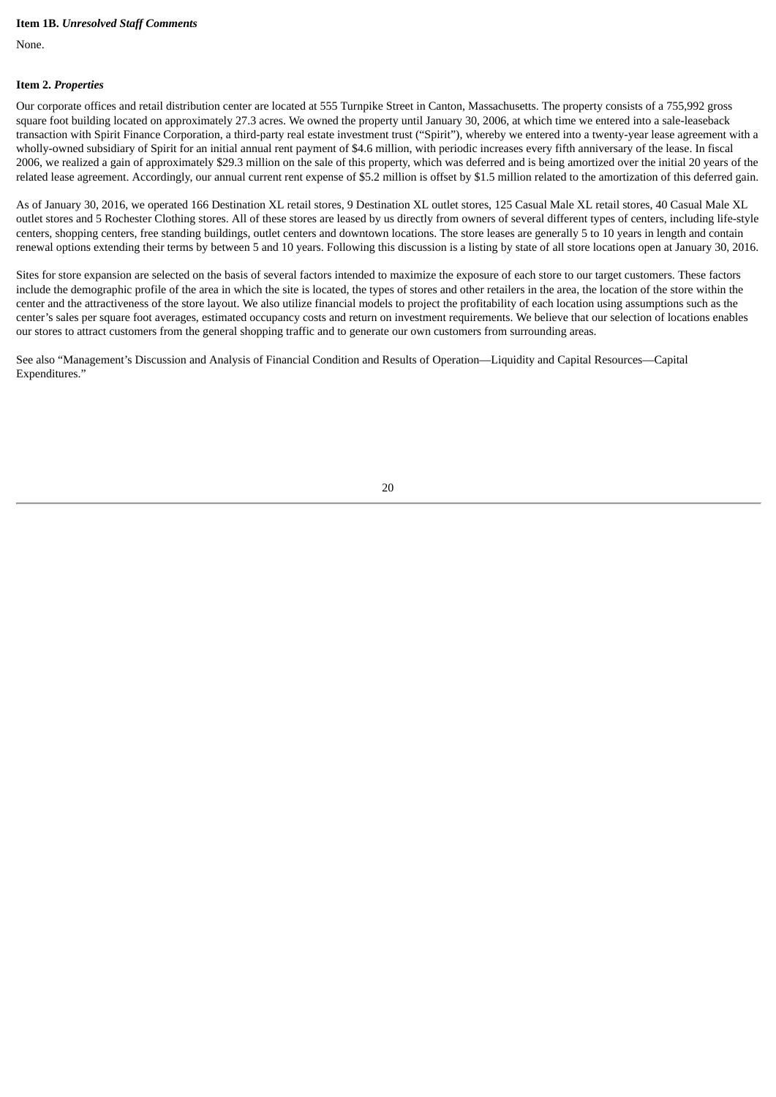<span id="page-19-0"></span>None.

# <span id="page-19-1"></span>**Item 2.** *Properties*

Our corporate offices and retail distribution center are located at 555 Turnpike Street in Canton, Massachusetts. The property consists of a 755,992 gross square foot building located on approximately 27.3 acres. We owned the property until January 30, 2006, at which time we entered into a sale-leaseback transaction with Spirit Finance Corporation, a third-party real estate investment trust ("Spirit"), whereby we entered into a twenty-year lease agreement with a wholly-owned subsidiary of Spirit for an initial annual rent payment of \$4.6 million, with periodic increases every fifth anniversary of the lease. In fiscal 2006, we realized a gain of approximately \$29.3 million on the sale of this property, which was deferred and is being amortized over the initial 20 years of the related lease agreement. Accordingly, our annual current rent expense of \$5.2 million is offset by \$1.5 million related to the amortization of this deferred gain.

As of January 30, 2016, we operated 166 Destination XL retail stores, 9 Destination XL outlet stores, 125 Casual Male XL retail stores, 40 Casual Male XL outlet stores and 5 Rochester Clothing stores. All of these stores are leased by us directly from owners of several different types of centers, including life-style centers, shopping centers, free standing buildings, outlet centers and downtown locations. The store leases are generally 5 to 10 years in length and contain renewal options extending their terms by between 5 and 10 years. Following this discussion is a listing by state of all store locations open at January 30, 2016.

Sites for store expansion are selected on the basis of several factors intended to maximize the exposure of each store to our target customers. These factors include the demographic profile of the area in which the site is located, the types of stores and other retailers in the area, the location of the store within the center and the attractiveness of the store layout. We also utilize financial models to project the profitability of each location using assumptions such as the center's sales per square foot averages, estimated occupancy costs and return on investment requirements. We believe that our selection of locations enables our stores to attract customers from the general shopping traffic and to generate our own customers from surrounding areas.

See also "Management's Discussion and Analysis of Financial Condition and Results of Operation—Liquidity and Capital Resources—Capital Expenditures."

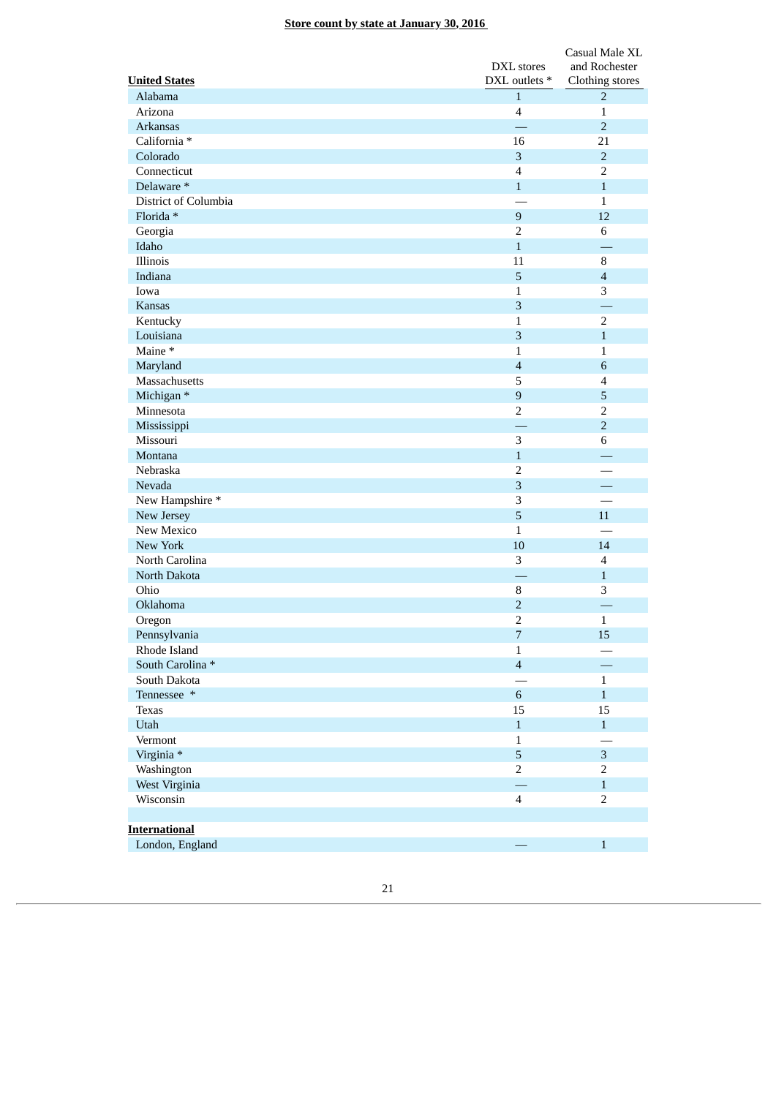# **Store count by state at January 30, 2016**

| <b>United States</b> | <b>DXL</b> stores<br>DXL outlets * | Casual Male XL<br>and Rochester<br>Clothing stores |
|----------------------|------------------------------------|----------------------------------------------------|
| Alabama              | $\mathbf{1}$                       | $\overline{2}$                                     |
| Arizona              | $\overline{4}$                     | $\mathbf{1}$                                       |
| <b>Arkansas</b>      |                                    | $\overline{2}$                                     |
| California *         | 16                                 | 21                                                 |
| Colorado             | 3                                  | $\overline{2}$                                     |
| Connecticut          | $\overline{4}$                     | $\overline{2}$                                     |
| Delaware *           | $\mathbf{1}$                       | $1\,$                                              |
| District of Columbia |                                    | $\mathbf 1$                                        |
| Florida <sup>*</sup> | $\boldsymbol{9}$                   | 12                                                 |
| Georgia              | 2                                  | 6                                                  |
| Idaho                | $\mathbf{1}$                       | L.                                                 |
| Illinois             | 11                                 | 8                                                  |
| Indiana              | 5                                  | $\overline{4}$                                     |
| Iowa                 | $\mathbf 1$                        | 3                                                  |
| Kansas               | 3                                  | ÷,                                                 |
| Kentucky             | $\mathbf{1}$                       | $\overline{2}$                                     |
| Louisiana            | 3                                  | $\mathbf{1}$                                       |
| Maine *              | $\mathbf{1}$                       | $\mathbf{1}$                                       |
| Maryland             | $\overline{4}$                     | $\,6\,$                                            |
| Massachusetts        | 5                                  | $\overline{4}$                                     |
| Michigan *           | $\boldsymbol{9}$                   | 5                                                  |
| Minnesota            | $\overline{2}$                     | $\overline{2}$                                     |
| Mississippi          |                                    | $\overline{2}$                                     |
| Missouri             | 3                                  | 6                                                  |
| Montana              | $\mathbf{1}$                       |                                                    |
| Nebraska             | $\overline{2}$                     |                                                    |
| Nevada               | 3                                  | $\overline{\phantom{0}}$                           |
| New Hampshire *      | 3                                  |                                                    |
| New Jersey           | 5                                  | 11                                                 |
| <b>New Mexico</b>    | $\mathbf 1$                        | $\overline{\phantom{a}}$                           |
| New York             | 10                                 | 14                                                 |
| North Carolina       | 3                                  | $\overline{4}$                                     |
| North Dakota         | 二                                  | $\mathbf{1}$                                       |
| Ohio                 | 8                                  | 3                                                  |
| Oklahoma             | $\overline{a}$                     |                                                    |
| Oregon               | $\overline{2}$                     | $\mathbf{1}$                                       |
| Pennsylvania         | $\boldsymbol{7}$                   | 15                                                 |
| Rhode Island         | $\mathbf 1$                        |                                                    |
| South Carolina *     | $\overline{4}$                     | $\equiv$                                           |
| South Dakota         | and a                              | $\mathbf{1}$                                       |
| Tennessee *          | $6\phantom{a}$                     | $\mathbf 1$                                        |
| <b>Texas</b>         | 15                                 | 15                                                 |
| Utah                 | $\mathbf 1$                        | $\mathbf 1$                                        |
| Vermont              | $\mathbf{1}$                       | $\overline{\phantom{0}}$                           |
| Virginia *           | 5                                  | 3                                                  |
| Washington           | $\overline{a}$                     | $\overline{2}$                                     |
| West Virginia        |                                    | $\mathbf 1$                                        |
| Wisconsin            | $\overline{4}$                     | $\overline{2}$                                     |
|                      |                                    |                                                    |
| <b>International</b> |                                    |                                                    |
| London, England      |                                    | $\mathbf 1$                                        |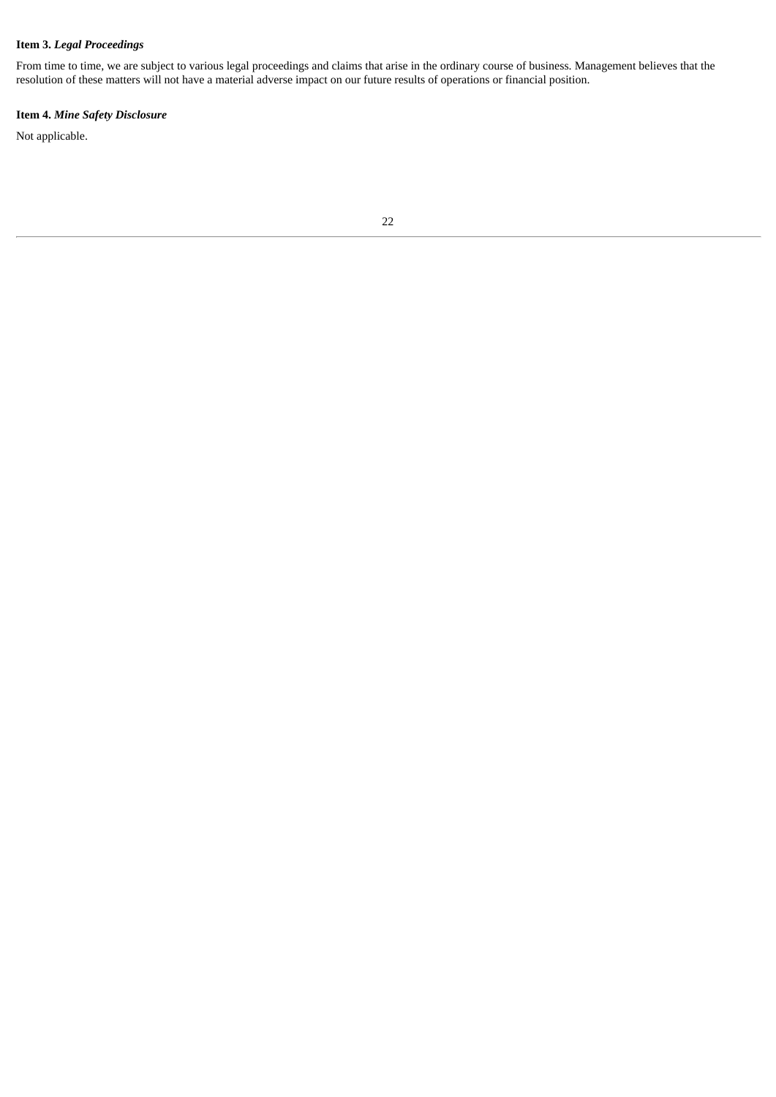# <span id="page-21-0"></span>**Item 3.** *Legal Proceedings*

From time to time, we are subject to various legal proceedings and claims that arise in the ordinary course of business. Management believes that the resolution of these matters will not have a material adverse impact on our future results of operations or financial position.

# <span id="page-21-1"></span>**Item 4.** *Mine Safety Disclosure*

Not applicable.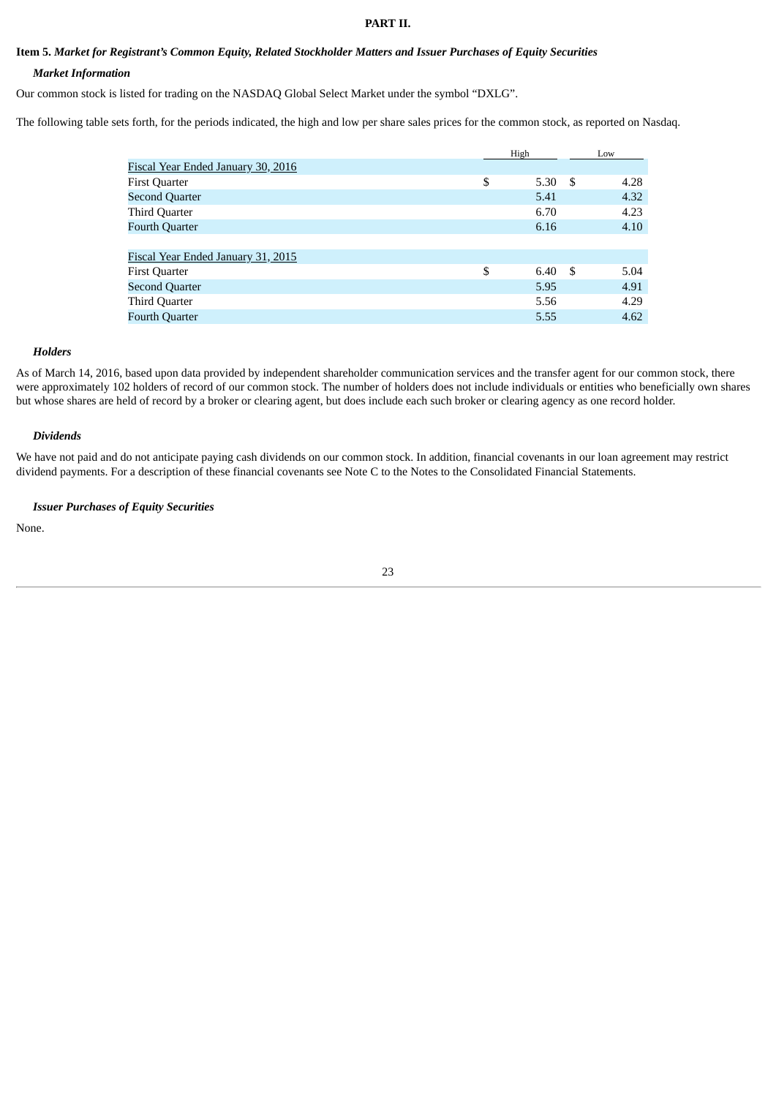# **PART II.**

# <span id="page-22-0"></span>Item 5. Market for Registrant's Common Equity, Related Stockholder Matters and Issuer Purchases of Equity Securities

#### *Market Information*

Our common stock is listed for trading on the NASDAQ Global Select Market under the symbol "DXLG".

The following table sets forth, for the periods indicated, the high and low per share sales prices for the common stock, as reported on Nasdaq.

|                                    | High       |      | Low  |
|------------------------------------|------------|------|------|
| Fiscal Year Ended January 30, 2016 |            |      |      |
| <b>First Quarter</b>               | \$<br>5.30 | - \$ | 4.28 |
| <b>Second Quarter</b>              | 5.41       |      | 4.32 |
| <b>Third Quarter</b>               | 6.70       |      | 4.23 |
| <b>Fourth Quarter</b>              | 6.16       |      | 4.10 |
|                                    |            |      |      |
| Fiscal Year Ended January 31, 2015 |            |      |      |
| <b>First Quarter</b>               | \$<br>6.40 | - \$ | 5.04 |
| <b>Second Quarter</b>              | 5.95       |      | 4.91 |
| <b>Third Quarter</b>               | 5.56       |      | 4.29 |
| <b>Fourth Quarter</b>              | 5.55       |      | 4.62 |
|                                    |            |      |      |

# *Holders*

As of March 14, 2016, based upon data provided by independent shareholder communication services and the transfer agent for our common stock, there were approximately 102 holders of record of our common stock. The number of holders does not include individuals or entities who beneficially own shares but whose shares are held of record by a broker or clearing agent, but does include each such broker or clearing agency as one record holder.

#### *Dividends*

We have not paid and do not anticipate paying cash dividends on our common stock. In addition, financial covenants in our loan agreement may restrict dividend payments. For a description of these financial covenants see Note C to the Notes to the Consolidated Financial Statements.

#### *Issuer Purchases of Equity Securities*

None.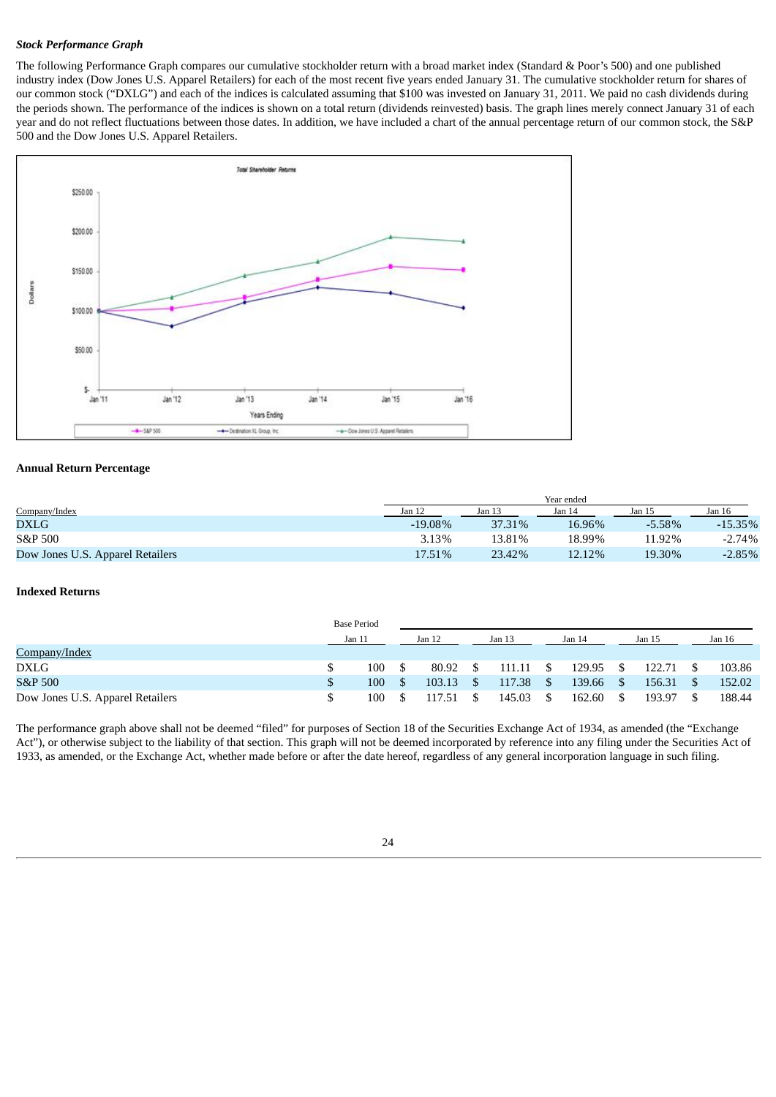#### *Stock Performance Graph*

The following Performance Graph compares our cumulative stockholder return with a broad market index (Standard & Poor's 500) and one published industry index (Dow Jones U.S. Apparel Retailers) for each of the most recent five years ended January 31. The cumulative stockholder return for shares of our common stock ("DXLG") and each of the indices is calculated assuming that \$100 was invested on January 31, 2011. We paid no cash dividends during the periods shown. The performance of the indices is shown on a total return (dividends reinvested) basis. The graph lines merely connect January 31 of each year and do not reflect fluctuations between those dates. In addition, we have included a chart of the annual percentage return of our common stock, the S&P 500 and the Dow Jones U.S. Apparel Retailers.



#### **Annual Return Percentage**

|                                  | Year ended |        |        |           |            |  |  |  |  |
|----------------------------------|------------|--------|--------|-----------|------------|--|--|--|--|
| Company/Index                    | Jan 12     | Jan 13 | Jan 14 | Jan 15    | Jan 16     |  |  |  |  |
| DXLG                             | $-19.08%$  | 37.31% | 16.96% | $-5.58\%$ | $-15.35\%$ |  |  |  |  |
| S&P 500                          | 3.13%      | 13.81% | 18.99% | 11.92%    | $-2.74\%$  |  |  |  |  |
| Dow Jones U.S. Apparel Retailers | 17.51%     | 23.42% | 12.12% | 19.30%    | $-2.85%$   |  |  |  |  |

#### **Indexed Returns**

|                                  | <b>Base Period</b> |  |        |     |             |            |           |              |        |            |        |
|----------------------------------|--------------------|--|--------|-----|-------------|------------|-----------|--------------|--------|------------|--------|
|                                  | Jan 11             |  | Jan 12 |     | Jan 13      |            | Jan 14    |              | Jan 15 |            | Jan 16 |
| Company/Index                    |                    |  |        |     |             |            |           |              |        |            |        |
| <b>DXLG</b>                      | 100                |  | 80.92  | s s | $111.11$ \$ |            | 129.95 \$ |              | 122.71 | $^{\circ}$ | 103.86 |
| <b>S&amp;P 500</b>               | 100                |  | 103.13 |     | 117.38      | $^{\circ}$ | 139.66    | $\mathbf{S}$ | 156.31 |            | 152.02 |
| Dow Jones U.S. Apparel Retailers | 100                |  | 117.51 |     | 145.03      |            | 162.60    |              | 193.97 |            | 188.44 |

The performance graph above shall not be deemed "filed" for purposes of Section 18 of the Securities Exchange Act of 1934, as amended (the "Exchange Act"), or otherwise subject to the liability of that section. This graph will not be deemed incorporated by reference into any filing under the Securities Act of 1933, as amended, or the Exchange Act, whether made before or after the date hereof, regardless of any general incorporation language in such filing.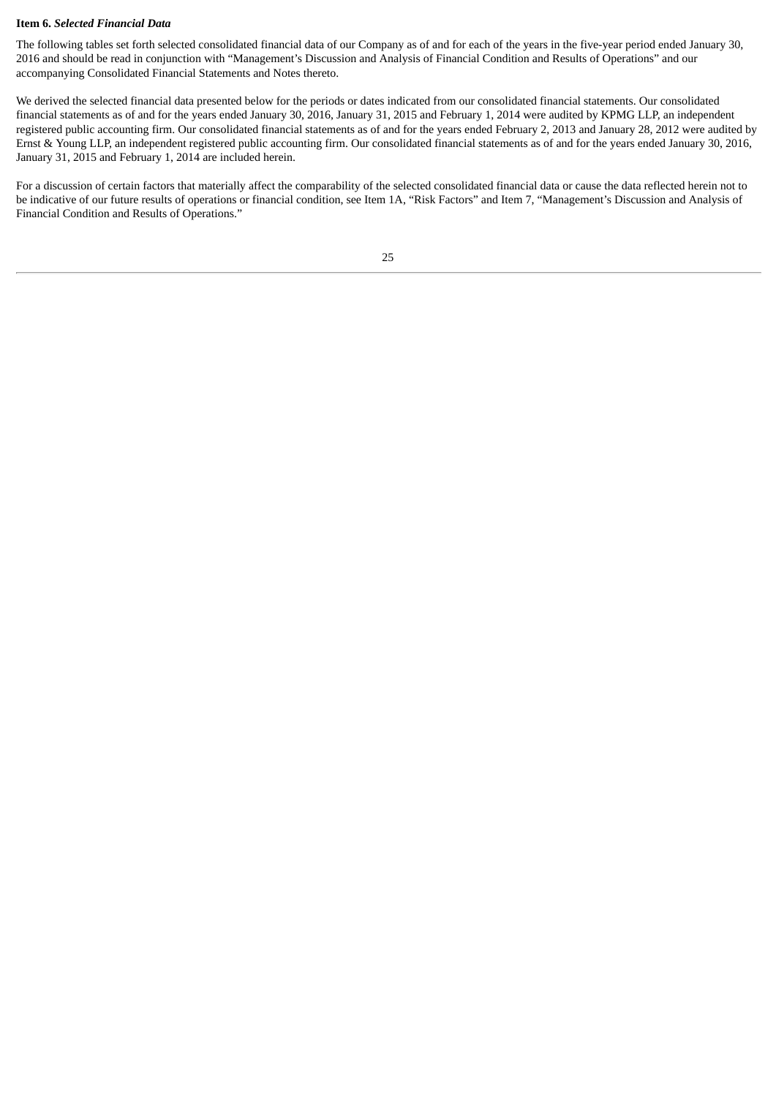#### <span id="page-24-0"></span>**Item 6.** *Selected Financial Data*

The following tables set forth selected consolidated financial data of our Company as of and for each of the years in the five-year period ended January 30, 2016 and should be read in conjunction with "Management's Discussion and Analysis of Financial Condition and Results of Operations" and our accompanying Consolidated Financial Statements and Notes thereto.

We derived the selected financial data presented below for the periods or dates indicated from our consolidated financial statements. Our consolidated financial statements as of and for the years ended January 30, 2016, January 31, 2015 and February 1, 2014 were audited by KPMG LLP, an independent registered public accounting firm. Our consolidated financial statements as of and for the years ended February 2, 2013 and January 28, 2012 were audited by Ernst & Young LLP, an independent registered public accounting firm. Our consolidated financial statements as of and for the years ended January 30, 2016, January 31, 2015 and February 1, 2014 are included herein.

For a discussion of certain factors that materially affect the comparability of the selected consolidated financial data or cause the data reflected herein not to be indicative of our future results of operations or financial condition, see Item 1A, "Risk Factors" and Item 7, "Management's Discussion and Analysis of Financial Condition and Results of Operations."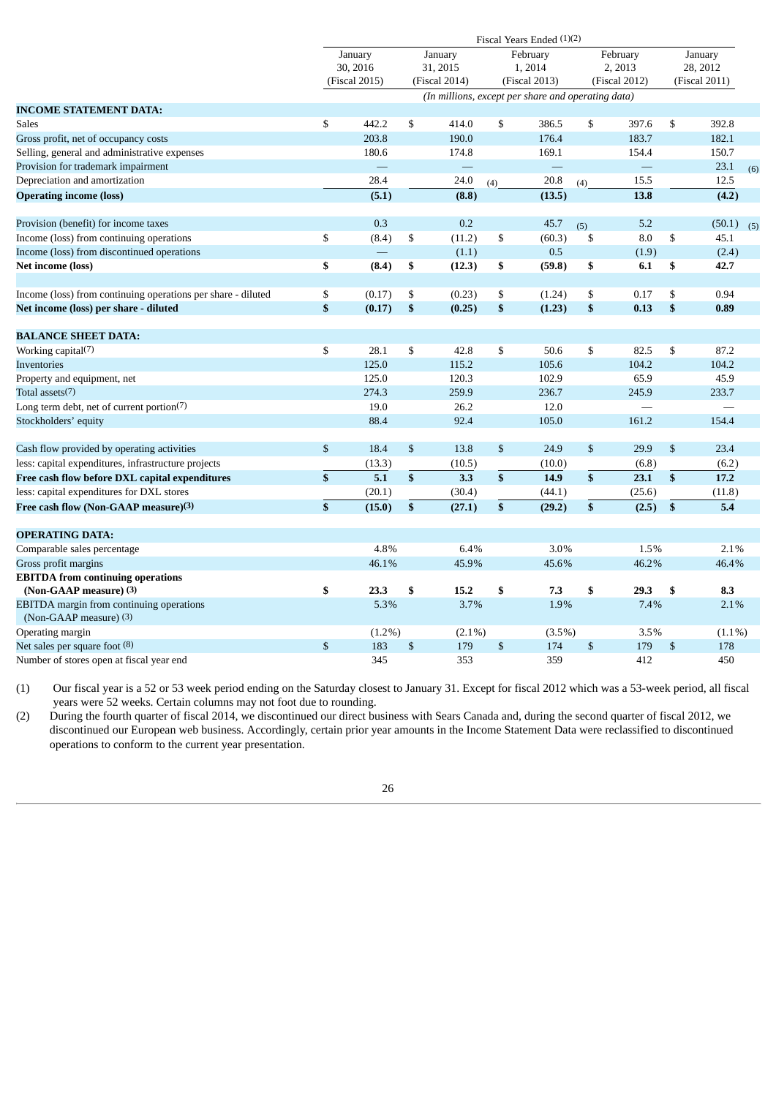|                                                                    | Fiscal Years Ended (1)(2) |               |               |                                                    |              |                          |               |         |                           |               |     |
|--------------------------------------------------------------------|---------------------------|---------------|---------------|----------------------------------------------------|--------------|--------------------------|---------------|---------|---------------------------|---------------|-----|
|                                                                    |                           | January       | January       |                                                    |              | February                 | February      | January |                           |               |     |
|                                                                    |                           | 30, 2016      |               | 31, 2015                                           |              | 1,2014                   |               | 2, 2013 |                           | 28, 2012      |     |
|                                                                    |                           | (Fiscal 2015) |               | (Fiscal 2014)                                      |              | (Fiscal 2013)            | (Fiscal 2012) |         |                           | (Fiscal 2011) |     |
|                                                                    |                           |               |               | (In millions, except per share and operating data) |              |                          |               |         |                           |               |     |
| <b>INCOME STATEMENT DATA:</b>                                      |                           |               |               |                                                    |              |                          |               |         |                           |               |     |
| <b>Sales</b>                                                       | \$                        | 442.2         | \$            | 414.0                                              | \$           | 386.5                    | \$            | 397.6   | \$                        | 392.8         |     |
| Gross profit, net of occupancy costs                               |                           | 203.8         |               | 190.0                                              |              | 176.4                    |               | 183.7   |                           | 182.1         |     |
| Selling, general and administrative expenses                       |                           | 180.6         |               | 174.8                                              |              | 169.1                    |               | 154.4   |                           | 150.7         |     |
| Provision for trademark impairment                                 |                           |               |               |                                                    |              | $\overline{\phantom{0}}$ |               | ÷,      |                           | 23.1          | (6) |
| Depreciation and amortization                                      |                           | 28.4          |               | 24.0                                               | (4)          | 20.8                     | (4)           | 15.5    |                           | 12.5          |     |
| <b>Operating income (loss)</b>                                     |                           | (5.1)         |               | (8.8)                                              |              | (13.5)                   |               | 13.8    |                           | (4.2)         |     |
| Provision (benefit) for income taxes                               |                           | 0.3           |               | 0.2                                                |              | 45.7                     | (5)           | 5.2     |                           | (50.1)        | (5) |
| Income (loss) from continuing operations                           | \$                        | (8.4)         | \$            | (11.2)                                             | \$           | (60.3)                   | \$            | 8.0     | \$                        | 45.1          |     |
| Income (loss) from discontinued operations                         |                           |               |               | (1.1)                                              |              | 0.5                      |               | (1.9)   |                           | (2.4)         |     |
| Net income (loss)                                                  | \$                        | (8.4)         | \$            | (12.3)                                             | \$           | (59.8)                   | \$            | 6.1     | \$                        | 42.7          |     |
| Income (loss) from continuing operations per share - diluted       | \$                        | (0.17)        | \$            | (0.23)                                             | \$           | (1.24)                   | \$            | 0.17    | \$                        | 0.94          |     |
| Net income (loss) per share - diluted                              | \$                        | (0.17)        | \$            | (0.25)                                             | $\$$         | (1.23)                   | $\$$          | 0.13    | \$                        | 0.89          |     |
| <b>BALANCE SHEET DATA:</b>                                         |                           |               |               |                                                    |              |                          |               |         |                           |               |     |
| Working capital <sup>(7)</sup>                                     | \$                        | 28.1          | \$            | 42.8                                               | \$           | 50.6                     | \$            | 82.5    | \$                        | 87.2          |     |
| Inventories                                                        |                           | 125.0         |               | 115.2                                              |              | 105.6                    |               | 104.2   |                           | 104.2         |     |
| Property and equipment, net                                        |                           | 125.0         |               | 120.3                                              |              | 102.9                    |               | 65.9    |                           | 45.9          |     |
| Total assets <sup>(7)</sup>                                        |                           | 274.3         |               | 259.9                                              |              | 236.7                    |               | 245.9   |                           | 233.7         |     |
| Long term debt, net of current portion(7)                          |                           | 19.0          |               | 26.2                                               |              | 12.0                     |               | ÷,      |                           |               |     |
| Stockholders' equity                                               |                           | 88.4          |               | 92.4                                               |              | 105.0                    |               | 161.2   |                           | 154.4         |     |
| Cash flow provided by operating activities                         | \$                        | 18.4          | ${\mathbb S}$ | 13.8                                               | $\mathbb{S}$ | 24.9                     | ${\mathbb S}$ | 29.9    | \$                        | 23.4          |     |
| less: capital expenditures, infrastructure projects                |                           | (13.3)        |               | (10.5)                                             |              | (10.0)                   |               | (6.8)   |                           | (6.2)         |     |
| Free cash flow before DXL capital expenditures                     | \$                        | 5.1           | \$            | 3.3                                                | \$           | 14.9                     | $\mathbf{s}$  | 23.1    | \$                        | 17.2          |     |
| less: capital expenditures for DXL stores                          |                           | (20.1)        |               | (30.4)                                             |              | (44.1)                   |               | (25.6)  |                           | (11.8)        |     |
| Free cash flow (Non-GAAP measure)(3)                               | \$                        | (15.0)        | \$            | (27.1)                                             | \$           | (29.2)                   | $\mathbf{s}$  | (2.5)   | $\boldsymbol{\mathsf{s}}$ | 5.4           |     |
| <b>OPERATING DATA:</b>                                             |                           |               |               |                                                    |              |                          |               |         |                           |               |     |
| Comparable sales percentage                                        |                           | 4.8%          |               | 6.4%                                               |              | 3.0%                     |               | 1.5%    |                           | 2.1%          |     |
| Gross profit margins                                               |                           | 46.1%         |               | 45.9%                                              |              | 45.6%                    |               | 46.2%   |                           | 46.4%         |     |
| <b>EBITDA</b> from continuing operations                           |                           |               |               |                                                    |              |                          |               |         |                           |               |     |
| (Non-GAAP measure) (3)                                             | \$                        | 23.3          | \$            | 15.2                                               | \$           | 7.3                      | \$            | 29.3    | \$                        | 8.3           |     |
| EBITDA margin from continuing operations<br>(Non-GAAP measure) (3) |                           | 5.3%          |               | 3.7%                                               |              | 1.9%                     |               | 7.4%    |                           | 2.1%          |     |
| Operating margin                                                   |                           | $(1.2\%)$     |               | $(2.1\%)$                                          |              | $(3.5\%)$                |               | 3.5%    |                           | $(1.1\%)$     |     |
| Net sales per square foot $(8)$                                    | \$                        | 183           | \$            | 179                                                | \$           | 174                      | \$            | 179     | \$                        | 178           |     |
| Number of stores open at fiscal year end                           |                           | 345           |               | 353                                                |              | 359                      |               | 412     |                           | 450           |     |

(1) Our fiscal year is a 52 or 53 week period ending on the Saturday closest to January 31. Except for fiscal 2012 which was a 53-week period, all fiscal years were 52 weeks. Certain columns may not foot due to rounding.

(2) During the fourth quarter of fiscal 2014, we discontinued our direct business with Sears Canada and, during the second quarter of fiscal 2012, we discontinued our European web business. Accordingly, certain prior year amounts in the Income Statement Data were reclassified to discontinued operations to conform to the current year presentation.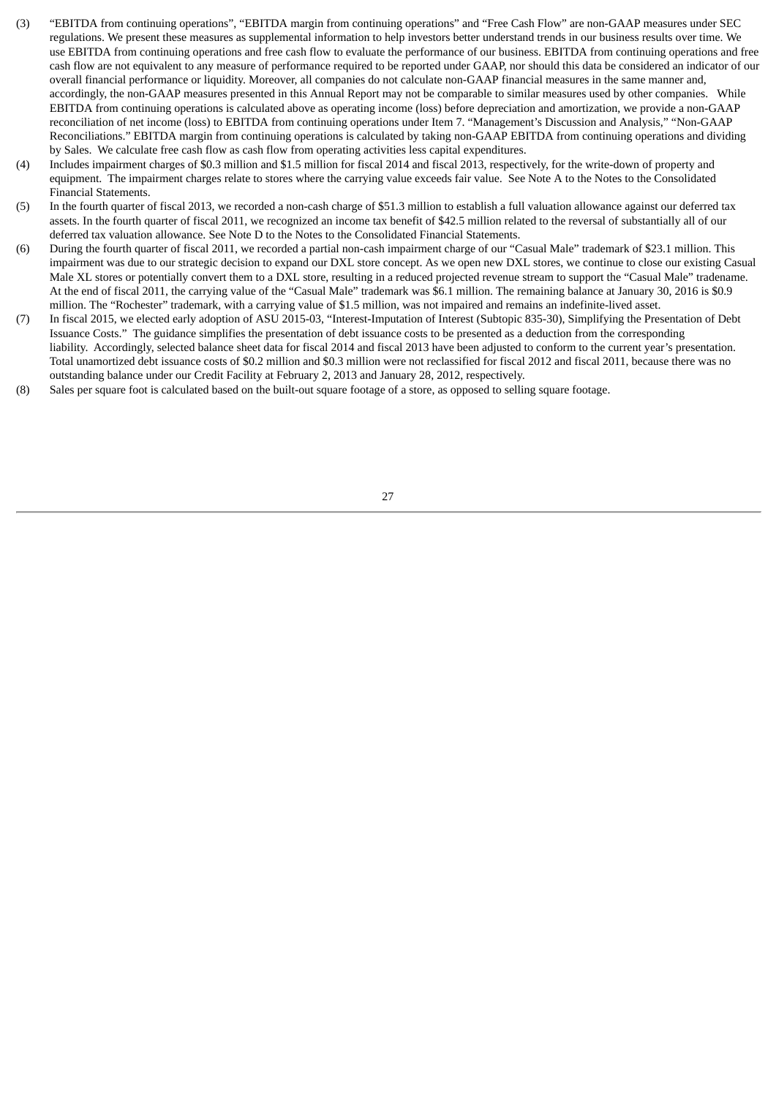- (3) "EBITDA from continuing operations", "EBITDA margin from continuing operations" and "Free Cash Flow" are non-GAAP measures under SEC regulations. We present these measures as supplemental information to help investors better understand trends in our business results over time. We use EBITDA from continuing operations and free cash flow to evaluate the performance of our business. EBITDA from continuing operations and free cash flow are not equivalent to any measure of performance required to be reported under GAAP, nor should this data be considered an indicator of our overall financial performance or liquidity. Moreover, all companies do not calculate non-GAAP financial measures in the same manner and, accordingly, the non-GAAP measures presented in this Annual Report may not be comparable to similar measures used by other companies. While EBITDA from continuing operations is calculated above as operating income (loss) before depreciation and amortization, we provide a non-GAAP reconciliation of net income (loss) to EBITDA from continuing operations under Item 7. "Management's Discussion and Analysis," "Non-GAAP Reconciliations." EBITDA margin from continuing operations is calculated by taking non-GAAP EBITDA from continuing operations and dividing by Sales. We calculate free cash flow as cash flow from operating activities less capital expenditures.
- (4) Includes impairment charges of \$0.3 million and \$1.5 million for fiscal 2014 and fiscal 2013, respectively, for the write-down of property and equipment. The impairment charges relate to stores where the carrying value exceeds fair value. See Note A to the Notes to the Consolidated Financial Statements.
- (5) In the fourth quarter of fiscal 2013, we recorded a non-cash charge of \$51.3 million to establish a full valuation allowance against our deferred tax assets. In the fourth quarter of fiscal 2011, we recognized an income tax benefit of \$42.5 million related to the reversal of substantially all of our deferred tax valuation allowance. See Note D to the Notes to the Consolidated Financial Statements.
- (6) During the fourth quarter of fiscal 2011, we recorded a partial non-cash impairment charge of our "Casual Male" trademark of \$23.1 million. This impairment was due to our strategic decision to expand our DXL store concept. As we open new DXL stores, we continue to close our existing Casual Male XL stores or potentially convert them to a DXL store, resulting in a reduced projected revenue stream to support the "Casual Male" tradename. At the end of fiscal 2011, the carrying value of the "Casual Male" trademark was \$6.1 million. The remaining balance at January 30, 2016 is \$0.9 million. The "Rochester" trademark, with a carrying value of \$1.5 million, was not impaired and remains an indefinite-lived asset.
- (7) In fiscal 2015, we elected early adoption of ASU 2015-03, "Interest-Imputation of Interest (Subtopic 835-30), Simplifying the Presentation of Debt Issuance Costs." The guidance simplifies the presentation of debt issuance costs to be presented as a deduction from the corresponding liability. Accordingly, selected balance sheet data for fiscal 2014 and fiscal 2013 have been adjusted to conform to the current year's presentation. Total unamortized debt issuance costs of \$0.2 million and \$0.3 million were not reclassified for fiscal 2012 and fiscal 2011, because there was no outstanding balance under our Credit Facility at February 2, 2013 and January 28, 2012, respectively.
- (8) Sales per square foot is calculated based on the built-out square footage of a store, as opposed to selling square footage.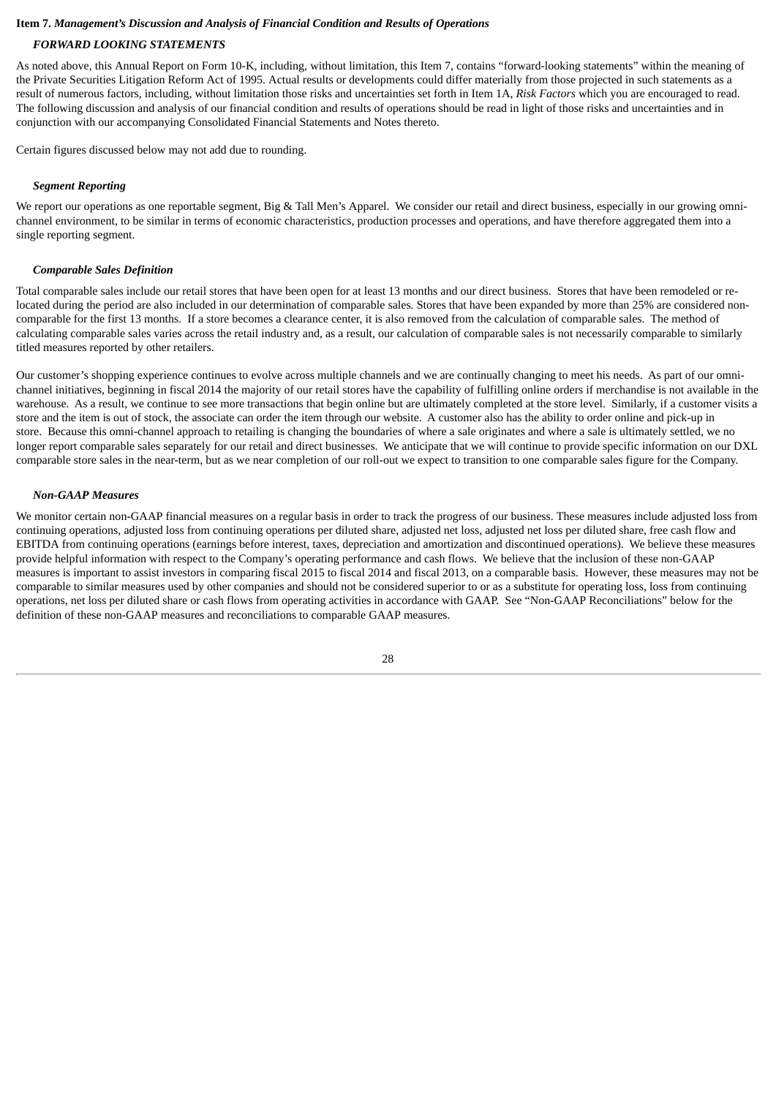# <span id="page-27-0"></span>**Item 7.** *Management's Discussion and Analysis of Financial Condition and Results of Operations*

#### *FORWARD LOOKING STATEMENTS*

As noted above, this Annual Report on Form 10-K, including, without limitation, this Item 7, contains "forward-looking statements" within the meaning of the Private Securities Litigation Reform Act of 1995. Actual results or developments could differ materially from those projected in such statements as a result of numerous factors, including, without limitation those risks and uncertainties set forth in Item 1A, *Risk Factors* which you are encouraged to read. The following discussion and analysis of our financial condition and results of operations should be read in light of those risks and uncertainties and in conjunction with our accompanying Consolidated Financial Statements and Notes thereto.

Certain figures discussed below may not add due to rounding.

#### *Segment Reporting*

We report our operations as one reportable segment, Big & Tall Men's Apparel. We consider our retail and direct business, especially in our growing omnichannel environment, to be similar in terms of economic characteristics, production processes and operations, and have therefore aggregated them into a single reporting segment.

#### *Comparable Sales Definition*

Total comparable sales include our retail stores that have been open for at least 13 months and our direct business. Stores that have been remodeled or relocated during the period are also included in our determination of comparable sales. Stores that have been expanded by more than 25% are considered noncomparable for the first 13 months. If a store becomes a clearance center, it is also removed from the calculation of comparable sales. The method of calculating comparable sales varies across the retail industry and, as a result, our calculation of comparable sales is not necessarily comparable to similarly titled measures reported by other retailers.

Our customer's shopping experience continues to evolve across multiple channels and we are continually changing to meet his needs. As part of our omnichannel initiatives, beginning in fiscal 2014 the majority of our retail stores have the capability of fulfilling online orders if merchandise is not available in the warehouse. As a result, we continue to see more transactions that begin online but are ultimately completed at the store level. Similarly, if a customer visits a store and the item is out of stock, the associate can order the item through our website. A customer also has the ability to order online and pick-up in store. Because this omni-channel approach to retailing is changing the boundaries of where a sale originates and where a sale is ultimately settled, we no longer report comparable sales separately for our retail and direct businesses. We anticipate that we will continue to provide specific information on our DXL comparable store sales in the near-term, but as we near completion of our roll-out we expect to transition to one comparable sales figure for the Company.

#### *Non-GAAP Measures*

We monitor certain non-GAAP financial measures on a regular basis in order to track the progress of our business. These measures include adjusted loss from continuing operations, adjusted loss from continuing operations per diluted share, adjusted net loss, adjusted net loss per diluted share, free cash flow and EBITDA from continuing operations (earnings before interest, taxes, depreciation and amortization and discontinued operations). We believe these measures provide helpful information with respect to the Company's operating performance and cash flows. We believe that the inclusion of these non-GAAP measures is important to assist investors in comparing fiscal 2015 to fiscal 2014 and fiscal 2013, on a comparable basis. However, these measures may not be comparable to similar measures used by other companies and should not be considered superior to or as a substitute for operating loss, loss from continuing operations, net loss per diluted share or cash flows from operating activities in accordance with GAAP. See "Non-GAAP Reconciliations" below for the definition of these non-GAAP measures and reconciliations to comparable GAAP measures.

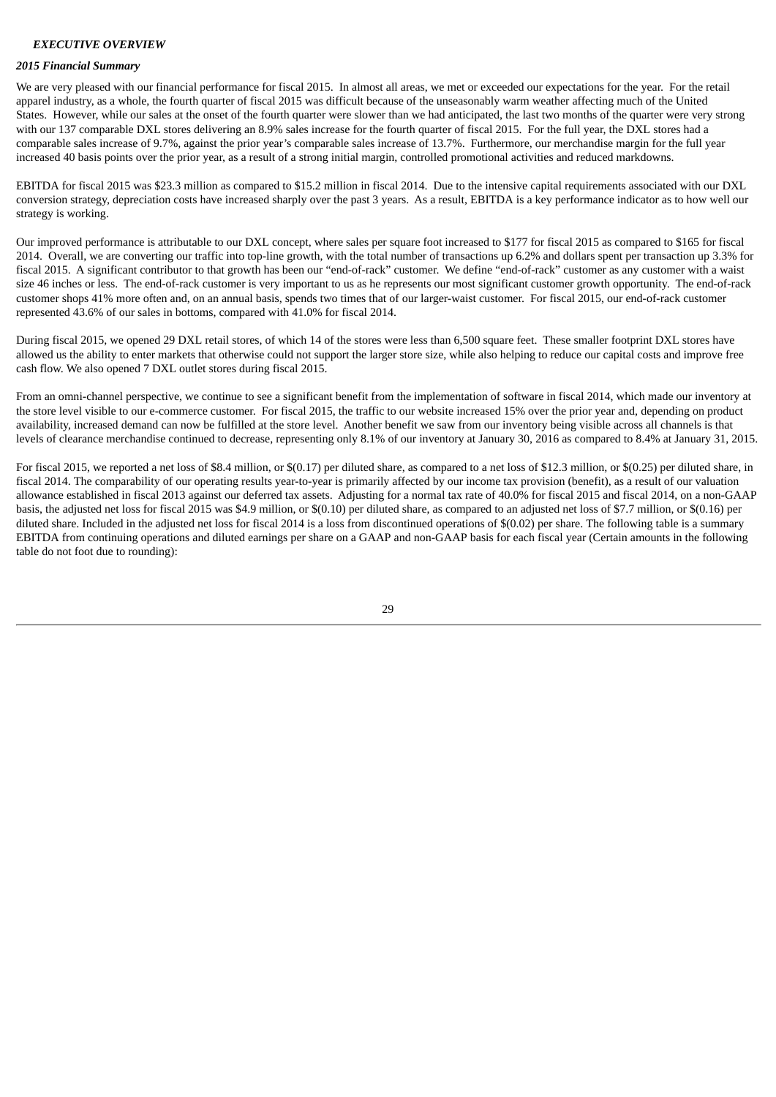#### *EXECUTIVE OVERVIEW*

#### *2015 Financial Summary*

We are very pleased with our financial performance for fiscal 2015. In almost all areas, we met or exceeded our expectations for the year. For the retail apparel industry, as a whole, the fourth quarter of fiscal 2015 was difficult because of the unseasonably warm weather affecting much of the United States. However, while our sales at the onset of the fourth quarter were slower than we had anticipated, the last two months of the quarter were very strong with our 137 comparable DXL stores delivering an 8.9% sales increase for the fourth quarter of fiscal 2015. For the full year, the DXL stores had a comparable sales increase of 9.7%, against the prior year's comparable sales increase of 13.7%. Furthermore, our merchandise margin for the full year increased 40 basis points over the prior year, as a result of a strong initial margin, controlled promotional activities and reduced markdowns.

EBITDA for fiscal 2015 was \$23.3 million as compared to \$15.2 million in fiscal 2014. Due to the intensive capital requirements associated with our DXL conversion strategy, depreciation costs have increased sharply over the past 3 years. As a result, EBITDA is a key performance indicator as to how well our strategy is working.

Our improved performance is attributable to our DXL concept, where sales per square foot increased to \$177 for fiscal 2015 as compared to \$165 for fiscal 2014. Overall, we are converting our traffic into top-line growth, with the total number of transactions up 6.2% and dollars spent per transaction up 3.3% for fiscal 2015. A significant contributor to that growth has been our "end-of-rack" customer. We define "end-of-rack" customer as any customer with a waist size 46 inches or less. The end-of-rack customer is very important to us as he represents our most significant customer growth opportunity. The end-of-rack customer shops 41% more often and, on an annual basis, spends two times that of our larger-waist customer. For fiscal 2015, our end-of-rack customer represented 43.6% of our sales in bottoms, compared with 41.0% for fiscal 2014.

During fiscal 2015, we opened 29 DXL retail stores, of which 14 of the stores were less than 6,500 square feet. These smaller footprint DXL stores have allowed us the ability to enter markets that otherwise could not support the larger store size, while also helping to reduce our capital costs and improve free cash flow. We also opened 7 DXL outlet stores during fiscal 2015.

From an omni-channel perspective, we continue to see a significant benefit from the implementation of software in fiscal 2014, which made our inventory at the store level visible to our e-commerce customer. For fiscal 2015, the traffic to our website increased 15% over the prior year and, depending on product availability, increased demand can now be fulfilled at the store level. Another benefit we saw from our inventory being visible across all channels is that levels of clearance merchandise continued to decrease, representing only 8.1% of our inventory at January 30, 2016 as compared to 8.4% at January 31, 2015.

For fiscal 2015, we reported a net loss of \$8.4 million, or  $(0.17)$  per diluted share, as compared to a net loss of \$12.3 million, or \$(0.25) per diluted share, in fiscal 2014. The comparability of our operating results year-to-year is primarily affected by our income tax provision (benefit), as a result of our valuation allowance established in fiscal 2013 against our deferred tax assets. Adjusting for a normal tax rate of 40.0% for fiscal 2015 and fiscal 2014, on a non-GAAP basis, the adjusted net loss for fiscal 2015 was \$4.9 million, or \$(0.10) per diluted share, as compared to an adjusted net loss of \$7.7 million, or \$(0.16) per diluted share. Included in the adjusted net loss for fiscal 2014 is a loss from discontinued operations of \$(0.02) per share. The following table is a summary EBITDA from continuing operations and diluted earnings per share on a GAAP and non-GAAP basis for each fiscal year (Certain amounts in the following table do not foot due to rounding):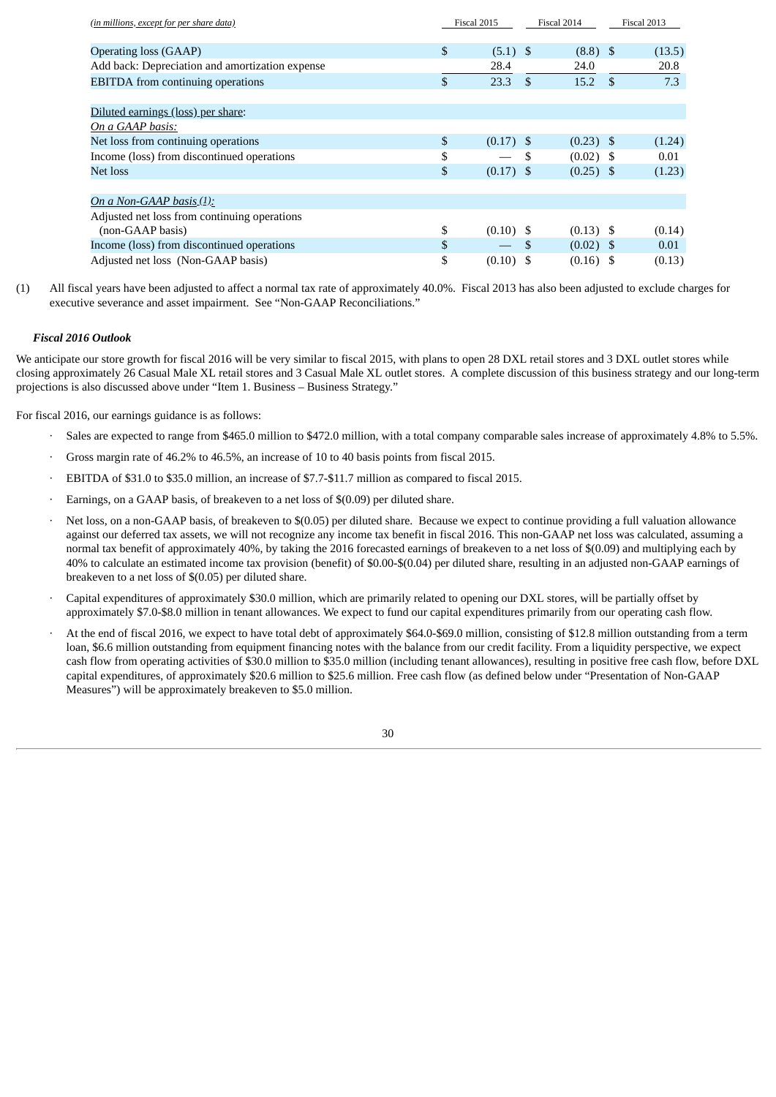| (in millions, except for per share data)        | Fiscal 2015 |             | Fiscal 2014 |             |     | Fiscal 2013 |
|-------------------------------------------------|-------------|-------------|-------------|-------------|-----|-------------|
| <b>Operating loss (GAAP)</b>                    | \$          | $(5.1)$ \$  |             | $(8.8)$ \$  |     | (13.5)      |
| Add back: Depreciation and amortization expense |             | 28.4        |             | 24.0        |     | 20.8        |
| <b>EBITDA</b> from continuing operations        | \$          | 23.3        | \$          | 15.2        | \$. | 7.3         |
|                                                 |             |             |             |             |     |             |
| Diluted earnings (loss) per share:              |             |             |             |             |     |             |
| On a GAAP basis:                                |             |             |             |             |     |             |
| Net loss from continuing operations             | \$          | $(0.17)$ \$ |             | $(0.23)$ \$ |     | (1.24)      |
| Income (loss) from discontinued operations      | \$          |             | £.          | $(0.02)$ \$ |     | 0.01        |
| Net loss                                        | \$          | $(0.17)$ \$ |             | $(0.25)$ \$ |     | (1.23)      |
|                                                 |             |             |             |             |     |             |
| On a Non-GAAP basis (1):                        |             |             |             |             |     |             |
| Adjusted net loss from continuing operations    |             |             |             |             |     |             |
| (non-GAAP basis)                                | \$          | $(0.10)$ \$ |             | $(0.13)$ \$ |     | (0.14)      |
| Income (loss) from discontinued operations      | \$          |             | -S          | $(0.02)$ \$ |     | 0.01        |
| Adjusted net loss (Non-GAAP basis)              | \$          | $(0.10)$ \$ |             | $(0.16)$ \$ |     | (0.13)      |

(1) All fiscal years have been adjusted to affect a normal tax rate of approximately 40.0%. Fiscal 2013 has also been adjusted to exclude charges for executive severance and asset impairment. See "Non-GAAP Reconciliations."

# *Fiscal 2016 Outlook*

We anticipate our store growth for fiscal 2016 will be very similar to fiscal 2015, with plans to open 28 DXL retail stores and 3 DXL outlet stores while closing approximately 26 Casual Male XL retail stores and 3 Casual Male XL outlet stores. A complete discussion of this business strategy and our long-term projections is also discussed above under "Item 1. Business – Business Strategy."

For fiscal 2016, our earnings guidance is as follows:

- · Sales are expected to range from \$465.0 million to \$472.0 million, with a total company comparable sales increase of approximately 4.8% to 5.5%.
- · Gross margin rate of 46.2% to 46.5%, an increase of 10 to 40 basis points from fiscal 2015.
- · EBITDA of \$31.0 to \$35.0 million, an increase of \$7.7-\$11.7 million as compared to fiscal 2015.
- Earnings, on a GAAP basis, of breakeven to a net loss of \$(0.09) per diluted share.
- Net loss, on a non-GAAP basis, of breakeven to \$(0.05) per diluted share. Because we expect to continue providing a full valuation allowance against our deferred tax assets, we will not recognize any income tax benefit in fiscal 2016. This non-GAAP net loss was calculated, assuming a normal tax benefit of approximately 40%, by taking the 2016 forecasted earnings of breakeven to a net loss of \$(0.09) and multiplying each by 40% to calculate an estimated income tax provision (benefit) of \$0.00-\$(0.04) per diluted share, resulting in an adjusted non-GAAP earnings of breakeven to a net loss of \$(0.05) per diluted share.
- · Capital expenditures of approximately \$30.0 million, which are primarily related to opening our DXL stores, will be partially offset by approximately \$7.0-\$8.0 million in tenant allowances. We expect to fund our capital expenditures primarily from our operating cash flow.
- · At the end of fiscal 2016, we expect to have total debt of approximately \$64.0-\$69.0 million, consisting of \$12.8 million outstanding from a term loan, \$6.6 million outstanding from equipment financing notes with the balance from our credit facility. From a liquidity perspective, we expect cash flow from operating activities of \$30.0 million to \$35.0 million (including tenant allowances), resulting in positive free cash flow, before DXL capital expenditures, of approximately \$20.6 million to \$25.6 million. Free cash flow (as defined below under "Presentation of Non-GAAP Measures") will be approximately breakeven to \$5.0 million.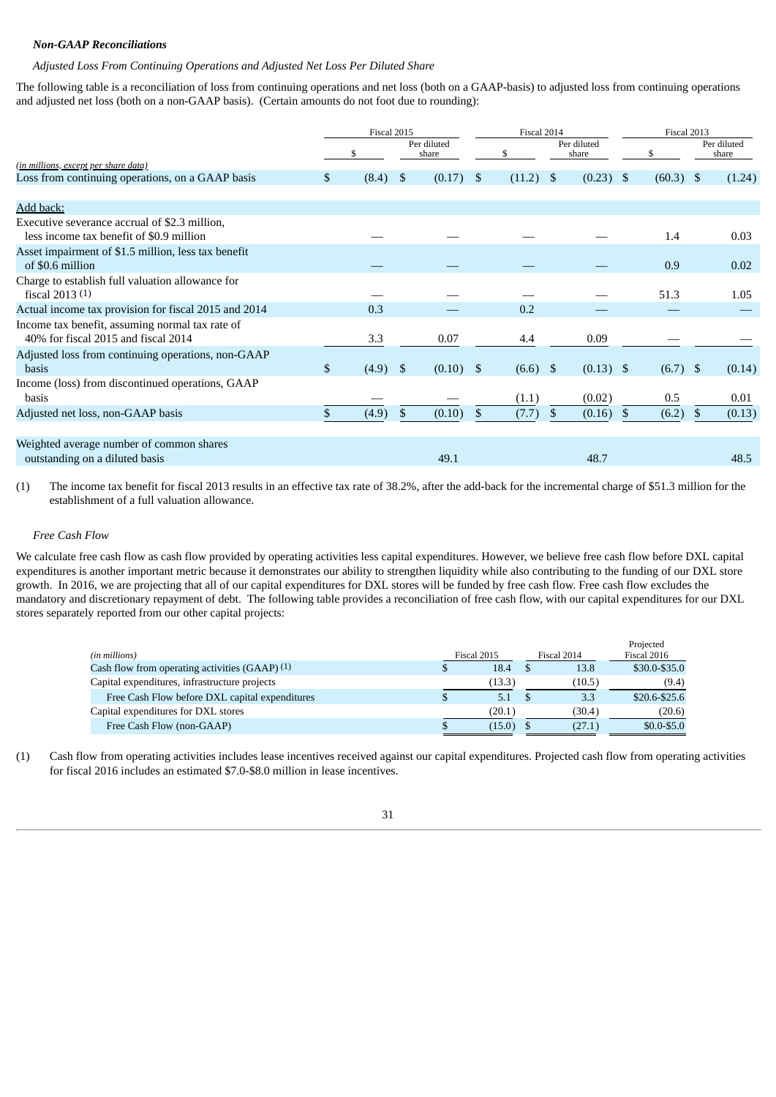# *Non-GAAP Reconciliations*

#### *Adjusted Loss From Continuing Operations and Adjusted Net Loss Per Diluted Share*

The following table is a reconciliation of loss from continuing operations and net loss (both on a GAAP-basis) to adjusted loss from continuing operations and adjusted net loss (both on a non-GAAP basis). (Certain amounts do not foot due to rounding):

|                                                                                           | Fiscal 2015 |    | Fiscal 2014          |               |             |    |                      | Fiscal 2013 |             |    |                      |  |
|-------------------------------------------------------------------------------------------|-------------|----|----------------------|---------------|-------------|----|----------------------|-------------|-------------|----|----------------------|--|
|                                                                                           |             |    | Per diluted<br>share |               |             |    | Per diluted<br>share |             |             |    | Per diluted<br>share |  |
| (in millions, except per share data)                                                      |             |    |                      |               |             |    |                      |             |             |    |                      |  |
| Loss from continuing operations, on a GAAP basis                                          | \$<br>(8.4) | \$ | (0.17)               | - \$          | $(11.2)$ \$ |    | (0.23)               | \$          | $(60.3)$ \$ |    | (1.24)               |  |
| Add back:                                                                                 |             |    |                      |               |             |    |                      |             |             |    |                      |  |
| Executive severance accrual of \$2.3 million,<br>less income tax benefit of \$0.9 million |             |    |                      |               |             |    |                      |             | 1.4         |    | 0.03                 |  |
| Asset impairment of \$1.5 million, less tax benefit<br>of \$0.6 million                   |             |    |                      |               |             |    |                      |             | 0.9         |    | 0.02                 |  |
| Charge to establish full valuation allowance for<br>fiscal 2013 (1)                       |             |    |                      |               |             |    |                      |             | 51.3        |    | 1.05                 |  |
| Actual income tax provision for fiscal 2015 and 2014                                      | 0.3         |    |                      |               | 0.2         |    |                      |             |             |    |                      |  |
| Income tax benefit, assuming normal tax rate of<br>40% for fiscal 2015 and fiscal 2014    | 3.3         |    | 0.07                 |               | 4.4         |    | 0.09                 |             |             |    |                      |  |
| Adjusted loss from continuing operations, non-GAAP<br><b>basis</b>                        | \$<br>(4.9) | \$ | $(0.10)$ \$          |               | $(6.6)$ \$  |    | $(0.13)$ \$          |             | $(6.7)$ \$  |    | (0.14)               |  |
| Income (loss) from discontinued operations, GAAP<br><b>basis</b>                          |             |    |                      |               | (1.1)       |    | (0.02)               |             | 0.5         |    | 0.01                 |  |
| Adjusted net loss, non-GAAP basis                                                         | \$<br>(4.9) | \$ | (0.10)               | <sup>\$</sup> | (7.7)       | \$ | (0.16)               | \$          | (6.2)       | \$ | (0.13)               |  |
| Weighted average number of common shares<br>outstanding on a diluted basis                |             |    | 49.1                 |               |             |    | 48.7                 |             |             |    | 48.5                 |  |
|                                                                                           |             |    |                      |               |             |    |                      |             |             |    |                      |  |

(1) The income tax benefit for fiscal 2013 results in an effective tax rate of 38.2%, after the add-back for the incremental charge of \$51.3 million for the establishment of a full valuation allowance.

# *Free Cash Flow*

We calculate free cash flow as cash flow provided by operating activities less capital expenditures. However, we believe free cash flow before DXL capital expenditures is another important metric because it demonstrates our ability to strengthen liquidity while also contributing to the funding of our DXL store growth. In 2016, we are projecting that all of our capital expenditures for DXL stores will be funded by free cash flow. Free cash flow excludes the mandatory and discretionary repayment of debt. The following table provides a reconciliation of free cash flow, with our capital expenditures for our DXL stores separately reported from our other capital projects:

|    |             |             | Projected     |
|----|-------------|-------------|---------------|
|    | Fiscal 2015 | Fiscal 2014 | Fiscal 2016   |
| Φ  | 18.4        | 13.8        | \$30.0-\$35.0 |
|    | (13.3)      | (10.5)      | (9.4)         |
| D  | 5.1         | 3.3         | \$20.6-\$25.6 |
|    | (20.1)      | (30.4)      | (20.6)        |
| ۵D | (15.0)      | (27.1)      | $$0.0 - $5.0$ |
|    |             |             |               |

(1) Cash flow from operating activities includes lease incentives received against our capital expenditures. Projected cash flow from operating activities for fiscal 2016 includes an estimated \$7.0-\$8.0 million in lease incentives.

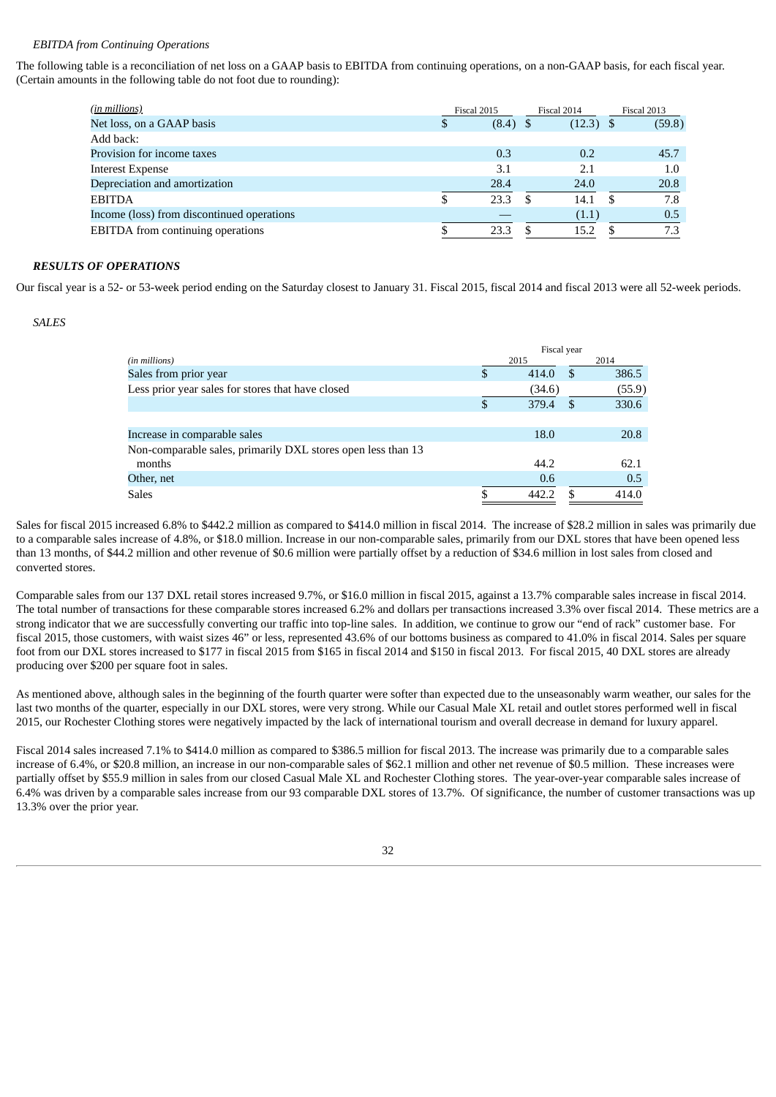#### *EBITDA from Continuing Operations*

The following table is a reconciliation of net loss on a GAAP basis to EBITDA from continuing operations, on a non-GAAP basis, for each fiscal year. (Certain amounts in the following table do not foot due to rounding):

| (in millions)                              | Fiscal 2015      | Fiscal 2014 | Fiscal 2013 |        |  |
|--------------------------------------------|------------------|-------------|-------------|--------|--|
| Net loss, on a GAAP basis                  | \$<br>$(8.4)$ \$ | (12.3)      | - S         | (59.8) |  |
| Add back:                                  |                  |             |             |        |  |
| Provision for income taxes                 | 0.3              | 0.2         |             | 45.7   |  |
| Interest Expense                           | 3.1              | 2.1         |             | 1.0    |  |
| Depreciation and amortization              | 28.4             | 24.0        |             | 20.8   |  |
| <b>EBITDA</b>                              | \$<br>23.3       | 14.1        | -S          | 7.8    |  |
| Income (loss) from discontinued operations |                  | (1.1)       |             | 0.5    |  |
| EBITDA from continuing operations          | 23.3             | 15.2        |             | 7.3    |  |

#### *RESULTS OF OPERATIONS*

Our fiscal year is a 52- or 53-week period ending on the Saturday closest to January 31. Fiscal 2015, fiscal 2014 and fiscal 2013 were all 52-week periods.

*SALES*

|                                                              | Fiscal year |        |     |        |  |  |
|--------------------------------------------------------------|-------------|--------|-----|--------|--|--|
| (in millions)                                                |             | 2015   |     | 2014   |  |  |
| Sales from prior year                                        |             | 414.0  | -\$ | 386.5  |  |  |
| Less prior year sales for stores that have closed            |             | (34.6) |     | (55.9) |  |  |
|                                                              |             | 379.4  | -\$ | 330.6  |  |  |
|                                                              |             |        |     |        |  |  |
| Increase in comparable sales                                 |             | 18.0   |     | 20.8   |  |  |
| Non-comparable sales, primarily DXL stores open less than 13 |             |        |     |        |  |  |
| months                                                       |             | 44.2   |     | 62.1   |  |  |
| Other, net                                                   |             | 0.6    |     | 0.5    |  |  |
| <b>Sales</b>                                                 |             | 442.2  |     | 414.0  |  |  |

Sales for fiscal 2015 increased 6.8% to \$442.2 million as compared to \$414.0 million in fiscal 2014. The increase of \$28.2 million in sales was primarily due to a comparable sales increase of 4.8%, or \$18.0 million. Increase in our non-comparable sales, primarily from our DXL stores that have been opened less than 13 months, of \$44.2 million and other revenue of \$0.6 million were partially offset by a reduction of \$34.6 million in lost sales from closed and converted stores.

Comparable sales from our 137 DXL retail stores increased 9.7%, or \$16.0 million in fiscal 2015, against a 13.7% comparable sales increase in fiscal 2014. The total number of transactions for these comparable stores increased 6.2% and dollars per transactions increased 3.3% over fiscal 2014. These metrics are a strong indicator that we are successfully converting our traffic into top-line sales. In addition, we continue to grow our "end of rack" customer base. For fiscal 2015, those customers, with waist sizes 46" or less, represented 43.6% of our bottoms business as compared to 41.0% in fiscal 2014. Sales per square foot from our DXL stores increased to \$177 in fiscal 2015 from \$165 in fiscal 2014 and \$150 in fiscal 2013. For fiscal 2015, 40 DXL stores are already producing over \$200 per square foot in sales.

As mentioned above, although sales in the beginning of the fourth quarter were softer than expected due to the unseasonably warm weather, our sales for the last two months of the quarter, especially in our DXL stores, were very strong. While our Casual Male XL retail and outlet stores performed well in fiscal 2015, our Rochester Clothing stores were negatively impacted by the lack of international tourism and overall decrease in demand for luxury apparel.

Fiscal 2014 sales increased 7.1% to \$414.0 million as compared to \$386.5 million for fiscal 2013. The increase was primarily due to a comparable sales increase of 6.4%, or \$20.8 million, an increase in our non-comparable sales of \$62.1 million and other net revenue of \$0.5 million. These increases were partially offset by \$55.9 million in sales from our closed Casual Male XL and Rochester Clothing stores. The year-over-year comparable sales increase of 6.4% was driven by a comparable sales increase from our 93 comparable DXL stores of 13.7%. Of significance, the number of customer transactions was up 13.3% over the prior year.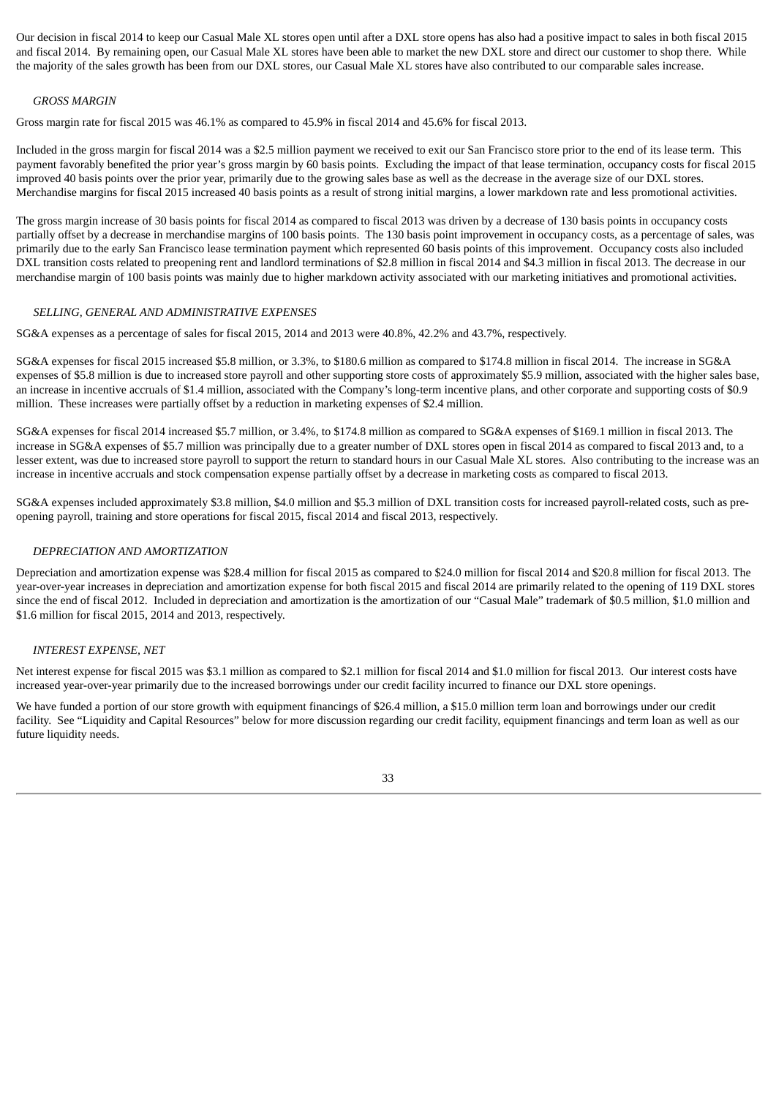Our decision in fiscal 2014 to keep our Casual Male XL stores open until after a DXL store opens has also had a positive impact to sales in both fiscal 2015 and fiscal 2014. By remaining open, our Casual Male XL stores have been able to market the new DXL store and direct our customer to shop there. While the majority of the sales growth has been from our DXL stores, our Casual Male XL stores have also contributed to our comparable sales increase.

# *GROSS MARGIN*

Gross margin rate for fiscal 2015 was 46.1% as compared to 45.9% in fiscal 2014 and 45.6% for fiscal 2013.

Included in the gross margin for fiscal 2014 was a \$2.5 million payment we received to exit our San Francisco store prior to the end of its lease term. This payment favorably benefited the prior year's gross margin by 60 basis points. Excluding the impact of that lease termination, occupancy costs for fiscal 2015 improved 40 basis points over the prior year, primarily due to the growing sales base as well as the decrease in the average size of our DXL stores. Merchandise margins for fiscal 2015 increased 40 basis points as a result of strong initial margins, a lower markdown rate and less promotional activities.

The gross margin increase of 30 basis points for fiscal 2014 as compared to fiscal 2013 was driven by a decrease of 130 basis points in occupancy costs partially offset by a decrease in merchandise margins of 100 basis points. The 130 basis point improvement in occupancy costs, as a percentage of sales, was primarily due to the early San Francisco lease termination payment which represented 60 basis points of this improvement. Occupancy costs also included DXL transition costs related to preopening rent and landlord terminations of \$2.8 million in fiscal 2014 and \$4.3 million in fiscal 2013. The decrease in our merchandise margin of 100 basis points was mainly due to higher markdown activity associated with our marketing initiatives and promotional activities.

#### *SELLING, GENERAL AND ADMINISTRATIVE EXPENSES*

SG&A expenses as a percentage of sales for fiscal 2015, 2014 and 2013 were 40.8%, 42.2% and 43.7%, respectively.

SG&A expenses for fiscal 2015 increased \$5.8 million, or 3.3%, to \$180.6 million as compared to \$174.8 million in fiscal 2014. The increase in SG&A expenses of \$5.8 million is due to increased store payroll and other supporting store costs of approximately \$5.9 million, associated with the higher sales base, an increase in incentive accruals of \$1.4 million, associated with the Company's long-term incentive plans, and other corporate and supporting costs of \$0.9 million. These increases were partially offset by a reduction in marketing expenses of \$2.4 million.

SG&A expenses for fiscal 2014 increased \$5.7 million, or 3.4%, to \$174.8 million as compared to SG&A expenses of \$169.1 million in fiscal 2013. The increase in SG&A expenses of \$5.7 million was principally due to a greater number of DXL stores open in fiscal 2014 as compared to fiscal 2013 and, to a lesser extent, was due to increased store payroll to support the return to standard hours in our Casual Male XL stores. Also contributing to the increase was an increase in incentive accruals and stock compensation expense partially offset by a decrease in marketing costs as compared to fiscal 2013.

SG&A expenses included approximately \$3.8 million, \$4.0 million and \$5.3 million of DXL transition costs for increased payroll-related costs, such as preopening payroll, training and store operations for fiscal 2015, fiscal 2014 and fiscal 2013, respectively.

#### *DEPRECIATION AND AMORTIZATION*

Depreciation and amortization expense was \$28.4 million for fiscal 2015 as compared to \$24.0 million for fiscal 2014 and \$20.8 million for fiscal 2013. The year-over-year increases in depreciation and amortization expense for both fiscal 2015 and fiscal 2014 are primarily related to the opening of 119 DXL stores since the end of fiscal 2012. Included in depreciation and amortization is the amortization of our "Casual Male" trademark of \$0.5 million, \$1.0 million and \$1.6 million for fiscal 2015, 2014 and 2013, respectively.

#### *INTEREST EXPENSE, NET*

Net interest expense for fiscal 2015 was \$3.1 million as compared to \$2.1 million for fiscal 2014 and \$1.0 million for fiscal 2013. Our interest costs have increased year-over-year primarily due to the increased borrowings under our credit facility incurred to finance our DXL store openings.

We have funded a portion of our store growth with equipment financings of \$26.4 million, a \$15.0 million term loan and borrowings under our credit facility. See "Liquidity and Capital Resources" below for more discussion regarding our credit facility, equipment financings and term loan as well as our future liquidity needs.

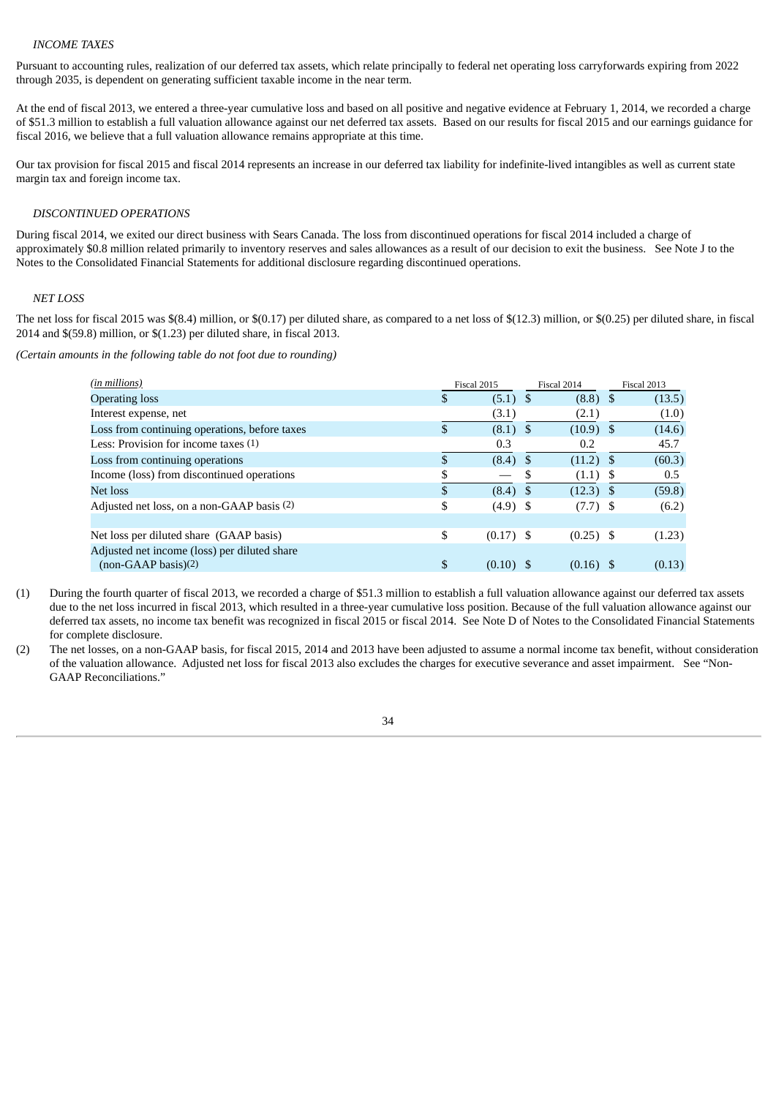#### *INCOME TAXES*

Pursuant to accounting rules, realization of our deferred tax assets, which relate principally to federal net operating loss carryforwards expiring from 2022 through 2035, is dependent on generating sufficient taxable income in the near term.

At the end of fiscal 2013, we entered a three-year cumulative loss and based on all positive and negative evidence at February 1, 2014, we recorded a charge of \$51.3 million to establish a full valuation allowance against our net deferred tax assets. Based on our results for fiscal 2015 and our earnings guidance for fiscal 2016, we believe that a full valuation allowance remains appropriate at this time.

Our tax provision for fiscal 2015 and fiscal 2014 represents an increase in our deferred tax liability for indefinite-lived intangibles as well as current state margin tax and foreign income tax.

#### *DISCONTINUED OPERATIONS*

During fiscal 2014, we exited our direct business with Sears Canada. The loss from discontinued operations for fiscal 2014 included a charge of approximately \$0.8 million related primarily to inventory reserves and sales allowances as a result of our decision to exit the business. See Note J to the Notes to the Consolidated Financial Statements for additional disclosure regarding discontinued operations.

#### *NET LOSS*

The net loss for fiscal 2015 was \$(8.4) million, or \$(0.17) per diluted share, as compared to a net loss of \$(12.3) million, or \$(0.25) per diluted share, in fiscal 2014 and \$(59.8) million, or \$(1.23) per diluted share, in fiscal 2013.

*(Certain amounts in the following table do not foot due to rounding)*

| (in millions)                                 | Fiscal 2015 |             | Fiscal 2014    |            | Fiscal 2013 |        |
|-----------------------------------------------|-------------|-------------|----------------|------------|-------------|--------|
| <b>Operating loss</b>                         | \$          | (5.1)       | (8.8)<br>-\$   |            | -\$         | (13.5) |
| Interest expense, net                         |             | (3.1)       | (2.1)          |            |             | (1.0)  |
| Loss from continuing operations, before taxes | \$          | (8.1)       | (10.9)<br>- \$ |            | - S         | (14.6) |
| Less: Provision for income taxes $(1)$        |             | 0.3         | 0.2            |            |             | 45.7   |
| Loss from continuing operations               | \$          | (8.4)       | (11.2)<br>- \$ |            | - \$        | (60.3) |
| Income (loss) from discontinued operations    | \$          |             | (1.1)<br>S     |            |             | 0.5    |
| Net loss                                      | \$          | $(8.4)$ \$  | (12.3)         |            | - \$        | (59.8) |
| Adjusted net loss, on a non-GAAP basis (2)    | \$          | $(4.9)$ \$  |                | $(7.7)$ \$ |             | (6.2)  |
|                                               |             |             |                |            |             |        |
| Net loss per diluted share (GAAP basis)       | \$          | $(0.17)$ \$ | $(0.25)$ \$    |            |             | (1.23) |
| Adjusted net income (loss) per diluted share  |             |             |                |            |             |        |
| $(non-GAAP basis)(2)$                         | \$          | $(0.10)$ \$ | (0.16)         |            |             | (0.13) |

- (1) During the fourth quarter of fiscal 2013, we recorded a charge of \$51.3 million to establish a full valuation allowance against our deferred tax assets due to the net loss incurred in fiscal 2013, which resulted in a three-year cumulative loss position. Because of the full valuation allowance against our deferred tax assets, no income tax benefit was recognized in fiscal 2015 or fiscal 2014. See Note D of Notes to the Consolidated Financial Statements for complete disclosure.
- (2) The net losses, on a non-GAAP basis, for fiscal 2015, 2014 and 2013 have been adjusted to assume a normal income tax benefit, without consideration of the valuation allowance. Adjusted net loss for fiscal 2013 also excludes the charges for executive severance and asset impairment. See "Non-GAAP Reconciliations."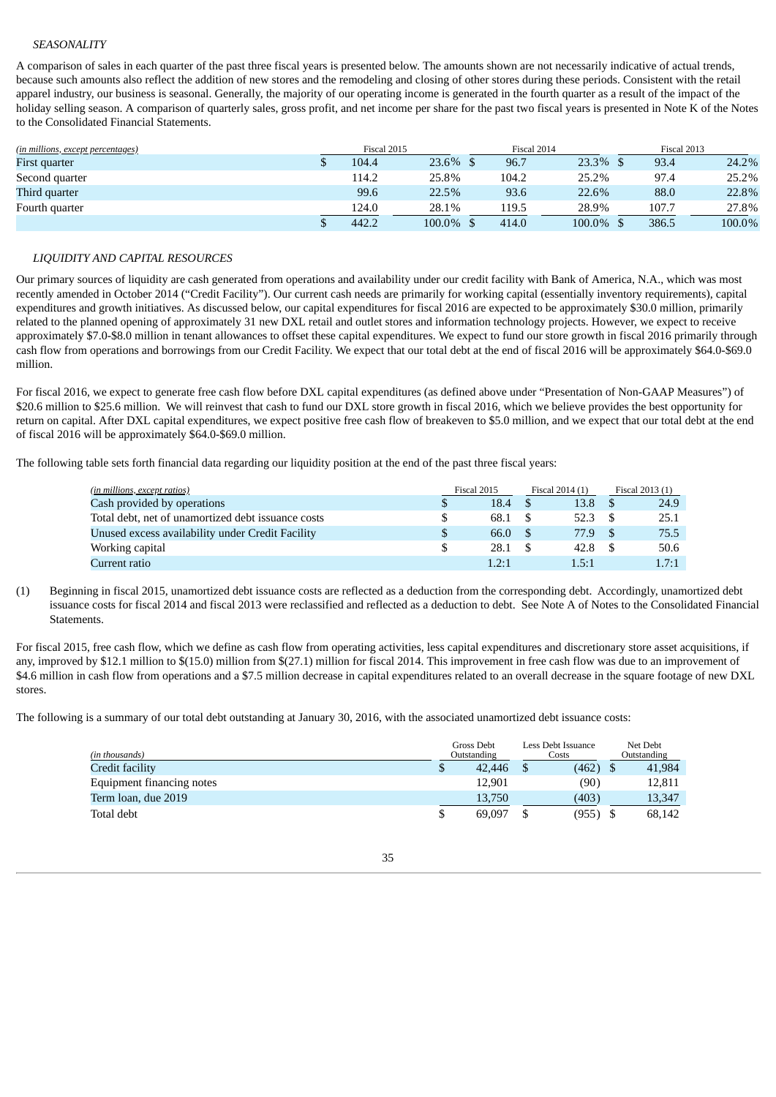#### *SEASONALITY*

A comparison of sales in each quarter of the past three fiscal years is presented below. The amounts shown are not necessarily indicative of actual trends, because such amounts also reflect the addition of new stores and the remodeling and closing of other stores during these periods. Consistent with the retail apparel industry, our business is seasonal. Generally, the majority of our operating income is generated in the fourth quarter as a result of the impact of the holiday selling season. A comparison of quarterly sales, gross profit, and net income per share for the past two fiscal years is presented in Note K of the Notes to the Consolidated Financial Statements.

| (in millions, except percentages) | Fiscal 2015 |        |  | Fiscal 2014 |              |  | Fiscal 2013 |        |  |
|-----------------------------------|-------------|--------|--|-------------|--------------|--|-------------|--------|--|
| First quarter                     | 104.4       | 23.6%  |  | 96.7        | $23.3\%$ \$  |  | 93.4        | 24.2%  |  |
| Second quarter                    | 114.2       | 25.8%  |  | 104.2       | 25.2%        |  | 97.4        | 25.2%  |  |
| Third quarter                     | 99.6        | 22.5%  |  | 93.6        | 22.6%        |  | 88.0        | 22.8%  |  |
| Fourth quarter                    | 124.0       | 28.1%  |  | 119.5       | 28.9%        |  | 107.7       | 27.8%  |  |
|                                   | 442.2       | 100.0% |  | 414.0       | $100.0\%$ \$ |  | 386.5       | 100.0% |  |

#### *LIQUIDITY AND CAPITAL RESOURCES*

Our primary sources of liquidity are cash generated from operations and availability under our credit facility with Bank of America, N.A., which was most recently amended in October 2014 ("Credit Facility"). Our current cash needs are primarily for working capital (essentially inventory requirements), capital expenditures and growth initiatives. As discussed below, our capital expenditures for fiscal 2016 are expected to be approximately \$30.0 million, primarily related to the planned opening of approximately 31 new DXL retail and outlet stores and information technology projects. However, we expect to receive approximately \$7.0-\$8.0 million in tenant allowances to offset these capital expenditures. We expect to fund our store growth in fiscal 2016 primarily through cash flow from operations and borrowings from our Credit Facility. We expect that our total debt at the end of fiscal 2016 will be approximately \$64.0-\$69.0 million.

For fiscal 2016, we expect to generate free cash flow before DXL capital expenditures (as defined above under "Presentation of Non-GAAP Measures") of \$20.6 million to \$25.6 million. We will reinvest that cash to fund our DXL store growth in fiscal 2016, which we believe provides the best opportunity for return on capital. After DXL capital expenditures, we expect positive free cash flow of breakeven to \$5.0 million, and we expect that our total debt at the end of fiscal 2016 will be approximately \$64.0-\$69.0 million.

The following table sets forth financial data regarding our liquidity position at the end of the past three fiscal years:

| (in millions, except ratios)                       | Fiscal 2015 |  | Fiscal 2014 (1) |      | Fiscal 2013 (1) |  |
|----------------------------------------------------|-------------|--|-----------------|------|-----------------|--|
| Cash provided by operations                        | 18.4        |  | 13.8            |      | 24.9            |  |
| Total debt, net of unamortized debt issuance costs | 68.1        |  | 52.3            |      | 25.1            |  |
| Unused excess availability under Credit Facility   | 66.0        |  | 77.9            | - \$ | 75.5            |  |
| Working capital                                    | 28.1        |  | 42.8            |      | 50.6            |  |
| Current ratio                                      | 1.2:1       |  | 1.5:1           |      | 1.7:1           |  |

(1) Beginning in fiscal 2015, unamortized debt issuance costs are reflected as a deduction from the corresponding debt. Accordingly, unamortized debt issuance costs for fiscal 2014 and fiscal 2013 were reclassified and reflected as a deduction to debt. See Note A of Notes to the Consolidated Financial **Statements** 

For fiscal 2015, free cash flow, which we define as cash flow from operating activities, less capital expenditures and discretionary store asset acquisitions, if any, improved by \$12.1 million to \$(15.0) million from \$(27.1) million for fiscal 2014. This improvement in free cash flow was due to an improvement of \$4.6 million in cash flow from operations and a \$7.5 million decrease in capital expenditures related to an overall decrease in the square footage of new DXL stores.

The following is a summary of our total debt outstanding at January 30, 2016, with the associated unamortized debt issuance costs:

| (in thousands)            | Gross Debt<br>Outstanding | Less Debt Issuance<br>Costs | Net Debt<br>Outstanding |        |
|---------------------------|---------------------------|-----------------------------|-------------------------|--------|
| Credit facility           | \$<br>42,446              | (462)                       |                         | 41.984 |
| Equipment financing notes | 12.901                    | (90)                        |                         | 12,811 |
| Term loan, due 2019       | 13,750                    | (403)                       |                         | 13,347 |
| Total debt                | \$<br>69.097              | (955)                       |                         | 68,142 |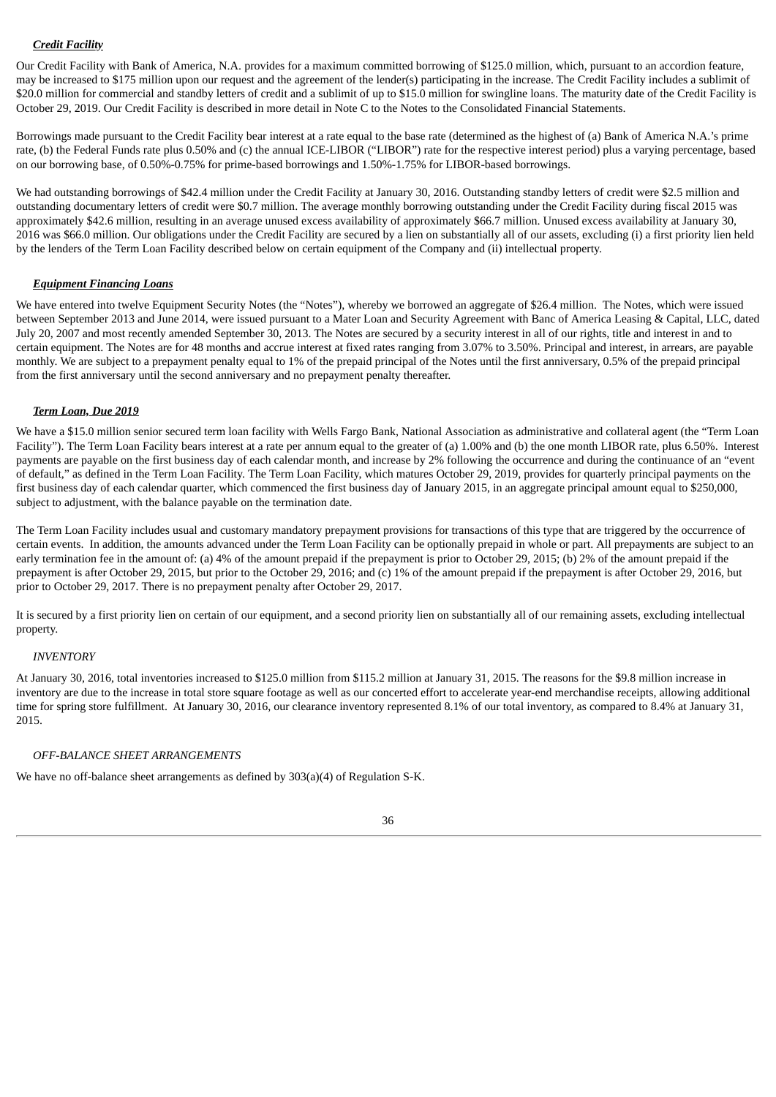# *Credit Facility*

Our Credit Facility with Bank of America, N.A. provides for a maximum committed borrowing of \$125.0 million, which, pursuant to an accordion feature, may be increased to \$175 million upon our request and the agreement of the lender(s) participating in the increase. The Credit Facility includes a sublimit of \$20.0 million for commercial and standby letters of credit and a sublimit of up to \$15.0 million for swingline loans. The maturity date of the Credit Facility is October 29, 2019. Our Credit Facility is described in more detail in Note C to the Notes to the Consolidated Financial Statements.

Borrowings made pursuant to the Credit Facility bear interest at a rate equal to the base rate (determined as the highest of (a) Bank of America N.A.'s prime rate, (b) the Federal Funds rate plus 0.50% and (c) the annual ICE-LIBOR ("LIBOR") rate for the respective interest period) plus a varying percentage, based on our borrowing base, of 0.50%-0.75% for prime-based borrowings and 1.50%-1.75% for LIBOR-based borrowings.

We had outstanding borrowings of \$42.4 million under the Credit Facility at January 30, 2016. Outstanding standby letters of credit were \$2.5 million and outstanding documentary letters of credit were \$0.7 million. The average monthly borrowing outstanding under the Credit Facility during fiscal 2015 was approximately \$42.6 million, resulting in an average unused excess availability of approximately \$66.7 million. Unused excess availability at January 30, 2016 was \$66.0 million. Our obligations under the Credit Facility are secured by a lien on substantially all of our assets, excluding (i) a first priority lien held by the lenders of the Term Loan Facility described below on certain equipment of the Company and (ii) intellectual property.

#### *Equipment Financing Loans*

We have entered into twelve Equipment Security Notes (the "Notes"), whereby we borrowed an aggregate of \$26.4 million. The Notes, which were issued between September 2013 and June 2014, were issued pursuant to a Mater Loan and Security Agreement with Banc of America Leasing & Capital, LLC, dated July 20, 2007 and most recently amended September 30, 2013. The Notes are secured by a security interest in all of our rights, title and interest in and to certain equipment. The Notes are for 48 months and accrue interest at fixed rates ranging from 3.07% to 3.50%. Principal and interest, in arrears, are payable monthly. We are subject to a prepayment penalty equal to 1% of the prepaid principal of the Notes until the first anniversary, 0.5% of the prepaid principal from the first anniversary until the second anniversary and no prepayment penalty thereafter.

#### *Term Loan, Due 2019*

We have a \$15.0 million senior secured term loan facility with Wells Fargo Bank, National Association as administrative and collateral agent (the "Term Loan Facility"). The Term Loan Facility bears interest at a rate per annum equal to the greater of (a) 1.00% and (b) the one month LIBOR rate, plus 6.50%. Interest payments are payable on the first business day of each calendar month, and increase by 2% following the occurrence and during the continuance of an "event of default," as defined in the Term Loan Facility. The Term Loan Facility, which matures October 29, 2019, provides for quarterly principal payments on the first business day of each calendar quarter, which commenced the first business day of January 2015, in an aggregate principal amount equal to \$250,000, subject to adjustment, with the balance payable on the termination date.

The Term Loan Facility includes usual and customary mandatory prepayment provisions for transactions of this type that are triggered by the occurrence of certain events. In addition, the amounts advanced under the Term Loan Facility can be optionally prepaid in whole or part. All prepayments are subject to an early termination fee in the amount of: (a) 4% of the amount prepaid if the prepayment is prior to October 29, 2015; (b) 2% of the amount prepaid if the prepayment is after October 29, 2015, but prior to the October 29, 2016; and (c) 1% of the amount prepaid if the prepayment is after October 29, 2016, but prior to October 29, 2017. There is no prepayment penalty after October 29, 2017.

It is secured by a first priority lien on certain of our equipment, and a second priority lien on substantially all of our remaining assets, excluding intellectual property.

#### *INVENTORY*

At January 30, 2016, total inventories increased to \$125.0 million from \$115.2 million at January 31, 2015. The reasons for the \$9.8 million increase in inventory are due to the increase in total store square footage as well as our concerted effort to accelerate year-end merchandise receipts, allowing additional time for spring store fulfillment. At January 30, 2016, our clearance inventory represented 8.1% of our total inventory, as compared to 8.4% at January 31, 2015.

#### *OFF-BALANCE SHEET ARRANGEMENTS*

We have no off-balance sheet arrangements as defined by 303(a)(4) of Regulation S-K.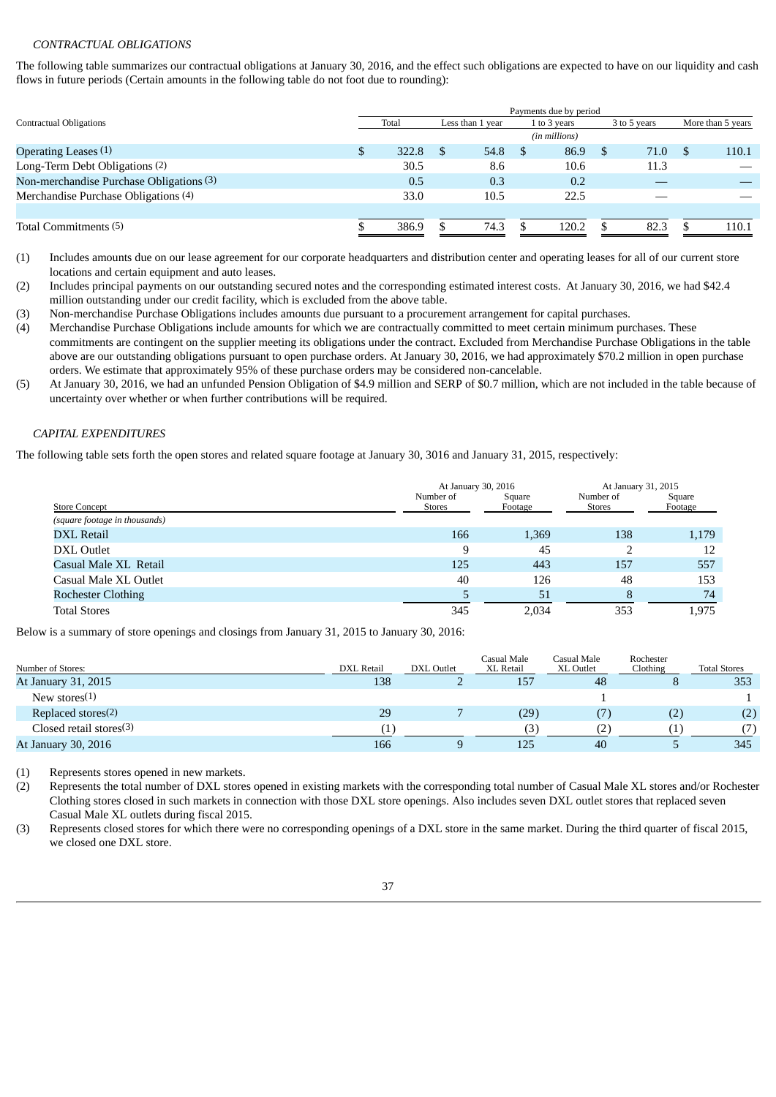# *CONTRACTUAL OBLIGATIONS*

The following table summarizes our contractual obligations at January 30, 2016, and the effect such obligations are expected to have on our liquidity and cash flows in future periods (Certain amounts in the following table do not foot due to rounding):

|                                          | Payments due by period |       |                  |      |              |               |              |      |                   |       |  |  |
|------------------------------------------|------------------------|-------|------------------|------|--------------|---------------|--------------|------|-------------------|-------|--|--|
| <b>Contractual Obligations</b>           |                        | Total | Less than 1 year |      | 1 to 3 years |               | 3 to 5 years |      | More than 5 years |       |  |  |
|                                          |                        |       |                  |      |              | (in millions) |              |      |                   |       |  |  |
| <b>Operating Leases</b> (1)              |                        | 322.8 |                  | 54.8 |              | 86.9          |              | 71.0 |                   | 110.1 |  |  |
| Long-Term Debt Obligations (2)           |                        | 30.5  |                  | 8.6  |              | 10.6          |              | 11.3 |                   |       |  |  |
| Non-merchandise Purchase Obligations (3) |                        | 0.5   |                  | 0.3  |              | 0.2           |              |      |                   |       |  |  |
| Merchandise Purchase Obligations (4)     |                        | 33.0  |                  | 10.5 |              | 22.5          |              |      |                   |       |  |  |
|                                          |                        |       |                  |      |              |               |              |      |                   |       |  |  |
| Total Commitments (5)                    |                        | 386.9 |                  | 74.3 |              | 120.2         |              | 82.3 |                   | 110.1 |  |  |

(1) Includes amounts due on our lease agreement for our corporate headquarters and distribution center and operating leases for all of our current store locations and certain equipment and auto leases.

(2) Includes principal payments on our outstanding secured notes and the corresponding estimated interest costs. At January 30, 2016, we had \$42.4 million outstanding under our credit facility, which is excluded from the above table.

(3) Non-merchandise Purchase Obligations includes amounts due pursuant to a procurement arrangement for capital purchases.

(4) Merchandise Purchase Obligations include amounts for which we are contractually committed to meet certain minimum purchases. These commitments are contingent on the supplier meeting its obligations under the contract. Excluded from Merchandise Purchase Obligations in the table above are our outstanding obligations pursuant to open purchase orders. At January 30, 2016, we had approximately \$70.2 million in open purchase orders. We estimate that approximately 95% of these purchase orders may be considered non-cancelable.

(5) At January 30, 2016, we had an unfunded Pension Obligation of \$4.9 million and SERP of \$0.7 million, which are not included in the table because of uncertainty over whether or when further contributions will be required.

#### *CAPITAL EXPENDITURES*

The following table sets forth the open stores and related square footage at January 30, 3016 and January 31, 2015, respectively:

|                               | At January 30, 2016 |                   | At January 31, 2015 |                   |  |
|-------------------------------|---------------------|-------------------|---------------------|-------------------|--|
| <b>Store Concept</b>          | Number of<br>Stores | Square<br>Footage | Number of<br>Stores | Square<br>Footage |  |
| (square footage in thousands) |                     |                   |                     |                   |  |
| DXL Retail                    | 166                 | 1,369             | 138                 | 1,179             |  |
| DXL Outlet                    | 9                   | 45                |                     | 12                |  |
| Casual Male XL Retail         | 125                 | 443               | 157                 | 557               |  |
| Casual Male XL Outlet         | 40                  | 126               | 48                  | 153               |  |
| <b>Rochester Clothing</b>     | 5                   | 51                | 8                   | 74                |  |
| <b>Total Stores</b>           | 345                 | 2.034             | 353                 | 1,975             |  |

Below is a summary of store openings and closings from January 31, 2015 to January 30, 2016:

| Number of Stores:              | DXL Retail | DXL Outlet | Casual Male<br>XL Retail | Casual Male<br>XL Outlet | Rochester<br>Clothing | <b>Total Stores</b> |
|--------------------------------|------------|------------|--------------------------|--------------------------|-----------------------|---------------------|
| At January 31, 2015            | 138        |            | 157                      | 48                       | U                     | 353                 |
| New stores $(1)$               |            |            |                          |                          |                       |                     |
| Replaced stores <sup>(2)</sup> | 29         |            | (29)                     |                          | (2)                   | (2)                 |
| Closed retail stores $(3)$     |            |            | 3)                       |                          |                       |                     |
| At January 30, 2016            | 166        |            | 125                      | 40                       |                       | 345                 |

(1) Represents stores opened in new markets.

(2) Represents the total number of DXL stores opened in existing markets with the corresponding total number of Casual Male XL stores and/or Rochester Clothing stores closed in such markets in connection with those DXL store openings. Also includes seven DXL outlet stores that replaced seven Casual Male XL outlets during fiscal 2015.

(3) Represents closed stores for which there were no corresponding openings of a DXL store in the same market. During the third quarter of fiscal 2015, we closed one DXL store.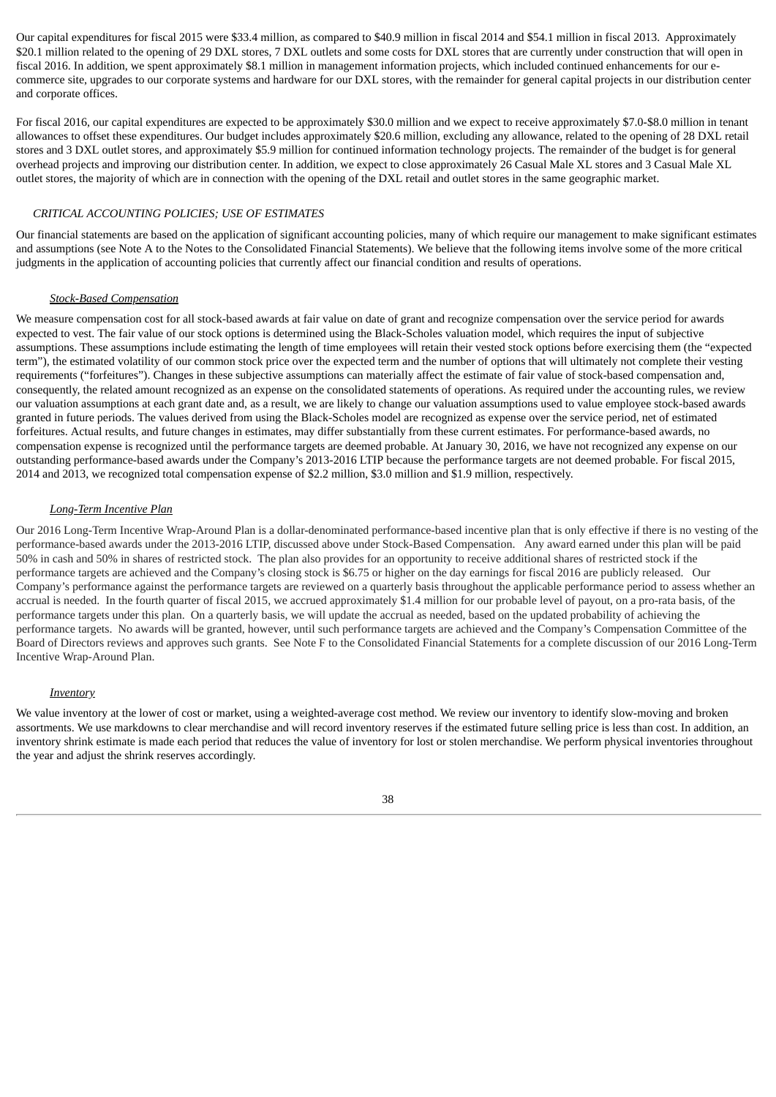Our capital expenditures for fiscal 2015 were \$33.4 million, as compared to \$40.9 million in fiscal 2014 and \$54.1 million in fiscal 2013. Approximately \$20.1 million related to the opening of 29 DXL stores, 7 DXL outlets and some costs for DXL stores that are currently under construction that will open in fiscal 2016. In addition, we spent approximately \$8.1 million in management information projects, which included continued enhancements for our ecommerce site, upgrades to our corporate systems and hardware for our DXL stores, with the remainder for general capital projects in our distribution center and corporate offices.

For fiscal 2016, our capital expenditures are expected to be approximately \$30.0 million and we expect to receive approximately \$7.0-\$8.0 million in tenant allowances to offset these expenditures. Our budget includes approximately \$20.6 million, excluding any allowance, related to the opening of 28 DXL retail stores and 3 DXL outlet stores, and approximately \$5.9 million for continued information technology projects. The remainder of the budget is for general overhead projects and improving our distribution center. In addition, we expect to close approximately 26 Casual Male XL stores and 3 Casual Male XL outlet stores, the majority of which are in connection with the opening of the DXL retail and outlet stores in the same geographic market.

# *CRITICAL ACCOUNTING POLICIES; USE OF ESTIMATES*

Our financial statements are based on the application of significant accounting policies, many of which require our management to make significant estimates and assumptions (see Note A to the Notes to the Consolidated Financial Statements). We believe that the following items involve some of the more critical judgments in the application of accounting policies that currently affect our financial condition and results of operations.

# *Stock-Based Compensation*

We measure compensation cost for all stock-based awards at fair value on date of grant and recognize compensation over the service period for awards expected to vest. The fair value of our stock options is determined using the Black-Scholes valuation model, which requires the input of subjective assumptions. These assumptions include estimating the length of time employees will retain their vested stock options before exercising them (the "expected term"), the estimated volatility of our common stock price over the expected term and the number of options that will ultimately not complete their vesting requirements ("forfeitures"). Changes in these subjective assumptions can materially affect the estimate of fair value of stock-based compensation and, consequently, the related amount recognized as an expense on the consolidated statements of operations. As required under the accounting rules, we review our valuation assumptions at each grant date and, as a result, we are likely to change our valuation assumptions used to value employee stock-based awards granted in future periods. The values derived from using the Black-Scholes model are recognized as expense over the service period, net of estimated forfeitures. Actual results, and future changes in estimates, may differ substantially from these current estimates. For performance-based awards, no compensation expense is recognized until the performance targets are deemed probable. At January 30, 2016, we have not recognized any expense on our outstanding performance-based awards under the Company's 2013-2016 LTIP because the performance targets are not deemed probable. For fiscal 2015, 2014 and 2013, we recognized total compensation expense of \$2.2 million, \$3.0 million and \$1.9 million, respectively.

# *Long-Term Incentive Plan*

Our 2016 Long-Term Incentive Wrap-Around Plan is a dollar-denominated performance-based incentive plan that is only effective if there is no vesting of the performance-based awards under the 2013-2016 LTIP, discussed above under Stock-Based Compensation. Any award earned under this plan will be paid 50% in cash and 50% in shares of restricted stock. The plan also provides for an opportunity to receive additional shares of restricted stock if the performance targets are achieved and the Company's closing stock is \$6.75 or higher on the day earnings for fiscal 2016 are publicly released. Our Company's performance against the performance targets are reviewed on a quarterly basis throughout the applicable performance period to assess whether an accrual is needed. In the fourth quarter of fiscal 2015, we accrued approximately \$1.4 million for our probable level of payout, on a pro-rata basis, of the performance targets under this plan. On a quarterly basis, we will update the accrual as needed, based on the updated probability of achieving the performance targets. No awards will be granted, however, until such performance targets are achieved and the Company's Compensation Committee of the Board of Directors reviews and approves such grants. See Note F to the Consolidated Financial Statements for a complete discussion of our 2016 Long-Term Incentive Wrap-Around Plan.

#### *Inventory*

We value inventory at the lower of cost or market, using a weighted-average cost method. We review our inventory to identify slow-moving and broken assortments. We use markdowns to clear merchandise and will record inventory reserves if the estimated future selling price is less than cost. In addition, an inventory shrink estimate is made each period that reduces the value of inventory for lost or stolen merchandise. We perform physical inventories throughout the year and adjust the shrink reserves accordingly.

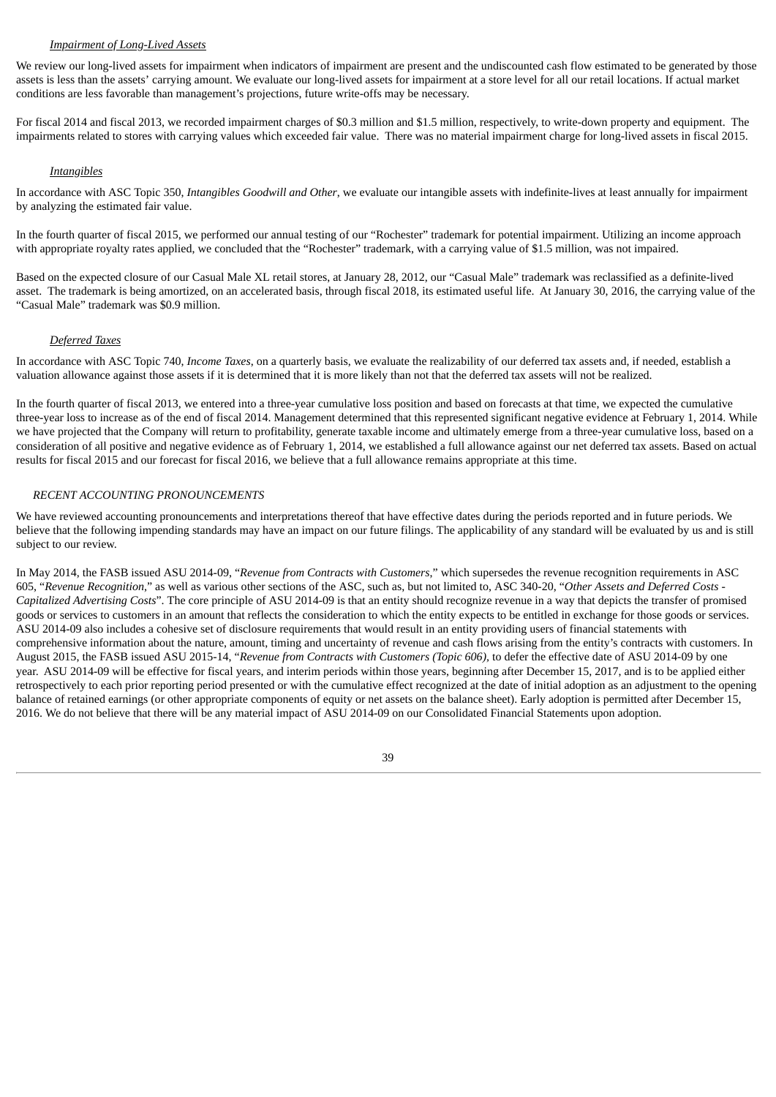# *Impairment of Long-Lived Assets*

We review our long-lived assets for impairment when indicators of impairment are present and the undiscounted cash flow estimated to be generated by those assets is less than the assets' carrying amount. We evaluate our long-lived assets for impairment at a store level for all our retail locations. If actual market conditions are less favorable than management's projections, future write-offs may be necessary.

For fiscal 2014 and fiscal 2013, we recorded impairment charges of \$0.3 million and \$1.5 million, respectively, to write-down property and equipment. The impairments related to stores with carrying values which exceeded fair value. There was no material impairment charge for long-lived assets in fiscal 2015.

# *Intangibles*

In accordance with ASC Topic 350, *Intangibles Goodwill and Other*, we evaluate our intangible assets with indefinite-lives at least annually for impairment by analyzing the estimated fair value.

In the fourth quarter of fiscal 2015, we performed our annual testing of our "Rochester" trademark for potential impairment. Utilizing an income approach with appropriate royalty rates applied, we concluded that the "Rochester" trademark, with a carrying value of \$1.5 million, was not impaired.

Based on the expected closure of our Casual Male XL retail stores, at January 28, 2012, our "Casual Male" trademark was reclassified as a definite-lived asset. The trademark is being amortized, on an accelerated basis, through fiscal 2018, its estimated useful life. At January 30, 2016, the carrying value of the "Casual Male" trademark was \$0.9 million.

#### *Deferred Taxes*

In accordance with ASC Topic 740, *Income Taxes*, on a quarterly basis, we evaluate the realizability of our deferred tax assets and, if needed, establish a valuation allowance against those assets if it is determined that it is more likely than not that the deferred tax assets will not be realized.

In the fourth quarter of fiscal 2013, we entered into a three-year cumulative loss position and based on forecasts at that time, we expected the cumulative three-year loss to increase as of the end of fiscal 2014. Management determined that this represented significant negative evidence at February 1, 2014. While we have projected that the Company will return to profitability, generate taxable income and ultimately emerge from a three-year cumulative loss, based on a consideration of all positive and negative evidence as of February 1, 2014, we established a full allowance against our net deferred tax assets. Based on actual results for fiscal 2015 and our forecast for fiscal 2016, we believe that a full allowance remains appropriate at this time.

# *RECENT ACCOUNTING PRONOUNCEMENTS*

We have reviewed accounting pronouncements and interpretations thereof that have effective dates during the periods reported and in future periods. We believe that the following impending standards may have an impact on our future filings. The applicability of any standard will be evaluated by us and is still subject to our review.

In May 2014, the FASB issued ASU 2014-09, "*Revenue from Contracts with Customers*," which supersedes the revenue recognition requirements in ASC 605, "*Revenue Recognition*," as well as various other sections of the ASC, such as, but not limited to, ASC 340-20, "*Other Assets and Deferred Costs - Capitalized Advertising Costs*". The core principle of ASU 2014-09 is that an entity should recognize revenue in a way that depicts the transfer of promised goods or services to customers in an amount that reflects the consideration to which the entity expects to be entitled in exchange for those goods or services. ASU 2014-09 also includes a cohesive set of disclosure requirements that would result in an entity providing users of financial statements with comprehensive information about the nature, amount, timing and uncertainty of revenue and cash flows arising from the entity's contracts with customers. In August 2015, the FASB issued ASU 2015-14, "*Revenue from Contracts with Customers (Topic 606),* to defer the effective date of ASU 2014-09 by one year. ASU 2014-09 will be effective for fiscal years, and interim periods within those years, beginning after December 15, 2017, and is to be applied either retrospectively to each prior reporting period presented or with the cumulative effect recognized at the date of initial adoption as an adjustment to the opening balance of retained earnings (or other appropriate components of equity or net assets on the balance sheet). Early adoption is permitted after December 15, 2016. We do not believe that there will be any material impact of ASU 2014-09 on our Consolidated Financial Statements upon adoption.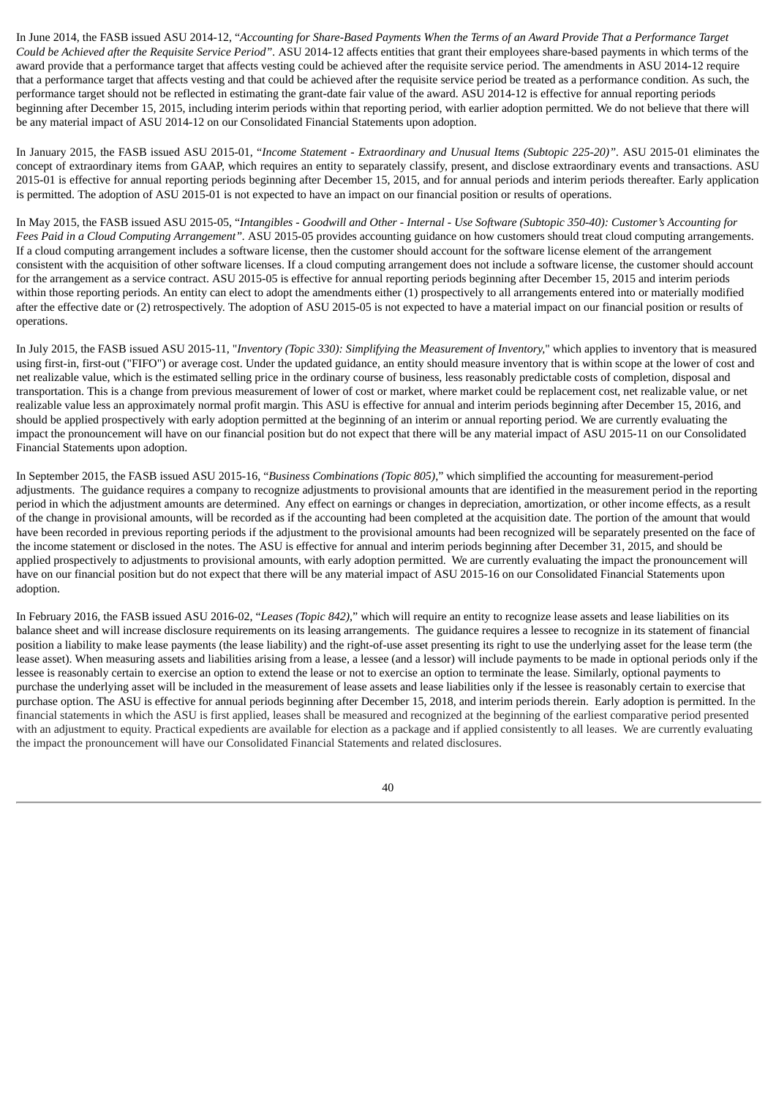In June 2014, the FASB issued ASU 2014-12, "Accounting for Share-Based Payments When the Terms of an Award Provide That a Performance Target *Could be Achieved after the Requisite Service Period".* ASU 2014-12 affects entities that grant their employees share-based payments in which terms of the award provide that a performance target that affects vesting could be achieved after the requisite service period. The amendments in ASU 2014-12 require that a performance target that affects vesting and that could be achieved after the requisite service period be treated as a performance condition. As such, the performance target should not be reflected in estimating the grant-date fair value of the award. ASU 2014-12 is effective for annual reporting periods beginning after December 15, 2015, including interim periods within that reporting period, with earlier adoption permitted. We do not believe that there will be any material impact of ASU 2014-12 on our Consolidated Financial Statements upon adoption.

In January 2015, the FASB issued ASU 2015-01, "*Income Statement - Extraordinary and Unusual Items (Subtopic 225-20)".* ASU 2015-01 eliminates the concept of extraordinary items from GAAP, which requires an entity to separately classify, present, and disclose extraordinary events and transactions. ASU 2015-01 is effective for annual reporting periods beginning after December 15, 2015, and for annual periods and interim periods thereafter. Early application is permitted. The adoption of ASU 2015-01 is not expected to have an impact on our financial position or results of operations.

In May 2015, the FASB issued ASU 2015-05, "Intangibles - Goodwill and Other - Internal - Use Software (Subtopic 350-40): Customer's Accounting for *Fees Paid in a Cloud Computing Arrangement".* ASU 2015-05 provides accounting guidance on how customers should treat cloud computing arrangements. If a cloud computing arrangement includes a software license, then the customer should account for the software license element of the arrangement consistent with the acquisition of other software licenses. If a cloud computing arrangement does not include a software license, the customer should account for the arrangement as a service contract. ASU 2015-05 is effective for annual reporting periods beginning after December 15, 2015 and interim periods within those reporting periods. An entity can elect to adopt the amendments either (1) prospectively to all arrangements entered into or materially modified after the effective date or (2) retrospectively. The adoption of ASU 2015-05 is not expected to have a material impact on our financial position or results of operations.

In July 2015, the FASB issued ASU 2015-11, "*Inventory (Topic 330): Simplifying the Measurement of Inventory,*" which applies to inventory that is measured using first-in, first-out ("FIFO") or average cost. Under the updated guidance, an entity should measure inventory that is within scope at the lower of cost and net realizable value, which is the estimated selling price in the ordinary course of business, less reasonably predictable costs of completion, disposal and transportation. This is a change from previous measurement of lower of cost or market, where market could be replacement cost, net realizable value, or net realizable value less an approximately normal profit margin. This ASU is effective for annual and interim periods beginning after December 15, 2016, and should be applied prospectively with early adoption permitted at the beginning of an interim or annual reporting period. We are currently evaluating the impact the pronouncement will have on our financial position but do not expect that there will be any material impact of ASU 2015-11 on our Consolidated Financial Statements upon adoption.

In September 2015, the FASB issued ASU 2015-16, "*Business Combinations (Topic 805)*," which simplified the accounting for measurement-period adjustments. The guidance requires a company to recognize adjustments to provisional amounts that are identified in the measurement period in the reporting period in which the adjustment amounts are determined. Any effect on earnings or changes in depreciation, amortization, or other income effects, as a result of the change in provisional amounts, will be recorded as if the accounting had been completed at the acquisition date. The portion of the amount that would have been recorded in previous reporting periods if the adjustment to the provisional amounts had been recognized will be separately presented on the face of the income statement or disclosed in the notes. The ASU is effective for annual and interim periods beginning after December 31, 2015, and should be applied prospectively to adjustments to provisional amounts, with early adoption permitted. We are currently evaluating the impact the pronouncement will have on our financial position but do not expect that there will be any material impact of ASU 2015-16 on our Consolidated Financial Statements upon adoption.

In February 2016, the FASB issued ASU 2016-02, "*Leases (Topic 842)*," which will require an entity to recognize lease assets and lease liabilities on its balance sheet and will increase disclosure requirements on its leasing arrangements. The guidance requires a lessee to recognize in its statement of financial position a liability to make lease payments (the lease liability) and the right-of-use asset presenting its right to use the underlying asset for the lease term (the lease asset). When measuring assets and liabilities arising from a lease, a lessee (and a lessor) will include payments to be made in optional periods only if the lessee is reasonably certain to exercise an option to extend the lease or not to exercise an option to terminate the lease. Similarly, optional payments to purchase the underlying asset will be included in the measurement of lease assets and lease liabilities only if the lessee is reasonably certain to exercise that purchase option. The ASU is effective for annual periods beginning after December 15, 2018, and interim periods therein. Early adoption is permitted. In the financial statements in which the ASU is first applied, leases shall be measured and recognized at the beginning of the earliest comparative period presented with an adjustment to equity. Practical expedients are available for election as a package and if applied consistently to all leases. We are currently evaluating the impact the pronouncement will have our Consolidated Financial Statements and related disclosures.

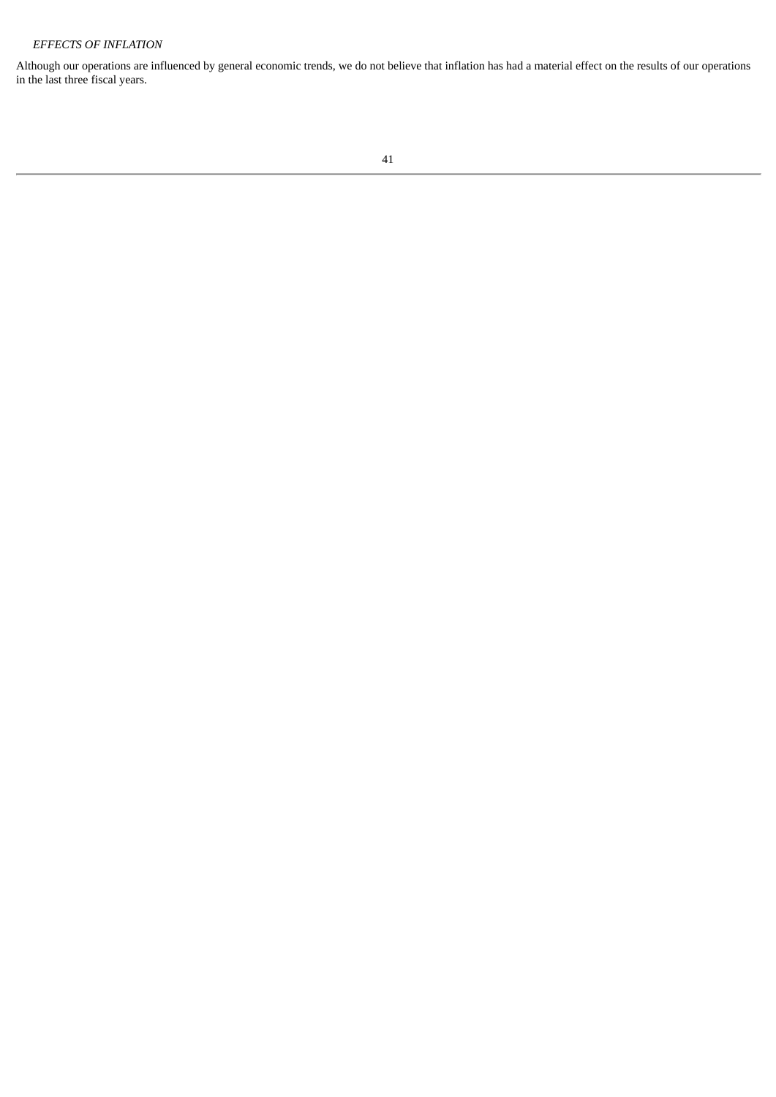# *EFFECTS OF INFLATION*

Although our operations are influenced by general economic trends, we do not believe that inflation has had a material effect on the results of our operations in the last three fiscal years.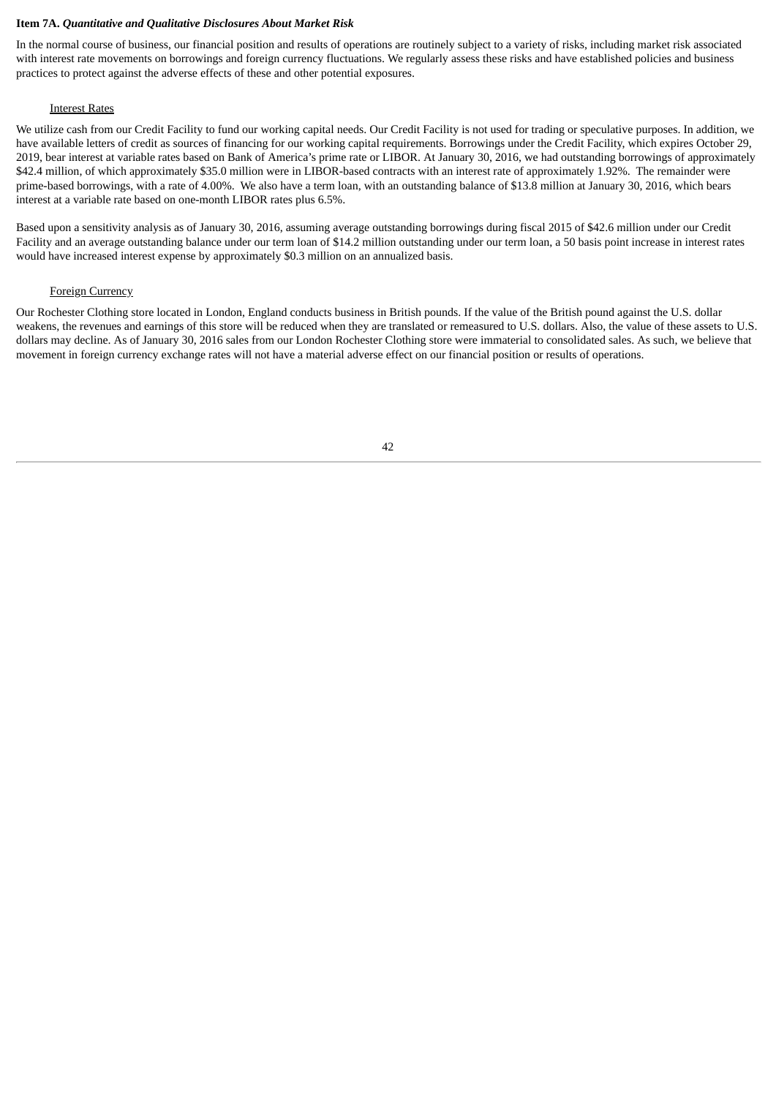#### **Item 7A.** *Quantitative and Qualitative Disclosures About Market Risk*

In the normal course of business, our financial position and results of operations are routinely subject to a variety of risks, including market risk associated with interest rate movements on borrowings and foreign currency fluctuations. We regularly assess these risks and have established policies and business practices to protect against the adverse effects of these and other potential exposures.

# Interest Rates

We utilize cash from our Credit Facility to fund our working capital needs. Our Credit Facility is not used for trading or speculative purposes. In addition, we have available letters of credit as sources of financing for our working capital requirements. Borrowings under the Credit Facility, which expires October 29, 2019, bear interest at variable rates based on Bank of America's prime rate or LIBOR. At January 30, 2016, we had outstanding borrowings of approximately \$42.4 million, of which approximately \$35.0 million were in LIBOR-based contracts with an interest rate of approximately 1.92%. The remainder were prime-based borrowings, with a rate of 4.00%. We also have a term loan, with an outstanding balance of \$13.8 million at January 30, 2016, which bears interest at a variable rate based on one-month LIBOR rates plus 6.5%.

Based upon a sensitivity analysis as of January 30, 2016, assuming average outstanding borrowings during fiscal 2015 of \$42.6 million under our Credit Facility and an average outstanding balance under our term loan of \$14.2 million outstanding under our term loan, a 50 basis point increase in interest rates would have increased interest expense by approximately \$0.3 million on an annualized basis.

# Foreign Currency

Our Rochester Clothing store located in London, England conducts business in British pounds. If the value of the British pound against the U.S. dollar weakens, the revenues and earnings of this store will be reduced when they are translated or remeasured to U.S. dollars. Also, the value of these assets to U.S. dollars may decline. As of January 30, 2016 sales from our London Rochester Clothing store were immaterial to consolidated sales. As such, we believe that movement in foreign currency exchange rates will not have a material adverse effect on our financial position or results of operations.

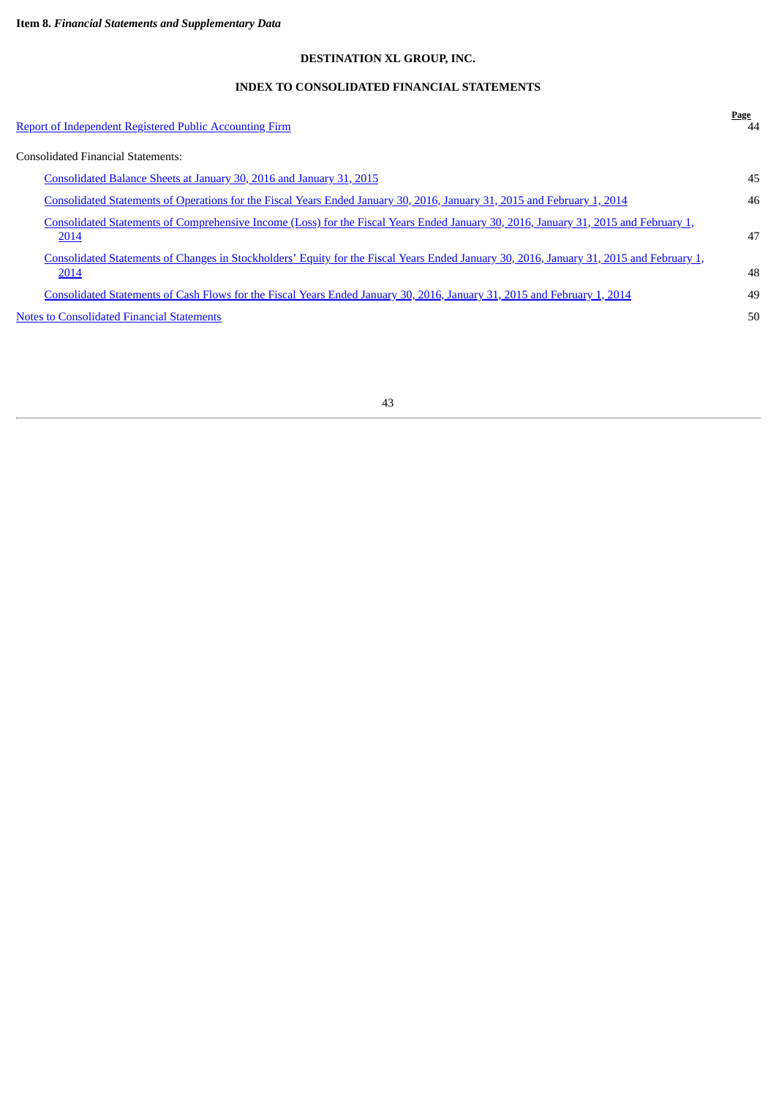# **DESTINATION XL GROUP, INC.**

# **INDEX TO CONSOLIDATED FINANCIAL STATEMENTS**

| Report of Independent Registered Public Accounting Firm                                                                                          | <b>Page</b><br>44 |
|--------------------------------------------------------------------------------------------------------------------------------------------------|-------------------|
| Consolidated Financial Statements:                                                                                                               |                   |
| Consolidated Balance Sheets at January 30, 2016 and January 31, 2015                                                                             | 45                |
| Consolidated Statements of Operations for the Fiscal Years Ended January 30, 2016, January 31, 2015 and February 1, 2014                         | 46                |
| Consolidated Statements of Comprehensive Income (Loss) for the Fiscal Years Ended January 30, 2016, January 31, 2015 and February 1,<br>2014     | 47                |
| Consolidated Statements of Changes in Stockholders' Equity for the Fiscal Years Ended January 30, 2016, January 31, 2015 and February 1,<br>2014 | 48                |
| Consolidated Statements of Cash Flows for the Fiscal Years Ended January 30, 2016, January 31, 2015 and February 1, 2014                         | 49                |
| <b>Notes to Consolidated Financial Statements</b>                                                                                                | 50                |
|                                                                                                                                                  |                   |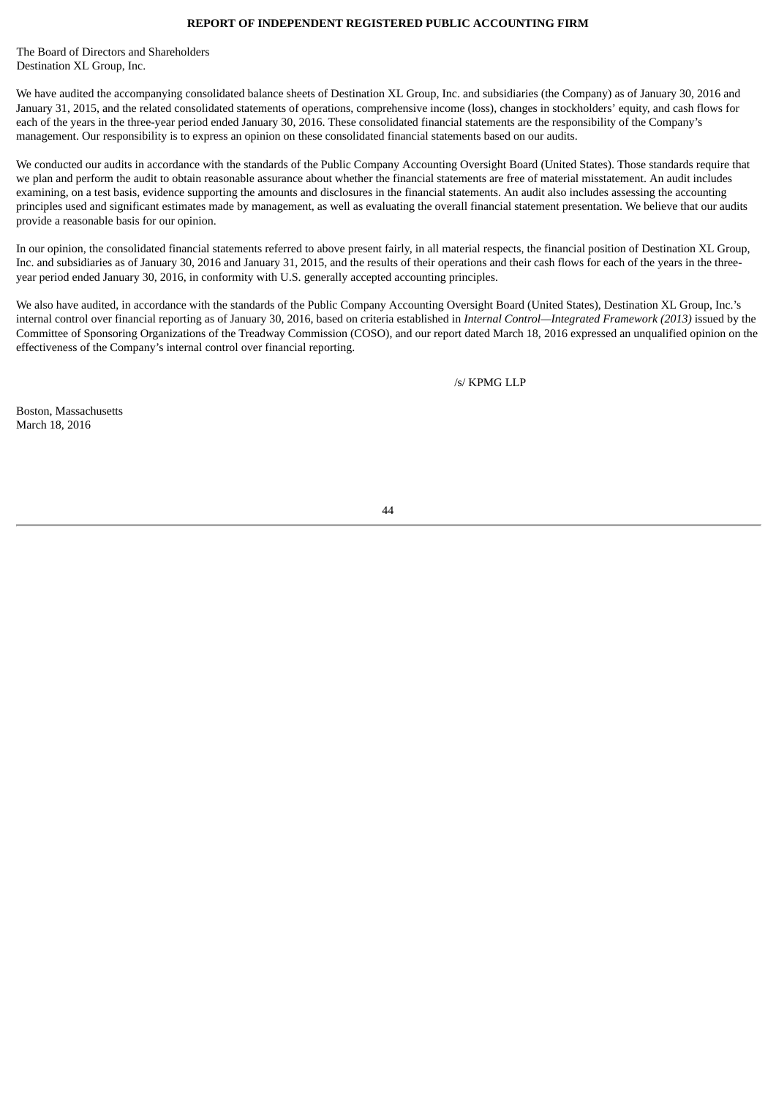# **REPORT OF INDEPENDENT REGISTERED PUBLIC ACCOUNTING FIRM**

<span id="page-43-0"></span>The Board of Directors and Shareholders Destination XL Group, Inc.

We have audited the accompanying consolidated balance sheets of Destination XL Group, Inc. and subsidiaries (the Company) as of January 30, 2016 and January 31, 2015, and the related consolidated statements of operations, comprehensive income (loss), changes in stockholders' equity, and cash flows for each of the years in the three-year period ended January 30, 2016. These consolidated financial statements are the responsibility of the Company's management. Our responsibility is to express an opinion on these consolidated financial statements based on our audits.

We conducted our audits in accordance with the standards of the Public Company Accounting Oversight Board (United States). Those standards require that we plan and perform the audit to obtain reasonable assurance about whether the financial statements are free of material misstatement. An audit includes examining, on a test basis, evidence supporting the amounts and disclosures in the financial statements. An audit also includes assessing the accounting principles used and significant estimates made by management, as well as evaluating the overall financial statement presentation. We believe that our audits provide a reasonable basis for our opinion.

In our opinion, the consolidated financial statements referred to above present fairly, in all material respects, the financial position of Destination XL Group, Inc. and subsidiaries as of January 30, 2016 and January 31, 2015, and the results of their operations and their cash flows for each of the years in the threeyear period ended January 30, 2016, in conformity with U.S. generally accepted accounting principles.

We also have audited, in accordance with the standards of the Public Company Accounting Oversight Board (United States), Destination XL Group, Inc.'s internal control over financial reporting as of January 30, 2016, based on criteria established in *Internal Control—Integrated Framework (2013)* issued by the Committee of Sponsoring Organizations of the Treadway Commission (COSO), and our report dated March 18, 2016 expressed an unqualified opinion on the effectiveness of the Company's internal control over financial reporting.

/s/ KPMG LLP

Boston, Massachusetts March 18, 2016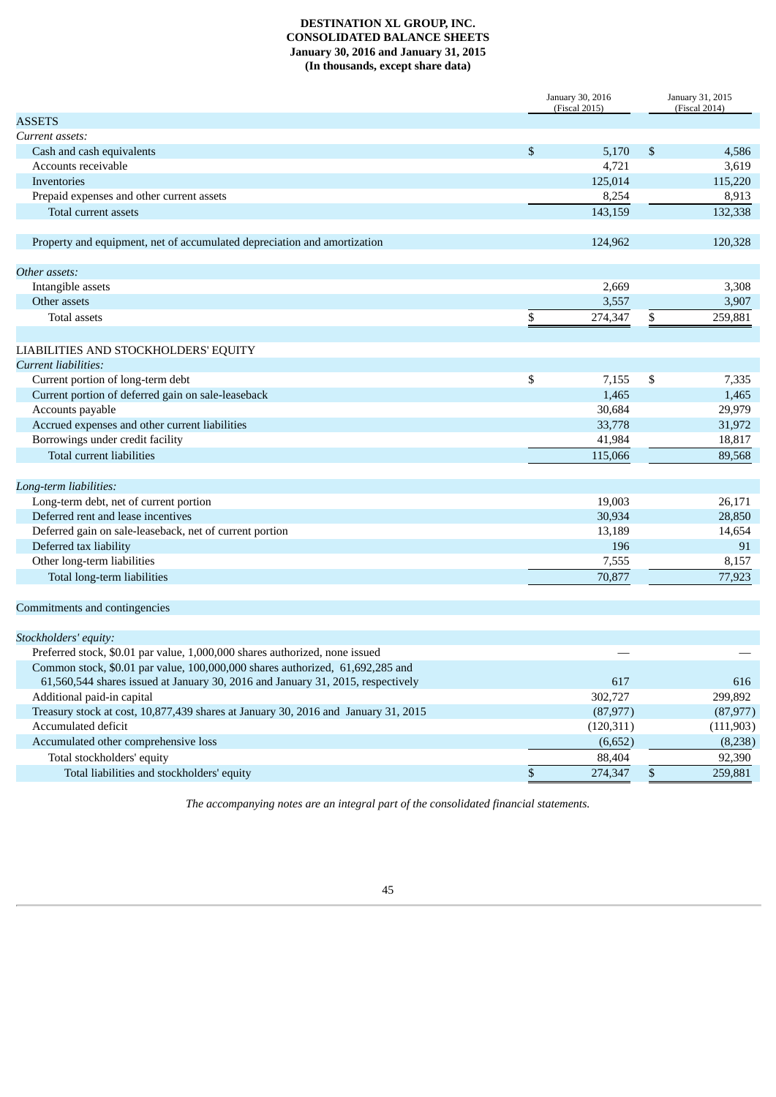# **DESTINATION XL GROUP, INC. CONSOLIDATED BALANCE SHEETS January 30, 2016 and January 31, 2015 (In thousands, except share data)**

<span id="page-44-0"></span>

|                                                                                    |             | January 30, 2016<br>(Fiscal 2015) | January 31, 2015<br>(Fiscal 2014) |           |  |
|------------------------------------------------------------------------------------|-------------|-----------------------------------|-----------------------------------|-----------|--|
| <b>ASSETS</b>                                                                      |             |                                   |                                   |           |  |
| Current assets:                                                                    |             |                                   |                                   |           |  |
| Cash and cash equivalents                                                          | \$          | 5,170                             | \$                                | 4,586     |  |
| Accounts receivable                                                                |             | 4,721                             |                                   | 3,619     |  |
| Inventories                                                                        |             | 125,014                           |                                   | 115,220   |  |
| Prepaid expenses and other current assets                                          |             | 8,254                             |                                   | 8,913     |  |
| Total current assets                                                               |             | 143,159                           |                                   | 132,338   |  |
| Property and equipment, net of accumulated depreciation and amortization           |             | 124,962                           |                                   | 120,328   |  |
| Other assets:                                                                      |             |                                   |                                   |           |  |
| Intangible assets                                                                  |             | 2,669                             |                                   | 3,308     |  |
| Other assets                                                                       |             | 3,557                             |                                   | 3,907     |  |
| <b>Total assets</b>                                                                | \$          | 274,347                           | \$                                | 259,881   |  |
|                                                                                    |             |                                   |                                   |           |  |
| LIABILITIES AND STOCKHOLDERS' EQUITY                                               |             |                                   |                                   |           |  |
| <b>Current liabilities:</b>                                                        |             |                                   |                                   |           |  |
| Current portion of long-term debt                                                  | \$          | 7,155                             | \$                                | 7,335     |  |
| Current portion of deferred gain on sale-leaseback                                 |             | 1,465                             |                                   | 1,465     |  |
| Accounts payable                                                                   |             | 30,684                            |                                   | 29,979    |  |
| Accrued expenses and other current liabilities                                     |             | 33,778                            |                                   | 31,972    |  |
| Borrowings under credit facility                                                   |             | 41,984                            |                                   | 18,817    |  |
| <b>Total current liabilities</b>                                                   |             | 115,066                           |                                   | 89,568    |  |
| Long-term liabilities:                                                             |             |                                   |                                   |           |  |
| Long-term debt, net of current portion                                             |             | 19,003                            |                                   | 26,171    |  |
| Deferred rent and lease incentives                                                 |             | 30,934                            |                                   | 28,850    |  |
| Deferred gain on sale-leaseback, net of current portion                            |             | 13,189                            |                                   | 14,654    |  |
| Deferred tax liability                                                             |             | 196                               |                                   | 91        |  |
| Other long-term liabilities                                                        |             | 7,555                             |                                   | 8,157     |  |
| Total long-term liabilities                                                        |             | 70,877                            |                                   | 77,923    |  |
| Commitments and contingencies                                                      |             |                                   |                                   |           |  |
|                                                                                    |             |                                   |                                   |           |  |
| Stockholders' equity:                                                              |             |                                   |                                   |           |  |
| Preferred stock, \$0.01 par value, 1,000,000 shares authorized, none issued        |             |                                   |                                   |           |  |
| Common stock, \$0.01 par value, 100,000,000 shares authorized, 61,692,285 and      |             |                                   |                                   |           |  |
| 61,560,544 shares issued at January 30, 2016 and January 31, 2015, respectively    |             | 617                               |                                   | 616       |  |
| Additional paid-in capital                                                         |             | 302,727                           |                                   | 299,892   |  |
| Treasury stock at cost, 10,877,439 shares at January 30, 2016 and January 31, 2015 |             | (87, 977)                         |                                   | (87, 977) |  |
| Accumulated deficit                                                                |             | (120, 311)                        |                                   | (111,903) |  |
| Accumulated other comprehensive loss                                               |             | (6,652)                           |                                   | (8,238)   |  |
| Total stockholders' equity                                                         |             | 88,404                            |                                   | 92,390    |  |
| Total liabilities and stockholders' equity                                         | $\mathbb S$ | 274,347                           | \$                                | 259,881   |  |

*The accompanying notes are an integral part of the consolidated financial statements.*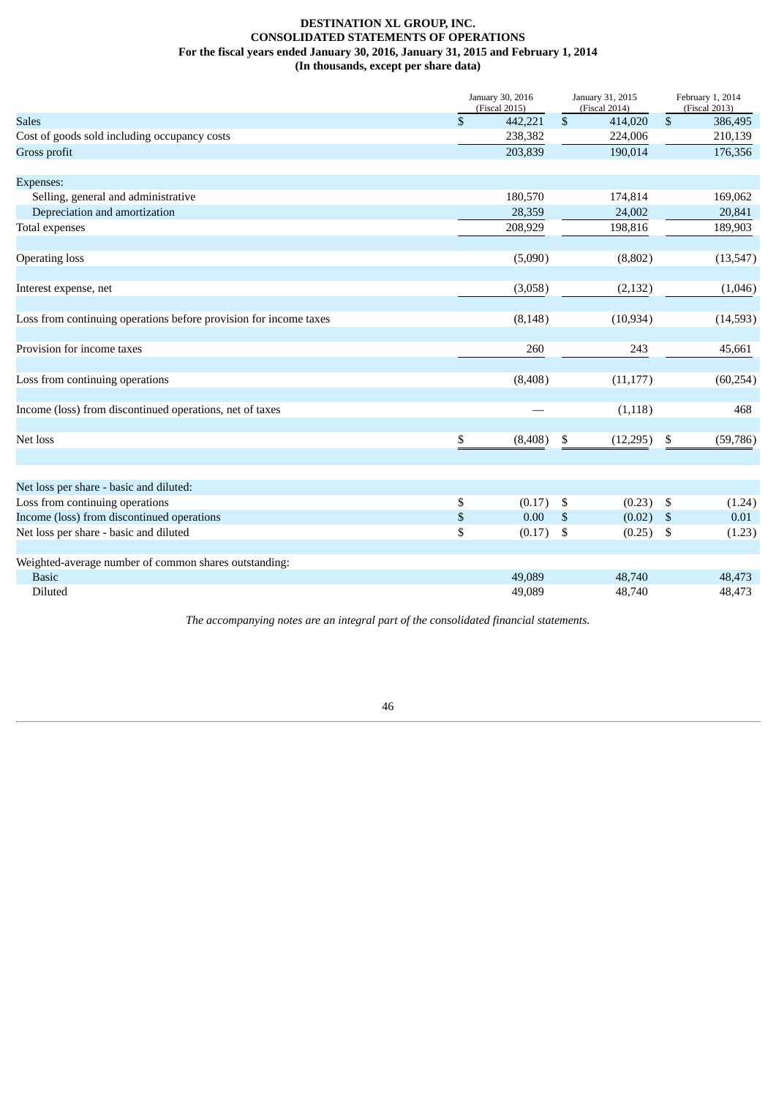# **DESTINATION XL GROUP, INC. CONSOLIDATED STATEMENTS OF OPERATIONS For the fiscal years ended January 30, 2016, January 31, 2015 and February 1, 2014 (In thousands, except per share data)**

<span id="page-45-0"></span>

|                                                                   | January 30, 2016<br>(Fiscal 2015) | January 31, 2015<br>(Fiscal 2014) |           |            | February 1, 2014<br>(Fiscal 2013) |
|-------------------------------------------------------------------|-----------------------------------|-----------------------------------|-----------|------------|-----------------------------------|
| <b>Sales</b>                                                      | \$<br>442,221                     | $\mathbb{S}$                      | 414,020   | $\sqrt{2}$ | 386,495                           |
| Cost of goods sold including occupancy costs                      | 238,382                           |                                   | 224,006   |            | 210,139                           |
| Gross profit                                                      | 203,839                           |                                   | 190,014   |            | 176,356                           |
| Expenses:                                                         |                                   |                                   |           |            |                                   |
| Selling, general and administrative                               | 180,570                           |                                   | 174,814   |            | 169,062                           |
| Depreciation and amortization                                     | 28,359                            |                                   | 24,002    |            | 20,841                            |
| Total expenses                                                    | 208,929                           |                                   | 198,816   |            | 189,903                           |
| <b>Operating loss</b>                                             | (5,090)                           |                                   | (8,802)   |            | (13, 547)                         |
| Interest expense, net                                             | (3,058)                           |                                   | (2, 132)  |            | (1,046)                           |
| Loss from continuing operations before provision for income taxes | (8, 148)                          |                                   | (10, 934) |            | (14, 593)                         |
| Provision for income taxes                                        | 260                               |                                   | 243       |            | 45,661                            |
| Loss from continuing operations                                   | (8, 408)                          |                                   | (11, 177) |            | (60, 254)                         |
| Income (loss) from discontinued operations, net of taxes          |                                   |                                   | (1,118)   |            | 468                               |
| Net loss                                                          | \$<br>(8, 408)                    | \$                                | (12, 295) | \$         | (59,786)                          |
|                                                                   |                                   |                                   |           |            |                                   |
| Net loss per share - basic and diluted:                           |                                   |                                   |           |            |                                   |
| Loss from continuing operations                                   | \$<br>(0.17)                      | \$                                | (0.23)    | \$         | (1.24)                            |
| Income (loss) from discontinued operations                        | \$<br>0.00                        | \$                                | (0.02)    | $\sqrt{3}$ | 0.01                              |
| Net loss per share - basic and diluted                            | \$<br>(0.17)                      | \$                                | (0.25)    | \$         | (1.23)                            |
| Weighted-average number of common shares outstanding:             |                                   |                                   |           |            |                                   |
| <b>Basic</b>                                                      | 49,089                            |                                   | 48,740    |            | 48,473                            |
| Diluted                                                           | 49,089                            |                                   | 48,740    |            | 48,473                            |

*The accompanying notes are an integral part of the consolidated financial statements.*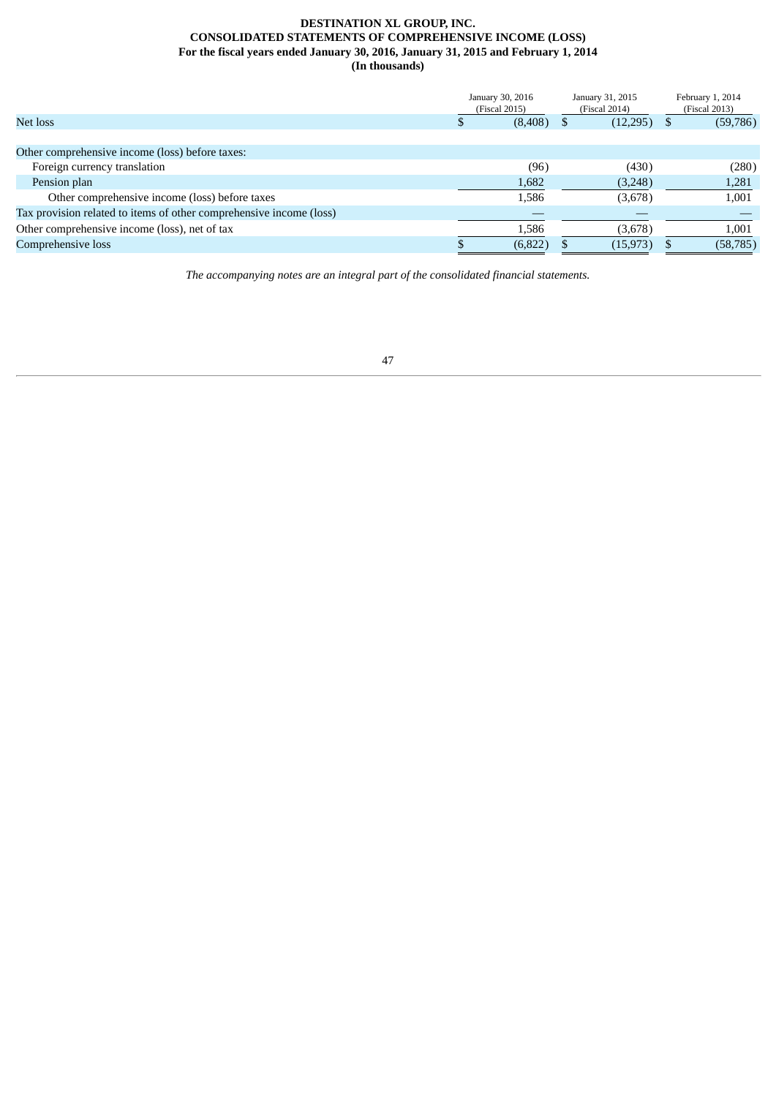# **DESTINATION XL GROUP, INC. CONSOLIDATED STATEMENTS OF COMPREHENSIVE INCOME (LOSS) For the fiscal years ended January 30, 2016, January 31, 2015 and February 1, 2014 (In thousands)**

<span id="page-46-0"></span>

|                                                                     | January 30, 2016<br>(Fiscal 2015) |          |  | January 31, 2015<br>(Fiscal 2014) | February 1, 2014<br>(Fiscal 2013) |           |
|---------------------------------------------------------------------|-----------------------------------|----------|--|-----------------------------------|-----------------------------------|-----------|
| Net loss                                                            |                                   | (8, 408) |  | (12,295)                          |                                   | (59,786)  |
|                                                                     |                                   |          |  |                                   |                                   |           |
| Other comprehensive income (loss) before taxes:                     |                                   |          |  |                                   |                                   |           |
| Foreign currency translation                                        |                                   | (96)     |  | (430)                             |                                   | (280)     |
| Pension plan                                                        |                                   | 1,682    |  | (3,248)                           |                                   | 1,281     |
| Other comprehensive income (loss) before taxes                      |                                   | 1,586    |  | (3,678)                           |                                   | 1,001     |
| Tax provision related to items of other comprehensive income (loss) |                                   | –        |  |                                   |                                   |           |
| Other comprehensive income (loss), net of tax                       |                                   | 1,586    |  | (3,678)                           |                                   | 1,001     |
| Comprehensive loss                                                  |                                   | (6,822)  |  | (15, 973)                         |                                   | (58, 785) |

*The accompanying notes are an integral part of the consolidated financial statements.*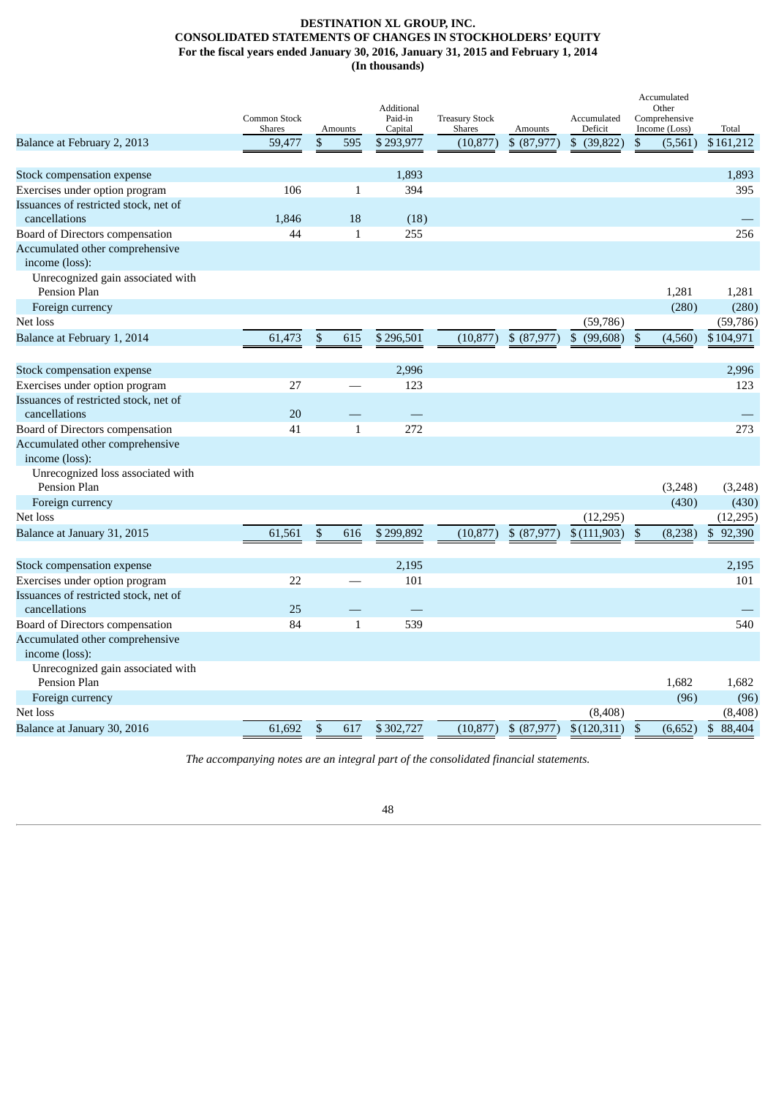# **DESTINATION XL GROUP, INC. CONSOLIDATED STATEMENTS OF CHANGES IN STOCKHOLDERS' EQUITY For the fiscal years ended January 30, 2016, January 31, 2015 and February 1, 2014 (In thousands)**

<span id="page-47-0"></span>

|                                                          | Common Stock<br><b>Shares</b> | Amounts      | Additional<br>Paid-in<br>Capital | <b>Treasury Stock</b><br><b>Shares</b> | Amounts     | Accumulated<br>Deficit  |                | Accumulated<br>Other<br>Comprehensive<br>Income (Loss) | Total                 |
|----------------------------------------------------------|-------------------------------|--------------|----------------------------------|----------------------------------------|-------------|-------------------------|----------------|--------------------------------------------------------|-----------------------|
| Balance at February 2, 2013                              | 59,477                        | \$<br>595    | \$293,977                        | (10, 877)                              | \$ (87,977) | \$ (39,822)             | \$             | (5,561)                                                | \$161,212             |
| Stock compensation expense                               |                               |              | 1,893                            |                                        |             |                         |                |                                                        | 1,893                 |
| Exercises under option program                           | 106                           | $\mathbf{1}$ | 394                              |                                        |             |                         |                |                                                        | 395                   |
| Issuances of restricted stock, net of                    |                               |              |                                  |                                        |             |                         |                |                                                        |                       |
| cancellations                                            | 1,846                         | 18           | (18)                             |                                        |             |                         |                |                                                        |                       |
| Board of Directors compensation                          | 44                            | $\mathbf{1}$ | 255                              |                                        |             |                         |                |                                                        | 256                   |
| Accumulated other comprehensive                          |                               |              |                                  |                                        |             |                         |                |                                                        |                       |
| income (loss):                                           |                               |              |                                  |                                        |             |                         |                |                                                        |                       |
| Unrecognized gain associated with<br><b>Pension Plan</b> |                               |              |                                  |                                        |             |                         |                | 1,281                                                  | 1,281                 |
| Foreign currency                                         |                               |              |                                  |                                        |             |                         |                | (280)                                                  | (280)                 |
| Net loss                                                 |                               |              |                                  |                                        |             | (59, 786)               |                |                                                        | (59,786)              |
| Balance at February 1, 2014                              | 61,473                        | \$<br>615    | \$296,501                        | (10, 877)                              | \$ (87,977) | $\sqrt{3}$<br>(99, 608) | $\mathbf S$    | (4,560)                                                | \$104,971             |
| Stock compensation expense                               |                               |              | 2,996                            |                                        |             |                         |                |                                                        | 2,996                 |
| Exercises under option program                           | 27                            |              | 123                              |                                        |             |                         |                |                                                        | 123                   |
| Issuances of restricted stock, net of<br>cancellations   | 20                            |              |                                  |                                        |             |                         |                |                                                        |                       |
| Board of Directors compensation                          | 41                            | $\mathbf{1}$ | 272                              |                                        |             |                         |                |                                                        | 273                   |
| Accumulated other comprehensive<br>income (loss):        |                               |              |                                  |                                        |             |                         |                |                                                        |                       |
| Unrecognized loss associated with<br>Pension Plan        |                               |              |                                  |                                        |             |                         |                | (3,248)                                                | (3,248)               |
| Foreign currency                                         |                               |              |                                  |                                        |             |                         |                | (430)                                                  | (430)                 |
| Net loss                                                 |                               |              |                                  |                                        |             | (12,295)                |                |                                                        | (12, 295)             |
| Balance at January 31, 2015                              | 61,561                        | \$<br>616    | \$299,892                        | (10, 877)                              | \$ (87,977) | \$(111,903)             | \$             | (8,238)                                                | $\mathbb S$<br>92,390 |
| Stock compensation expense                               |                               |              | 2,195                            |                                        |             |                         |                |                                                        | 2,195                 |
| Exercises under option program                           | 22                            |              | 101                              |                                        |             |                         |                |                                                        | 101                   |
| Issuances of restricted stock, net of                    |                               |              |                                  |                                        |             |                         |                |                                                        |                       |
| cancellations                                            | 25                            |              |                                  |                                        |             |                         |                |                                                        |                       |
| Board of Directors compensation                          | 84                            | $\mathbf{1}$ | 539                              |                                        |             |                         |                |                                                        | 540                   |
| Accumulated other comprehensive<br>income (loss):        |                               |              |                                  |                                        |             |                         |                |                                                        |                       |
| Unrecognized gain associated with<br><b>Pension Plan</b> |                               |              |                                  |                                        |             |                         |                | 1,682                                                  | 1,682                 |
| Foreign currency                                         |                               |              |                                  |                                        |             |                         |                | (96)                                                   | (96)                  |
| Net loss                                                 |                               |              |                                  |                                        |             | (8, 408)                |                |                                                        | (8, 408)              |
| Balance at January 30, 2016                              | 61,692                        | \$<br>617    | \$302,727                        | (10, 877)                              | \$ (87,977) | \$(120,311)             | $\mathfrak{s}$ | (6,652)                                                | \$<br>88,404          |

*The accompanying notes are an integral part of the consolidated financial statements.*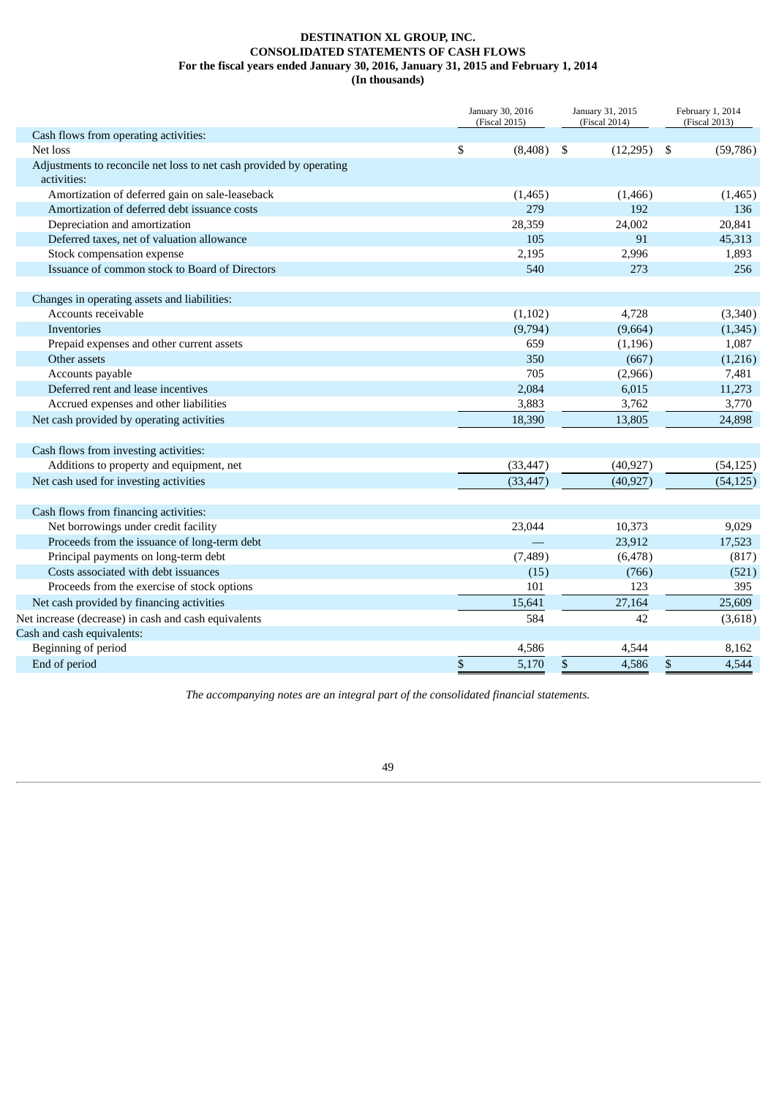# **DESTINATION XL GROUP, INC. CONSOLIDATED STATEMENTS OF CASH FLOWS For the fiscal years ended January 30, 2016, January 31, 2015 and February 1, 2014 (In thousands)**

<span id="page-48-0"></span>

|                                                                                    | January 30, 2016<br>(Fiscal 2015) |              | January 31, 2015<br>(Fiscal 2014) | February 1, 2014<br>(Fiscal 2013) |           |
|------------------------------------------------------------------------------------|-----------------------------------|--------------|-----------------------------------|-----------------------------------|-----------|
| Cash flows from operating activities:                                              |                                   |              |                                   |                                   |           |
| Net loss                                                                           | \$<br>(8, 408)                    | -\$          | (12, 295)                         | - \$                              | (59,786)  |
| Adjustments to reconcile net loss to net cash provided by operating<br>activities: |                                   |              |                                   |                                   |           |
| Amortization of deferred gain on sale-leaseback                                    | (1,465)                           |              | (1,466)                           |                                   | (1,465)   |
| Amortization of deferred debt issuance costs                                       | 279                               |              | 192                               |                                   | 136       |
| Depreciation and amortization                                                      | 28,359                            |              | 24,002                            |                                   | 20,841    |
| Deferred taxes, net of valuation allowance                                         | 105                               |              | 91                                |                                   | 45,313    |
| Stock compensation expense                                                         | 2,195                             |              | 2,996                             |                                   | 1,893     |
| Issuance of common stock to Board of Directors                                     | 540                               |              | 273                               |                                   | 256       |
| Changes in operating assets and liabilities:                                       |                                   |              |                                   |                                   |           |
| Accounts receivable                                                                | (1, 102)                          |              | 4,728                             |                                   | (3,340)   |
| Inventories                                                                        | (9,794)                           |              | (9,664)                           |                                   | (1, 345)  |
| Prepaid expenses and other current assets                                          | 659                               |              | (1, 196)                          |                                   | 1,087     |
| Other assets                                                                       | 350                               |              | (667)                             |                                   | (1,216)   |
| Accounts payable                                                                   | 705                               |              | (2,966)                           |                                   | 7,481     |
| Deferred rent and lease incentives                                                 | 2,084                             |              | 6,015                             |                                   | 11,273    |
| Accrued expenses and other liabilities                                             | 3,883                             |              | 3,762                             |                                   | 3,770     |
| Net cash provided by operating activities                                          | 18,390                            |              | 13,805                            |                                   | 24,898    |
| Cash flows from investing activities:                                              |                                   |              |                                   |                                   |           |
| Additions to property and equipment, net                                           | (33, 447)                         |              | (40, 927)                         |                                   | (54, 125) |
| Net cash used for investing activities                                             | (33, 447)                         |              | (40, 927)                         |                                   | (54, 125) |
| Cash flows from financing activities:                                              |                                   |              |                                   |                                   |           |
| Net borrowings under credit facility                                               | 23,044                            |              | 10,373                            |                                   | 9,029     |
| Proceeds from the issuance of long-term debt                                       |                                   |              | 23,912                            |                                   | 17,523    |
| Principal payments on long-term debt                                               | (7,489)                           |              | (6, 478)                          |                                   | (817)     |
| Costs associated with debt issuances                                               | (15)                              |              | (766)                             |                                   | (521)     |
| Proceeds from the exercise of stock options                                        | 101                               |              | 123                               |                                   | 395       |
| Net cash provided by financing activities                                          | 15,641                            |              | 27,164                            |                                   | 25,609    |
| Net increase (decrease) in cash and cash equivalents                               | 584                               |              | 42                                |                                   | (3,618)   |
| Cash and cash equivalents:                                                         |                                   |              |                                   |                                   |           |
| Beginning of period                                                                | 4,586                             |              | 4,544                             |                                   | 8,162     |
| End of period                                                                      | \$<br>5,170                       | $\mathbb{S}$ | 4,586                             | \$                                | 4,544     |

*The accompanying notes are an integral part of the consolidated financial statements.*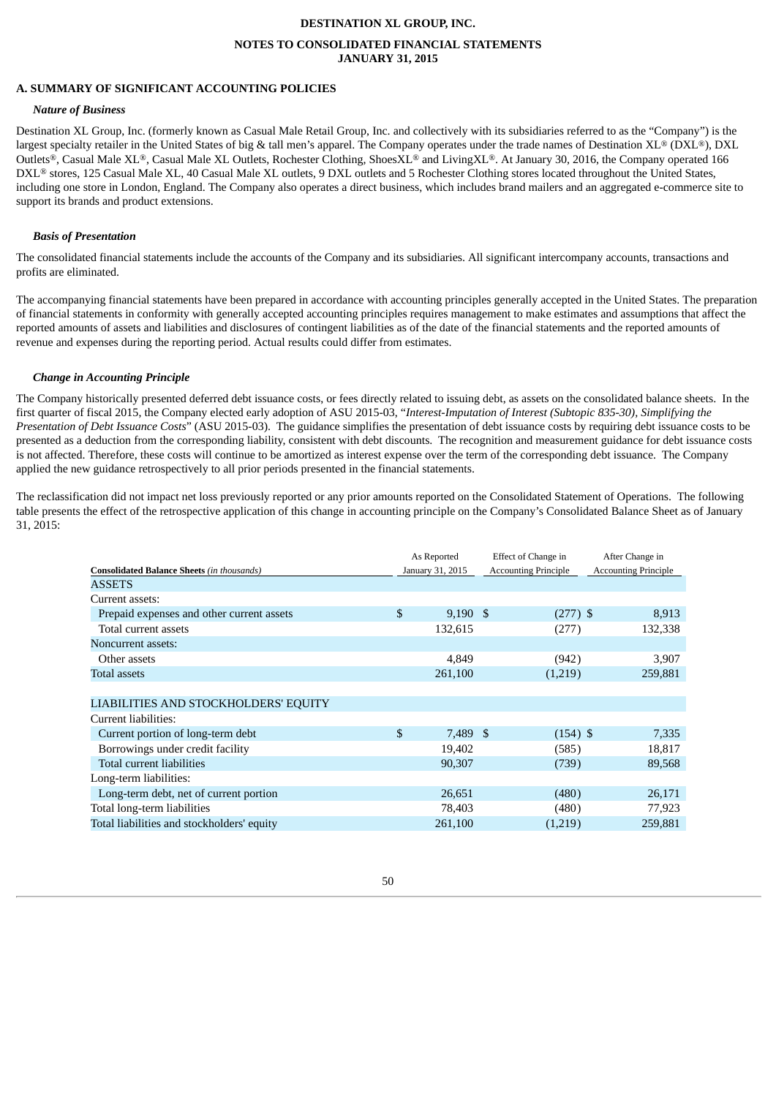# **DESTINATION XL GROUP, INC.**

# **NOTES TO CONSOLIDATED FINANCIAL STATEMENTS JANUARY 31, 2015**

#### <span id="page-49-0"></span>**A. SUMMARY OF SIGNIFICANT ACCOUNTING POLICIES**

#### *Nature of Business*

Destination XL Group, Inc. (formerly known as Casual Male Retail Group, Inc. and collectively with its subsidiaries referred to as the "Company") is the largest specialty retailer in the United States of big & tall men's apparel. The Company operates under the trade names of Destination XL® (DXL®), DXL Outlets®, Casual Male XL®, Casual Male XL Outlets, Rochester Clothing, ShoesXL® and LivingXL®. At January 30, 2016, the Company operated 166 DXL<sup>®</sup> stores, 125 Casual Male XL, 40 Casual Male XL outlets, 9 DXL outlets and 5 Rochester Clothing stores located throughout the United States, including one store in London, England. The Company also operates a direct business, which includes brand mailers and an aggregated e-commerce site to support its brands and product extensions.

#### *Basis of Presentation*

The consolidated financial statements include the accounts of the Company and its subsidiaries. All significant intercompany accounts, transactions and profits are eliminated.

The accompanying financial statements have been prepared in accordance with accounting principles generally accepted in the United States. The preparation of financial statements in conformity with generally accepted accounting principles requires management to make estimates and assumptions that affect the reported amounts of assets and liabilities and disclosures of contingent liabilities as of the date of the financial statements and the reported amounts of revenue and expenses during the reporting period. Actual results could differ from estimates.

# *Change in Accounting Principle*

The Company historically presented deferred debt issuance costs, or fees directly related to issuing debt, as assets on the consolidated balance sheets. In the first quarter of fiscal 2015, the Company elected early adoption of ASU 2015-03, "*Interest-Imputation of Interest (Subtopic 835-30), Simplifying the Presentation of Debt Issuance Costs*" (ASU 2015-03). The guidance simplifies the presentation of debt issuance costs by requiring debt issuance costs to be presented as a deduction from the corresponding liability, consistent with debt discounts. The recognition and measurement guidance for debt issuance costs is not affected. Therefore, these costs will continue to be amortized as interest expense over the term of the corresponding debt issuance. The Company applied the new guidance retrospectively to all prior periods presented in the financial statements.

The reclassification did not impact net loss previously reported or any prior amounts reported on the Consolidated Statement of Operations. The following table presents the effect of the retrospective application of this change in accounting principle on the Company's Consolidated Balance Sheet as of January 31, 2015:

|                                                   |              | As Reported      | Effect of Change in         | After Change in             |
|---------------------------------------------------|--------------|------------------|-----------------------------|-----------------------------|
| <b>Consolidated Balance Sheets (in thousands)</b> |              | January 31, 2015 | <b>Accounting Principle</b> | <b>Accounting Principle</b> |
| ASSETS                                            |              |                  |                             |                             |
| Current assets:                                   |              |                  |                             |                             |
| Prepaid expenses and other current assets         | \$           | $9,190$ \$       | $(277)$ \$                  | 8,913                       |
| Total current assets                              |              | 132,615          | (277)                       | 132,338                     |
| Noncurrent assets:                                |              |                  |                             |                             |
| Other assets                                      |              | 4,849            | (942)                       | 3,907                       |
| Total assets                                      |              | 261,100          | (1,219)                     | 259,881                     |
|                                                   |              |                  |                             |                             |
| LIABILITIES AND STOCKHOLDERS' EQUITY              |              |                  |                             |                             |
| Current liabilities:                              |              |                  |                             |                             |
| Current portion of long-term debt                 | $\mathbf{s}$ | 7,489 \$         | $(154)$ \$                  | 7,335                       |
| Borrowings under credit facility                  |              | 19,402           | (585)                       | 18,817                      |
| <b>Total current liabilities</b>                  |              | 90,307           | (739)                       | 89,568                      |
| Long-term liabilities:                            |              |                  |                             |                             |
| Long-term debt, net of current portion            |              | 26,651           | (480)                       | 26,171                      |
| Total long-term liabilities                       |              | 78,403           | (480)                       | 77,923                      |
| Total liabilities and stockholders' equity        |              | 261,100          | (1,219)                     | 259,881                     |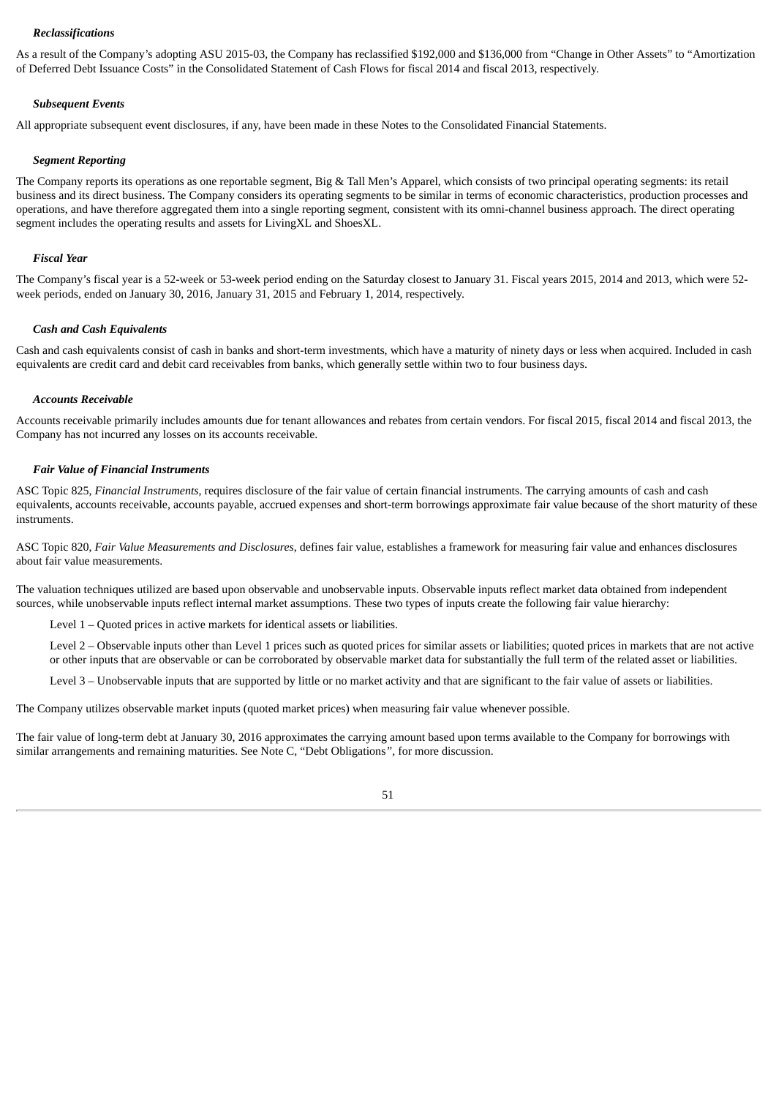# *Reclassifications*

As a result of the Company's adopting ASU 2015-03, the Company has reclassified \$192,000 and \$136,000 from "Change in Other Assets" to "Amortization of Deferred Debt Issuance Costs" in the Consolidated Statement of Cash Flows for fiscal 2014 and fiscal 2013, respectively.

# *Subsequent Events*

All appropriate subsequent event disclosures, if any, have been made in these Notes to the Consolidated Financial Statements.

#### *Segment Reporting*

The Company reports its operations as one reportable segment, Big & Tall Men's Apparel, which consists of two principal operating segments: its retail business and its direct business. The Company considers its operating segments to be similar in terms of economic characteristics, production processes and operations, and have therefore aggregated them into a single reporting segment, consistent with its omni-channel business approach. The direct operating segment includes the operating results and assets for LivingXL and ShoesXL.

# *Fiscal Year*

The Company's fiscal year is a 52-week or 53-week period ending on the Saturday closest to January 31. Fiscal years 2015, 2014 and 2013, which were 52 week periods, ended on January 30, 2016, January 31, 2015 and February 1, 2014, respectively.

# *Cash and Cash Equivalents*

Cash and cash equivalents consist of cash in banks and short-term investments, which have a maturity of ninety days or less when acquired. Included in cash equivalents are credit card and debit card receivables from banks, which generally settle within two to four business days.

# *Accounts Receivable*

Accounts receivable primarily includes amounts due for tenant allowances and rebates from certain vendors. For fiscal 2015, fiscal 2014 and fiscal 2013, the Company has not incurred any losses on its accounts receivable.

# *Fair Value of Financial Instruments*

ASC Topic 825, *Financial Instruments,* requires disclosure of the fair value of certain financial instruments. The carrying amounts of cash and cash equivalents, accounts receivable, accounts payable, accrued expenses and short-term borrowings approximate fair value because of the short maturity of these instruments.

ASC Topic 820, *Fair Value Measurements and Disclosures*, defines fair value, establishes a framework for measuring fair value and enhances disclosures about fair value measurements.

The valuation techniques utilized are based upon observable and unobservable inputs. Observable inputs reflect market data obtained from independent sources, while unobservable inputs reflect internal market assumptions. These two types of inputs create the following fair value hierarchy:

Level 1 – Quoted prices in active markets for identical assets or liabilities.

Level 2 – Observable inputs other than Level 1 prices such as quoted prices for similar assets or liabilities; quoted prices in markets that are not active or other inputs that are observable or can be corroborated by observable market data for substantially the full term of the related asset or liabilities.

Level 3 – Unobservable inputs that are supported by little or no market activity and that are significant to the fair value of assets or liabilities.

The Company utilizes observable market inputs (quoted market prices) when measuring fair value whenever possible.

The fair value of long-term debt at January 30, 2016 approximates the carrying amount based upon terms available to the Company for borrowings with similar arrangements and remaining maturities. See Note C, "Debt Obligations*"*, for more discussion.

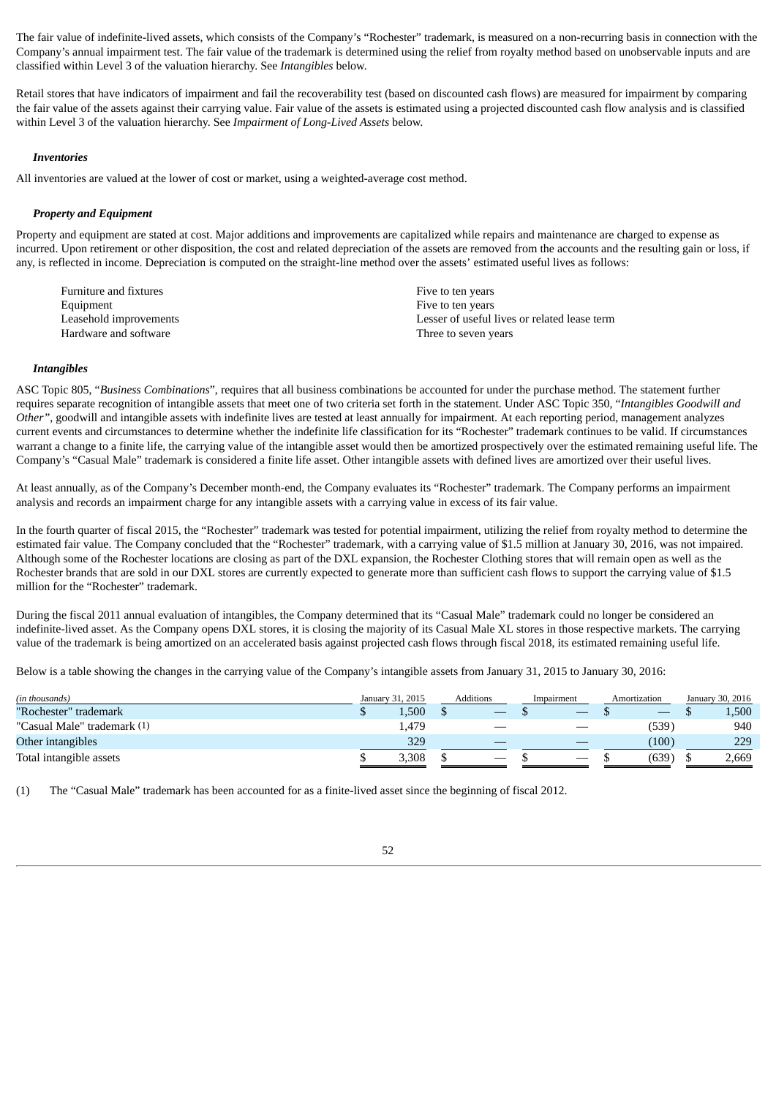The fair value of indefinite-lived assets, which consists of the Company's "Rochester" trademark, is measured on a non-recurring basis in connection with the Company's annual impairment test. The fair value of the trademark is determined using the relief from royalty method based on unobservable inputs and are classified within Level 3 of the valuation hierarchy. See *Intangibles* below.

Retail stores that have indicators of impairment and fail the recoverability test (based on discounted cash flows) are measured for impairment by comparing the fair value of the assets against their carrying value. Fair value of the assets is estimated using a projected discounted cash flow analysis and is classified within Level 3 of the valuation hierarchy. See *Impairment of Long-Lived Assets* below.

#### *Inventories*

All inventories are valued at the lower of cost or market, using a weighted-average cost method.

#### *Property and Equipment*

Property and equipment are stated at cost. Major additions and improvements are capitalized while repairs and maintenance are charged to expense as incurred. Upon retirement or other disposition, the cost and related depreciation of the assets are removed from the accounts and the resulting gain or loss, if any, is reflected in income. Depreciation is computed on the straight-line method over the assets' estimated useful lives as follows:

| Furniture and fixtures | Five to ten years                            |
|------------------------|----------------------------------------------|
| Equipment              | Five to ten years                            |
| Leasehold improvements | Lesser of useful lives or related lease term |
| Hardware and software  | Three to seven years                         |

#### *Intangibles*

ASC Topic 805, "*Business Combinations*", requires that all business combinations be accounted for under the purchase method. The statement further requires separate recognition of intangible assets that meet one of two criteria set forth in the statement. Under ASC Topic 350, "*Intangibles Goodwill and Other"*, goodwill and intangible assets with indefinite lives are tested at least annually for impairment. At each reporting period, management analyzes current events and circumstances to determine whether the indefinite life classification for its "Rochester" trademark continues to be valid. If circumstances warrant a change to a finite life, the carrying value of the intangible asset would then be amortized prospectively over the estimated remaining useful life. The Company's "Casual Male" trademark is considered a finite life asset. Other intangible assets with defined lives are amortized over their useful lives.

At least annually, as of the Company's December month-end, the Company evaluates its "Rochester" trademark. The Company performs an impairment analysis and records an impairment charge for any intangible assets with a carrying value in excess of its fair value.

In the fourth quarter of fiscal 2015, the "Rochester" trademark was tested for potential impairment, utilizing the relief from royalty method to determine the estimated fair value. The Company concluded that the "Rochester" trademark, with a carrying value of \$1.5 million at January 30, 2016, was not impaired. Although some of the Rochester locations are closing as part of the DXL expansion, the Rochester Clothing stores that will remain open as well as the Rochester brands that are sold in our DXL stores are currently expected to generate more than sufficient cash flows to support the carrying value of \$1.5 million for the "Rochester" trademark.

During the fiscal 2011 annual evaluation of intangibles, the Company determined that its "Casual Male" trademark could no longer be considered an indefinite-lived asset. As the Company opens DXL stores, it is closing the majority of its Casual Male XL stores in those respective markets. The carrying value of the trademark is being amortized on an accelerated basis against projected cash flows through fiscal 2018, its estimated remaining useful life.

Below is a table showing the changes in the carrying value of the Company's intangible assets from January 31, 2015 to January 30, 2016:

| (in thousands)              | January 31, 2015 |       | Additions |  | Impairment |    | Amortization | January 30, 2016 |       |
|-----------------------------|------------------|-------|-----------|--|------------|----|--------------|------------------|-------|
| "Rochester" trademark       |                  | 1,500 |           |  |            | __ | __           |                  | 1,500 |
| "Casual Male" trademark (1) |                  | 479ء  |           |  |            | __ | (539)        |                  | 940   |
| Other intangibles           |                  | 329   |           |  |            |    | (100)        |                  | 229   |
| Total intangible assets     |                  | 3,308 |           |  |            |    | (639)        |                  | 2,669 |

(1) The "Casual Male" trademark has been accounted for as a finite-lived asset since the beginning of fiscal 2012.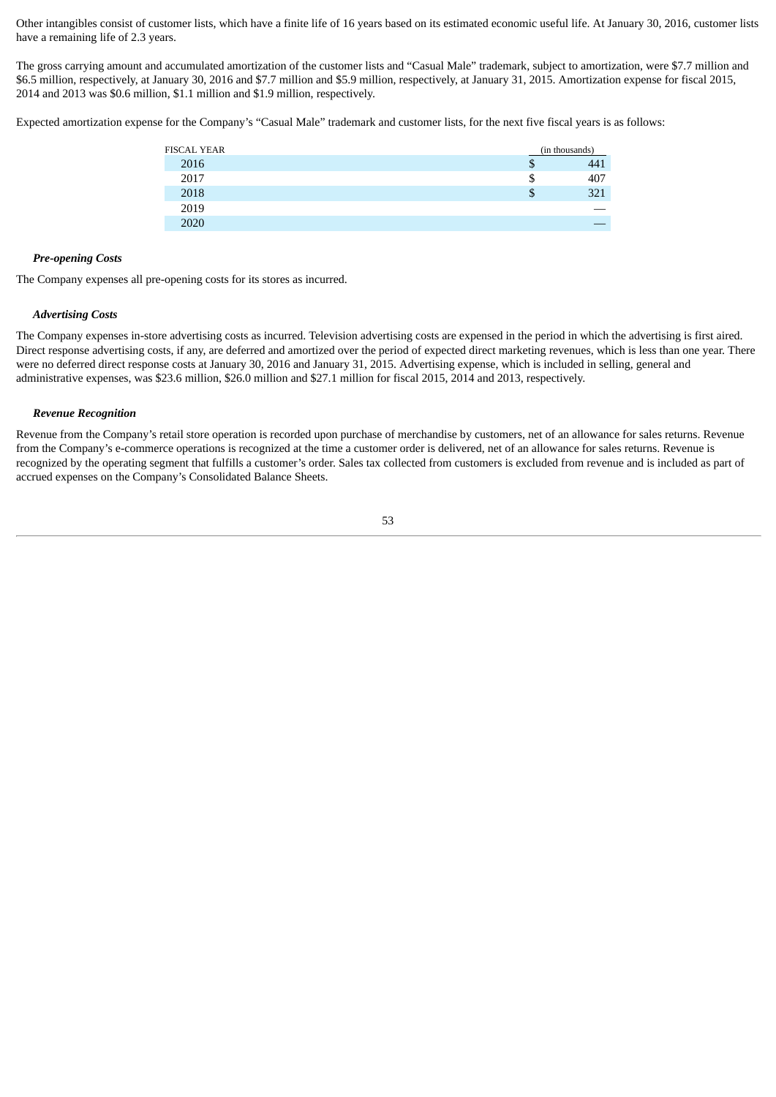Other intangibles consist of customer lists, which have a finite life of 16 years based on its estimated economic useful life. At January 30, 2016, customer lists have a remaining life of 2.3 years.

The gross carrying amount and accumulated amortization of the customer lists and "Casual Male" trademark, subject to amortization, were \$7.7 million and \$6.5 million, respectively, at January 30, 2016 and \$7.7 million and \$5.9 million, respectively, at January 31, 2015. Amortization expense for fiscal 2015, 2014 and 2013 was \$0.6 million, \$1.1 million and \$1.9 million, respectively.

Expected amortization expense for the Company's "Casual Male" trademark and customer lists, for the next five fiscal years is as follows:

| FISCAL YEAR |    | (in thousands) |
|-------------|----|----------------|
| 2016        | Φ  | 441            |
| 2017        | \$ | 407            |
| 2018        | Э  | 321            |
| 2019        |    |                |
| 2020        |    |                |
|             |    |                |

# *Pre-opening Costs*

The Company expenses all pre-opening costs for its stores as incurred.

# *Advertising Costs*

The Company expenses in-store advertising costs as incurred. Television advertising costs are expensed in the period in which the advertising is first aired. Direct response advertising costs, if any, are deferred and amortized over the period of expected direct marketing revenues, which is less than one year. There were no deferred direct response costs at January 30, 2016 and January 31, 2015. Advertising expense, which is included in selling, general and administrative expenses, was \$23.6 million, \$26.0 million and \$27.1 million for fiscal 2015, 2014 and 2013, respectively.

# *Revenue Recognition*

Revenue from the Company's retail store operation is recorded upon purchase of merchandise by customers, net of an allowance for sales returns. Revenue from the Company's e-commerce operations is recognized at the time a customer order is delivered, net of an allowance for sales returns. Revenue is recognized by the operating segment that fulfills a customer's order. Sales tax collected from customers is excluded from revenue and is included as part of accrued expenses on the Company's Consolidated Balance Sheets.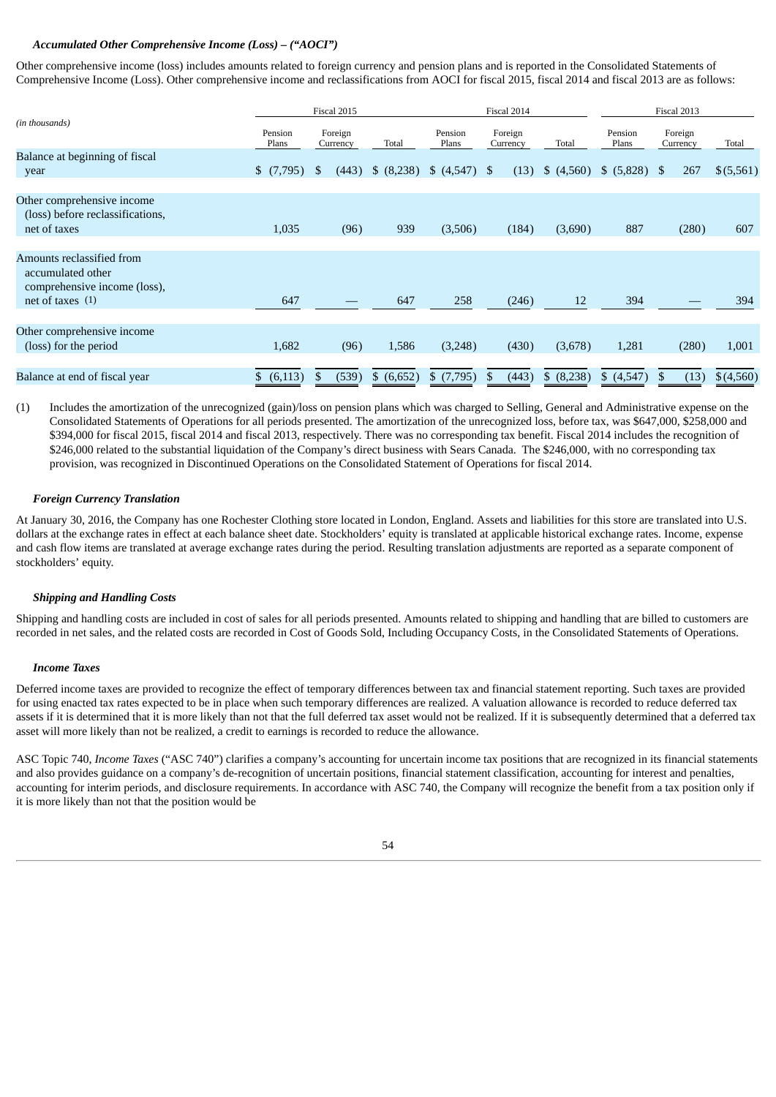# *Accumulated Other Comprehensive Income (Loss) – ("AOCI")*

Other comprehensive income (loss) includes amounts related to foreign currency and pension plans and is reported in the Consolidated Statements of Comprehensive Income (Loss). Other comprehensive income and reclassifications from AOCI for fiscal 2015, fiscal 2014 and fiscal 2013 are as follows:

|                                                                                                      |                  | Fiscal 2015         |            |                  | Fiscal 2014         |            |                  | Fiscal 2013         |           |
|------------------------------------------------------------------------------------------------------|------------------|---------------------|------------|------------------|---------------------|------------|------------------|---------------------|-----------|
| (in thousands)                                                                                       | Pension<br>Plans | Foreign<br>Currency | Total      | Pension<br>Plans | Foreign<br>Currency | Total      | Pension<br>Plans | Foreign<br>Currency | Total     |
| Balance at beginning of fiscal<br>year                                                               | (7,795)<br>\$    | \$<br>(443)         | \$ (8,238) | $(4,547)$ \$     | (13)                | \$ (4,560) | $$$ (5,828) \$   | 267                 | \$(5,561) |
| Other comprehensive income<br>(loss) before reclassifications,<br>net of taxes                       | 1,035            | (96)                | 939        | (3,506)          | (184)               | (3,690)    | 887              | (280)               | 607       |
| Amounts reclassified from<br>accumulated other<br>comprehensive income (loss),<br>net of taxes $(1)$ | 647              |                     | 647        | 258              | (246)               | 12         | 394              |                     | 394       |
|                                                                                                      |                  |                     |            |                  |                     |            |                  |                     |           |
| Other comprehensive income<br>(loss) for the period                                                  | 1,682            | (96)                | 1,586      | (3,248)          | (430)               | (3,678)    | 1,281            | (280)               | 1,001     |
| Balance at end of fiscal year                                                                        | (6, 113)<br>\$   | (539)<br>\$         | \$ (6,652) | \$(7,795)        | (443)               | \$ (8,238) | \$(4,547)        | (13)<br>\$          | \$(4,560) |

(1) Includes the amortization of the unrecognized (gain)/loss on pension plans which was charged to Selling, General and Administrative expense on the Consolidated Statements of Operations for all periods presented. The amortization of the unrecognized loss, before tax, was \$647,000, \$258,000 and \$394,000 for fiscal 2015, fiscal 2014 and fiscal 2013, respectively. There was no corresponding tax benefit. Fiscal 2014 includes the recognition of \$246,000 related to the substantial liquidation of the Company's direct business with Sears Canada. The \$246,000, with no corresponding tax provision, was recognized in Discontinued Operations on the Consolidated Statement of Operations for fiscal 2014.

# *Foreign Currency Translation*

At January 30, 2016, the Company has one Rochester Clothing store located in London, England. Assets and liabilities for this store are translated into U.S. dollars at the exchange rates in effect at each balance sheet date. Stockholders' equity is translated at applicable historical exchange rates. Income, expense and cash flow items are translated at average exchange rates during the period. Resulting translation adjustments are reported as a separate component of stockholders' equity.

#### *Shipping and Handling Costs*

Shipping and handling costs are included in cost of sales for all periods presented. Amounts related to shipping and handling that are billed to customers are recorded in net sales, and the related costs are recorded in Cost of Goods Sold, Including Occupancy Costs, in the Consolidated Statements of Operations.

#### *Income Taxes*

Deferred income taxes are provided to recognize the effect of temporary differences between tax and financial statement reporting. Such taxes are provided for using enacted tax rates expected to be in place when such temporary differences are realized. A valuation allowance is recorded to reduce deferred tax assets if it is determined that it is more likely than not that the full deferred tax asset would not be realized. If it is subsequently determined that a deferred tax asset will more likely than not be realized, a credit to earnings is recorded to reduce the allowance.

ASC Topic 740, *Income Taxes* ("ASC 740") clarifies a company's accounting for uncertain income tax positions that are recognized in its financial statements and also provides guidance on a company's de-recognition of uncertain positions, financial statement classification, accounting for interest and penalties, accounting for interim periods, and disclosure requirements. In accordance with ASC 740, the Company will recognize the benefit from a tax position only if it is more likely than not that the position would be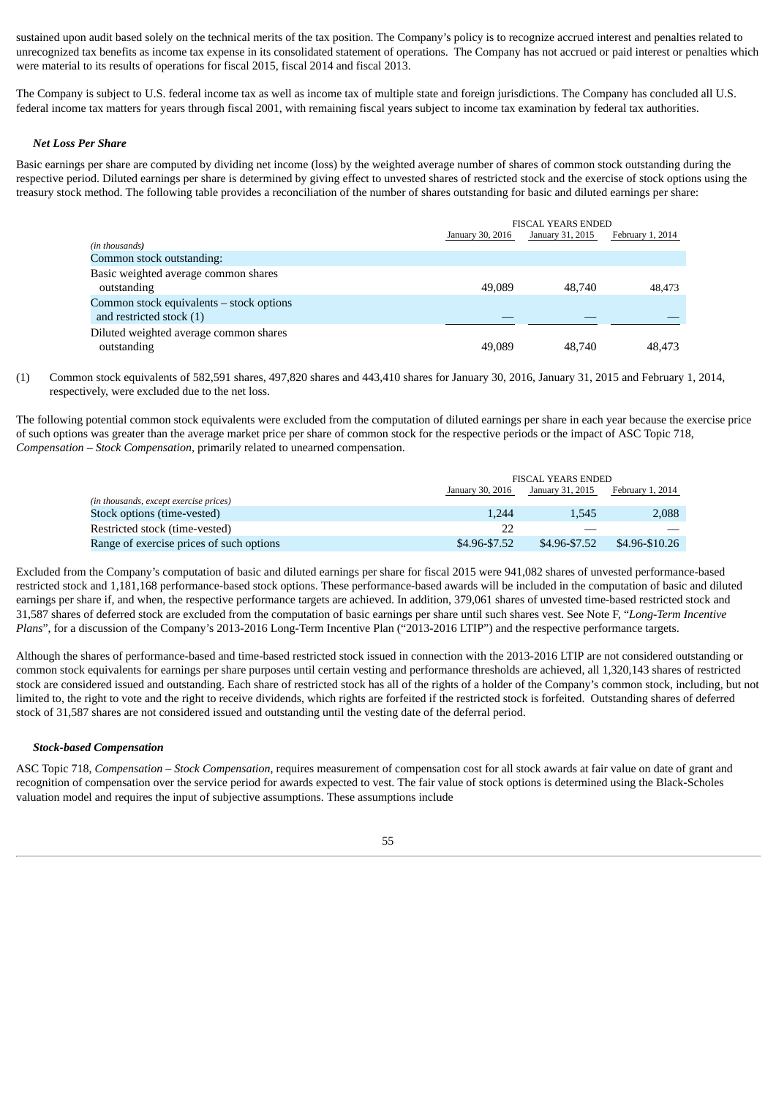sustained upon audit based solely on the technical merits of the tax position. The Company's policy is to recognize accrued interest and penalties related to unrecognized tax benefits as income tax expense in its consolidated statement of operations. The Company has not accrued or paid interest or penalties which were material to its results of operations for fiscal 2015, fiscal 2014 and fiscal 2013.

The Company is subject to U.S. federal income tax as well as income tax of multiple state and foreign jurisdictions. The Company has concluded all U.S. federal income tax matters for years through fiscal 2001, with remaining fiscal years subject to income tax examination by federal tax authorities.

#### *Net Loss Per Share*

Basic earnings per share are computed by dividing net income (loss) by the weighted average number of shares of common stock outstanding during the respective period. Diluted earnings per share is determined by giving effect to unvested shares of restricted stock and the exercise of stock options using the treasury stock method. The following table provides a reconciliation of the number of shares outstanding for basic and diluted earnings per share:

|                                          | <b>FISCAL YEARS ENDED</b> |                  |                  |  |  |
|------------------------------------------|---------------------------|------------------|------------------|--|--|
|                                          | January 30, 2016          | January 31, 2015 | February 1, 2014 |  |  |
| (in thousands)                           |                           |                  |                  |  |  |
| Common stock outstanding:                |                           |                  |                  |  |  |
| Basic weighted average common shares     |                           |                  |                  |  |  |
| outstanding                              | 49,089                    | 48,740           | 48,473           |  |  |
| Common stock equivalents - stock options |                           |                  |                  |  |  |
| and restricted stock (1)                 |                           |                  |                  |  |  |
| Diluted weighted average common shares   |                           |                  |                  |  |  |
| outstanding                              | 49,089                    | 48,740           | 48,473           |  |  |

(1) Common stock equivalents of 582,591 shares, 497,820 shares and 443,410 shares for January 30, 2016, January 31, 2015 and February 1, 2014, respectively, were excluded due to the net loss.

The following potential common stock equivalents were excluded from the computation of diluted earnings per share in each year because the exercise price of such options was greater than the average market price per share of common stock for the respective periods or the impact of ASC Topic 718, *Compensation – Stock Compensation*, primarily related to unearned compensation.

|                                          |                  | FISCAL YEARS ENDED |                  |  |  |  |
|------------------------------------------|------------------|--------------------|------------------|--|--|--|
|                                          | January 30, 2016 | January 31, 2015   | February 1, 2014 |  |  |  |
| (in thousands, except exercise prices)   |                  |                    |                  |  |  |  |
| Stock options (time-vested)              | 1.244            | 1.545              | 2.088            |  |  |  |
| Restricted stock (time-vested)           | 22               |                    |                  |  |  |  |
| Range of exercise prices of such options | \$4.96-\$7.52    | \$4.96-\$7.52      | \$4.96-\$10.26   |  |  |  |

Excluded from the Company's computation of basic and diluted earnings per share for fiscal 2015 were 941,082 shares of unvested performance-based restricted stock and 1,181,168 performance-based stock options. These performance-based awards will be included in the computation of basic and diluted earnings per share if, and when, the respective performance targets are achieved. In addition, 379,061 shares of unvested time-based restricted stock and 31,587 shares of deferred stock are excluded from the computation of basic earnings per share until such shares vest. See Note F, "*Long-Term Incentive Plans*", for a discussion of the Company's 2013-2016 Long-Term Incentive Plan ("2013-2016 LTIP") and the respective performance targets.

Although the shares of performance-based and time-based restricted stock issued in connection with the 2013-2016 LTIP are not considered outstanding or common stock equivalents for earnings per share purposes until certain vesting and performance thresholds are achieved, all 1,320,143 shares of restricted stock are considered issued and outstanding. Each share of restricted stock has all of the rights of a holder of the Company's common stock, including, but not limited to, the right to vote and the right to receive dividends, which rights are forfeited if the restricted stock is forfeited. Outstanding shares of deferred stock of 31,587 shares are not considered issued and outstanding until the vesting date of the deferral period.

#### *Stock-based Compensation*

ASC Topic 718, *Compensation – Stock Compensation*, requires measurement of compensation cost for all stock awards at fair value on date of grant and recognition of compensation over the service period for awards expected to vest. The fair value of stock options is determined using the Black-Scholes valuation model and requires the input of subjective assumptions. These assumptions include

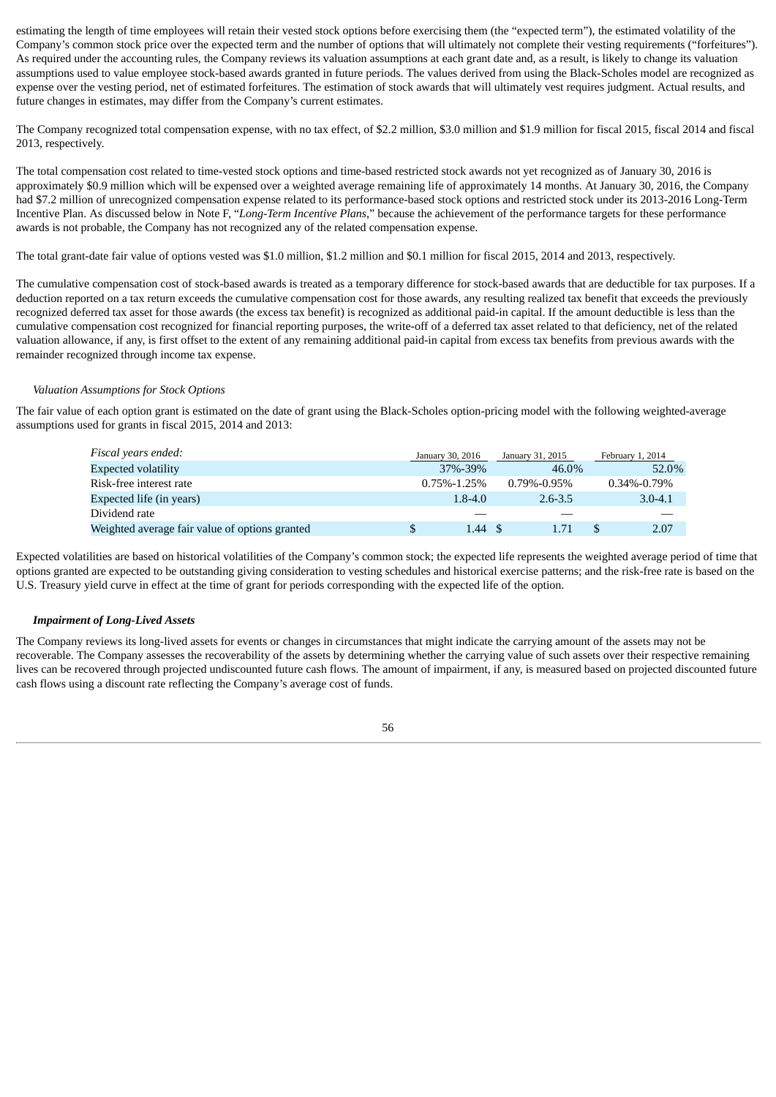estimating the length of time employees will retain their vested stock options before exercising them (the "expected term"), the estimated volatility of the Company's common stock price over the expected term and the number of options that will ultimately not complete their vesting requirements ("forfeitures"). As required under the accounting rules, the Company reviews its valuation assumptions at each grant date and, as a result, is likely to change its valuation assumptions used to value employee stock-based awards granted in future periods. The values derived from using the Black-Scholes model are recognized as expense over the vesting period, net of estimated forfeitures. The estimation of stock awards that will ultimately vest requires judgment. Actual results, and future changes in estimates, may differ from the Company's current estimates.

The Company recognized total compensation expense, with no tax effect, of \$2.2 million, \$3.0 million and \$1.9 million for fiscal 2015, fiscal 2014 and fiscal 2013, respectively.

The total compensation cost related to time-vested stock options and time-based restricted stock awards not yet recognized as of January 30, 2016 is approximately \$0.9 million which will be expensed over a weighted average remaining life of approximately 14 months. At January 30, 2016, the Company had \$7.2 million of unrecognized compensation expense related to its performance-based stock options and restricted stock under its 2013-2016 Long-Term Incentive Plan. As discussed below in Note F, "*Long-Term Incentive Plans*," because the achievement of the performance targets for these performance awards is not probable, the Company has not recognized any of the related compensation expense.

The total grant-date fair value of options vested was \$1.0 million, \$1.2 million and \$0.1 million for fiscal 2015, 2014 and 2013, respectively.

The cumulative compensation cost of stock-based awards is treated as a temporary difference for stock-based awards that are deductible for tax purposes. If a deduction reported on a tax return exceeds the cumulative compensation cost for those awards, any resulting realized tax benefit that exceeds the previously recognized deferred tax asset for those awards (the excess tax benefit) is recognized as additional paid-in capital. If the amount deductible is less than the cumulative compensation cost recognized for financial reporting purposes, the write-off of a deferred tax asset related to that deficiency, net of the related valuation allowance, if any, is first offset to the extent of any remaining additional paid-in capital from excess tax benefits from previous awards with the remainder recognized through income tax expense.

# *Valuation Assumptions for Stock Options*

The fair value of each option grant is estimated on the date of grant using the Black-Scholes option-pricing model with the following weighted-average assumptions used for grants in fiscal 2015, 2014 and 2013:

| Fiscal years ended:                            | January 30, 2016 | January 31, 2015  | February 1, 2014  |
|------------------------------------------------|------------------|-------------------|-------------------|
| <b>Expected volatility</b>                     | 37%-39%          | 46.0%             | 52.0%             |
| Risk-free interest rate                        | 0.75%-1.25%      | $0.79\% - 0.95\%$ | $0.34\% - 0.79\%$ |
| Expected life (in years)                       | $1.8 - 4.0$      | $2.6 - 3.5$       | $3.0 - 4.1$       |
| Dividend rate                                  |                  |                   |                   |
| Weighted average fair value of options granted | S<br>1.44 S      | 1.71              | 2.07              |

Expected volatilities are based on historical volatilities of the Company's common stock; the expected life represents the weighted average period of time that options granted are expected to be outstanding giving consideration to vesting schedules and historical exercise patterns; and the risk-free rate is based on the U.S. Treasury yield curve in effect at the time of grant for periods corresponding with the expected life of the option.

#### *Impairment of Long-Lived Assets*

The Company reviews its long-lived assets for events or changes in circumstances that might indicate the carrying amount of the assets may not be recoverable. The Company assesses the recoverability of the assets by determining whether the carrying value of such assets over their respective remaining lives can be recovered through projected undiscounted future cash flows. The amount of impairment, if any, is measured based on projected discounted future cash flows using a discount rate reflecting the Company's average cost of funds.

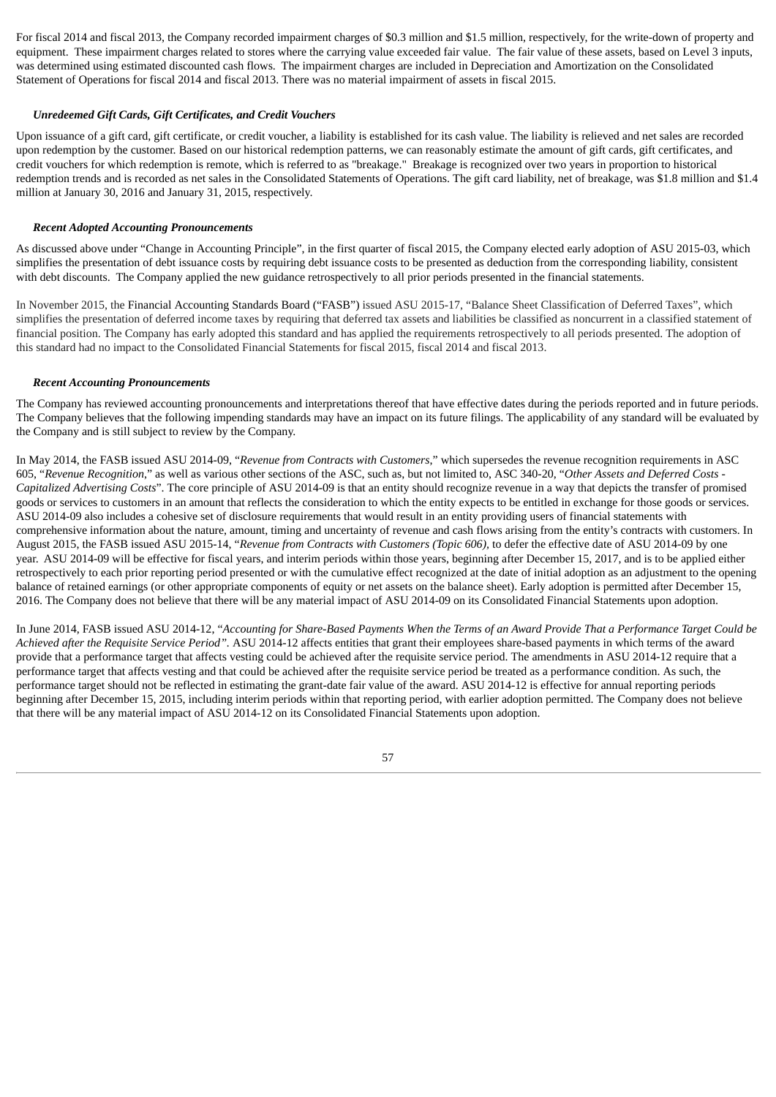For fiscal 2014 and fiscal 2013, the Company recorded impairment charges of \$0.3 million and \$1.5 million, respectively, for the write-down of property and equipment. These impairment charges related to stores where the carrying value exceeded fair value. The fair value of these assets, based on Level 3 inputs, was determined using estimated discounted cash flows. The impairment charges are included in Depreciation and Amortization on the Consolidated Statement of Operations for fiscal 2014 and fiscal 2013. There was no material impairment of assets in fiscal 2015.

# *Unredeemed Gift Cards, Gift Certificates, and Credit Vouchers*

Upon issuance of a gift card, gift certificate, or credit voucher, a liability is established for its cash value. The liability is relieved and net sales are recorded upon redemption by the customer. Based on our historical redemption patterns, we can reasonably estimate the amount of gift cards, gift certificates, and credit vouchers for which redemption is remote, which is referred to as "breakage." Breakage is recognized over two years in proportion to historical redemption trends and is recorded as net sales in the Consolidated Statements of Operations. The gift card liability, net of breakage, was \$1.8 million and \$1.4 million at January 30, 2016 and January 31, 2015, respectively.

# *Recent Adopted Accounting Pronouncements*

As discussed above under "Change in Accounting Principle", in the first quarter of fiscal 2015, the Company elected early adoption of ASU 2015-03, which simplifies the presentation of debt issuance costs by requiring debt issuance costs to be presented as deduction from the corresponding liability, consistent with debt discounts. The Company applied the new guidance retrospectively to all prior periods presented in the financial statements.

In November 2015, the Financial Accounting Standards Board ("FASB") issued ASU 2015-17, "Balance Sheet Classification of Deferred Taxes", which simplifies the presentation of deferred income taxes by requiring that deferred tax assets and liabilities be classified as noncurrent in a classified statement of financial position. The Company has early adopted this standard and has applied the requirements retrospectively to all periods presented. The adoption of this standard had no impact to the Consolidated Financial Statements for fiscal 2015, fiscal 2014 and fiscal 2013.

#### *Recent Accounting Pronouncements*

The Company has reviewed accounting pronouncements and interpretations thereof that have effective dates during the periods reported and in future periods. The Company believes that the following impending standards may have an impact on its future filings. The applicability of any standard will be evaluated by the Company and is still subject to review by the Company.

In May 2014, the FASB issued ASU 2014-09, "*Revenue from Contracts with Customers*," which supersedes the revenue recognition requirements in ASC 605, "*Revenue Recognition*," as well as various other sections of the ASC, such as, but not limited to, ASC 340-20, "*Other Assets and Deferred Costs - Capitalized Advertising Costs*". The core principle of ASU 2014-09 is that an entity should recognize revenue in a way that depicts the transfer of promised goods or services to customers in an amount that reflects the consideration to which the entity expects to be entitled in exchange for those goods or services. ASU 2014-09 also includes a cohesive set of disclosure requirements that would result in an entity providing users of financial statements with comprehensive information about the nature, amount, timing and uncertainty of revenue and cash flows arising from the entity's contracts with customers. In August 2015, the FASB issued ASU 2015-14, "*Revenue from Contracts with Customers (Topic 606),* to defer the effective date of ASU 2014-09 by one year. ASU 2014-09 will be effective for fiscal years, and interim periods within those years, beginning after December 15, 2017, and is to be applied either retrospectively to each prior reporting period presented or with the cumulative effect recognized at the date of initial adoption as an adjustment to the opening balance of retained earnings (or other appropriate components of equity or net assets on the balance sheet). Early adoption is permitted after December 15, 2016. The Company does not believe that there will be any material impact of ASU 2014-09 on its Consolidated Financial Statements upon adoption.

In June 2014, FASB issued ASU 2014-12, "Accounting for Share-Based Payments When the Terms of an Award Provide That a Performance Target Could be *Achieved after the Requisite Service Period".* ASU 2014-12 affects entities that grant their employees share-based payments in which terms of the award provide that a performance target that affects vesting could be achieved after the requisite service period. The amendments in ASU 2014-12 require that a performance target that affects vesting and that could be achieved after the requisite service period be treated as a performance condition. As such, the performance target should not be reflected in estimating the grant-date fair value of the award. ASU 2014-12 is effective for annual reporting periods beginning after December 15, 2015, including interim periods within that reporting period, with earlier adoption permitted. The Company does not believe that there will be any material impact of ASU 2014-12 on its Consolidated Financial Statements upon adoption.

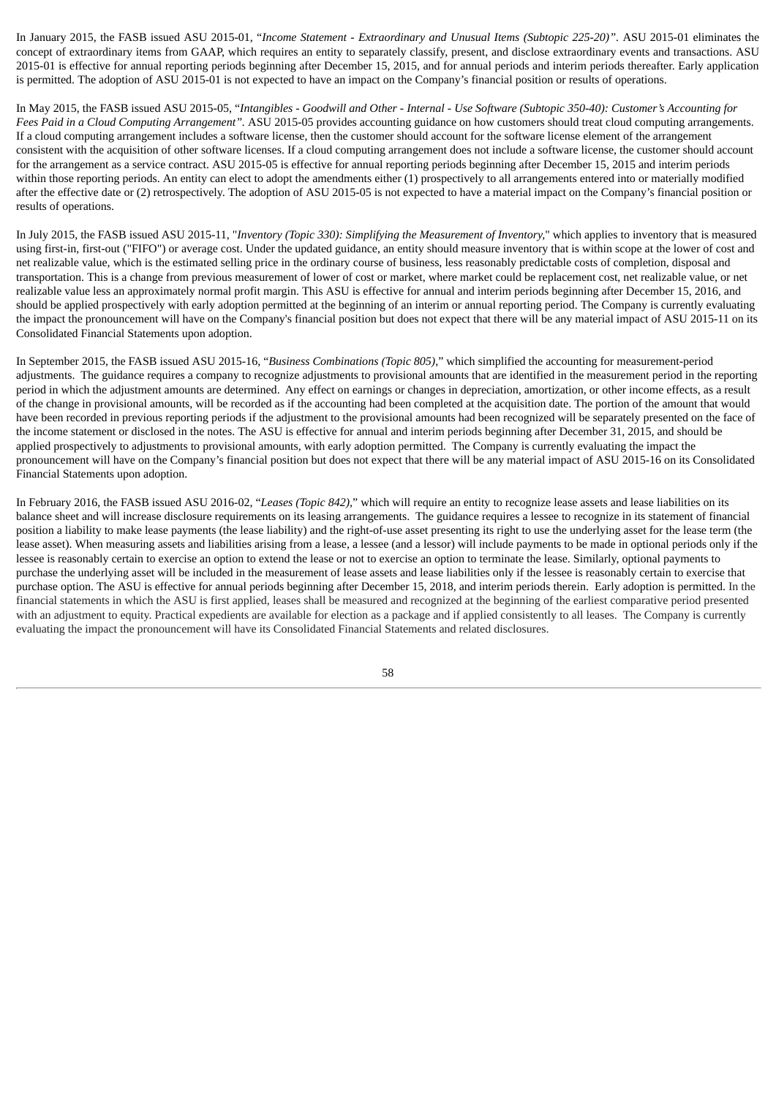In January 2015, the FASB issued ASU 2015-01, "*Income Statement - Extraordinary and Unusual Items (Subtopic 225-20)".* ASU 2015-01 eliminates the concept of extraordinary items from GAAP, which requires an entity to separately classify, present, and disclose extraordinary events and transactions. ASU 2015-01 is effective for annual reporting periods beginning after December 15, 2015, and for annual periods and interim periods thereafter. Early application is permitted. The adoption of ASU 2015-01 is not expected to have an impact on the Company's financial position or results of operations.

In May 2015, the FASB issued ASU 2015-05, "Intangibles - Goodwill and Other - Internal - Use Software (Subtopic 350-40): Customer's Accounting for *Fees Paid in a Cloud Computing Arrangement".* ASU 2015-05 provides accounting guidance on how customers should treat cloud computing arrangements. If a cloud computing arrangement includes a software license, then the customer should account for the software license element of the arrangement consistent with the acquisition of other software licenses. If a cloud computing arrangement does not include a software license, the customer should account for the arrangement as a service contract. ASU 2015-05 is effective for annual reporting periods beginning after December 15, 2015 and interim periods within those reporting periods. An entity can elect to adopt the amendments either (1) prospectively to all arrangements entered into or materially modified after the effective date or (2) retrospectively. The adoption of ASU 2015-05 is not expected to have a material impact on the Company's financial position or results of operations.

In July 2015, the FASB issued ASU 2015-11, "*Inventory (Topic 330): Simplifying the Measurement of Inventory,*" which applies to inventory that is measured using first-in, first-out ("FIFO") or average cost. Under the updated guidance, an entity should measure inventory that is within scope at the lower of cost and net realizable value, which is the estimated selling price in the ordinary course of business, less reasonably predictable costs of completion, disposal and transportation. This is a change from previous measurement of lower of cost or market, where market could be replacement cost, net realizable value, or net realizable value less an approximately normal profit margin. This ASU is effective for annual and interim periods beginning after December 15, 2016, and should be applied prospectively with early adoption permitted at the beginning of an interim or annual reporting period. The Company is currently evaluating the impact the pronouncement will have on the Company's financial position but does not expect that there will be any material impact of ASU 2015-11 on its Consolidated Financial Statements upon adoption.

In September 2015, the FASB issued ASU 2015-16, "*Business Combinations (Topic 805)*," which simplified the accounting for measurement-period adjustments. The guidance requires a company to recognize adjustments to provisional amounts that are identified in the measurement period in the reporting period in which the adjustment amounts are determined. Any effect on earnings or changes in depreciation, amortization, or other income effects, as a result of the change in provisional amounts, will be recorded as if the accounting had been completed at the acquisition date. The portion of the amount that would have been recorded in previous reporting periods if the adjustment to the provisional amounts had been recognized will be separately presented on the face of the income statement or disclosed in the notes. The ASU is effective for annual and interim periods beginning after December 31, 2015, and should be applied prospectively to adjustments to provisional amounts, with early adoption permitted. The Company is currently evaluating the impact the pronouncement will have on the Company's financial position but does not expect that there will be any material impact of ASU 2015-16 on its Consolidated Financial Statements upon adoption.

In February 2016, the FASB issued ASU 2016-02, "*Leases (Topic 842)*," which will require an entity to recognize lease assets and lease liabilities on its balance sheet and will increase disclosure requirements on its leasing arrangements. The guidance requires a lessee to recognize in its statement of financial position a liability to make lease payments (the lease liability) and the right-of-use asset presenting its right to use the underlying asset for the lease term (the lease asset). When measuring assets and liabilities arising from a lease, a lessee (and a lessor) will include payments to be made in optional periods only if the lessee is reasonably certain to exercise an option to extend the lease or not to exercise an option to terminate the lease. Similarly, optional payments to purchase the underlying asset will be included in the measurement of lease assets and lease liabilities only if the lessee is reasonably certain to exercise that purchase option. The ASU is effective for annual periods beginning after December 15, 2018, and interim periods therein. Early adoption is permitted. In the financial statements in which the ASU is first applied, leases shall be measured and recognized at the beginning of the earliest comparative period presented with an adjustment to equity. Practical expedients are available for election as a package and if applied consistently to all leases. The Company is currently evaluating the impact the pronouncement will have its Consolidated Financial Statements and related disclosures.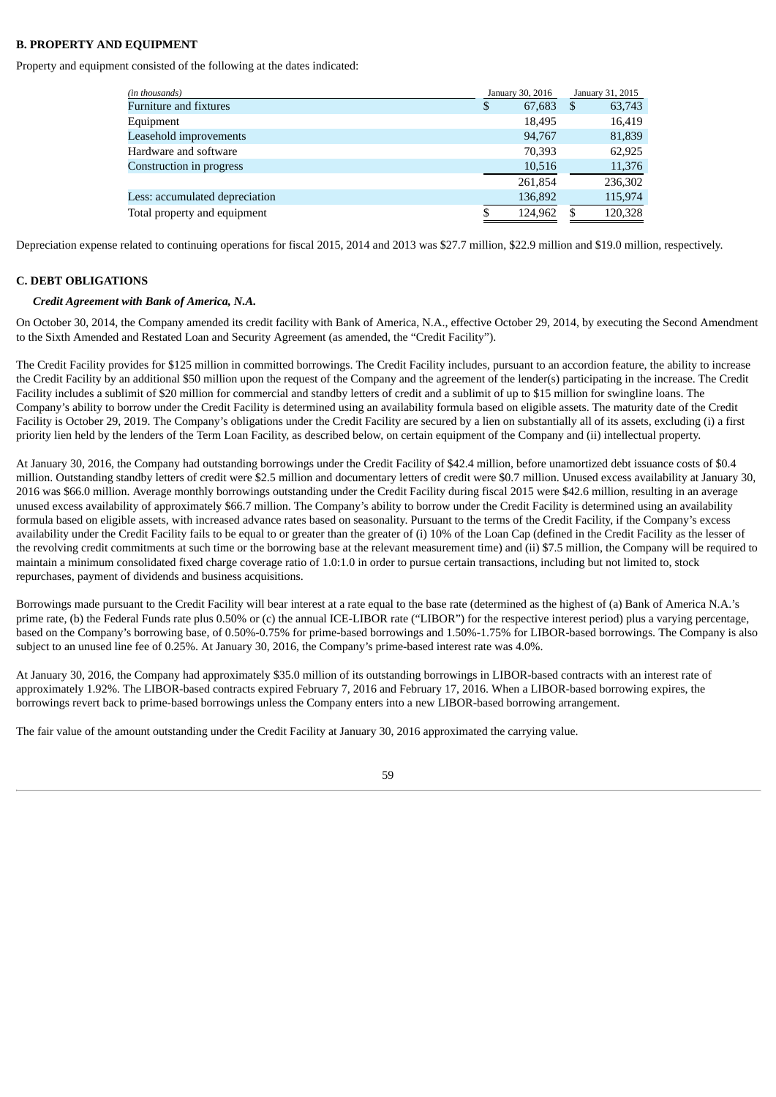# **B. PROPERTY AND EQUIPMENT**

Property and equipment consisted of the following at the dates indicated:

| (in thousands)                 | January 30, 2016 | January 31, 2015 |         |  |
|--------------------------------|------------------|------------------|---------|--|
| Furniture and fixtures         | \$<br>67,683     | \$               | 63,743  |  |
| Equipment                      | 18,495           |                  | 16,419  |  |
| Leasehold improvements         | 94,767           |                  | 81,839  |  |
| Hardware and software          | 70,393           |                  | 62,925  |  |
| Construction in progress       | 10,516           |                  | 11,376  |  |
|                                | 261,854          |                  | 236,302 |  |
| Less: accumulated depreciation | 136,892          |                  | 115,974 |  |
| Total property and equipment   | 124,962          | \$.              | 120,328 |  |

Depreciation expense related to continuing operations for fiscal 2015, 2014 and 2013 was \$27.7 million, \$22.9 million and \$19.0 million, respectively.

#### **C. DEBT OBLIGATIONS**

#### *Credit Agreement with Bank of America, N.A.*

On October 30, 2014, the Company amended its credit facility with Bank of America, N.A., effective October 29, 2014, by executing the Second Amendment to the Sixth Amended and Restated Loan and Security Agreement (as amended, the "Credit Facility").

The Credit Facility provides for \$125 million in committed borrowings. The Credit Facility includes, pursuant to an accordion feature, the ability to increase the Credit Facility by an additional \$50 million upon the request of the Company and the agreement of the lender(s) participating in the increase. The Credit Facility includes a sublimit of \$20 million for commercial and standby letters of credit and a sublimit of up to \$15 million for swingline loans. The Company's ability to borrow under the Credit Facility is determined using an availability formula based on eligible assets. The maturity date of the Credit Facility is October 29, 2019. The Company's obligations under the Credit Facility are secured by a lien on substantially all of its assets, excluding (i) a first priority lien held by the lenders of the Term Loan Facility, as described below, on certain equipment of the Company and (ii) intellectual property.

At January 30, 2016, the Company had outstanding borrowings under the Credit Facility of \$42.4 million, before unamortized debt issuance costs of \$0.4 million. Outstanding standby letters of credit were \$2.5 million and documentary letters of credit were \$0.7 million. Unused excess availability at January 30, 2016 was \$66.0 million. Average monthly borrowings outstanding under the Credit Facility during fiscal 2015 were \$42.6 million, resulting in an average unused excess availability of approximately \$66.7 million. The Company's ability to borrow under the Credit Facility is determined using an availability formula based on eligible assets, with increased advance rates based on seasonality. Pursuant to the terms of the Credit Facility, if the Company's excess availability under the Credit Facility fails to be equal to or greater than the greater of (i) 10% of the Loan Cap (defined in the Credit Facility as the lesser of the revolving credit commitments at such time or the borrowing base at the relevant measurement time) and (ii) \$7.5 million, the Company will be required to maintain a minimum consolidated fixed charge coverage ratio of 1.0:1.0 in order to pursue certain transactions, including but not limited to, stock repurchases, payment of dividends and business acquisitions.

Borrowings made pursuant to the Credit Facility will bear interest at a rate equal to the base rate (determined as the highest of (a) Bank of America N.A.'s prime rate, (b) the Federal Funds rate plus 0.50% or (c) the annual ICE-LIBOR rate ("LIBOR") for the respective interest period) plus a varying percentage, based on the Company's borrowing base, of 0.50%-0.75% for prime-based borrowings and 1.50%-1.75% for LIBOR-based borrowings. The Company is also subject to an unused line fee of 0.25%. At January 30, 2016, the Company's prime-based interest rate was 4.0%.

At January 30, 2016, the Company had approximately \$35.0 million of its outstanding borrowings in LIBOR-based contracts with an interest rate of approximately 1.92%. The LIBOR-based contracts expired February 7, 2016 and February 17, 2016. When a LIBOR-based borrowing expires, the borrowings revert back to prime-based borrowings unless the Company enters into a new LIBOR-based borrowing arrangement.

The fair value of the amount outstanding under the Credit Facility at January 30, 2016 approximated the carrying value.

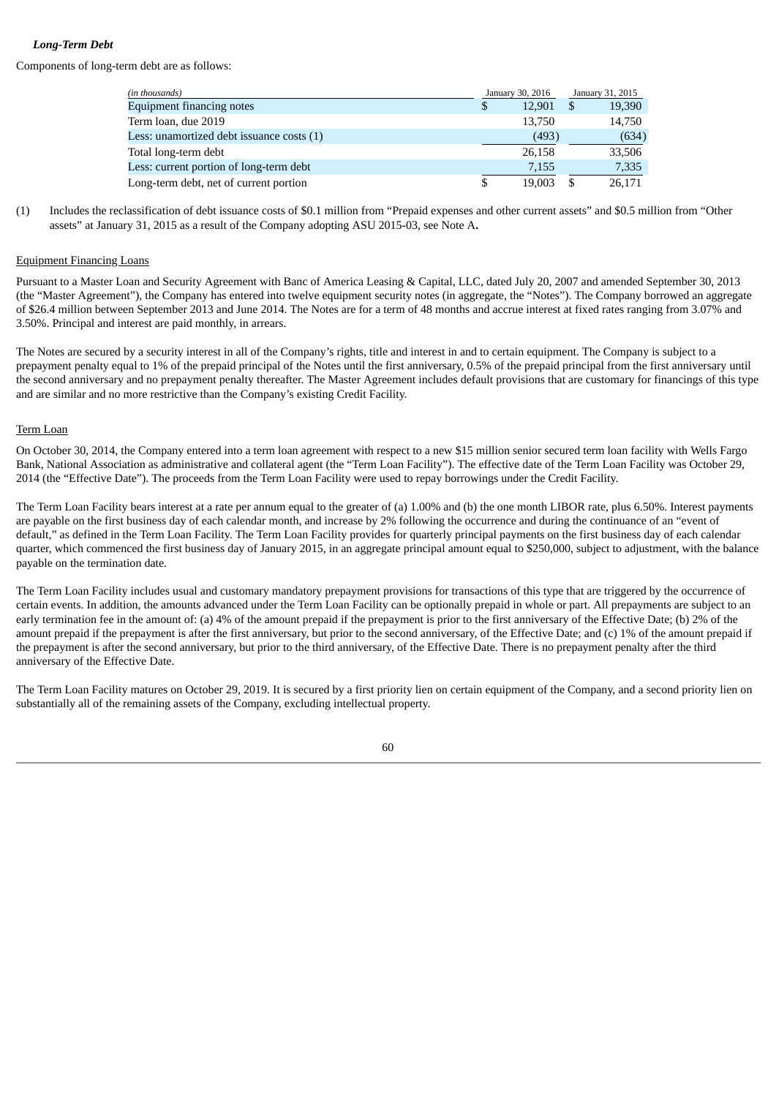# *Long-Term Debt*

Components of long-term debt are as follows:

| (in thousands)                            | January 30, 2016 |        | January 31, 2015 |
|-------------------------------------------|------------------|--------|------------------|
| Equipment financing notes                 |                  | 12.901 | \$<br>19,390     |
| Term loan, due 2019                       |                  | 13,750 | 14,750           |
| Less: unamortized debt issuance costs (1) |                  | (493)  | (634)            |
| Total long-term debt                      |                  | 26,158 | 33,506           |
| Less: current portion of long-term debt   |                  | 7,155  | 7,335            |
| Long-term debt, net of current portion    |                  | 19.003 | 26.171           |

(1) Includes the reclassification of debt issuance costs of \$0.1 million from "Prepaid expenses and other current assets" and \$0.5 million from "Other assets" at January 31, 2015 as a result of the Company adopting ASU 2015-03, see Note A**.**

#### Equipment Financing Loans

Pursuant to a Master Loan and Security Agreement with Banc of America Leasing & Capital, LLC, dated July 20, 2007 and amended September 30, 2013 (the "Master Agreement"), the Company has entered into twelve equipment security notes (in aggregate, the "Notes"). The Company borrowed an aggregate of \$26.4 million between September 2013 and June 2014. The Notes are for a term of 48 months and accrue interest at fixed rates ranging from 3.07% and 3.50%. Principal and interest are paid monthly, in arrears.

The Notes are secured by a security interest in all of the Company's rights, title and interest in and to certain equipment. The Company is subject to a prepayment penalty equal to 1% of the prepaid principal of the Notes until the first anniversary, 0.5% of the prepaid principal from the first anniversary until the second anniversary and no prepayment penalty thereafter. The Master Agreement includes default provisions that are customary for financings of this type and are similar and no more restrictive than the Company's existing Credit Facility.

# Term Loan

On October 30, 2014, the Company entered into a term loan agreement with respect to a new \$15 million senior secured term loan facility with Wells Fargo Bank, National Association as administrative and collateral agent (the "Term Loan Facility"). The effective date of the Term Loan Facility was October 29, 2014 (the "Effective Date"). The proceeds from the Term Loan Facility were used to repay borrowings under the Credit Facility.

The Term Loan Facility bears interest at a rate per annum equal to the greater of (a) 1.00% and (b) the one month LIBOR rate, plus 6.50%. Interest payments are payable on the first business day of each calendar month, and increase by 2% following the occurrence and during the continuance of an "event of default," as defined in the Term Loan Facility. The Term Loan Facility provides for quarterly principal payments on the first business day of each calendar quarter, which commenced the first business day of January 2015, in an aggregate principal amount equal to \$250,000, subject to adjustment, with the balance payable on the termination date.

The Term Loan Facility includes usual and customary mandatory prepayment provisions for transactions of this type that are triggered by the occurrence of certain events. In addition, the amounts advanced under the Term Loan Facility can be optionally prepaid in whole or part. All prepayments are subject to an early termination fee in the amount of: (a) 4% of the amount prepaid if the prepayment is prior to the first anniversary of the Effective Date; (b) 2% of the amount prepaid if the prepayment is after the first anniversary, but prior to the second anniversary, of the Effective Date; and (c) 1% of the amount prepaid if the prepayment is after the second anniversary, but prior to the third anniversary, of the Effective Date. There is no prepayment penalty after the third anniversary of the Effective Date.

The Term Loan Facility matures on October 29, 2019. It is secured by a first priority lien on certain equipment of the Company, and a second priority lien on substantially all of the remaining assets of the Company, excluding intellectual property.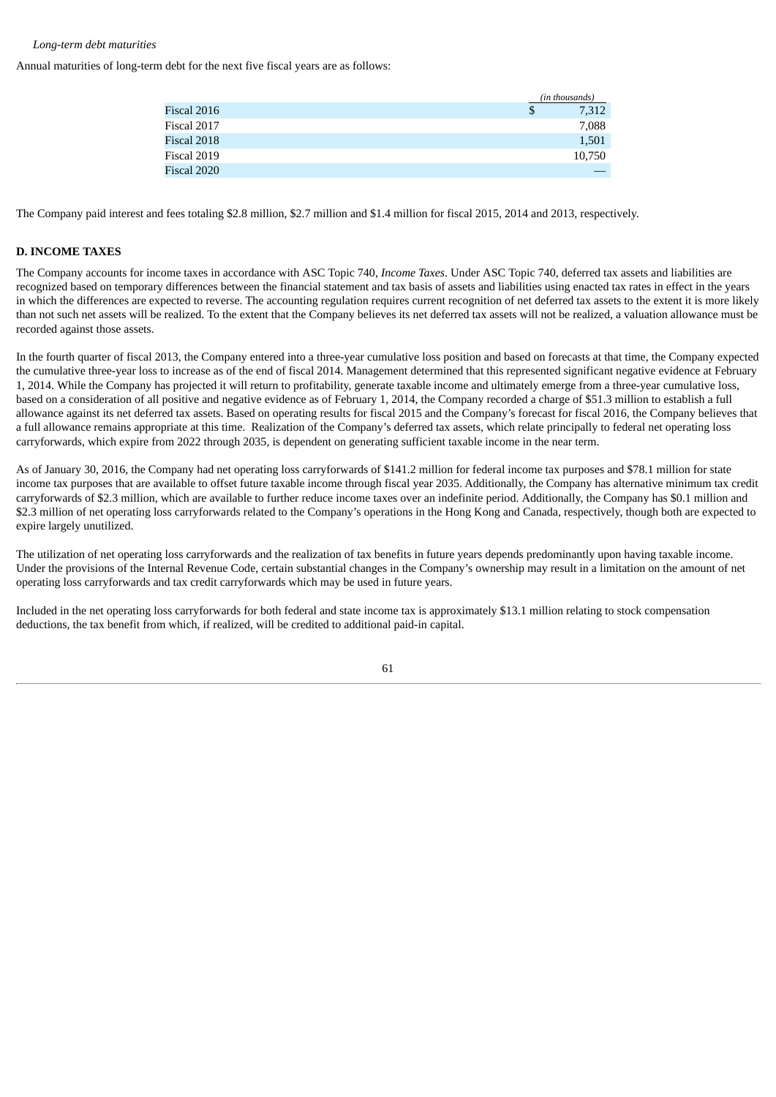# *Long-term debt maturities*

Annual maturities of long-term debt for the next five fiscal years are as follows:

|             | (in thousands) |
|-------------|----------------|
| Fiscal 2016 | \$<br>7,312    |
| Fiscal 2017 | 7,088          |
| Fiscal 2018 | 1,501          |
| Fiscal 2019 | 10,750         |
| Fiscal 2020 |                |

The Company paid interest and fees totaling \$2.8 million, \$2.7 million and \$1.4 million for fiscal 2015, 2014 and 2013, respectively.

#### **D. INCOME TAXES**

The Company accounts for income taxes in accordance with ASC Topic 740, *Income Taxes*. Under ASC Topic 740, deferred tax assets and liabilities are recognized based on temporary differences between the financial statement and tax basis of assets and liabilities using enacted tax rates in effect in the years in which the differences are expected to reverse. The accounting regulation requires current recognition of net deferred tax assets to the extent it is more likely than not such net assets will be realized. To the extent that the Company believes its net deferred tax assets will not be realized, a valuation allowance must be recorded against those assets.

In the fourth quarter of fiscal 2013, the Company entered into a three-year cumulative loss position and based on forecasts at that time, the Company expected the cumulative three-year loss to increase as of the end of fiscal 2014. Management determined that this represented significant negative evidence at February 1, 2014. While the Company has projected it will return to profitability, generate taxable income and ultimately emerge from a three-year cumulative loss, based on a consideration of all positive and negative evidence as of February 1, 2014, the Company recorded a charge of \$51.3 million to establish a full allowance against its net deferred tax assets. Based on operating results for fiscal 2015 and the Company's forecast for fiscal 2016, the Company believes that a full allowance remains appropriate at this time. Realization of the Company's deferred tax assets, which relate principally to federal net operating loss carryforwards, which expire from 2022 through 2035, is dependent on generating sufficient taxable income in the near term.

As of January 30, 2016, the Company had net operating loss carryforwards of \$141.2 million for federal income tax purposes and \$78.1 million for state income tax purposes that are available to offset future taxable income through fiscal year 2035. Additionally, the Company has alternative minimum tax credit carryforwards of \$2.3 million, which are available to further reduce income taxes over an indefinite period. Additionally, the Company has \$0.1 million and \$2.3 million of net operating loss carryforwards related to the Company's operations in the Hong Kong and Canada, respectively, though both are expected to expire largely unutilized.

The utilization of net operating loss carryforwards and the realization of tax benefits in future years depends predominantly upon having taxable income. Under the provisions of the Internal Revenue Code, certain substantial changes in the Company's ownership may result in a limitation on the amount of net operating loss carryforwards and tax credit carryforwards which may be used in future years.

Included in the net operating loss carryforwards for both federal and state income tax is approximately \$13.1 million relating to stock compensation deductions, the tax benefit from which, if realized, will be credited to additional paid-in capital.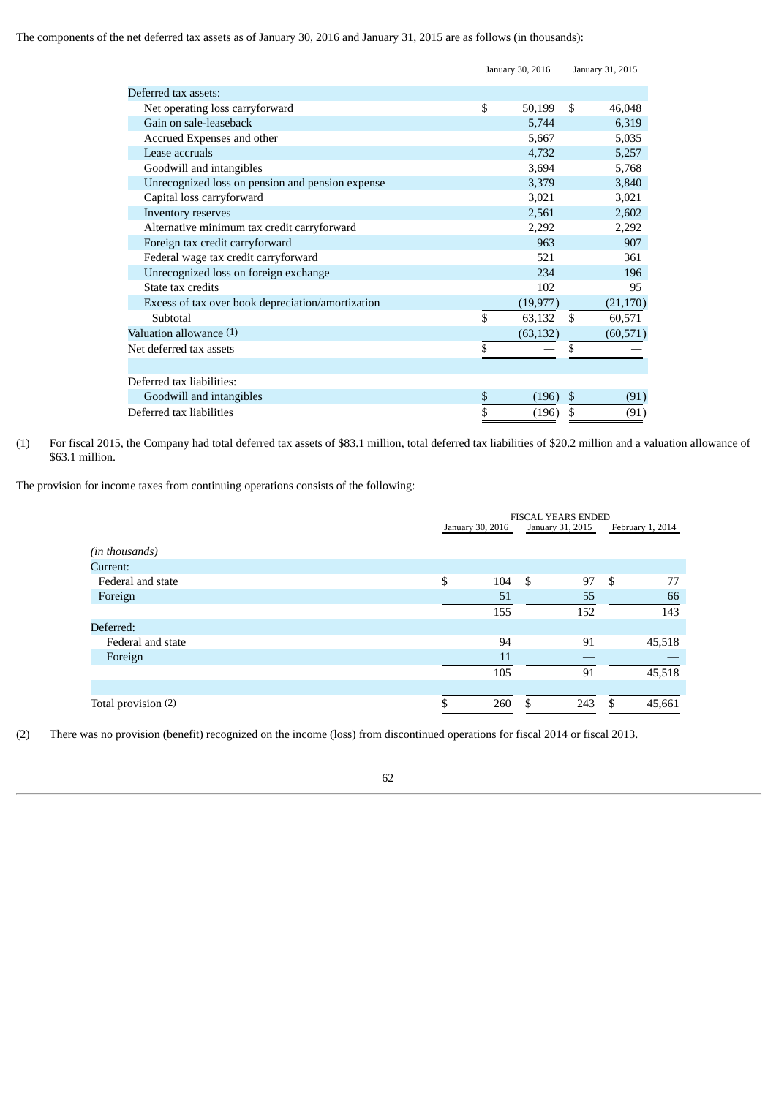The components of the net deferred tax assets as of January 30, 2016 and January 31, 2015 are as follows (in thousands):

|                                                   | January 30, 2016 | January 31, 2015 |           |  |
|---------------------------------------------------|------------------|------------------|-----------|--|
| Deferred tax assets:                              |                  |                  |           |  |
| Net operating loss carryforward                   | \$<br>50,199     | \$               | 46,048    |  |
| Gain on sale-leaseback                            | 5,744            |                  | 6,319     |  |
| Accrued Expenses and other                        | 5,667            |                  | 5,035     |  |
| Lease accruals                                    | 4,732            |                  | 5,257     |  |
| Goodwill and intangibles                          | 3,694            |                  | 5,768     |  |
| Unrecognized loss on pension and pension expense  | 3,379            |                  | 3,840     |  |
| Capital loss carryforward                         | 3,021            |                  | 3,021     |  |
| <b>Inventory reserves</b>                         | 2,561            |                  | 2,602     |  |
| Alternative minimum tax credit carryforward       | 2,292            |                  | 2,292     |  |
| Foreign tax credit carryforward                   | 963              |                  | 907       |  |
| Federal wage tax credit carryforward              | 521              |                  | 361       |  |
| Unrecognized loss on foreign exchange             | 234              |                  | 196       |  |
| State tax credits                                 | 102              |                  | 95        |  |
| Excess of tax over book depreciation/amortization | (19, 977)        |                  | (21, 170) |  |
| Subtotal                                          | \$<br>63,132     | \$               | 60,571    |  |
| Valuation allowance (1)                           | (63, 132)        |                  | (60, 571) |  |
| Net deferred tax assets                           | \$               | \$               |           |  |
|                                                   |                  |                  |           |  |
| Deferred tax liabilities:                         |                  |                  |           |  |
| Goodwill and intangibles                          | \$<br>(196)      | \$               | (91)      |  |
| Deferred tax liabilities                          | \$<br>(196)      | \$               | (91)      |  |

(1) For fiscal 2015, the Company had total deferred tax assets of \$83.1 million, total deferred tax liabilities of \$20.2 million and a valuation allowance of \$63.1 million.

The provision for income taxes from continuing operations consists of the following:

|                     | <b>FISCAL YEARS ENDED</b> |     |                  |    |                  |  |
|---------------------|---------------------------|-----|------------------|----|------------------|--|
|                     | January 30, 2016          |     | January 31, 2015 |    | February 1, 2014 |  |
| (in thousands)      |                           |     |                  |    |                  |  |
| Current:            |                           |     |                  |    |                  |  |
| Federal and state   | \$                        | 104 | 97<br>- \$       | \$ | 77               |  |
| Foreign             |                           | 51  | 55               |    | 66               |  |
|                     |                           | 155 | 152              |    | 143              |  |
| Deferred:           |                           |     |                  |    |                  |  |
| Federal and state   |                           | 94  | 91               |    | 45,518           |  |
| Foreign             |                           | 11  |                  |    |                  |  |
|                     |                           | 105 | 91               |    | 45,518           |  |
|                     |                           |     |                  |    |                  |  |
| Total provision (2) |                           | 260 | \$<br>243        | ፍ  | 45,661           |  |

(2) There was no provision (benefit) recognized on the income (loss) from discontinued operations for fiscal 2014 or fiscal 2013.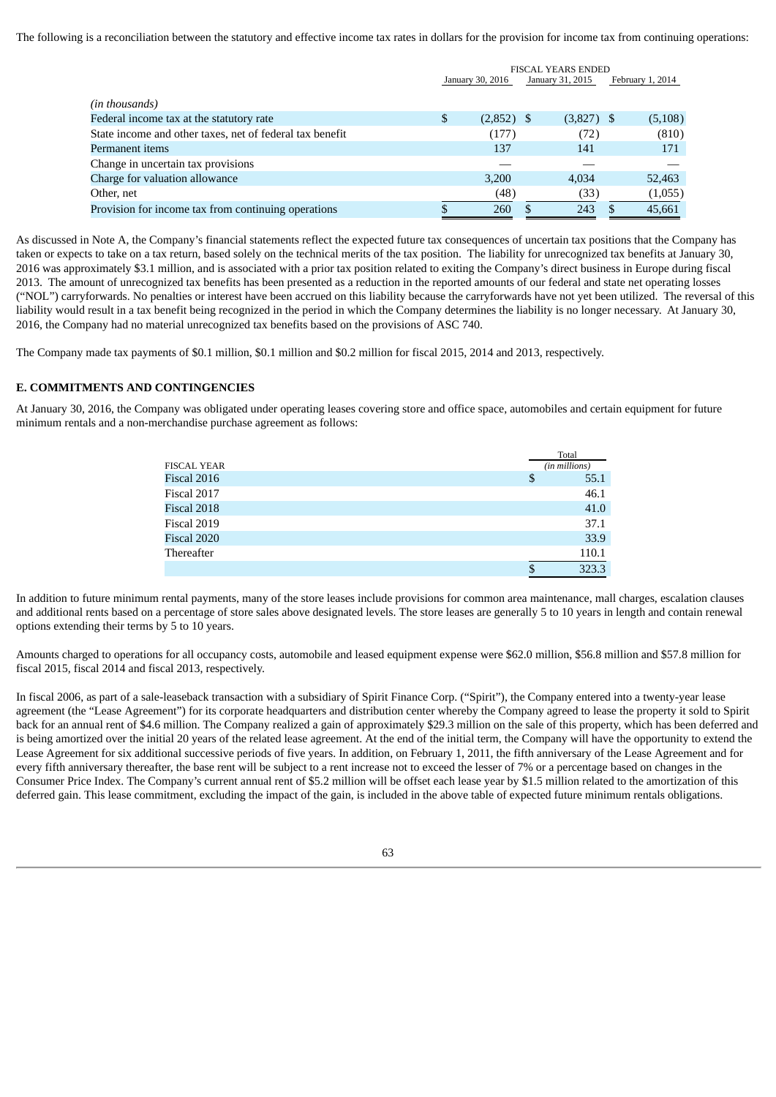The following is a reconciliation between the statutory and effective income tax rates in dollars for the provision for income tax from continuing operations:

|                                                          | <b>FISCAL YEARS ENDED</b> |                  |  |                  |  |                  |
|----------------------------------------------------------|---------------------------|------------------|--|------------------|--|------------------|
|                                                          |                           | January 30, 2016 |  | January 31, 2015 |  | February 1, 2014 |
| (in thousands)                                           |                           |                  |  |                  |  |                  |
| Federal income tax at the statutory rate                 | \$                        | $(2,852)$ \$     |  | $(3,827)$ \$     |  | (5, 108)         |
| State income and other taxes, net of federal tax benefit |                           | (177)            |  | (72)             |  | (810)            |
| Permanent items                                          |                           | 137              |  | 141              |  | 171              |
| Change in uncertain tax provisions                       |                           |                  |  |                  |  |                  |
| Charge for valuation allowance                           |                           | 3,200            |  | 4,034            |  | 52,463           |
| Other, net                                               |                           | (48)             |  | (33)             |  | (1,055)          |
| Provision for income tax from continuing operations      |                           | 260              |  | 243              |  | 45,661           |

As discussed in Note A, the Company's financial statements reflect the expected future tax consequences of uncertain tax positions that the Company has taken or expects to take on a tax return, based solely on the technical merits of the tax position. The liability for unrecognized tax benefits at January 30, 2016 was approximately \$3.1 million, and is associated with a prior tax position related to exiting the Company's direct business in Europe during fiscal 2013. The amount of unrecognized tax benefits has been presented as a reduction in the reported amounts of our federal and state net operating losses ("NOL") carryforwards. No penalties or interest have been accrued on this liability because the carryforwards have not yet been utilized. The reversal of this liability would result in a tax benefit being recognized in the period in which the Company determines the liability is no longer necessary. At January 30, 2016, the Company had no material unrecognized tax benefits based on the provisions of ASC 740.

The Company made tax payments of \$0.1 million, \$0.1 million and \$0.2 million for fiscal 2015, 2014 and 2013, respectively.

# **E. COMMITMENTS AND CONTINGENCIES**

At January 30, 2016, the Company was obligated under operating leases covering store and office space, automobiles and certain equipment for future minimum rentals and a non-merchandise purchase agreement as follows:

|                    | Total         |
|--------------------|---------------|
| <b>FISCAL YEAR</b> | (in millions) |
| Fiscal 2016        | \$<br>55.1    |
| Fiscal 2017        | 46.1          |
| Fiscal 2018        | 41.0          |
| Fiscal 2019        | 37.1          |
| Fiscal 2020        | 33.9          |
| Thereafter         | 110.1         |
|                    | \$<br>323.3   |

In addition to future minimum rental payments, many of the store leases include provisions for common area maintenance, mall charges, escalation clauses and additional rents based on a percentage of store sales above designated levels. The store leases are generally 5 to 10 years in length and contain renewal options extending their terms by 5 to 10 years.

Amounts charged to operations for all occupancy costs, automobile and leased equipment expense were \$62.0 million, \$56.8 million and \$57.8 million for fiscal 2015, fiscal 2014 and fiscal 2013, respectively.

In fiscal 2006, as part of a sale-leaseback transaction with a subsidiary of Spirit Finance Corp. ("Spirit"), the Company entered into a twenty-year lease agreement (the "Lease Agreement") for its corporate headquarters and distribution center whereby the Company agreed to lease the property it sold to Spirit back for an annual rent of \$4.6 million. The Company realized a gain of approximately \$29.3 million on the sale of this property, which has been deferred and is being amortized over the initial 20 years of the related lease agreement. At the end of the initial term, the Company will have the opportunity to extend the Lease Agreement for six additional successive periods of five years. In addition, on February 1, 2011, the fifth anniversary of the Lease Agreement and for every fifth anniversary thereafter, the base rent will be subject to a rent increase not to exceed the lesser of 7% or a percentage based on changes in the Consumer Price Index. The Company's current annual rent of \$5.2 million will be offset each lease year by \$1.5 million related to the amortization of this deferred gain. This lease commitment, excluding the impact of the gain, is included in the above table of expected future minimum rentals obligations.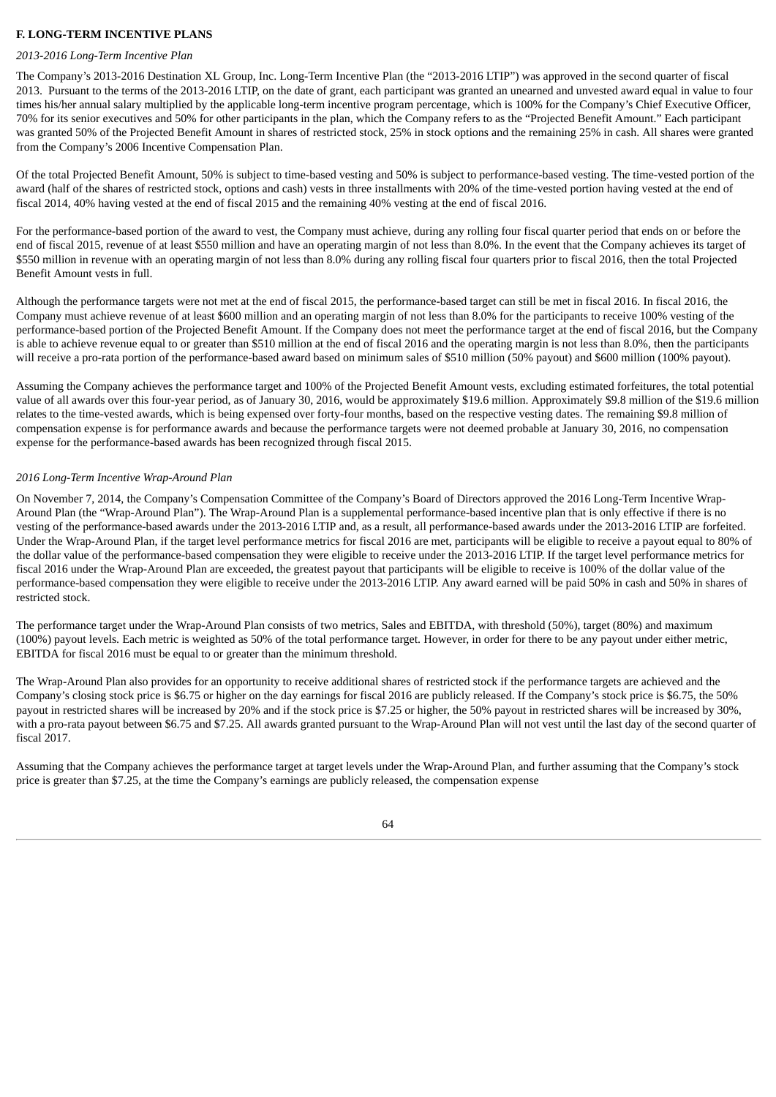# **F. LONG-TERM INCENTIVE PLANS**

#### *2013-2016 Long-Term Incentive Plan*

The Company's 2013-2016 Destination XL Group, Inc. Long-Term Incentive Plan (the "2013-2016 LTIP") was approved in the second quarter of fiscal 2013. Pursuant to the terms of the 2013-2016 LTIP, on the date of grant, each participant was granted an unearned and unvested award equal in value to four times his/her annual salary multiplied by the applicable long-term incentive program percentage, which is 100% for the Company's Chief Executive Officer, 70% for its senior executives and 50% for other participants in the plan, which the Company refers to as the "Projected Benefit Amount." Each participant was granted 50% of the Projected Benefit Amount in shares of restricted stock, 25% in stock options and the remaining 25% in cash. All shares were granted from the Company's 2006 Incentive Compensation Plan.

Of the total Projected Benefit Amount, 50% is subject to time-based vesting and 50% is subject to performance-based vesting. The time-vested portion of the award (half of the shares of restricted stock, options and cash) vests in three installments with 20% of the time-vested portion having vested at the end of fiscal 2014, 40% having vested at the end of fiscal 2015 and the remaining 40% vesting at the end of fiscal 2016.

For the performance-based portion of the award to vest, the Company must achieve, during any rolling four fiscal quarter period that ends on or before the end of fiscal 2015, revenue of at least \$550 million and have an operating margin of not less than 8.0%. In the event that the Company achieves its target of \$550 million in revenue with an operating margin of not less than 8.0% during any rolling fiscal four quarters prior to fiscal 2016, then the total Projected Benefit Amount vests in full.

Although the performance targets were not met at the end of fiscal 2015, the performance-based target can still be met in fiscal 2016. In fiscal 2016, the Company must achieve revenue of at least \$600 million and an operating margin of not less than 8.0% for the participants to receive 100% vesting of the performance-based portion of the Projected Benefit Amount. If the Company does not meet the performance target at the end of fiscal 2016, but the Company is able to achieve revenue equal to or greater than \$510 million at the end of fiscal 2016 and the operating margin is not less than 8.0%, then the participants will receive a pro-rata portion of the performance-based award based on minimum sales of \$510 million (50% payout) and \$600 million (100% payout).

Assuming the Company achieves the performance target and 100% of the Projected Benefit Amount vests, excluding estimated forfeitures, the total potential value of all awards over this four-year period, as of January 30, 2016, would be approximately \$19.6 million. Approximately \$9.8 million of the \$19.6 million relates to the time-vested awards, which is being expensed over forty-four months, based on the respective vesting dates. The remaining \$9.8 million of compensation expense is for performance awards and because the performance targets were not deemed probable at January 30, 2016, no compensation expense for the performance-based awards has been recognized through fiscal 2015.

#### *2016 Long-Term Incentive Wrap-Around Plan*

On November 7, 2014, the Company's Compensation Committee of the Company's Board of Directors approved the 2016 Long-Term Incentive Wrap-Around Plan (the "Wrap-Around Plan"). The Wrap-Around Plan is a supplemental performance-based incentive plan that is only effective if there is no vesting of the performance-based awards under the 2013-2016 LTIP and, as a result, all performance-based awards under the 2013-2016 LTIP are forfeited. Under the Wrap-Around Plan, if the target level performance metrics for fiscal 2016 are met, participants will be eligible to receive a payout equal to 80% of the dollar value of the performance-based compensation they were eligible to receive under the 2013-2016 LTIP. If the target level performance metrics for fiscal 2016 under the Wrap-Around Plan are exceeded, the greatest payout that participants will be eligible to receive is 100% of the dollar value of the performance-based compensation they were eligible to receive under the 2013-2016 LTIP. Any award earned will be paid 50% in cash and 50% in shares of restricted stock.

The performance target under the Wrap-Around Plan consists of two metrics, Sales and EBITDA, with threshold (50%), target (80%) and maximum (100%) payout levels. Each metric is weighted as 50% of the total performance target. However, in order for there to be any payout under either metric, EBITDA for fiscal 2016 must be equal to or greater than the minimum threshold.

The Wrap-Around Plan also provides for an opportunity to receive additional shares of restricted stock if the performance targets are achieved and the Company's closing stock price is \$6.75 or higher on the day earnings for fiscal 2016 are publicly released. If the Company's stock price is \$6.75, the 50% payout in restricted shares will be increased by 20% and if the stock price is \$7.25 or higher, the 50% payout in restricted shares will be increased by 30%, with a pro-rata payout between \$6.75 and \$7.25. All awards granted pursuant to the Wrap-Around Plan will not vest until the last day of the second quarter of fiscal 2017.

Assuming that the Company achieves the performance target at target levels under the Wrap-Around Plan, and further assuming that the Company's stock price is greater than \$7.25, at the time the Company's earnings are publicly released, the compensation expense

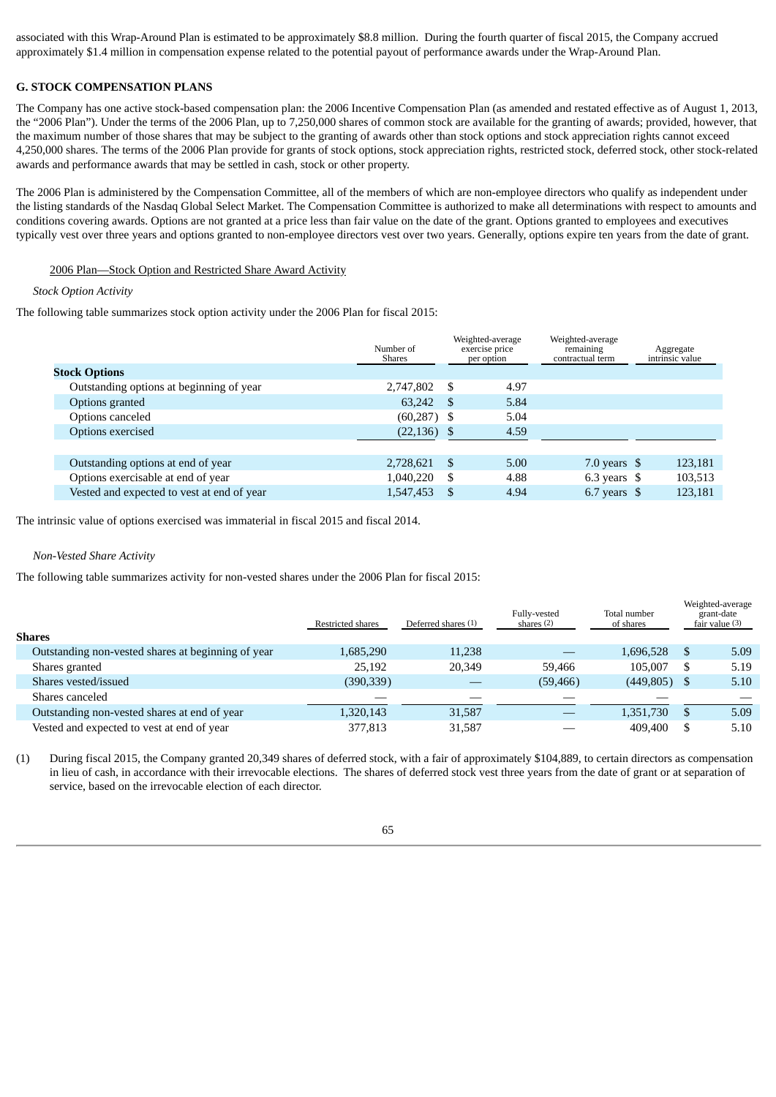associated with this Wrap-Around Plan is estimated to be approximately \$8.8 million. During the fourth quarter of fiscal 2015, the Company accrued approximately \$1.4 million in compensation expense related to the potential payout of performance awards under the Wrap-Around Plan.

# **G. STOCK COMPENSATION PLANS**

The Company has one active stock-based compensation plan: the 2006 Incentive Compensation Plan (as amended and restated effective as of August 1, 2013, the "2006 Plan"). Under the terms of the 2006 Plan, up to 7,250,000 shares of common stock are available for the granting of awards; provided, however, that the maximum number of those shares that may be subject to the granting of awards other than stock options and stock appreciation rights cannot exceed 4,250,000 shares. The terms of the 2006 Plan provide for grants of stock options, stock appreciation rights, restricted stock, deferred stock, other stock-related awards and performance awards that may be settled in cash, stock or other property.

The 2006 Plan is administered by the Compensation Committee, all of the members of which are non-employee directors who qualify as independent under the listing standards of the Nasdaq Global Select Market. The Compensation Committee is authorized to make all determinations with respect to amounts and conditions covering awards. Options are not granted at a price less than fair value on the date of the grant. Options granted to employees and executives typically vest over three years and options granted to non-employee directors vest over two years. Generally, options expire ten years from the date of grant.

# 2006 Plan—Stock Option and Restricted Share Award Activity

# *Stock Option Activity*

The following table summarizes stock option activity under the 2006 Plan for fiscal 2015:

|                                            | Number of<br>Shares | Weighted-average<br>exercise price<br>per option |      | Weighted-average<br>remaining<br>contractual term | Aggregate<br>intrinsic value |         |
|--------------------------------------------|---------------------|--------------------------------------------------|------|---------------------------------------------------|------------------------------|---------|
| <b>Stock Options</b>                       |                     |                                                  |      |                                                   |                              |         |
| Outstanding options at beginning of year   | 2,747,802           | - \$                                             | 4.97 |                                                   |                              |         |
| Options granted                            | 63,242              | - \$                                             | 5.84 |                                                   |                              |         |
| Options canceled                           | $(60, 287)$ \$      |                                                  | 5.04 |                                                   |                              |         |
| Options exercised                          | $(22, 136)$ \$      |                                                  | 4.59 |                                                   |                              |         |
|                                            |                     |                                                  |      |                                                   |                              |         |
| Outstanding options at end of year         | 2,728,621           | - \$                                             | 5.00 | 7.0 years $$$                                     |                              | 123,181 |
| Options exercisable at end of year         | 1,040,220           | - \$                                             | 4.88 | 6.3 years $$$                                     |                              | 103,513 |
| Vested and expected to vest at end of year | 1,547,453           |                                                  | 4.94 | $6.7$ years $$$                                   |                              | 123,181 |

The intrinsic value of options exercised was immaterial in fiscal 2015 and fiscal 2014.

# *Non-Vested Share Activity*

The following table summarizes activity for non-vested shares under the 2006 Plan for fiscal 2015:

| <b>Shares</b>                                      | Restricted shares | Deferred shares (1) | Fully-vested<br>shares $(2)$ | Total number<br>of shares |    | Weighted-average<br>grant-date<br>fair value (3) |
|----------------------------------------------------|-------------------|---------------------|------------------------------|---------------------------|----|--------------------------------------------------|
| Outstanding non-vested shares at beginning of year | 1,685,290         | 11,238              |                              | 1,696,528                 | \$ | 5.09                                             |
| Shares granted                                     | 25,192            | 20,349              | 59.466                       | 105.007                   | S  | 5.19                                             |
| Shares vested/issued                               | (390, 339)        |                     | (59, 466)                    | $(449,805)$ \$            |    | 5.10                                             |
| Shares canceled                                    |                   |                     |                              |                           |    |                                                  |
| Outstanding non-vested shares at end of year       | 1,320,143         | 31,587              |                              | 1,351,730                 | \$ | 5.09                                             |
| Vested and expected to vest at end of year         | 377,813           | 31,587              |                              | 409.400                   | S  | 5.10                                             |

(1) During fiscal 2015, the Company granted 20,349 shares of deferred stock, with a fair of approximately \$104,889, to certain directors as compensation in lieu of cash, in accordance with their irrevocable elections. The shares of deferred stock vest three years from the date of grant or at separation of service, based on the irrevocable election of each director.

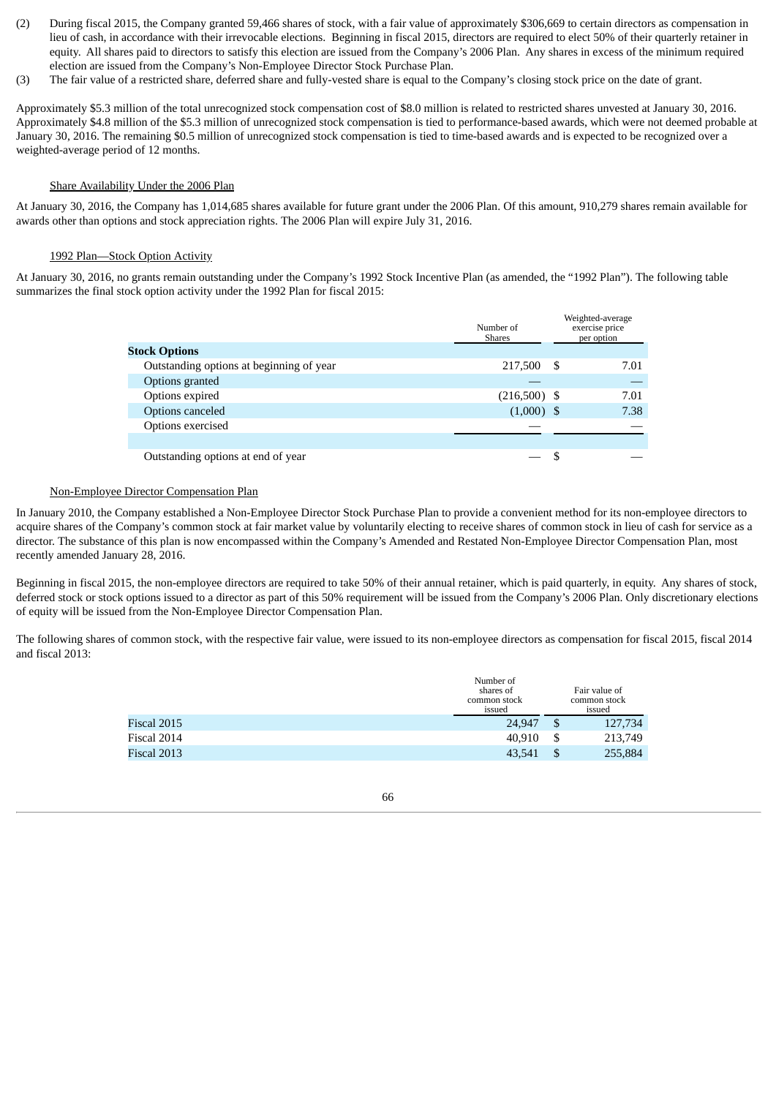- (2) During fiscal 2015, the Company granted 59,466 shares of stock, with a fair value of approximately \$306,669 to certain directors as compensation in lieu of cash, in accordance with their irrevocable elections. Beginning in fiscal 2015, directors are required to elect 50% of their quarterly retainer in equity. All shares paid to directors to satisfy this election are issued from the Company's 2006 Plan. Any shares in excess of the minimum required election are issued from the Company's Non-Employee Director Stock Purchase Plan.
- (3) The fair value of a restricted share, deferred share and fully-vested share is equal to the Company's closing stock price on the date of grant.

Approximately \$5.3 million of the total unrecognized stock compensation cost of \$8.0 million is related to restricted shares unvested at January 30, 2016. Approximately \$4.8 million of the \$5.3 million of unrecognized stock compensation is tied to performance-based awards, which were not deemed probable at January 30, 2016. The remaining \$0.5 million of unrecognized stock compensation is tied to time-based awards and is expected to be recognized over a weighted-average period of 12 months.

# Share Availability Under the 2006 Plan

At January 30, 2016, the Company has 1,014,685 shares available for future grant under the 2006 Plan. Of this amount, 910,279 shares remain available for awards other than options and stock appreciation rights. The 2006 Plan will expire July 31, 2016.

# 1992 Plan—Stock Option Activity

At January 30, 2016, no grants remain outstanding under the Company's 1992 Stock Incentive Plan (as amended, the "1992 Plan"). The following table summarizes the final stock option activity under the 1992 Plan for fiscal 2015:

|                                          | Number of<br>Shares |      | Weighted-average<br>exercise price<br>per option |
|------------------------------------------|---------------------|------|--------------------------------------------------|
| <b>Stock Options</b>                     |                     |      |                                                  |
| Outstanding options at beginning of year | 217,500             | - \$ | 7.01                                             |
| Options granted                          |                     |      |                                                  |
| Options expired                          | $(216,500)$ \$      |      | 7.01                                             |
| Options canceled                         | $(1,000)$ \$        |      | 7.38                                             |
| Options exercised                        |                     |      |                                                  |
|                                          |                     |      |                                                  |
| Outstanding options at end of year       |                     |      |                                                  |

# Non-Employee Director Compensation Plan

In January 2010, the Company established a Non-Employee Director Stock Purchase Plan to provide a convenient method for its non-employee directors to acquire shares of the Company's common stock at fair market value by voluntarily electing to receive shares of common stock in lieu of cash for service as a director. The substance of this plan is now encompassed within the Company's Amended and Restated Non-Employee Director Compensation Plan, most recently amended January 28, 2016.

Beginning in fiscal 2015, the non-employee directors are required to take 50% of their annual retainer, which is paid quarterly, in equity. Any shares of stock, deferred stock or stock options issued to a director as part of this 50% requirement will be issued from the Company's 2006 Plan. Only discretionary elections of equity will be issued from the Non-Employee Director Compensation Plan.

The following shares of common stock, with the respective fair value, were issued to its non-employee directors as compensation for fiscal 2015, fiscal 2014 and fiscal 2013:

|             | Number of<br>shares of<br>common stock<br>issued | Fair value of<br>common stock<br>issued |
|-------------|--------------------------------------------------|-----------------------------------------|
| Fiscal 2015 | 24.947                                           | 127,734                                 |
| Fiscal 2014 | 40.910                                           | \$<br>213,749                           |
| Fiscal 2013 | 43,541                                           | \$<br>255,884                           |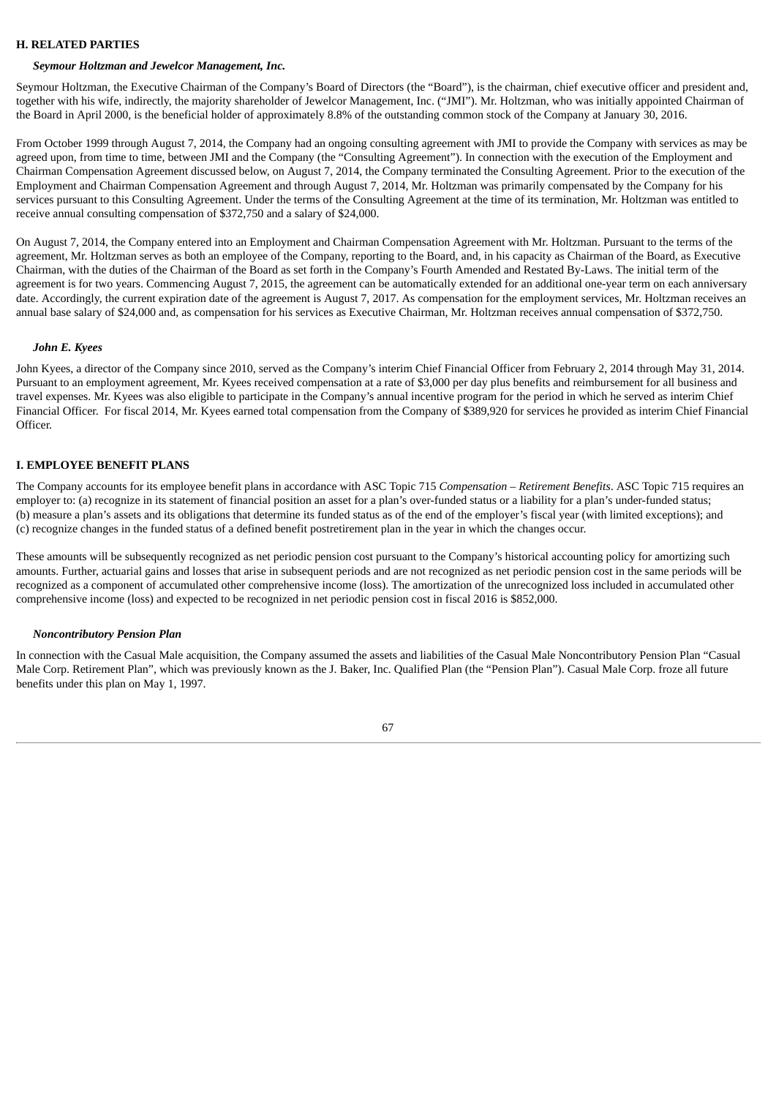#### **H. RELATED PARTIES**

#### *Seymour Holtzman and Jewelcor Management, Inc.*

Seymour Holtzman, the Executive Chairman of the Company's Board of Directors (the "Board"), is the chairman, chief executive officer and president and, together with his wife, indirectly, the majority shareholder of Jewelcor Management, Inc. ("JMI"). Mr. Holtzman, who was initially appointed Chairman of the Board in April 2000, is the beneficial holder of approximately 8.8% of the outstanding common stock of the Company at January 30, 2016.

From October 1999 through August 7, 2014, the Company had an ongoing consulting agreement with JMI to provide the Company with services as may be agreed upon, from time to time, between JMI and the Company (the "Consulting Agreement"). In connection with the execution of the Employment and Chairman Compensation Agreement discussed below, on August 7, 2014, the Company terminated the Consulting Agreement. Prior to the execution of the Employment and Chairman Compensation Agreement and through August 7, 2014, Mr. Holtzman was primarily compensated by the Company for his services pursuant to this Consulting Agreement. Under the terms of the Consulting Agreement at the time of its termination, Mr. Holtzman was entitled to receive annual consulting compensation of \$372,750 and a salary of \$24,000.

On August 7, 2014, the Company entered into an Employment and Chairman Compensation Agreement with Mr. Holtzman. Pursuant to the terms of the agreement, Mr. Holtzman serves as both an employee of the Company, reporting to the Board, and, in his capacity as Chairman of the Board, as Executive Chairman, with the duties of the Chairman of the Board as set forth in the Company's Fourth Amended and Restated By-Laws. The initial term of the agreement is for two years. Commencing August 7, 2015, the agreement can be automatically extended for an additional one-year term on each anniversary date. Accordingly, the current expiration date of the agreement is August 7, 2017. As compensation for the employment services, Mr. Holtzman receives an annual base salary of \$24,000 and, as compensation for his services as Executive Chairman, Mr. Holtzman receives annual compensation of \$372,750.

#### *John E. Kyees*

John Kyees, a director of the Company since 2010, served as the Company's interim Chief Financial Officer from February 2, 2014 through May 31, 2014. Pursuant to an employment agreement, Mr. Kyees received compensation at a rate of \$3,000 per day plus benefits and reimbursement for all business and travel expenses. Mr. Kyees was also eligible to participate in the Company's annual incentive program for the period in which he served as interim Chief Financial Officer. For fiscal 2014, Mr. Kyees earned total compensation from the Company of \$389,920 for services he provided as interim Chief Financial Officer.

# **I. EMPLOYEE BENEFIT PLANS**

The Company accounts for its employee benefit plans in accordance with ASC Topic 715 *Compensation – Retirement Benefits*. ASC Topic 715 requires an employer to: (a) recognize in its statement of financial position an asset for a plan's over-funded status or a liability for a plan's under-funded status; (b) measure a plan's assets and its obligations that determine its funded status as of the end of the employer's fiscal year (with limited exceptions); and (c) recognize changes in the funded status of a defined benefit postretirement plan in the year in which the changes occur.

These amounts will be subsequently recognized as net periodic pension cost pursuant to the Company's historical accounting policy for amortizing such amounts. Further, actuarial gains and losses that arise in subsequent periods and are not recognized as net periodic pension cost in the same periods will be recognized as a component of accumulated other comprehensive income (loss). The amortization of the unrecognized loss included in accumulated other comprehensive income (loss) and expected to be recognized in net periodic pension cost in fiscal 2016 is \$852,000.

# *Noncontributory Pension Plan*

In connection with the Casual Male acquisition, the Company assumed the assets and liabilities of the Casual Male Noncontributory Pension Plan "Casual Male Corp. Retirement Plan", which was previously known as the J. Baker, Inc. Qualified Plan (the "Pension Plan"). Casual Male Corp. froze all future benefits under this plan on May 1, 1997.

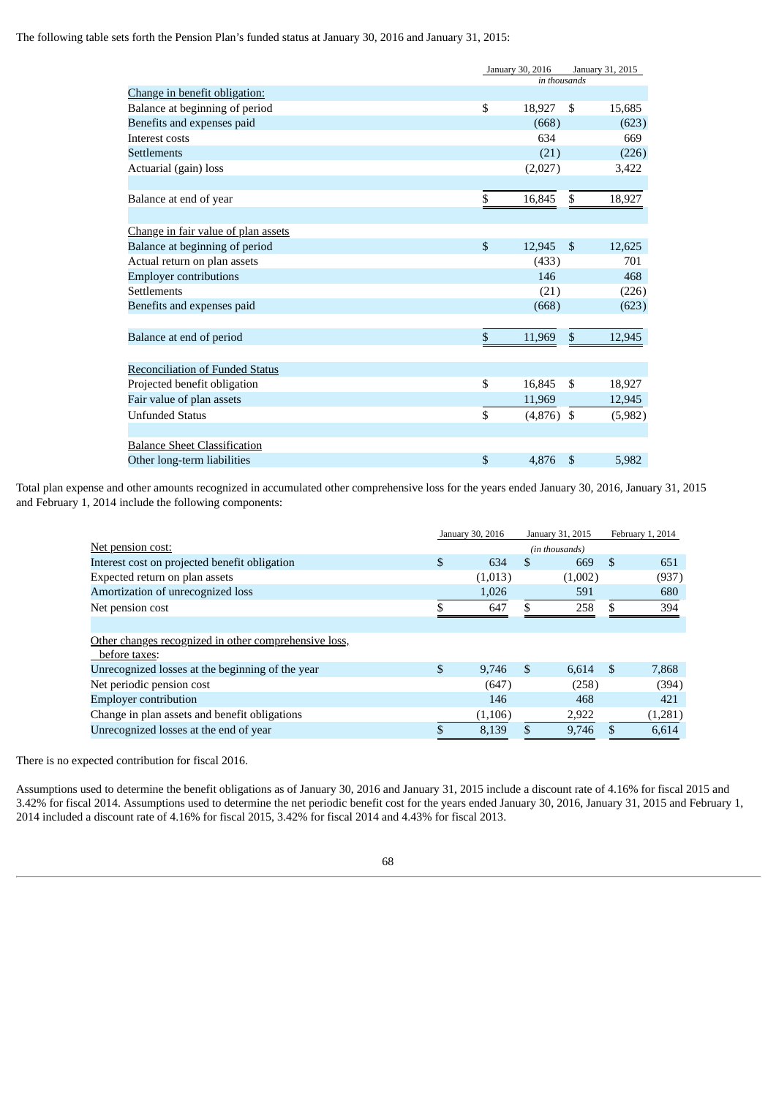The following table sets forth the Pension Plan's funded status at January 30, 2016 and January 31, 2015:

|                                        | January 30, 2016   |                | January 31, 2015 |
|----------------------------------------|--------------------|----------------|------------------|
|                                        | in thousands       |                |                  |
| Change in benefit obligation:          |                    |                |                  |
| Balance at beginning of period         | \$<br>18,927       | \$             | 15,685           |
| Benefits and expenses paid             | (668)              |                | (623)            |
| Interest costs                         | 634                |                | 669              |
| <b>Settlements</b>                     | (21)               |                | (226)            |
| Actuarial (gain) loss                  | (2,027)            |                | 3,422            |
|                                        |                    |                |                  |
| Balance at end of year                 | \$<br>16,845       | \$             | 18,927           |
|                                        |                    |                |                  |
| Change in fair value of plan assets    |                    |                |                  |
| Balance at beginning of period         | \$<br>12,945       | $\mathfrak{S}$ | 12,625           |
| Actual return on plan assets           | (433)              |                | 701              |
| <b>Employer contributions</b>          | 146                |                | 468              |
| <b>Settlements</b>                     | (21)               |                | (226)            |
| Benefits and expenses paid             | (668)              |                | (623)            |
|                                        |                    |                |                  |
| Balance at end of period               | \$<br>11,969       | \$             | 12,945           |
|                                        |                    |                |                  |
| <b>Reconciliation of Funded Status</b> |                    |                |                  |
| Projected benefit obligation           | \$<br>16,845       | \$             | 18,927           |
| Fair value of plan assets              | 11,969             |                | 12,945           |
| <b>Unfunded Status</b>                 | \$<br>$(4,876)$ \$ |                | (5,982)          |
|                                        |                    |                |                  |
| <b>Balance Sheet Classification</b>    |                    |                |                  |
| Other long-term liabilities            | \$<br>4,876        | \$             | 5,982            |

Total plan expense and other amounts recognized in accumulated other comprehensive loss for the years ended January 30, 2016, January 31, 2015 and February 1, 2014 include the following components:

|                                                       | January 30, 2016 |               | January 31, 2015 |     | February 1, 2014 |
|-------------------------------------------------------|------------------|---------------|------------------|-----|------------------|
| Net pension cost:                                     |                  |               | (in thousands)   |     |                  |
| Interest cost on projected benefit obligation         | \$<br>634        | \$            | 669              | \$  | 651              |
| Expected return on plan assets                        | (1,013)          |               | (1,002)          |     | (937)            |
| Amortization of unrecognized loss                     | 1,026            |               | 591              |     | 680              |
| Net pension cost                                      | \$<br>647        |               | 258              |     | 394              |
|                                                       |                  |               |                  |     |                  |
| Other changes recognized in other comprehensive loss, |                  |               |                  |     |                  |
| before taxes:                                         |                  |               |                  |     |                  |
| Unrecognized losses at the beginning of the year      | \$<br>9.746      | <sup>\$</sup> | 6.614            | -S  | 7,868            |
| Net periodic pension cost                             | (647)            |               | (258)            |     | (394)            |
| <b>Employer contribution</b>                          | 146              |               | 468              |     | 421              |
| Change in plan assets and benefit obligations         | (1,106)          |               | 2,922            |     | (1,281)          |
| Unrecognized losses at the end of year                | \$<br>8.139      |               | 9.746            | \$. | 6.614            |

There is no expected contribution for fiscal 2016.

Assumptions used to determine the benefit obligations as of January 30, 2016 and January 31, 2015 include a discount rate of 4.16% for fiscal 2015 and 3.42% for fiscal 2014. Assumptions used to determine the net periodic benefit cost for the years ended January 30, 2016, January 31, 2015 and February 1, 2014 included a discount rate of 4.16% for fiscal 2015, 3.42% for fiscal 2014 and 4.43% for fiscal 2013.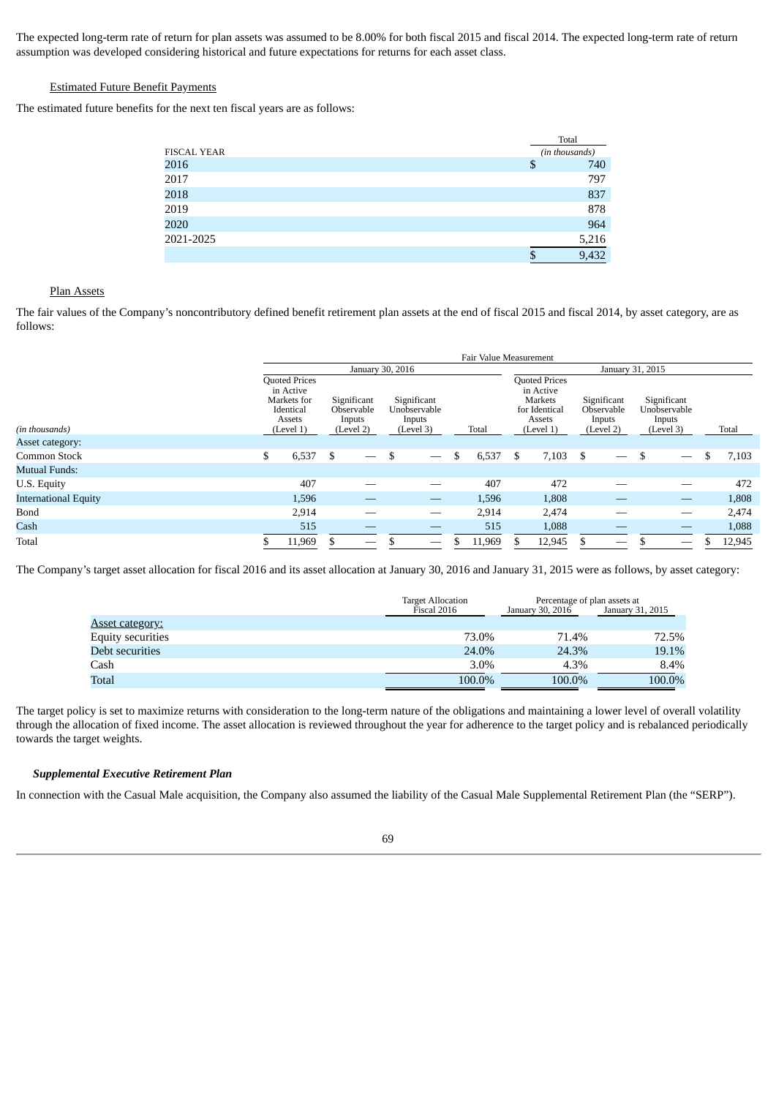The expected long-term rate of return for plan assets was assumed to be 8.00% for both fiscal 2015 and fiscal 2014. The expected long-term rate of return assumption was developed considering historical and future expectations for returns for each asset class.

# Estimated Future Benefit Payments

The estimated future benefits for the next ten fiscal years are as follows:

|                    |    | Total          |
|--------------------|----|----------------|
| <b>FISCAL YEAR</b> |    | (in thousands) |
| 2016               | \$ | 740            |
| 2017               |    | 797            |
| 2018               |    | 837            |
| 2019               |    | 878            |
| 2020               |    | 964            |
| 2021-2025          |    | 5,216          |
|                    | Φ  | 9,432          |

#### Plan Assets

The fair values of the Company's noncontributory defined benefit retirement plan assets at the end of fiscal 2015 and fiscal 2014, by asset category, are as follows:

|                                   |                  |                                                                                      |    |                                                  |   |                                                    |     | Fair Value Measurement |    |                                                                                             |    |                                                  |  |                                                    |  |        |
|-----------------------------------|------------------|--------------------------------------------------------------------------------------|----|--------------------------------------------------|---|----------------------------------------------------|-----|------------------------|----|---------------------------------------------------------------------------------------------|----|--------------------------------------------------|--|----------------------------------------------------|--|--------|
|                                   | January 30, 2016 |                                                                                      |    |                                                  |   |                                                    |     | January 31, 2015       |    |                                                                                             |    |                                                  |  |                                                    |  |        |
| (in thousands)<br>Asset category: |                  | <b>Quoted Prices</b><br>in Active<br>Markets for<br>Identical<br>Assets<br>(Level 1) |    | Significant<br>Observable<br>Inputs<br>(Level 2) |   | Significant<br>Unobservable<br>Inputs<br>(Level 3) |     | Total                  |    | <b>Quoted Prices</b><br>in Active<br><b>Markets</b><br>for Identical<br>Assets<br>(Level 1) |    | Significant<br>Observable<br>Inputs<br>(Level 2) |  | Significant<br>Unobservable<br>Inputs<br>(Level 3) |  | Total  |
| Common Stock                      | \$               | 6,537                                                                                | \$ |                                                  | S |                                                    | \$  | 6,537                  | -S | 7,103                                                                                       | \$ |                                                  |  |                                                    |  | 7,103  |
| <b>Mutual Funds:</b>              |                  |                                                                                      |    |                                                  |   |                                                    |     |                        |    |                                                                                             |    |                                                  |  |                                                    |  |        |
| U.S. Equity                       |                  | 407                                                                                  |    |                                                  |   |                                                    |     | 407                    |    | 472                                                                                         |    |                                                  |  |                                                    |  | 472    |
| <b>International Equity</b>       |                  | 1,596                                                                                |    |                                                  |   | $\qquad \qquad \longleftarrow$                     |     | 1,596                  |    | 1,808                                                                                       |    |                                                  |  | $\overbrace{\phantom{123331}}$                     |  | 1,808  |
| Bond                              |                  | 2,914                                                                                |    |                                                  |   | $\hspace{0.05cm}$                                  |     | 2,914                  |    | 2,474                                                                                       |    |                                                  |  |                                                    |  | 2,474  |
| Cash                              |                  | 515                                                                                  |    |                                                  |   |                                                    |     | 515                    |    | 1,088                                                                                       |    |                                                  |  |                                                    |  | 1,088  |
| Total                             |                  | 11,969                                                                               |    | —                                                |   |                                                    | Эħ. | 11,969                 |    | 12,945                                                                                      |    |                                                  |  |                                                    |  | 12,945 |

The Company's target asset allocation for fiscal 2016 and its asset allocation at January 30, 2016 and January 31, 2015 were as follows, by asset category:

|                          | <b>Target Allocation</b> | Percentage of plan assets at |        |
|--------------------------|--------------------------|------------------------------|--------|
|                          | Fiscal 2016              | January 31, 2015             |        |
| Asset category:          |                          |                              |        |
| <b>Equity securities</b> | 73.0%                    | 71.4%                        | 72.5%  |
| Debt securities          | 24.0%                    | 24.3%                        | 19.1%  |
| Cash                     | 3.0%                     | 4.3%                         | 8.4%   |
| Total                    | 100.0%                   | 100.0%                       | 100.0% |

The target policy is set to maximize returns with consideration to the long-term nature of the obligations and maintaining a lower level of overall volatility through the allocation of fixed income. The asset allocation is reviewed throughout the year for adherence to the target policy and is rebalanced periodically towards the target weights.

# *Supplemental Executive Retirement Plan*

In connection with the Casual Male acquisition, the Company also assumed the liability of the Casual Male Supplemental Retirement Plan (the "SERP").

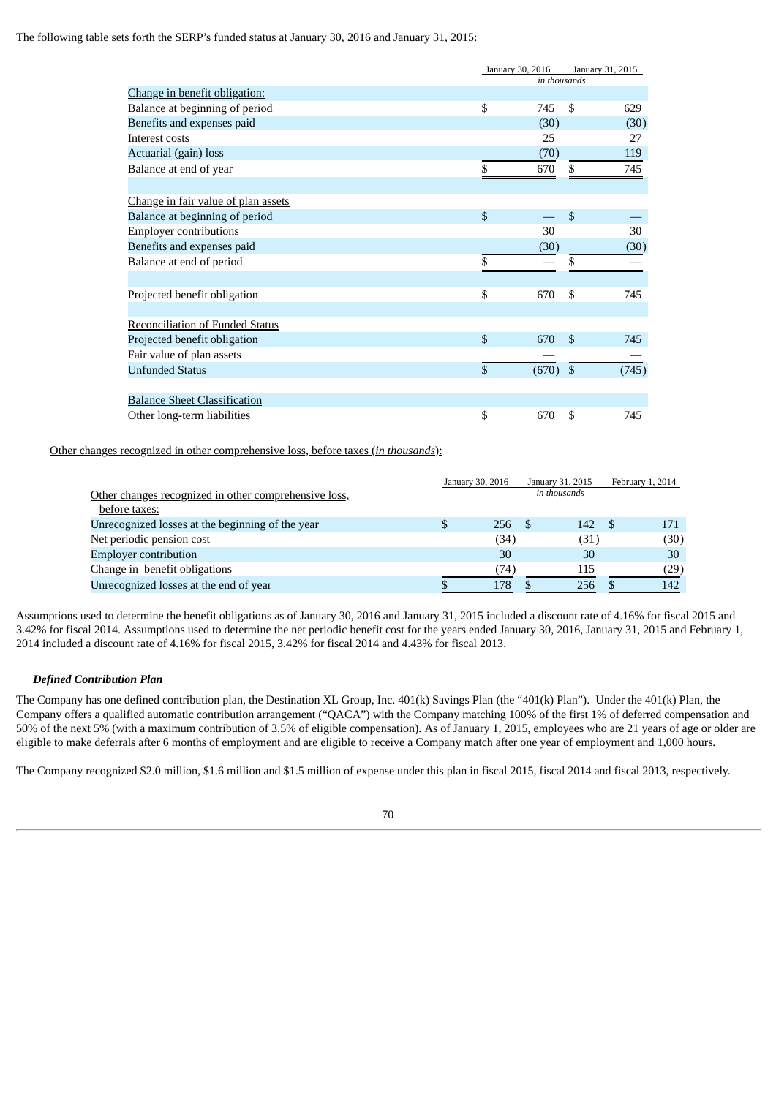The following table sets forth the SERP's funded status at January 30, 2016 and January 31, 2015:

|                                     |              | January 30, 2016 |                | January 31, 2015 |
|-------------------------------------|--------------|------------------|----------------|------------------|
|                                     |              | in thousands     |                |                  |
| Change in benefit obligation:       |              |                  |                |                  |
| Balance at beginning of period      | \$           | 745              | \$             | 629              |
| Benefits and expenses paid          |              | (30)             |                | (30)             |
| Interest costs                      |              | 25               |                | 27               |
| Actuarial (gain) loss               |              | (70)             |                | 119              |
| Balance at end of year              | \$           | 670              | \$             | 745              |
|                                     |              |                  |                |                  |
| Change in fair value of plan assets |              |                  |                |                  |
| Balance at beginning of period      | $\mathbb{S}$ |                  | \$             |                  |
| <b>Employer contributions</b>       |              | 30               |                | 30               |
| Benefits and expenses paid          |              | (30)             |                | (30)             |
| Balance at end of period            | \$           |                  | \$             |                  |
|                                     |              |                  |                |                  |
| Projected benefit obligation        | \$           | 670              | \$             | 745              |
|                                     |              |                  |                |                  |
| Reconciliation of Funded Status     |              |                  |                |                  |
| Projected benefit obligation        | \$           | 670              | \$             | 745              |
| Fair value of plan assets           |              |                  |                |                  |
| <b>Unfunded Status</b>              | \$           | (670)            | $\mathfrak{S}$ | (745)            |
|                                     |              |                  |                |                  |
| <b>Balance Sheet Classification</b> |              |                  |                |                  |
| Other long-term liabilities         | \$           | 670              | \$             | 745              |

Other changes recognized in other comprehensive loss, before taxes (*in thousands*):

|                                                       | January 30, 2016 |      | January 31, 2015 |      | February 1, 2014 |      |
|-------------------------------------------------------|------------------|------|------------------|------|------------------|------|
| Other changes recognized in other comprehensive loss, |                  |      | in thousands     |      |                  |      |
| before taxes:                                         |                  |      |                  |      |                  |      |
| Unrecognized losses at the beginning of the year      | Ъ                | 256  |                  | 142  | - \$             | 171  |
| Net periodic pension cost                             |                  | (34) |                  | (31) |                  | (30) |
| <b>Employer contribution</b>                          |                  | 30   |                  | 30   |                  | 30   |
| Change in benefit obligations                         |                  | (74) |                  | 115  |                  | (29) |
| Unrecognized losses at the end of year                |                  | 178  |                  | 256  |                  | 142  |

Assumptions used to determine the benefit obligations as of January 30, 2016 and January 31, 2015 included a discount rate of 4.16% for fiscal 2015 and 3.42% for fiscal 2014. Assumptions used to determine the net periodic benefit cost for the years ended January 30, 2016, January 31, 2015 and February 1, 2014 included a discount rate of 4.16% for fiscal 2015, 3.42% for fiscal 2014 and 4.43% for fiscal 2013.

# *Defined Contribution Plan*

The Company has one defined contribution plan, the Destination XL Group, Inc. 401(k) Savings Plan (the "401(k) Plan"). Under the 401(k) Plan, the Company offers a qualified automatic contribution arrangement ("QACA") with the Company matching 100% of the first 1% of deferred compensation and 50% of the next 5% (with a maximum contribution of 3.5% of eligible compensation). As of January 1, 2015, employees who are 21 years of age or older are eligible to make deferrals after 6 months of employment and are eligible to receive a Company match after one year of employment and 1,000 hours.

The Company recognized \$2.0 million, \$1.6 million and \$1.5 million of expense under this plan in fiscal 2015, fiscal 2014 and fiscal 2013, respectively.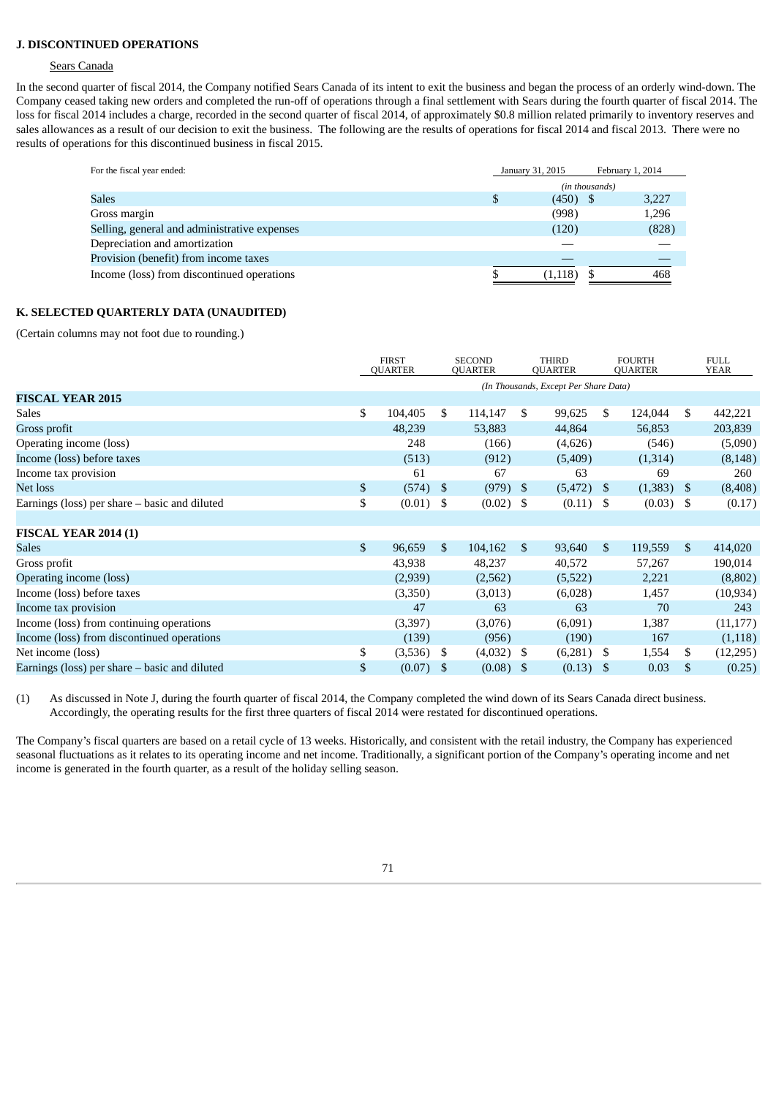# **J. DISCONTINUED OPERATIONS**

# Sears Canada

In the second quarter of fiscal 2014, the Company notified Sears Canada of its intent to exit the business and began the process of an orderly wind-down. The Company ceased taking new orders and completed the run-off of operations through a final settlement with Sears during the fourth quarter of fiscal 2014. The loss for fiscal 2014 includes a charge, recorded in the second quarter of fiscal 2014, of approximately \$0.8 million related primarily to inventory reserves and sales allowances as a result of our decision to exit the business. The following are the results of operations for fiscal 2014 and fiscal 2013. There were no results of operations for this discontinued business in fiscal 2015.

| For the fiscal year ended:                   | January 31, 2015 |            | February 1, 2014 |       |
|----------------------------------------------|------------------|------------|------------------|-------|
|                                              |                  |            | (in thousands)   |       |
| Sales                                        |                  | $(450)$ \$ |                  | 3,227 |
| Gross margin                                 |                  | (998)      |                  | 1,296 |
| Selling, general and administrative expenses |                  | (120)      |                  | (828) |
| Depreciation and amortization                |                  |            |                  |       |
| Provision (benefit) from income taxes        |                  |            |                  |       |
| Income (loss) from discontinued operations   |                  | (1, 118)   |                  | 468   |

# **K. SELECTED QUARTERLY DATA (UNAUDITED)**

(Certain columns may not foot due to rounding.)

|                                               | <b>FIRST</b><br><b>QUARTER</b>        |    | <b>SECOND</b><br><b>QUARTER</b> |              | <b>THIRD</b><br><b>QUARTER</b> |     | <b>FOURTH</b><br><b>QUARTER</b> |    | <b>FULL</b><br><b>YEAR</b> |  |
|-----------------------------------------------|---------------------------------------|----|---------------------------------|--------------|--------------------------------|-----|---------------------------------|----|----------------------------|--|
|                                               | (In Thousands, Except Per Share Data) |    |                                 |              |                                |     |                                 |    |                            |  |
| <b>FISCAL YEAR 2015</b>                       |                                       |    |                                 |              |                                |     |                                 |    |                            |  |
| <b>Sales</b>                                  | \$<br>104,405                         | \$ | 114,147                         | \$           | 99,625                         | \$  | 124,044                         | \$ | 442,221                    |  |
| Gross profit                                  | 48,239                                |    | 53,883                          |              | 44,864                         |     | 56,853                          |    | 203,839                    |  |
| Operating income (loss)                       | 248                                   |    | (166)                           |              | (4,626)                        |     | (546)                           |    | (5,090)                    |  |
| Income (loss) before taxes                    | (513)                                 |    | (912)                           |              | (5,409)                        |     | (1,314)                         |    | (8, 148)                   |  |
| Income tax provision                          | 61                                    |    | 67                              |              | 63                             |     | 69                              |    | 260                        |  |
| Net loss                                      | \$<br>(574)                           | \$ | (979)                           | \$           | (5, 472)                       | -S  | $(1,383)$ \$                    |    | (8,408)                    |  |
| Earnings (loss) per share – basic and diluted | \$<br>(0.01)                          | \$ | (0.02)                          | \$           | (0.11)                         | \$  | $(0.03)$ \$                     |    | (0.17)                     |  |
|                                               |                                       |    |                                 |              |                                |     |                                 |    |                            |  |
| <b>FISCAL YEAR 2014 (1)</b>                   |                                       |    |                                 |              |                                |     |                                 |    |                            |  |
| <b>Sales</b>                                  | \$<br>96,659                          | \$ | 104,162                         | $\mathbb{S}$ | 93,640                         | \$  | 119,559                         | \$ | 414,020                    |  |
| Gross profit                                  | 43,938                                |    | 48,237                          |              | 40,572                         |     | 57,267                          |    | 190,014                    |  |
| Operating income (loss)                       | (2,939)                               |    | (2,562)                         |              | (5,522)                        |     | 2,221                           |    | (8,802)                    |  |
| Income (loss) before taxes                    | (3,350)                               |    | (3,013)                         |              | (6,028)                        |     | 1,457                           |    | (10, 934)                  |  |
| Income tax provision                          | 47                                    |    | 63                              |              | 63                             |     | 70                              |    | 243                        |  |
| Income (loss) from continuing operations      | (3,397)                               |    | (3,076)                         |              | (6,091)                        |     | 1,387                           |    | (11, 177)                  |  |
| Income (loss) from discontinued operations    | (139)                                 |    | (956)                           |              | (190)                          |     | 167                             |    | (1,118)                    |  |
| Net income (loss)                             | \$<br>(3,536)                         | \$ | (4,032)                         | \$           | (6,281)                        | -\$ | 1,554                           | \$ | (12, 295)                  |  |
| Earnings (loss) per share – basic and diluted | \$<br>(0.07)                          | \$ | (0.08)                          | - \$         | (0.13)                         | \$  | 0.03                            | \$ | (0.25)                     |  |

(1) As discussed in Note J, during the fourth quarter of fiscal 2014, the Company completed the wind down of its Sears Canada direct business. Accordingly, the operating results for the first three quarters of fiscal 2014 were restated for discontinued operations.

The Company's fiscal quarters are based on a retail cycle of 13 weeks. Historically, and consistent with the retail industry, the Company has experienced seasonal fluctuations as it relates to its operating income and net income. Traditionally, a significant portion of the Company's operating income and net income is generated in the fourth quarter, as a result of the holiday selling season.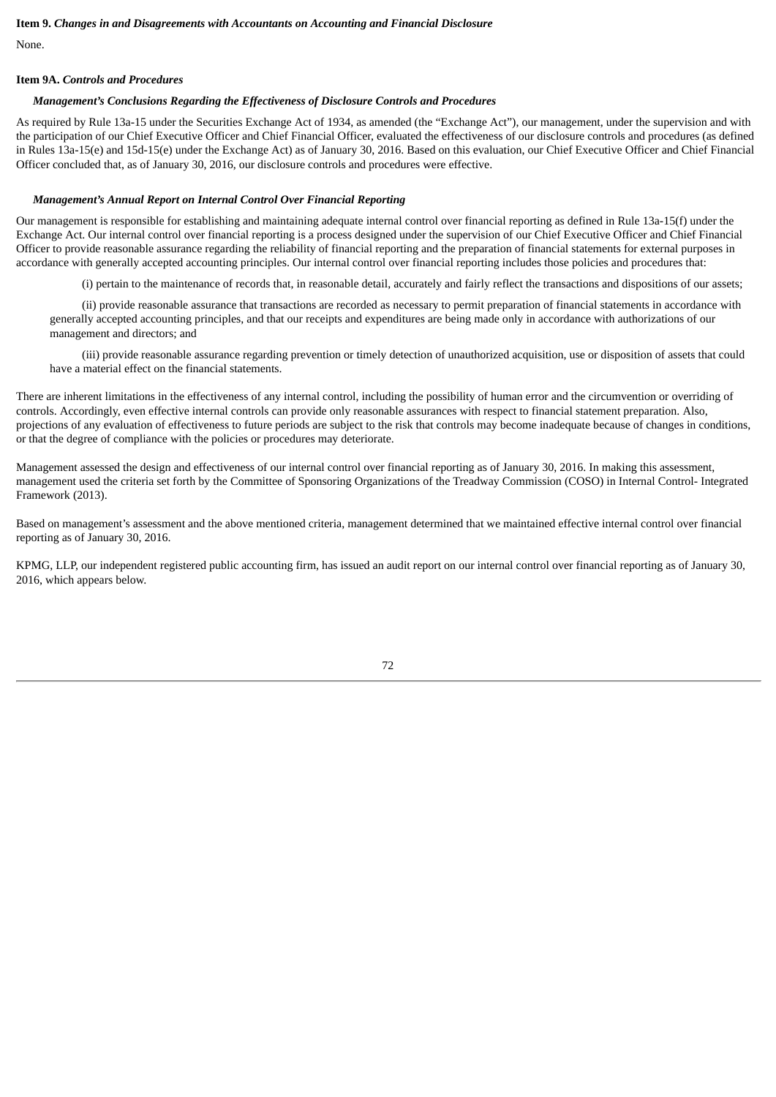None.

#### **Item 9A.** *Controls and Procedures*

#### *Management's Conclusions Regarding the Effectiveness of Disclosure Controls and Procedures*

As required by Rule 13a-15 under the Securities Exchange Act of 1934, as amended (the "Exchange Act"), our management, under the supervision and with the participation of our Chief Executive Officer and Chief Financial Officer, evaluated the effectiveness of our disclosure controls and procedures (as defined in Rules 13a-15(e) and 15d-15(e) under the Exchange Act) as of January 30, 2016. Based on this evaluation, our Chief Executive Officer and Chief Financial Officer concluded that, as of January 30, 2016, our disclosure controls and procedures were effective.

#### *Management's Annual Report on Internal Control Over Financial Reporting*

Our management is responsible for establishing and maintaining adequate internal control over financial reporting as defined in Rule 13a-15(f) under the Exchange Act. Our internal control over financial reporting is a process designed under the supervision of our Chief Executive Officer and Chief Financial Officer to provide reasonable assurance regarding the reliability of financial reporting and the preparation of financial statements for external purposes in accordance with generally accepted accounting principles. Our internal control over financial reporting includes those policies and procedures that:

(i) pertain to the maintenance of records that, in reasonable detail, accurately and fairly reflect the transactions and dispositions of our assets;

(ii) provide reasonable assurance that transactions are recorded as necessary to permit preparation of financial statements in accordance with generally accepted accounting principles, and that our receipts and expenditures are being made only in accordance with authorizations of our management and directors; and

(iii) provide reasonable assurance regarding prevention or timely detection of unauthorized acquisition, use or disposition of assets that could have a material effect on the financial statements.

There are inherent limitations in the effectiveness of any internal control, including the possibility of human error and the circumvention or overriding of controls. Accordingly, even effective internal controls can provide only reasonable assurances with respect to financial statement preparation. Also, projections of any evaluation of effectiveness to future periods are subject to the risk that controls may become inadequate because of changes in conditions, or that the degree of compliance with the policies or procedures may deteriorate.

Management assessed the design and effectiveness of our internal control over financial reporting as of January 30, 2016. In making this assessment, management used the criteria set forth by the Committee of Sponsoring Organizations of the Treadway Commission (COSO) in Internal Control- Integrated Framework (2013).

Based on management's assessment and the above mentioned criteria, management determined that we maintained effective internal control over financial reporting as of January 30, 2016.

KPMG, LLP, our independent registered public accounting firm, has issued an audit report on our internal control over financial reporting as of January 30, 2016, which appears below.

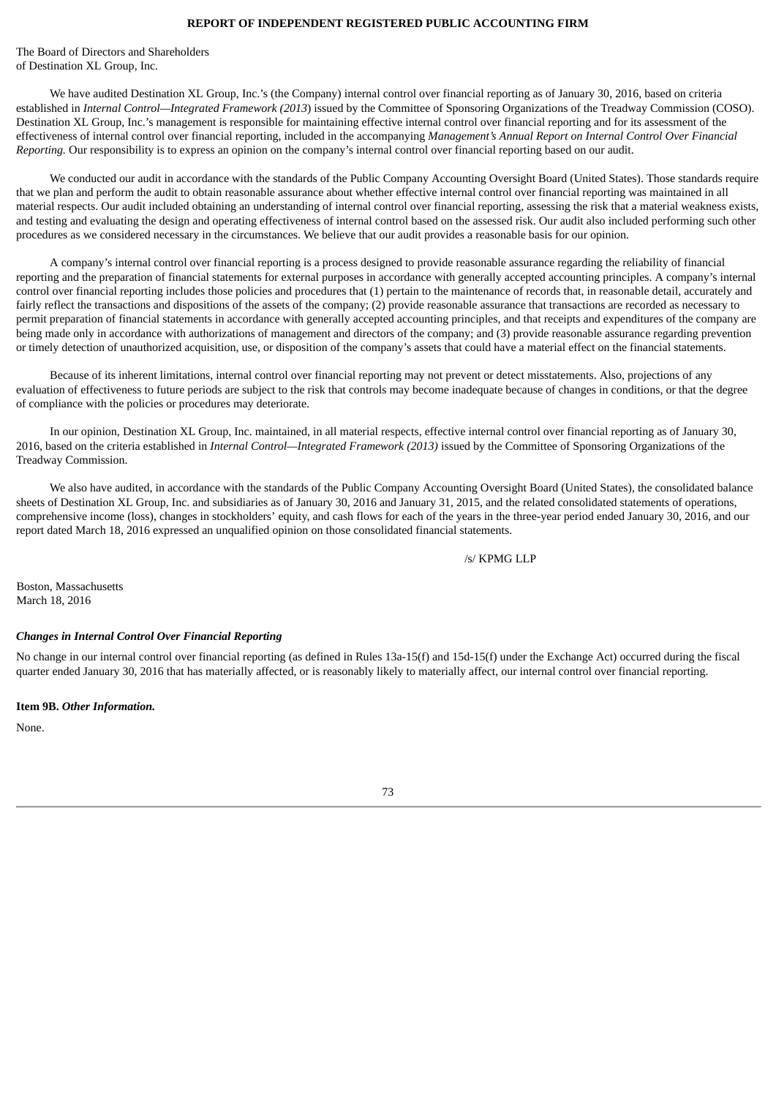# **REPORT OF INDEPENDENT REGISTERED PUBLIC ACCOUNTING FIRM**

The Board of Directors and Shareholders of Destination XL Group, Inc.

We have audited Destination XL Group, Inc.'s (the Company) internal control over financial reporting as of January 30, 2016, based on criteria established in *Internal Control—Integrated Framework (2013*) issued by the Committee of Sponsoring Organizations of the Treadway Commission (COSO). Destination XL Group, Inc.'s management is responsible for maintaining effective internal control over financial reporting and for its assessment of the effectiveness of internal control over financial reporting, included in the accompanying *Management's Annual Report on Internal Control Over Financial Reporting.* Our responsibility is to express an opinion on the company's internal control over financial reporting based on our audit.

We conducted our audit in accordance with the standards of the Public Company Accounting Oversight Board (United States). Those standards require that we plan and perform the audit to obtain reasonable assurance about whether effective internal control over financial reporting was maintained in all material respects. Our audit included obtaining an understanding of internal control over financial reporting, assessing the risk that a material weakness exists, and testing and evaluating the design and operating effectiveness of internal control based on the assessed risk. Our audit also included performing such other procedures as we considered necessary in the circumstances. We believe that our audit provides a reasonable basis for our opinion.

A company's internal control over financial reporting is a process designed to provide reasonable assurance regarding the reliability of financial reporting and the preparation of financial statements for external purposes in accordance with generally accepted accounting principles. A company's internal control over financial reporting includes those policies and procedures that (1) pertain to the maintenance of records that, in reasonable detail, accurately and fairly reflect the transactions and dispositions of the assets of the company; (2) provide reasonable assurance that transactions are recorded as necessary to permit preparation of financial statements in accordance with generally accepted accounting principles, and that receipts and expenditures of the company are being made only in accordance with authorizations of management and directors of the company; and (3) provide reasonable assurance regarding prevention or timely detection of unauthorized acquisition, use, or disposition of the company's assets that could have a material effect on the financial statements.

Because of its inherent limitations, internal control over financial reporting may not prevent or detect misstatements. Also, projections of any evaluation of effectiveness to future periods are subject to the risk that controls may become inadequate because of changes in conditions, or that the degree of compliance with the policies or procedures may deteriorate.

In our opinion, Destination XL Group, Inc. maintained, in all material respects, effective internal control over financial reporting as of January 30, 2016, based on the criteria established in *Internal Control—Integrated Framework (2013)* issued by the Committee of Sponsoring Organizations of the Treadway Commission.

We also have audited, in accordance with the standards of the Public Company Accounting Oversight Board (United States), the consolidated balance sheets of Destination XL Group, Inc. and subsidiaries as of January 30, 2016 and January 31, 2015, and the related consolidated statements of operations, comprehensive income (loss), changes in stockholders' equity, and cash flows for each of the years in the three-year period ended January 30, 2016, and our report dated March 18, 2016 expressed an unqualified opinion on those consolidated financial statements.

/s/ KPMG LLP

Boston, Massachusetts March 18, 2016

#### *Changes in Internal Control Over Financial Reporting*

No change in our internal control over financial reporting (as defined in Rules 13a-15(f) and 15d-15(f) under the Exchange Act) occurred during the fiscal quarter ended January 30, 2016 that has materially affected, or is reasonably likely to materially affect, our internal control over financial reporting.

#### **Item 9B.** *Other Information.*

None.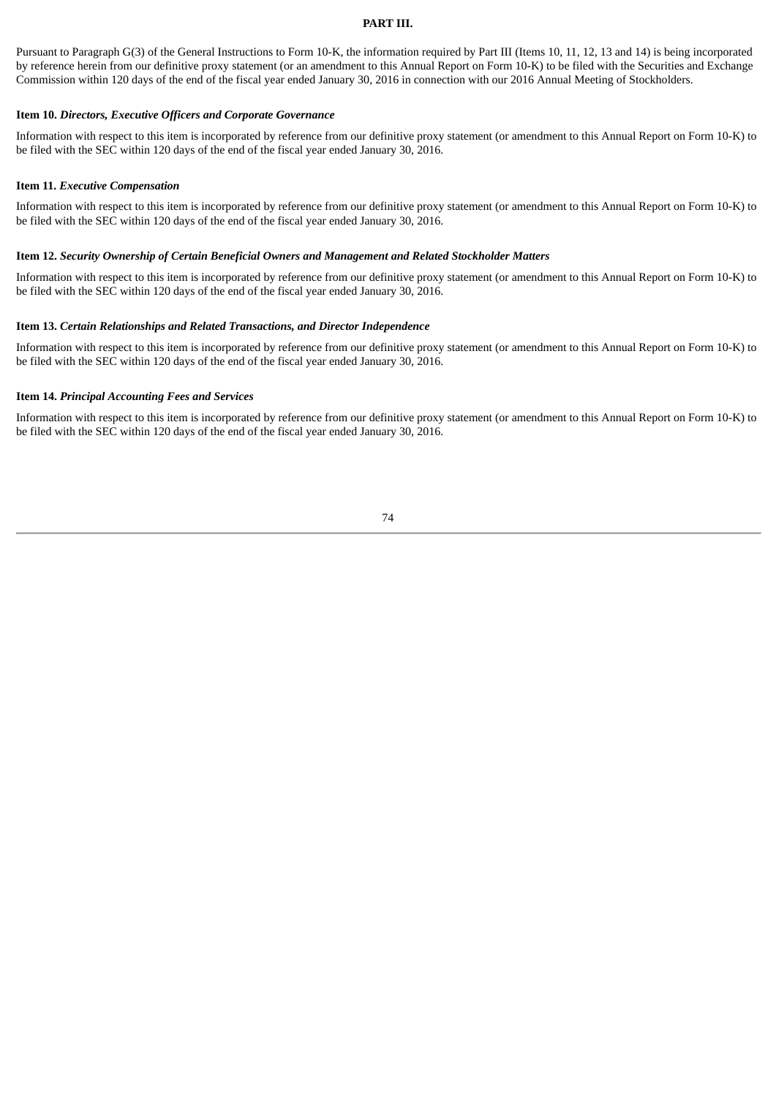# **PART III.**

Pursuant to Paragraph G(3) of the General Instructions to Form 10-K, the information required by Part III (Items 10, 11, 12, 13 and 14) is being incorporated by reference herein from our definitive proxy statement (or an amendment to this Annual Report on Form 10-K) to be filed with the Securities and Exchange Commission within 120 days of the end of the fiscal year ended January 30, 2016 in connection with our 2016 Annual Meeting of Stockholders.

#### **Item 10.** *Directors, Executive Officers and Corporate Governance*

Information with respect to this item is incorporated by reference from our definitive proxy statement (or amendment to this Annual Report on Form 10-K) to be filed with the SEC within 120 days of the end of the fiscal year ended January 30, 2016.

#### **Item 11.** *Executive Compensation*

Information with respect to this item is incorporated by reference from our definitive proxy statement (or amendment to this Annual Report on Form 10-K) to be filed with the SEC within 120 days of the end of the fiscal year ended January 30, 2016.

#### **Item 12.** *Security Ownership of Certain Beneficial Owners and Management and Related Stockholder Matters*

Information with respect to this item is incorporated by reference from our definitive proxy statement (or amendment to this Annual Report on Form 10-K) to be filed with the SEC within 120 days of the end of the fiscal year ended January 30, 2016.

### **Item 13.** *Certain Relationships and Related Transactions, and Director Independence*

Information with respect to this item is incorporated by reference from our definitive proxy statement (or amendment to this Annual Report on Form 10-K) to be filed with the SEC within 120 days of the end of the fiscal year ended January 30, 2016.

#### **Item 14.** *Principal Accounting Fees and Services*

Information with respect to this item is incorporated by reference from our definitive proxy statement (or amendment to this Annual Report on Form 10-K) to be filed with the SEC within 120 days of the end of the fiscal year ended January 30, 2016.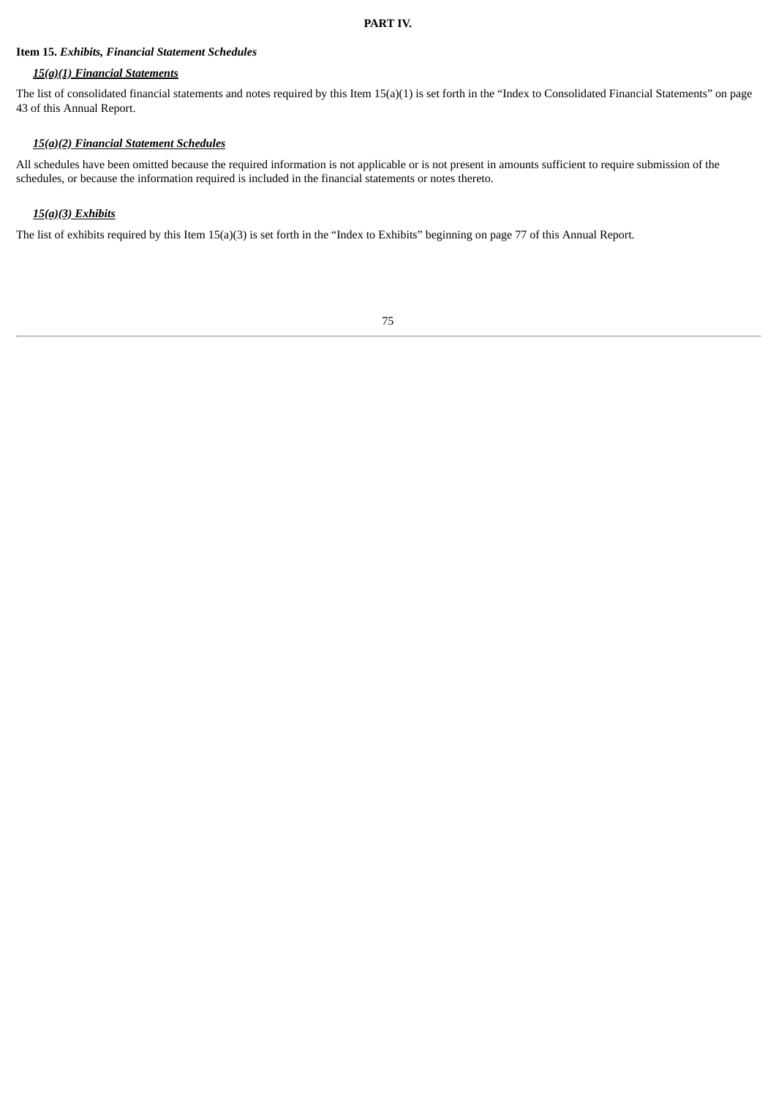# **Item 15.** *Exhibits, Financial Statement Schedules*

# *15(a)(1) Financial Statements*

The list of consolidated financial statements and notes required by this Item 15(a)(1) is set forth in the "Index to Consolidated Financial Statements" on page 43 of this Annual Report.

# *15(a)(2) Financial Statement Schedules*

All schedules have been omitted because the required information is not applicable or is not present in amounts sufficient to require submission of the schedules, or because the information required is included in the financial statements or notes thereto.

# *15(a)(3) Exhibits*

The list of exhibits required by this Item 15(a)(3) is set forth in the "Index to Exhibits" beginning on page 77 of this Annual Report.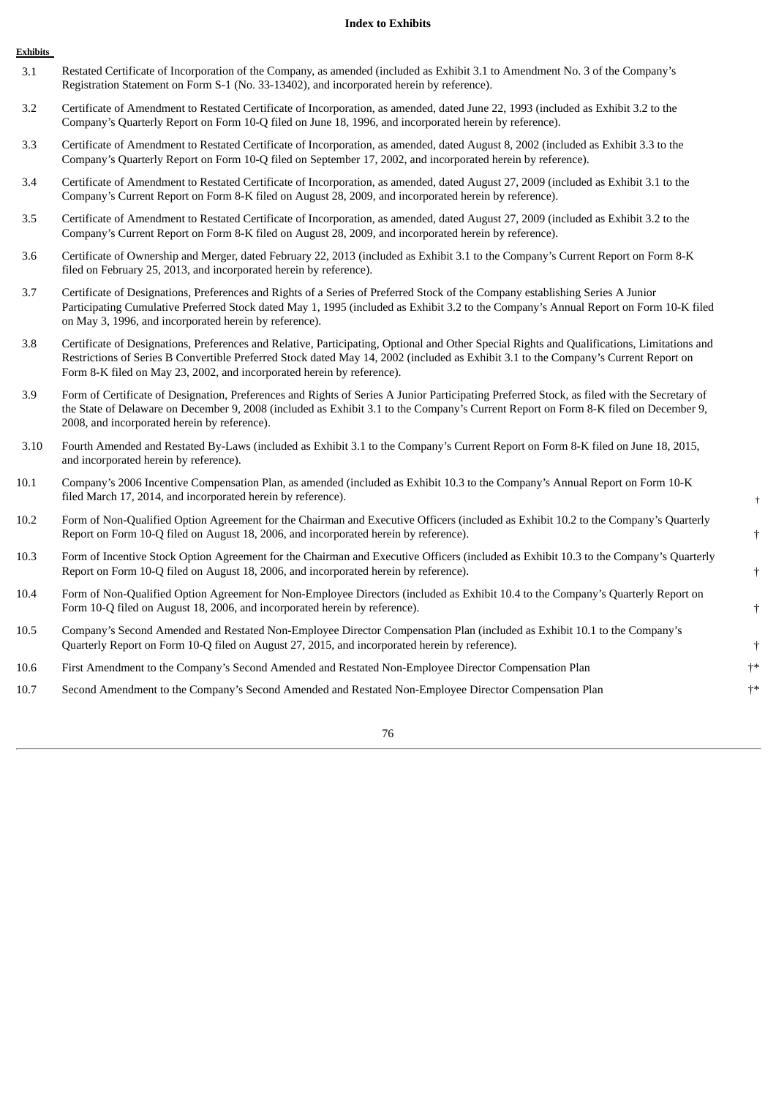#### **Index to Exhibits**

#### **Exhibits**

- 3.1 Restated Certificate of Incorporation of the Company, as amended (included as Exhibit 3.1 to Amendment No. 3 of the Company's Registration Statement on Form S-1 (No. 33-13402), and incorporated herein by reference).
- 3.2 Certificate of Amendment to Restated Certificate of Incorporation, as amended, dated June 22, 1993 (included as Exhibit 3.2 to the Company's Quarterly Report on Form 10-Q filed on June 18, 1996, and incorporated herein by reference).
- 3.3 Certificate of Amendment to Restated Certificate of Incorporation, as amended, dated August 8, 2002 (included as Exhibit 3.3 to the Company's Quarterly Report on Form 10-Q filed on September 17, 2002, and incorporated herein by reference).
- 3.4 Certificate of Amendment to Restated Certificate of Incorporation, as amended, dated August 27, 2009 (included as Exhibit 3.1 to the Company's Current Report on Form 8-K filed on August 28, 2009, and incorporated herein by reference).
- 3.5 Certificate of Amendment to Restated Certificate of Incorporation, as amended, dated August 27, 2009 (included as Exhibit 3.2 to the Company's Current Report on Form 8-K filed on August 28, 2009, and incorporated herein by reference).
- 3.6 Certificate of Ownership and Merger, dated February 22, 2013 (included as Exhibit 3.1 to the Company's Current Report on Form 8-K filed on February 25, 2013, and incorporated herein by reference).
- 3.7 Certificate of Designations, Preferences and Rights of a Series of Preferred Stock of the Company establishing Series A Junior Participating Cumulative Preferred Stock dated May 1, 1995 (included as Exhibit 3.2 to the Company's Annual Report on Form 10-K filed on May 3, 1996, and incorporated herein by reference).
- 3.8 Certificate of Designations, Preferences and Relative, Participating, Optional and Other Special Rights and Qualifications, Limitations and Restrictions of Series B Convertible Preferred Stock dated May 14, 2002 (included as Exhibit 3.1 to the Company's Current Report on Form 8-K filed on May 23, 2002, and incorporated herein by reference).
- 3.9 Form of Certificate of Designation, Preferences and Rights of Series A Junior Participating Preferred Stock, as filed with the Secretary of the State of Delaware on December 9, 2008 (included as Exhibit 3.1 to the Company's Current Report on Form 8-K filed on December 9, 2008, and incorporated herein by reference).
- 3.10 Fourth Amended and Restated By-Laws (included as Exhibit 3.1 to the Company's Current Report on Form 8-K filed on June 18, 2015, and incorporated herein by reference).
- 10.1 Company's 2006 Incentive Compensation Plan, as amended (included as Exhibit 10.3 to the Company's Annual Report on Form 10-K filed March 17, 2014, and incorporated herein by reference). †
- 10.2 Form of Non-Qualified Option Agreement for the Chairman and Executive Officers (included as Exhibit 10.2 to the Company's Quarterly Report on Form 10-Q filed on August 18, 2006, and incorporated herein by reference). †
- 10.3 Form of Incentive Stock Option Agreement for the Chairman and Executive Officers (included as Exhibit 10.3 to the Company's Quarterly Report on Form 10-Q filed on August 18, 2006, and incorporated herein by reference). †
- 10.4 Form of Non-Qualified Option Agreement for Non-Employee Directors (included as Exhibit 10.4 to the Company's Quarterly Report on Form 10-Q filed on August 18, 2006, and incorporated herein by reference).
- 10.5 Company's Second Amended and Restated Non-Employee Director Compensation Plan (included as Exhibit 10.1 to the Company's Quarterly Report on Form 10-Q filed on August 27, 2015, and incorporated herein by reference). †
- 10.6 First Amendment to the Company's Second Amended and Restated Non-Employee Director Compensation Plan †\*
- 10.7 Second Amendment to the Company's Second Amended and Restated Non-Employee Director Compensation Plan <sup>†\*</sup>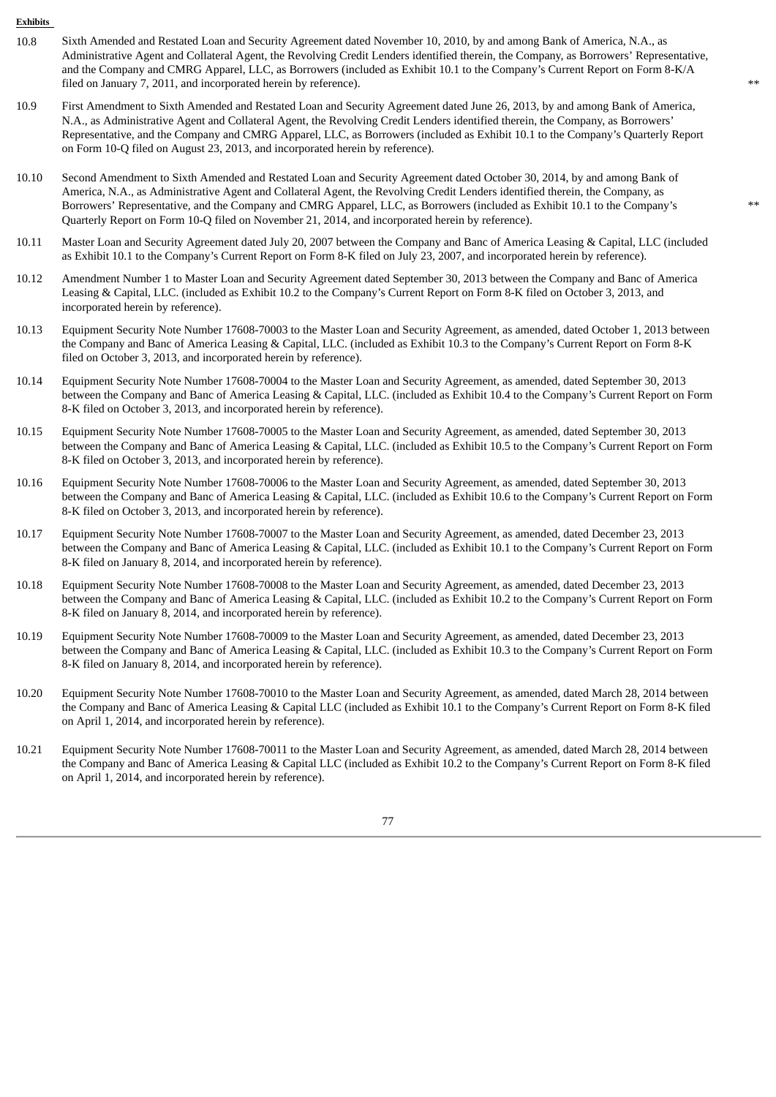- 10.8 Sixth Amended and Restated Loan and Security Agreement dated November 10, 2010, by and among Bank of America, N.A., as Administrative Agent and Collateral Agent, the Revolving Credit Lenders identified therein, the Company, as Borrowers' Representative, and the Company and CMRG Apparel, LLC, as Borrowers (included as Exhibit 10.1 to the Company's Current Report on Form 8-K/A filed on January 7, 2011, and incorporated herein by reference).  $***$
- 10.9 First Amendment to Sixth Amended and Restated Loan and Security Agreement dated June 26, 2013, by and among Bank of America, N.A., as Administrative Agent and Collateral Agent, the Revolving Credit Lenders identified therein, the Company, as Borrowers' Representative, and the Company and CMRG Apparel, LLC, as Borrowers (included as Exhibit 10.1 to the Company's Quarterly Report on Form 10-Q filed on August 23, 2013, and incorporated herein by reference).
- 10.10 Second Amendment to Sixth Amended and Restated Loan and Security Agreement dated October 30, 2014, by and among Bank of America, N.A., as Administrative Agent and Collateral Agent, the Revolving Credit Lenders identified therein, the Company, as Borrowers' Representative, and the Company and CMRG Apparel, LLC, as Borrowers (included as Exhibit 10.1 to the Company's Quarterly Report on Form 10-Q filed on November 21, 2014, and incorporated herein by reference).
- 10.11 Master Loan and Security Agreement dated July 20, 2007 between the Company and Banc of America Leasing & Capital, LLC (included as Exhibit 10.1 to the Company's Current Report on Form 8-K filed on July 23, 2007, and incorporated herein by reference).

\*\*

- 10.12 Amendment Number 1 to Master Loan and Security Agreement dated September 30, 2013 between the Company and Banc of America Leasing & Capital, LLC. (included as Exhibit 10.2 to the Company's Current Report on Form 8-K filed on October 3, 2013, and incorporated herein by reference).
- 10.13 Equipment Security Note Number 17608-70003 to the Master Loan and Security Agreement, as amended, dated October 1, 2013 between the Company and Banc of America Leasing & Capital, LLC. (included as Exhibit 10.3 to the Company's Current Report on Form 8-K filed on October 3, 2013, and incorporated herein by reference).
- 10.14 Equipment Security Note Number 17608-70004 to the Master Loan and Security Agreement, as amended, dated September 30, 2013 between the Company and Banc of America Leasing & Capital, LLC. (included as Exhibit 10.4 to the Company's Current Report on Form 8-K filed on October 3, 2013, and incorporated herein by reference).
- 10.15 Equipment Security Note Number 17608-70005 to the Master Loan and Security Agreement, as amended, dated September 30, 2013 between the Company and Banc of America Leasing & Capital, LLC. (included as Exhibit 10.5 to the Company's Current Report on Form 8-K filed on October 3, 2013, and incorporated herein by reference).
- 10.16 Equipment Security Note Number 17608-70006 to the Master Loan and Security Agreement, as amended, dated September 30, 2013 between the Company and Banc of America Leasing & Capital, LLC. (included as Exhibit 10.6 to the Company's Current Report on Form 8-K filed on October 3, 2013, and incorporated herein by reference).
- 10.17 Equipment Security Note Number 17608-70007 to the Master Loan and Security Agreement, as amended, dated December 23, 2013 between the Company and Banc of America Leasing & Capital, LLC. (included as Exhibit 10.1 to the Company's Current Report on Form 8-K filed on January 8, 2014, and incorporated herein by reference).
- 10.18 Equipment Security Note Number 17608-70008 to the Master Loan and Security Agreement, as amended, dated December 23, 2013 between the Company and Banc of America Leasing & Capital, LLC. (included as Exhibit 10.2 to the Company's Current Report on Form 8-K filed on January 8, 2014, and incorporated herein by reference).
- 10.19 Equipment Security Note Number 17608-70009 to the Master Loan and Security Agreement, as amended, dated December 23, 2013 between the Company and Banc of America Leasing & Capital, LLC. (included as Exhibit 10.3 to the Company's Current Report on Form 8-K filed on January 8, 2014, and incorporated herein by reference).
- 10.20 Equipment Security Note Number 17608-70010 to the Master Loan and Security Agreement, as amended, dated March 28, 2014 between the Company and Banc of America Leasing & Capital LLC (included as Exhibit 10.1 to the Company's Current Report on Form 8-K filed on April 1, 2014, and incorporated herein by reference).
- 10.21 Equipment Security Note Number 17608-70011 to the Master Loan and Security Agreement, as amended, dated March 28, 2014 between the Company and Banc of America Leasing & Capital LLC (included as Exhibit 10.2 to the Company's Current Report on Form 8-K filed on April 1, 2014, and incorporated herein by reference).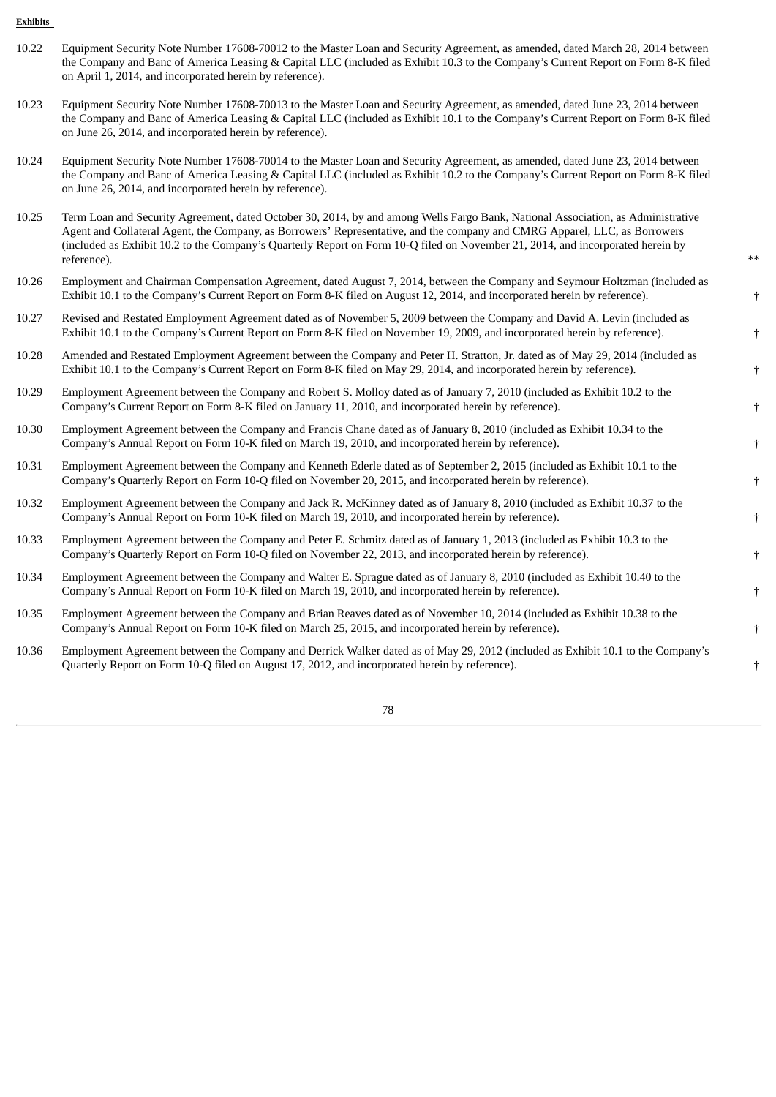| 10.22 | Equipment Security Note Number 17608-70012 to the Master Loan and Security Agreement, as amended, dated March 28, 2014 between<br>the Company and Banc of America Leasing & Capital LLC (included as Exhibit 10.3 to the Company's Current Report on Form 8-K filed<br>on April 1, 2014, and incorporated herein by reference).                                                                                  |            |
|-------|------------------------------------------------------------------------------------------------------------------------------------------------------------------------------------------------------------------------------------------------------------------------------------------------------------------------------------------------------------------------------------------------------------------|------------|
| 10.23 | Equipment Security Note Number 17608-70013 to the Master Loan and Security Agreement, as amended, dated June 23, 2014 between<br>the Company and Banc of America Leasing & Capital LLC (included as Exhibit 10.1 to the Company's Current Report on Form 8-K filed<br>on June 26, 2014, and incorporated herein by reference).                                                                                   |            |
| 10.24 | Equipment Security Note Number 17608-70014 to the Master Loan and Security Agreement, as amended, dated June 23, 2014 between<br>the Company and Banc of America Leasing & Capital LLC (included as Exhibit 10.2 to the Company's Current Report on Form 8-K filed<br>on June 26, 2014, and incorporated herein by reference).                                                                                   |            |
| 10.25 | Term Loan and Security Agreement, dated October 30, 2014, by and among Wells Fargo Bank, National Association, as Administrative<br>Agent and Collateral Agent, the Company, as Borrowers' Representative, and the company and CMRG Apparel, LLC, as Borrowers<br>(included as Exhibit 10.2 to the Company's Quarterly Report on Form 10-Q filed on November 21, 2014, and incorporated herein by<br>reference). | $***$      |
| 10.26 | Employment and Chairman Compensation Agreement, dated August 7, 2014, between the Company and Seymour Holtzman (included as<br>Exhibit 10.1 to the Company's Current Report on Form 8-K filed on August 12, 2014, and incorporated herein by reference).                                                                                                                                                         | $^\dagger$ |
| 10.27 | Revised and Restated Employment Agreement dated as of November 5, 2009 between the Company and David A. Levin (included as<br>Exhibit 10.1 to the Company's Current Report on Form 8-K filed on November 19, 2009, and incorporated herein by reference).                                                                                                                                                        | $^\dagger$ |
| 10.28 | Amended and Restated Employment Agreement between the Company and Peter H. Stratton, Jr. dated as of May 29, 2014 (included as<br>Exhibit 10.1 to the Company's Current Report on Form 8-K filed on May 29, 2014, and incorporated herein by reference).                                                                                                                                                         | $^\dagger$ |
| 10.29 | Employment Agreement between the Company and Robert S. Molloy dated as of January 7, 2010 (included as Exhibit 10.2 to the<br>Company's Current Report on Form 8-K filed on January 11, 2010, and incorporated herein by reference).                                                                                                                                                                             | $^\dagger$ |
| 10.30 | Employment Agreement between the Company and Francis Chane dated as of January 8, 2010 (included as Exhibit 10.34 to the<br>Company's Annual Report on Form 10-K filed on March 19, 2010, and incorporated herein by reference).                                                                                                                                                                                 | $^\dagger$ |
| 10.31 | Employment Agreement between the Company and Kenneth Ederle dated as of September 2, 2015 (included as Exhibit 10.1 to the<br>Company's Quarterly Report on Form 10-Q filed on November 20, 2015, and incorporated herein by reference).                                                                                                                                                                         | $^\dagger$ |
| 10.32 | Employment Agreement between the Company and Jack R. McKinney dated as of January 8, 2010 (included as Exhibit 10.37 to the<br>Company's Annual Report on Form 10-K filed on March 19, 2010, and incorporated herein by reference).                                                                                                                                                                              | $^\dagger$ |
| 10.33 | Employment Agreement between the Company and Peter E. Schmitz dated as of January 1, 2013 (included as Exhibit 10.3 to the<br>Company's Quarterly Report on Form 10-Q filed on November 22, 2013, and incorporated herein by reference).                                                                                                                                                                         | $^\dagger$ |
| 10.34 | Employment Agreement between the Company and Walter E. Sprague dated as of January 8, 2010 (included as Exhibit 10.40 to the<br>Company's Annual Report on Form 10-K filed on March 19, 2010, and incorporated herein by reference).                                                                                                                                                                             | $\dagger$  |
|       |                                                                                                                                                                                                                                                                                                                                                                                                                  |            |

- 10.35 Employment Agreement between the Company and Brian Reaves dated as of November 10, 2014 (included as Exhibit 10.38 to the Company's Annual Report on Form 10-K filed on March 25, 2015, and incorporated herein by reference). †
- 10.36 Employment Agreement between the Company and Derrick Walker dated as of May 29, 2012 (included as Exhibit 10.1 to the Company's Quarterly Report on Form 10-Q filed on August 17, 2012, and incorporated herein by reference).  $\qquad \qquad +$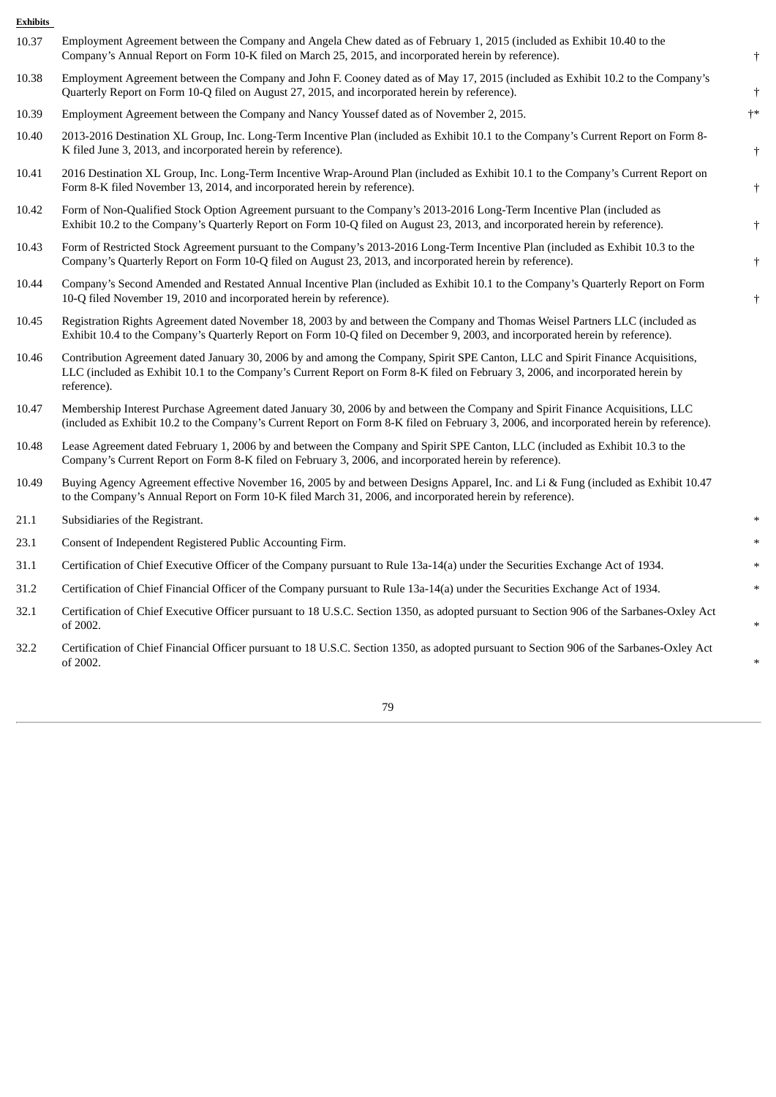| 10.37 | Employment Agreement between the Company and Angela Chew dated as of February 1, 2015 (included as Exhibit 10.40 to the<br>Company's Annual Report on Form 10-K filed on March 25, 2015, and incorporated herein by reference).                                                   | $^\dagger$  |
|-------|-----------------------------------------------------------------------------------------------------------------------------------------------------------------------------------------------------------------------------------------------------------------------------------|-------------|
| 10.38 | Employment Agreement between the Company and John F. Cooney dated as of May 17, 2015 (included as Exhibit 10.2 to the Company's<br>Quarterly Report on Form 10-Q filed on August 27, 2015, and incorporated herein by reference).                                                 | $^\dagger$  |
| 10.39 | Employment Agreement between the Company and Nancy Youssef dated as of November 2, 2015.                                                                                                                                                                                          | $\dagger^*$ |
| 10.40 | 2013-2016 Destination XL Group, Inc. Long-Term Incentive Plan (included as Exhibit 10.1 to the Company's Current Report on Form 8-<br>K filed June 3, 2013, and incorporated herein by reference).                                                                                | $\dagger$   |
| 10.41 | 2016 Destination XL Group, Inc. Long-Term Incentive Wrap-Around Plan (included as Exhibit 10.1 to the Company's Current Report on<br>Form 8-K filed November 13, 2014, and incorporated herein by reference).                                                                     | $^\dagger$  |
| 10.42 | Form of Non-Qualified Stock Option Agreement pursuant to the Company's 2013-2016 Long-Term Incentive Plan (included as<br>Exhibit 10.2 to the Company's Quarterly Report on Form 10-Q filed on August 23, 2013, and incorporated herein by reference).                            | $\ddagger$  |
| 10.43 | Form of Restricted Stock Agreement pursuant to the Company's 2013-2016 Long-Term Incentive Plan (included as Exhibit 10.3 to the<br>Company's Quarterly Report on Form 10-Q filed on August 23, 2013, and incorporated herein by reference).                                      | $^\dagger$  |
| 10.44 | Company's Second Amended and Restated Annual Incentive Plan (included as Exhibit 10.1 to the Company's Quarterly Report on Form<br>10-Q filed November 19, 2010 and incorporated herein by reference).                                                                            | $^\dagger$  |
| 10.45 | Registration Rights Agreement dated November 18, 2003 by and between the Company and Thomas Weisel Partners LLC (included as<br>Exhibit 10.4 to the Company's Quarterly Report on Form 10-Q filed on December 9, 2003, and incorporated herein by reference).                     |             |
| 10.46 | Contribution Agreement dated January 30, 2006 by and among the Company, Spirit SPE Canton, LLC and Spirit Finance Acquisitions,<br>LLC (included as Exhibit 10.1 to the Company's Current Report on Form 8-K filed on February 3, 2006, and incorporated herein by<br>reference). |             |
| 10.47 | Membership Interest Purchase Agreement dated January 30, 2006 by and between the Company and Spirit Finance Acquisitions, LLC<br>(included as Exhibit 10.2 to the Company's Current Report on Form 8-K filed on February 3, 2006, and incorporated herein by reference).          |             |
| 10.48 | Lease Agreement dated February 1, 2006 by and between the Company and Spirit SPE Canton, LLC (included as Exhibit 10.3 to the<br>Company's Current Report on Form 8-K filed on February 3, 2006, and incorporated herein by reference).                                           |             |
| 10.49 | Buying Agency Agreement effective November 16, 2005 by and between Designs Apparel, Inc. and Li & Fung (included as Exhibit 10.47<br>to the Company's Annual Report on Form 10-K filed March 31, 2006, and incorporated herein by reference).                                     |             |
| 21.1  | Subsidiaries of the Registrant.                                                                                                                                                                                                                                                   |             |
| 23.1  | Consent of Independent Registered Public Accounting Firm.                                                                                                                                                                                                                         |             |
| 31.1  | Certification of Chief Executive Officer of the Company pursuant to Rule 13a-14(a) under the Securities Exchange Act of 1934.                                                                                                                                                     |             |
| 31.2  | Certification of Chief Financial Officer of the Company pursuant to Rule 13a-14(a) under the Securities Exchange Act of 1934.                                                                                                                                                     |             |
| 32.1  | Certification of Chief Executive Officer pursuant to 18 U.S.C. Section 1350, as adopted pursuant to Section 906 of the Sarbanes-Oxley Act<br>of 2002.                                                                                                                             | $\ast$      |
| 32.2  | Certification of Chief Financial Officer pursuant to 18 U.S.C. Section 1350, as adopted pursuant to Section 906 of the Sarbanes-Oxley Act<br>of 2002.                                                                                                                             | $\ast$      |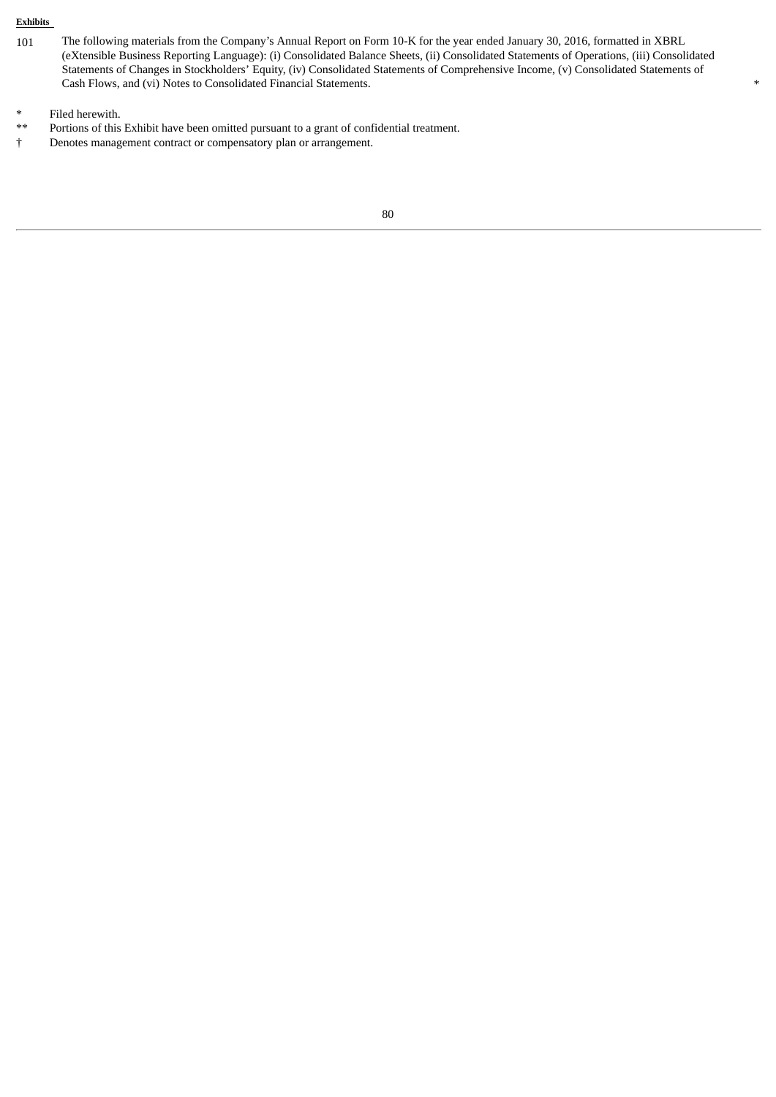- 101 The following materials from the Company's Annual Report on Form 10-K for the year ended January 30, 2016, formatted in XBRL (eXtensible Business Reporting Language): (i) Consolidated Balance Sheets, (ii) Consolidated Statements of Operations, (iii) Consolidated Statements of Changes in Stockholders' Equity, (iv) Consolidated Statements of Comprehensive Income, (v) Consolidated Statements of Cash Flows, and (vi) Notes to Consolidated Financial Statements. \*
- Filed herewith.
- \*\* Portions of this Exhibit have been omitted pursuant to a grant of confidential treatment.
- † Denotes management contract or compensatory plan or arrangement.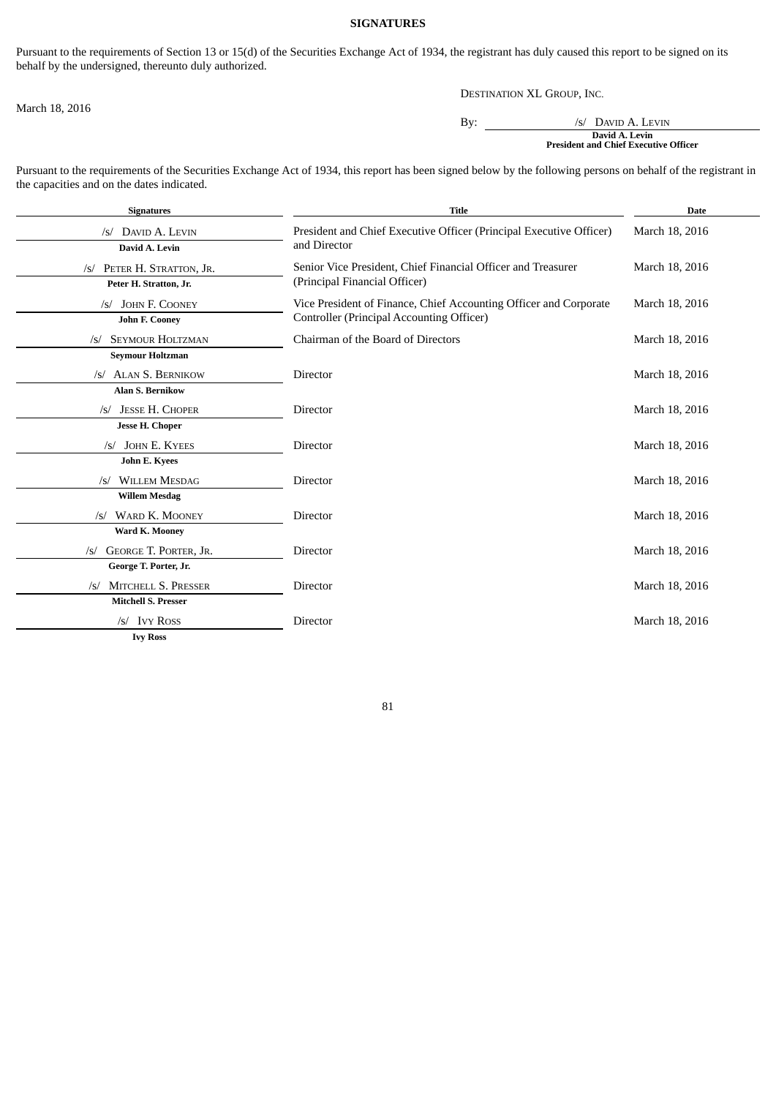# **SIGNATURES**

Pursuant to the requirements of Section 13 or 15(d) of the Securities Exchange Act of 1934, the registrant has duly caused this report to be signed on its behalf by the undersigned, thereunto duly authorized.

March 18, 2016

DESTINATION XL GROUP, INC.

By:  $\frac{1}{s}$  David A. Levin

**David A. Levin President and Chief Executive Officer**

Pursuant to the requirements of the Securities Exchange Act of 1934, this report has been signed below by the following persons on behalf of the registrant in the capacities and on the dates indicated.

| <b>Signatures</b>                        | <b>Title</b>                                                                                                          | <b>Date</b>    |
|------------------------------------------|-----------------------------------------------------------------------------------------------------------------------|----------------|
| /s/ DAVID A. LEVIN                       | President and Chief Executive Officer (Principal Executive Officer)                                                   | March 18, 2016 |
| David A. Levin                           | and Director                                                                                                          |                |
| /s/ PETER H. STRATTON, JR.               | Senior Vice President, Chief Financial Officer and Treasurer                                                          | March 18, 2016 |
| Peter H. Stratton, Jr.                   | (Principal Financial Officer)                                                                                         |                |
| <b>JOHN F. COONEY</b><br>$\sqrt{s}$      | Vice President of Finance, Chief Accounting Officer and Corporate<br><b>Controller (Principal Accounting Officer)</b> | March 18, 2016 |
| <b>John F. Cooney</b>                    |                                                                                                                       |                |
| <b>SEYMOUR HOLTZMAN</b><br>$\sqrt{s}$    | Chairman of the Board of Directors                                                                                    | March 18, 2016 |
| <b>Seymour Holtzman</b>                  |                                                                                                                       |                |
| <b>ALAN S. BERNIKOW</b><br>$\sqrt{s}$    | Director                                                                                                              | March 18, 2016 |
| <b>Alan S. Bernikow</b>                  |                                                                                                                       |                |
| <b>JESSE H. CHOPER</b><br>$\sqrt{s}$     | <b>Director</b>                                                                                                       | March 18, 2016 |
| <b>Jesse H. Choper</b>                   |                                                                                                                       |                |
| <b>JOHN E. KYEES</b><br>/s/              | Director                                                                                                              | March 18, 2016 |
| <b>John E. Kyees</b>                     |                                                                                                                       |                |
| <b>WILLEM MESDAG</b><br>$\sqrt{s}$       | <b>Director</b>                                                                                                       | March 18, 2016 |
| <b>Willem Mesdag</b>                     |                                                                                                                       |                |
| <b>WARD K. MOONEY</b><br>$\sqrt{s}$      | <b>Director</b>                                                                                                       | March 18, 2016 |
| Ward K. Mooney                           |                                                                                                                       |                |
| GEORGE T. PORTER, JR.<br>$\sqrt{s}$      | Director                                                                                                              | March 18, 2016 |
| George T. Porter, Jr.                    |                                                                                                                       |                |
| <b>MITCHELL S. PRESSER</b><br>$\sqrt{s}$ | <b>Director</b>                                                                                                       | March 18, 2016 |
| <b>Mitchell S. Presser</b>               |                                                                                                                       |                |
| $/s/$ Ivy Ross                           | Director                                                                                                              | March 18, 2016 |
| <b>Ivy Ross</b>                          |                                                                                                                       |                |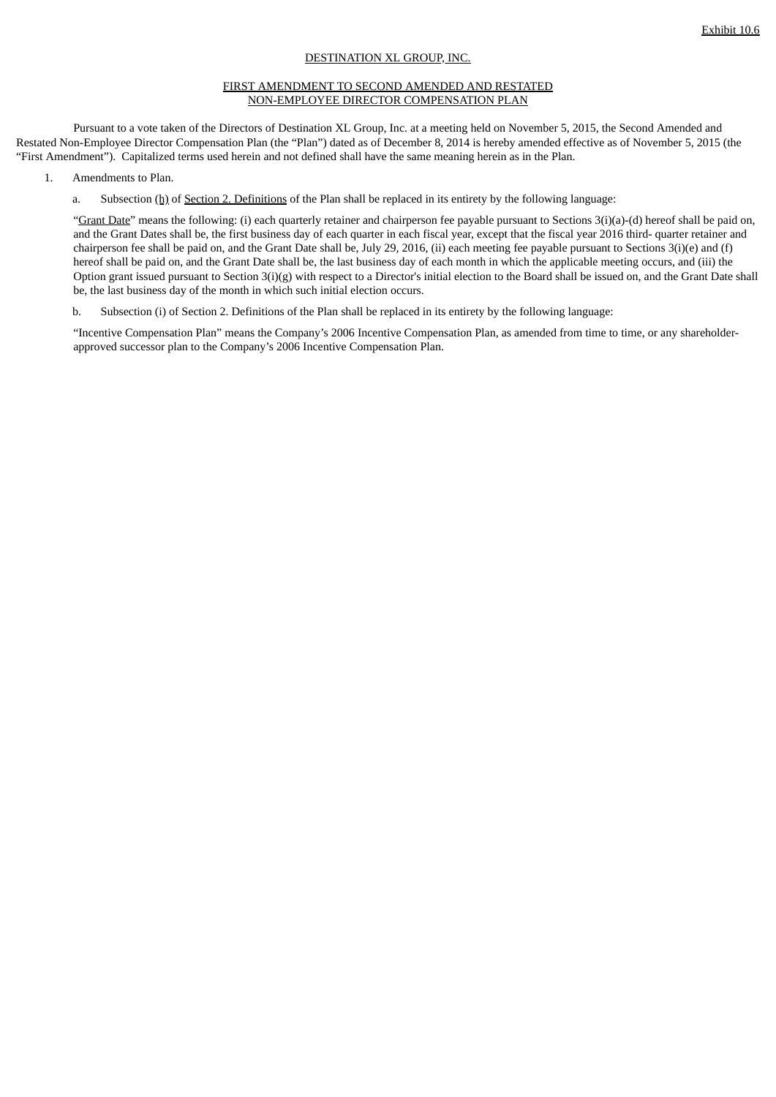# DESTINATION XL GROUP, INC.

### FIRST AMENDMENT TO SECOND AMENDED AND RESTATED NON-EMPLOYEE DIRECTOR COMPENSATION PLAN

Pursuant to a vote taken of the Directors of Destination XL Group, Inc. at a meeting held on November 5, 2015, the Second Amended and Restated Non-Employee Director Compensation Plan (the "Plan") dated as of December 8, 2014 is hereby amended effective as of November 5, 2015 (the "First Amendment"). Capitalized terms used herein and not defined shall have the same meaning herein as in the Plan.

- 1. Amendments to Plan.
	- a. Subsection (h) of Section 2. Definitions of the Plan shall be replaced in its entirety by the following language:

"Grant Date" means the following: (i) each quarterly retainer and chairperson fee payable pursuant to Sections 3(i)(a)-(d) hereof shall be paid on, and the Grant Dates shall be, the first business day of each quarter in each fiscal year, except that the fiscal year 2016 third- quarter retainer and chairperson fee shall be paid on, and the Grant Date shall be, July 29, 2016, (ii) each meeting fee payable pursuant to Sections 3(i)(e) and (f) hereof shall be paid on, and the Grant Date shall be, the last business day of each month in which the applicable meeting occurs, and (iii) the Option grant issued pursuant to Section 3(i)(g) with respect to a Director's initial election to the Board shall be issued on, and the Grant Date shall be, the last business day of the month in which such initial election occurs.

b. Subsection (i) of Section 2. Definitions of the Plan shall be replaced in its entirety by the following language:

"Incentive Compensation Plan" means the Company's 2006 Incentive Compensation Plan, as amended from time to time, or any shareholderapproved successor plan to the Company's 2006 Incentive Compensation Plan.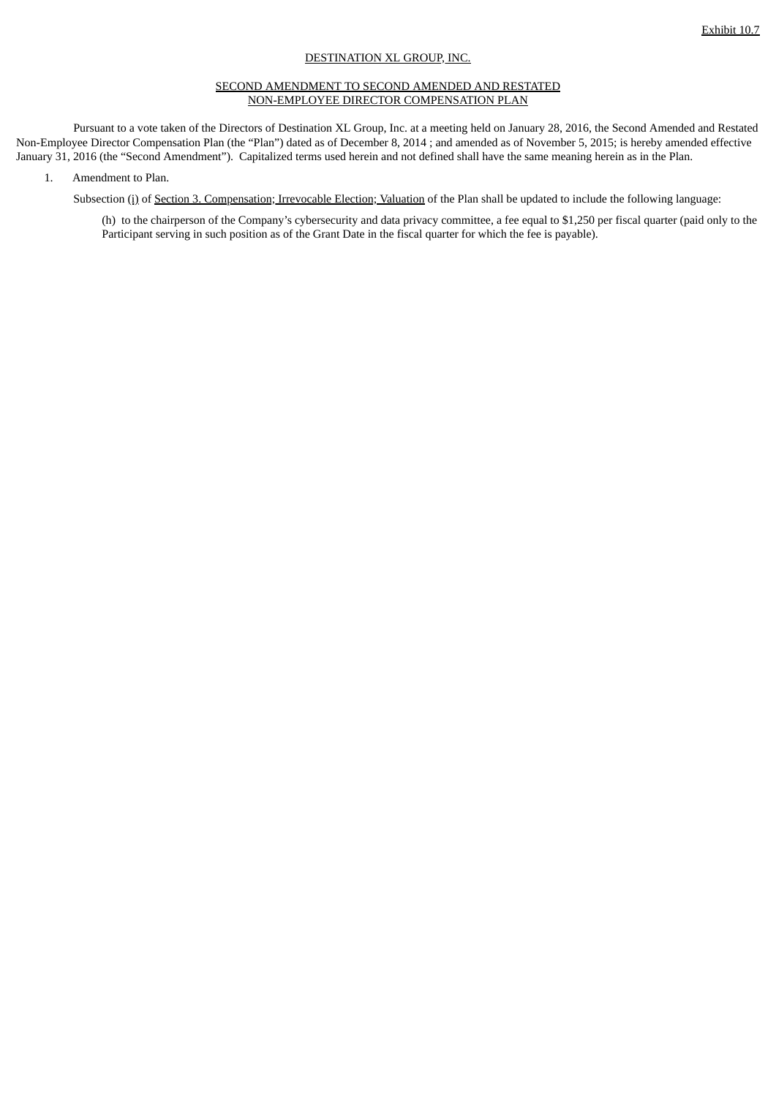# DESTINATION XL GROUP, INC.

# SECOND AMENDMENT TO SECOND AMENDED AND RESTATED NON-EMPLOYEE DIRECTOR COMPENSATION PLAN

Pursuant to a vote taken of the Directors of Destination XL Group, Inc. at a meeting held on January 28, 2016, the Second Amended and Restated Non-Employee Director Compensation Plan (the "Plan") dated as of December 8, 2014 ; and amended as of November 5, 2015; is hereby amended effective January 31, 2016 (the "Second Amendment"). Capitalized terms used herein and not defined shall have the same meaning herein as in the Plan.

1. Amendment to Plan.

Subsection (i) of Section 3. Compensation; Irrevocable Election; Valuation of the Plan shall be updated to include the following language:

(h) to the chairperson of the Company's cybersecurity and data privacy committee, a fee equal to \$1,250 per fiscal quarter (paid only to the Participant serving in such position as of the Grant Date in the fiscal quarter for which the fee is payable).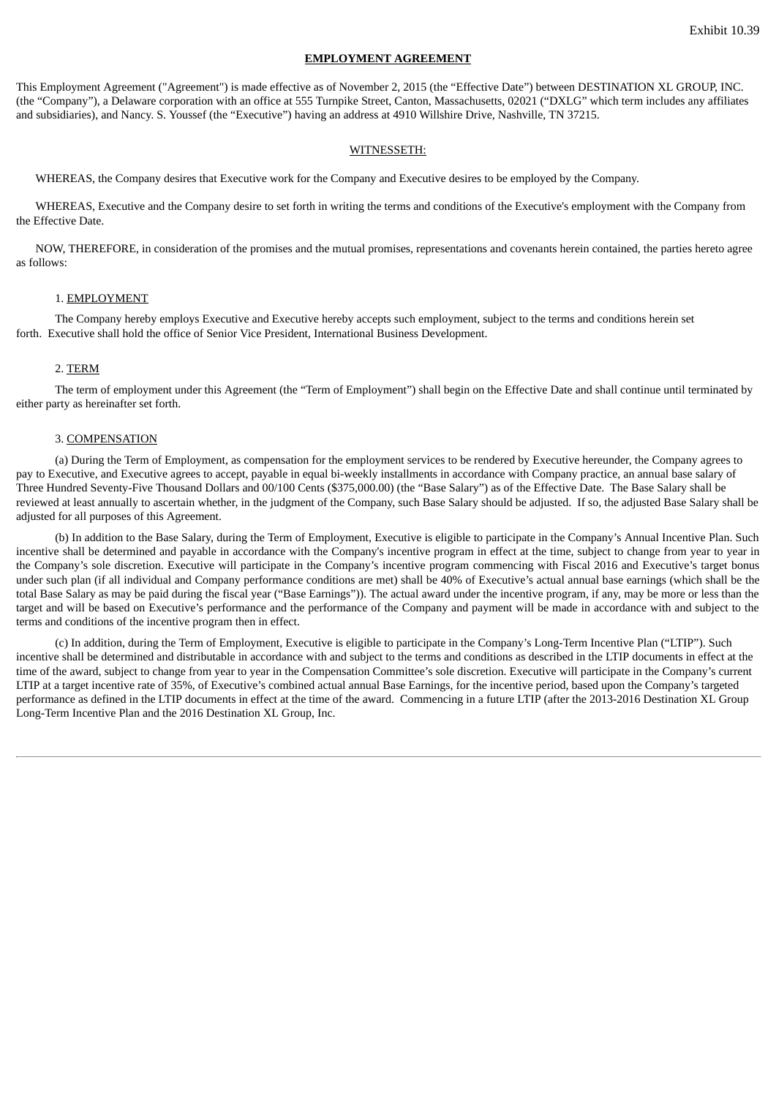#### **EMPLOYMENT AGREEMENT**

This Employment Agreement ("Agreement") is made effective as of November 2, 2015 (the "Effective Date") between DESTINATION XL GROUP, INC. (the "Company"), a Delaware corporation with an office at 555 Turnpike Street, Canton, Massachusetts, 02021 ("DXLG" which term includes any affiliates and subsidiaries), and Nancy. S. Youssef (the "Executive") having an address at 4910 Willshire Drive, Nashville, TN 37215.

# WITNESSETH:

WHEREAS, the Company desires that Executive work for the Company and Executive desires to be employed by the Company.

WHEREAS, Executive and the Company desire to set forth in writing the terms and conditions of the Executive's employment with the Company from the Effective Date.

NOW, THEREFORE, in consideration of the promises and the mutual promises, representations and covenants herein contained, the parties hereto agree as follows:

#### 1. EMPLOYMENT

The Company hereby employs Executive and Executive hereby accepts such employment, subject to the terms and conditions herein set forth. Executive shall hold the office of Senior Vice President, International Business Development.

# 2. TERM

The term of employment under this Agreement (the "Term of Employment") shall begin on the Effective Date and shall continue until terminated by either party as hereinafter set forth.

### 3. COMPENSATION

(a) During the Term of Employment, as compensation for the employment services to be rendered by Executive hereunder, the Company agrees to pay to Executive, and Executive agrees to accept, payable in equal bi-weekly installments in accordance with Company practice, an annual base salary of Three Hundred Seventy-Five Thousand Dollars and 00/100 Cents (\$375,000.00) (the "Base Salary") as of the Effective Date. The Base Salary shall be reviewed at least annually to ascertain whether, in the judgment of the Company, such Base Salary should be adjusted. If so, the adjusted Base Salary shall be adjusted for all purposes of this Agreement.

(b) In addition to the Base Salary, during the Term of Employment, Executive is eligible to participate in the Company's Annual Incentive Plan. Such incentive shall be determined and payable in accordance with the Company's incentive program in effect at the time, subject to change from year to year in the Company's sole discretion. Executive will participate in the Company's incentive program commencing with Fiscal 2016 and Executive's target bonus under such plan (if all individual and Company performance conditions are met) shall be 40% of Executive's actual annual base earnings (which shall be the total Base Salary as may be paid during the fiscal year ("Base Earnings")). The actual award under the incentive program, if any, may be more or less than the target and will be based on Executive's performance and the performance of the Company and payment will be made in accordance with and subject to the terms and conditions of the incentive program then in effect.

(c) In addition, during the Term of Employment, Executive is eligible to participate in the Company's Long-Term Incentive Plan ("LTIP"). Such incentive shall be determined and distributable in accordance with and subject to the terms and conditions as described in the LTIP documents in effect at the time of the award, subject to change from year to year in the Compensation Committee's sole discretion. Executive will participate in the Company's current LTIP at a target incentive rate of 35%, of Executive's combined actual annual Base Earnings, for the incentive period, based upon the Company's targeted performance as defined in the LTIP documents in effect at the time of the award. Commencing in a future LTIP (after the 2013-2016 Destination XL Group Long-Term Incentive Plan and the 2016 Destination XL Group, Inc.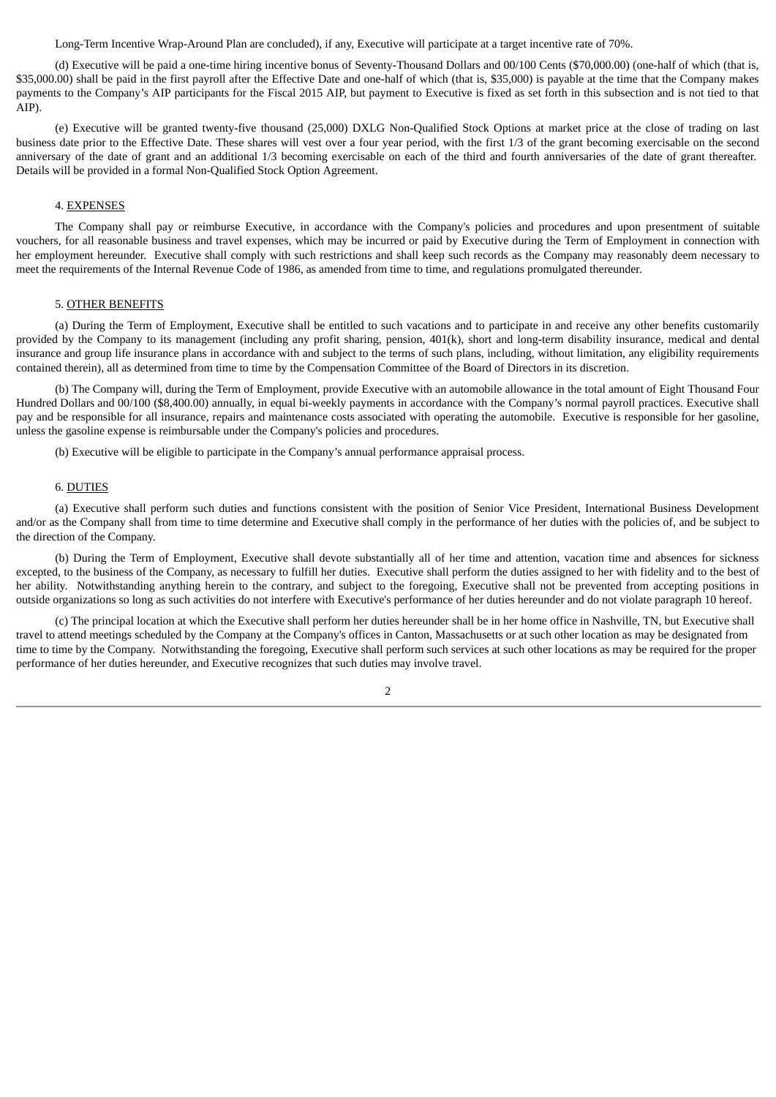Long-Term Incentive Wrap-Around Plan are concluded), if any, Executive will participate at a target incentive rate of 70%.

(d) Executive will be paid a one-time hiring incentive bonus of Seventy-Thousand Dollars and 00/100 Cents (\$70,000.00) (one-half of which (that is, \$35,000.00) shall be paid in the first payroll after the Effective Date and one-half of which (that is, \$35,000) is payable at the time that the Company makes payments to the Company's AIP participants for the Fiscal 2015 AIP, but payment to Executive is fixed as set forth in this subsection and is not tied to that AIP).

(e) Executive will be granted twenty-five thousand (25,000) DXLG Non-Qualified Stock Options at market price at the close of trading on last business date prior to the Effective Date. These shares will vest over a four year period, with the first 1/3 of the grant becoming exercisable on the second anniversary of the date of grant and an additional 1/3 becoming exercisable on each of the third and fourth anniversaries of the date of grant thereafter. Details will be provided in a formal Non-Qualified Stock Option Agreement.

### 4. EXPENSES

The Company shall pay or reimburse Executive, in accordance with the Company's policies and procedures and upon presentment of suitable vouchers, for all reasonable business and travel expenses, which may be incurred or paid by Executive during the Term of Employment in connection with her employment hereunder. Executive shall comply with such restrictions and shall keep such records as the Company may reasonably deem necessary to meet the requirements of the Internal Revenue Code of 1986, as amended from time to time, and regulations promulgated thereunder.

## 5. OTHER BENEFITS

(a) During the Term of Employment, Executive shall be entitled to such vacations and to participate in and receive any other benefits customarily provided by the Company to its management (including any profit sharing, pension, 401(k), short and long-term disability insurance, medical and dental insurance and group life insurance plans in accordance with and subject to the terms of such plans, including, without limitation, any eligibility requirements contained therein), all as determined from time to time by the Compensation Committee of the Board of Directors in its discretion.

(b) The Company will, during the Term of Employment, provide Executive with an automobile allowance in the total amount of Eight Thousand Four Hundred Dollars and 00/100 (\$8,400.00) annually, in equal bi-weekly payments in accordance with the Company's normal payroll practices. Executive shall pay and be responsible for all insurance, repairs and maintenance costs associated with operating the automobile. Executive is responsible for her gasoline, unless the gasoline expense is reimbursable under the Company's policies and procedures.

(b) Executive will be eligible to participate in the Company's annual performance appraisal process.

#### 6. DUTIES

(a) Executive shall perform such duties and functions consistent with the position of Senior Vice President, International Business Development and/or as the Company shall from time to time determine and Executive shall comply in the performance of her duties with the policies of, and be subject to the direction of the Company.

(b) During the Term of Employment, Executive shall devote substantially all of her time and attention, vacation time and absences for sickness excepted, to the business of the Company, as necessary to fulfill her duties. Executive shall perform the duties assigned to her with fidelity and to the best of her ability. Notwithstanding anything herein to the contrary, and subject to the foregoing, Executive shall not be prevented from accepting positions in outside organizations so long as such activities do not interfere with Executive's performance of her duties hereunder and do not violate paragraph 10 hereof.

(c) The principal location at which the Executive shall perform her duties hereunder shall be in her home office in Nashville, TN, but Executive shall travel to attend meetings scheduled by the Company at the Company's offices in Canton, Massachusetts or at such other location as may be designated from time to time by the Company. Notwithstanding the foregoing, Executive shall perform such services at such other locations as may be required for the proper performance of her duties hereunder, and Executive recognizes that such duties may involve travel.

 $\overline{2}$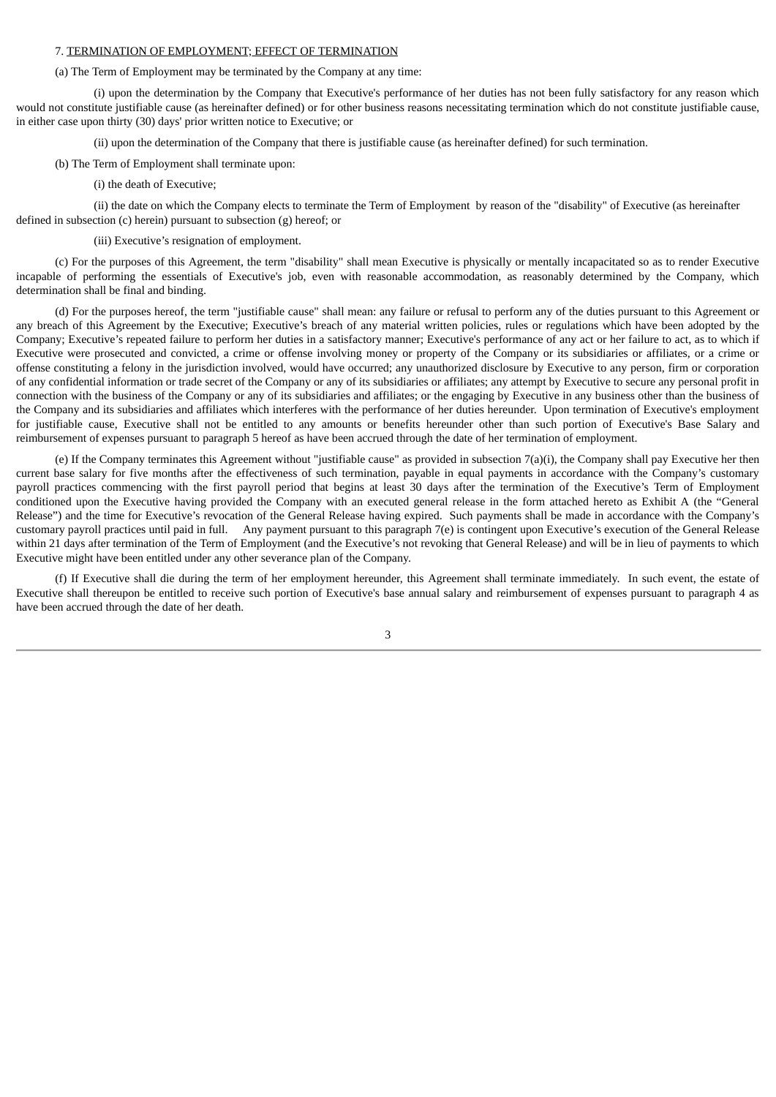#### 7. TERMINATION OF EMPLOYMENT; EFFECT OF TERMINATION

(a) The Term of Employment may be terminated by the Company at any time:

(i) upon the determination by the Company that Executive's performance of her duties has not been fully satisfactory for any reason which would not constitute justifiable cause (as hereinafter defined) or for other business reasons necessitating termination which do not constitute justifiable cause, in either case upon thirty (30) days' prior written notice to Executive; or

(ii) upon the determination of the Company that there is justifiable cause (as hereinafter defined) for such termination.

(b) The Term of Employment shall terminate upon:

(i) the death of Executive;

(ii) the date on which the Company elects to terminate the Term of Employment by reason of the "disability" of Executive (as hereinafter defined in subsection (c) herein) pursuant to subsection (g) hereof; or

(iii) Executive's resignation of employment.

(c) For the purposes of this Agreement, the term "disability" shall mean Executive is physically or mentally incapacitated so as to render Executive incapable of performing the essentials of Executive's job, even with reasonable accommodation, as reasonably determined by the Company, which determination shall be final and binding.

(d) For the purposes hereof, the term "justifiable cause" shall mean: any failure or refusal to perform any of the duties pursuant to this Agreement or any breach of this Agreement by the Executive; Executive's breach of any material written policies, rules or regulations which have been adopted by the Company; Executive's repeated failure to perform her duties in a satisfactory manner; Executive's performance of any act or her failure to act, as to which if Executive were prosecuted and convicted, a crime or offense involving money or property of the Company or its subsidiaries or affiliates, or a crime or offense constituting a felony in the jurisdiction involved, would have occurred; any unauthorized disclosure by Executive to any person, firm or corporation of any confidential information or trade secret of the Company or any of its subsidiaries or affiliates; any attempt by Executive to secure any personal profit in connection with the business of the Company or any of its subsidiaries and affiliates; or the engaging by Executive in any business other than the business of the Company and its subsidiaries and affiliates which interferes with the performance of her duties hereunder. Upon termination of Executive's employment for justifiable cause, Executive shall not be entitled to any amounts or benefits hereunder other than such portion of Executive's Base Salary and reimbursement of expenses pursuant to paragraph 5 hereof as have been accrued through the date of her termination of employment.

(e) If the Company terminates this Agreement without "justifiable cause" as provided in subsection 7(a)(i), the Company shall pay Executive her then current base salary for five months after the effectiveness of such termination, payable in equal payments in accordance with the Company's customary payroll practices commencing with the first payroll period that begins at least 30 days after the termination of the Executive's Term of Employment conditioned upon the Executive having provided the Company with an executed general release in the form attached hereto as Exhibit A (the "General Release") and the time for Executive's revocation of the General Release having expired. Such payments shall be made in accordance with the Company's customary payroll practices until paid in full. Any payment pursuant to this paragraph 7(e) is contingent upon Executive's execution of the General Release within 21 days after termination of the Term of Employment (and the Executive's not revoking that General Release) and will be in lieu of payments to which Executive might have been entitled under any other severance plan of the Company.

(f) If Executive shall die during the term of her employment hereunder, this Agreement shall terminate immediately. In such event, the estate of Executive shall thereupon be entitled to receive such portion of Executive's base annual salary and reimbursement of expenses pursuant to paragraph 4 as have been accrued through the date of her death.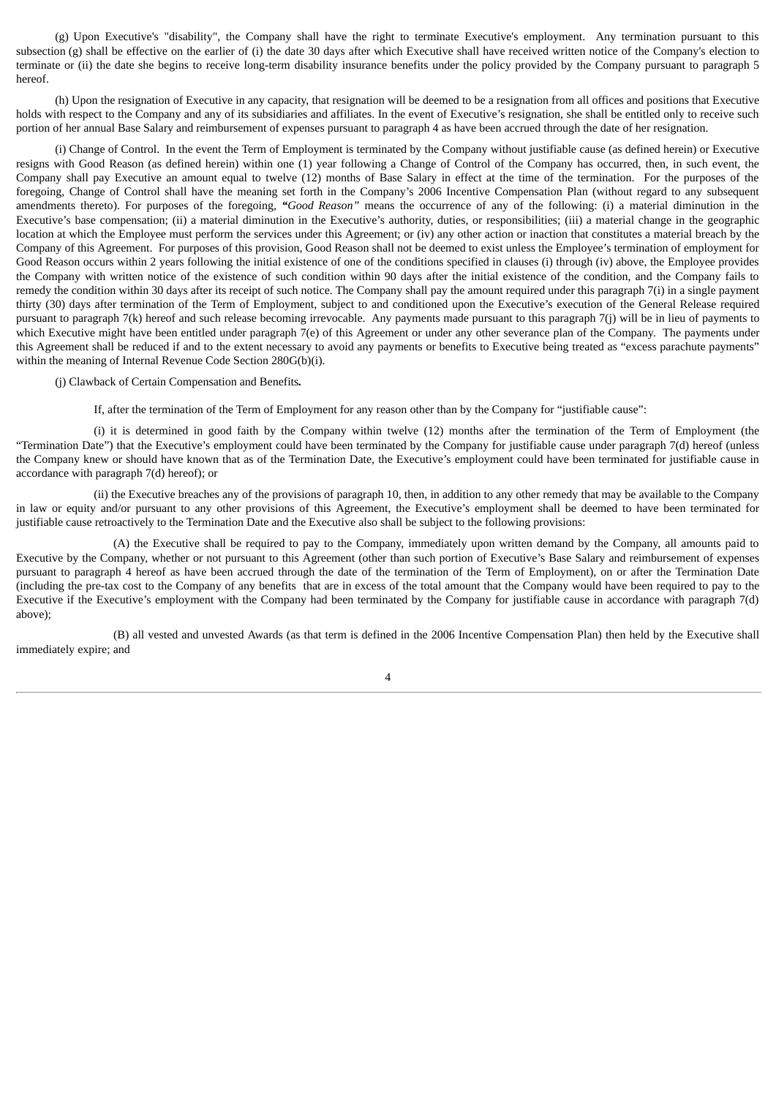(g) Upon Executive's "disability", the Company shall have the right to terminate Executive's employment. Any termination pursuant to this subsection  $(g)$  shall be effective on the earlier of (i) the date 30 days after which Executive shall have received written notice of the Company's election to terminate or (ii) the date she begins to receive long-term disability insurance benefits under the policy provided by the Company pursuant to paragraph 5 hereof.

(h) Upon the resignation of Executive in any capacity, that resignation will be deemed to be a resignation from all offices and positions that Executive holds with respect to the Company and any of its subsidiaries and affiliates. In the event of Executive's resignation, she shall be entitled only to receive such portion of her annual Base Salary and reimbursement of expenses pursuant to paragraph 4 as have been accrued through the date of her resignation.

(i) Change of Control. In the event the Term of Employment is terminated by the Company without justifiable cause (as defined herein) or Executive resigns with Good Reason (as defined herein) within one (1) year following a Change of Control of the Company has occurred, then, in such event, the Company shall pay Executive an amount equal to twelve (12) months of Base Salary in effect at the time of the termination. For the purposes of the foregoing, Change of Control shall have the meaning set forth in the Company's 2006 Incentive Compensation Plan (without regard to any subsequent amendments thereto). For purposes of the foregoing, *"Good Reason"* means the occurrence of any of the following: (i) a material diminution in the Executive's base compensation; (ii) a material diminution in the Executive's authority, duties, or responsibilities; (iii) a material change in the geographic location at which the Employee must perform the services under this Agreement; or (iv) any other action or inaction that constitutes a material breach by the Company of this Agreement. For purposes of this provision, Good Reason shall not be deemed to exist unless the Employee's termination of employment for Good Reason occurs within 2 years following the initial existence of one of the conditions specified in clauses (i) through (iv) above, the Employee provides the Company with written notice of the existence of such condition within 90 days after the initial existence of the condition, and the Company fails to remedy the condition within 30 days after its receipt of such notice. The Company shall pay the amount required under this paragraph 7(i) in a single payment thirty (30) days after termination of the Term of Employment, subject to and conditioned upon the Executive's execution of the General Release required pursuant to paragraph 7(k) hereof and such release becoming irrevocable. Any payments made pursuant to this paragraph 7(j) will be in lieu of payments to which Executive might have been entitled under paragraph 7(e) of this Agreement or under any other severance plan of the Company. The payments under this Agreement shall be reduced if and to the extent necessary to avoid any payments or benefits to Executive being treated as "excess parachute payments" within the meaning of Internal Revenue Code Section 280G(b)(i).

(j) Clawback of Certain Compensation and Benefits*.*

If, after the termination of the Term of Employment for any reason other than by the Company for "justifiable cause":

(i) it is determined in good faith by the Company within twelve (12) months after the termination of the Term of Employment (the "Termination Date") that the Executive's employment could have been terminated by the Company for justifiable cause under paragraph 7(d) hereof (unless the Company knew or should have known that as of the Termination Date, the Executive's employment could have been terminated for justifiable cause in accordance with paragraph 7(d) hereof); or

(ii) the Executive breaches any of the provisions of paragraph 10, then, in addition to any other remedy that may be available to the Company in law or equity and/or pursuant to any other provisions of this Agreement, the Executive's employment shall be deemed to have been terminated for justifiable cause retroactively to the Termination Date and the Executive also shall be subject to the following provisions:

(A) the Executive shall be required to pay to the Company, immediately upon written demand by the Company, all amounts paid to Executive by the Company, whether or not pursuant to this Agreement (other than such portion of Executive's Base Salary and reimbursement of expenses pursuant to paragraph 4 hereof as have been accrued through the date of the termination of the Term of Employment), on or after the Termination Date (including the pre-tax cost to the Company of any benefits that are in excess of the total amount that the Company would have been required to pay to the Executive if the Executive's employment with the Company had been terminated by the Company for justifiable cause in accordance with paragraph 7(d) above);

(B) all vested and unvested Awards (as that term is defined in the 2006 Incentive Compensation Plan) then held by the Executive shall immediately expire; and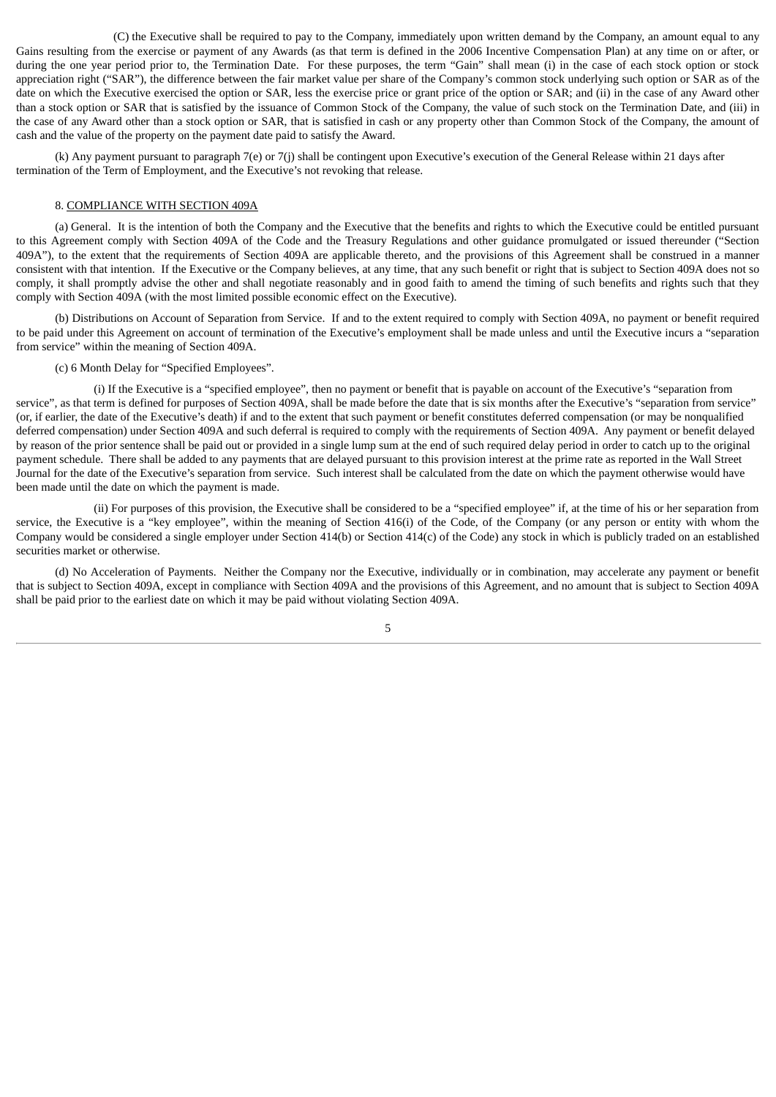(C) the Executive shall be required to pay to the Company, immediately upon written demand by the Company, an amount equal to any Gains resulting from the exercise or payment of any Awards (as that term is defined in the 2006 Incentive Compensation Plan) at any time on or after, or during the one year period prior to, the Termination Date. For these purposes, the term "Gain" shall mean (i) in the case of each stock option or stock appreciation right ("SAR"), the difference between the fair market value per share of the Company's common stock underlying such option or SAR as of the date on which the Executive exercised the option or SAR, less the exercise price or grant price of the option or SAR; and (ii) in the case of any Award other than a stock option or SAR that is satisfied by the issuance of Common Stock of the Company, the value of such stock on the Termination Date, and (iii) in the case of any Award other than a stock option or SAR, that is satisfied in cash or any property other than Common Stock of the Company, the amount of cash and the value of the property on the payment date paid to satisfy the Award.

(k) Any payment pursuant to paragraph 7(e) or 7(j) shall be contingent upon Executive's execution of the General Release within 21 days after termination of the Term of Employment, and the Executive's not revoking that release.

#### 8. COMPLIANCE WITH SECTION 409A

(a) General. It is the intention of both the Company and the Executive that the benefits and rights to which the Executive could be entitled pursuant to this Agreement comply with Section 409A of the Code and the Treasury Regulations and other guidance promulgated or issued thereunder ("Section 409A"), to the extent that the requirements of Section 409A are applicable thereto, and the provisions of this Agreement shall be construed in a manner consistent with that intention. If the Executive or the Company believes, at any time, that any such benefit or right that is subject to Section 409A does not so comply, it shall promptly advise the other and shall negotiate reasonably and in good faith to amend the timing of such benefits and rights such that they comply with Section 409A (with the most limited possible economic effect on the Executive).

(b) Distributions on Account of Separation from Service. If and to the extent required to comply with Section 409A, no payment or benefit required to be paid under this Agreement on account of termination of the Executive's employment shall be made unless and until the Executive incurs a "separation from service" within the meaning of Section 409A.

(c) 6 Month Delay for "Specified Employees".

(i) If the Executive is a "specified employee", then no payment or benefit that is payable on account of the Executive's "separation from service", as that term is defined for purposes of Section 409A, shall be made before the date that is six months after the Executive's "separation from service" (or, if earlier, the date of the Executive's death) if and to the extent that such payment or benefit constitutes deferred compensation (or may be nonqualified deferred compensation) under Section 409A and such deferral is required to comply with the requirements of Section 409A. Any payment or benefit delayed by reason of the prior sentence shall be paid out or provided in a single lump sum at the end of such required delay period in order to catch up to the original payment schedule. There shall be added to any payments that are delayed pursuant to this provision interest at the prime rate as reported in the Wall Street Journal for the date of the Executive's separation from service. Such interest shall be calculated from the date on which the payment otherwise would have been made until the date on which the payment is made.

(ii) For purposes of this provision, the Executive shall be considered to be a "specified employee" if, at the time of his or her separation from service, the Executive is a "key employee", within the meaning of Section 416(i) of the Code, of the Company (or any person or entity with whom the Company would be considered a single employer under Section 414(b) or Section 414(c) of the Code) any stock in which is publicly traded on an established securities market or otherwise.

(d) No Acceleration of Payments. Neither the Company nor the Executive, individually or in combination, may accelerate any payment or benefit that is subject to Section 409A, except in compliance with Section 409A and the provisions of this Agreement, and no amount that is subject to Section 409A shall be paid prior to the earliest date on which it may be paid without violating Section 409A.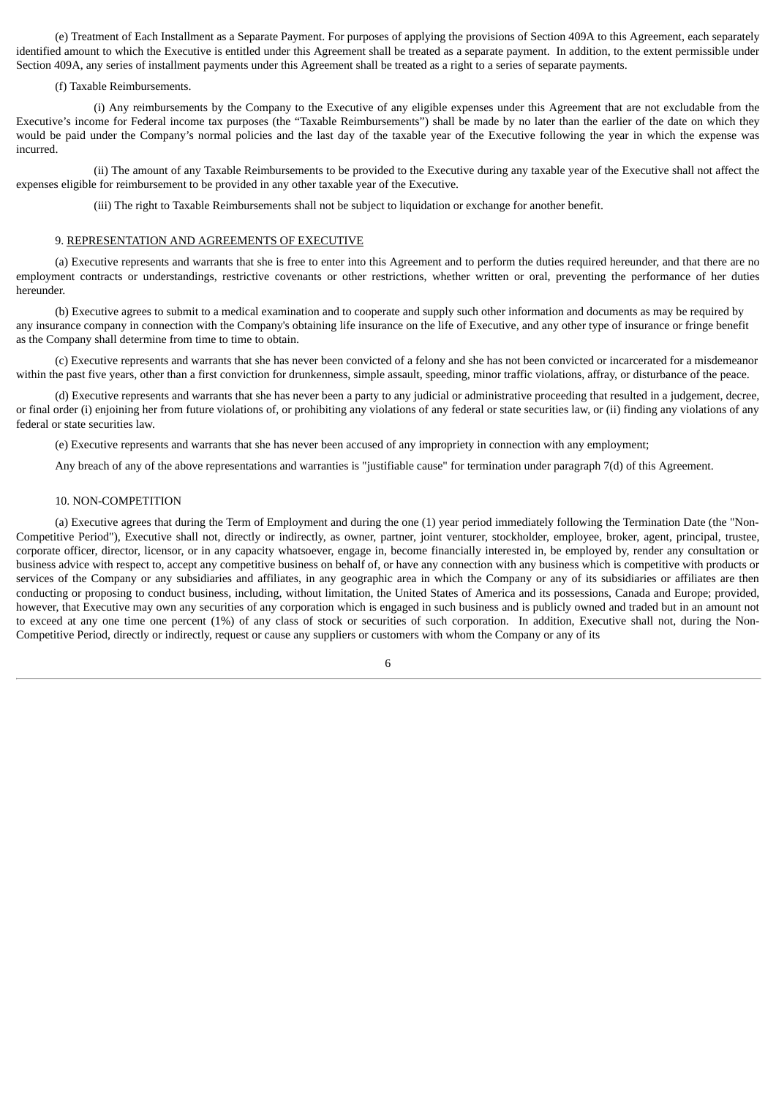(e) Treatment of Each Installment as a Separate Payment. For purposes of applying the provisions of Section 409A to this Agreement, each separately identified amount to which the Executive is entitled under this Agreement shall be treated as a separate payment. In addition, to the extent permissible under Section 409A, any series of installment payments under this Agreement shall be treated as a right to a series of separate payments.

#### (f) Taxable Reimbursements.

(i) Any reimbursements by the Company to the Executive of any eligible expenses under this Agreement that are not excludable from the Executive's income for Federal income tax purposes (the "Taxable Reimbursements") shall be made by no later than the earlier of the date on which they would be paid under the Company's normal policies and the last day of the taxable year of the Executive following the year in which the expense was incurred.

(ii) The amount of any Taxable Reimbursements to be provided to the Executive during any taxable year of the Executive shall not affect the expenses eligible for reimbursement to be provided in any other taxable year of the Executive.

(iii) The right to Taxable Reimbursements shall not be subject to liquidation or exchange for another benefit.

#### 9. REPRESENTATION AND AGREEMENTS OF EXECUTIVE

(a) Executive represents and warrants that she is free to enter into this Agreement and to perform the duties required hereunder, and that there are no employment contracts or understandings, restrictive covenants or other restrictions, whether written or oral, preventing the performance of her duties hereunder.

(b) Executive agrees to submit to a medical examination and to cooperate and supply such other information and documents as may be required by any insurance company in connection with the Company's obtaining life insurance on the life of Executive, and any other type of insurance or fringe benefit as the Company shall determine from time to time to obtain.

(c) Executive represents and warrants that she has never been convicted of a felony and she has not been convicted or incarcerated for a misdemeanor within the past five years, other than a first conviction for drunkenness, simple assault, speeding, minor traffic violations, affray, or disturbance of the peace.

(d) Executive represents and warrants that she has never been a party to any judicial or administrative proceeding that resulted in a judgement, decree, or final order (i) enjoining her from future violations of, or prohibiting any violations of any federal or state securities law, or (ii) finding any violations of any federal or state securities law.

(e) Executive represents and warrants that she has never been accused of any impropriety in connection with any employment;

Any breach of any of the above representations and warranties is "justifiable cause" for termination under paragraph 7(d) of this Agreement.

#### 10. NON-COMPETITION

(a) Executive agrees that during the Term of Employment and during the one (1) year period immediately following the Termination Date (the "Non-Competitive Period"), Executive shall not, directly or indirectly, as owner, partner, joint venturer, stockholder, employee, broker, agent, principal, trustee, corporate officer, director, licensor, or in any capacity whatsoever, engage in, become financially interested in, be employed by, render any consultation or business advice with respect to, accept any competitive business on behalf of, or have any connection with any business which is competitive with products or services of the Company or any subsidiaries and affiliates, in any geographic area in which the Company or any of its subsidiaries or affiliates are then conducting or proposing to conduct business, including, without limitation, the United States of America and its possessions, Canada and Europe; provided, however, that Executive may own any securities of any corporation which is engaged in such business and is publicly owned and traded but in an amount not to exceed at any one time one percent (1%) of any class of stock or securities of such corporation. In addition, Executive shall not, during the Non-Competitive Period, directly or indirectly, request or cause any suppliers or customers with whom the Company or any of its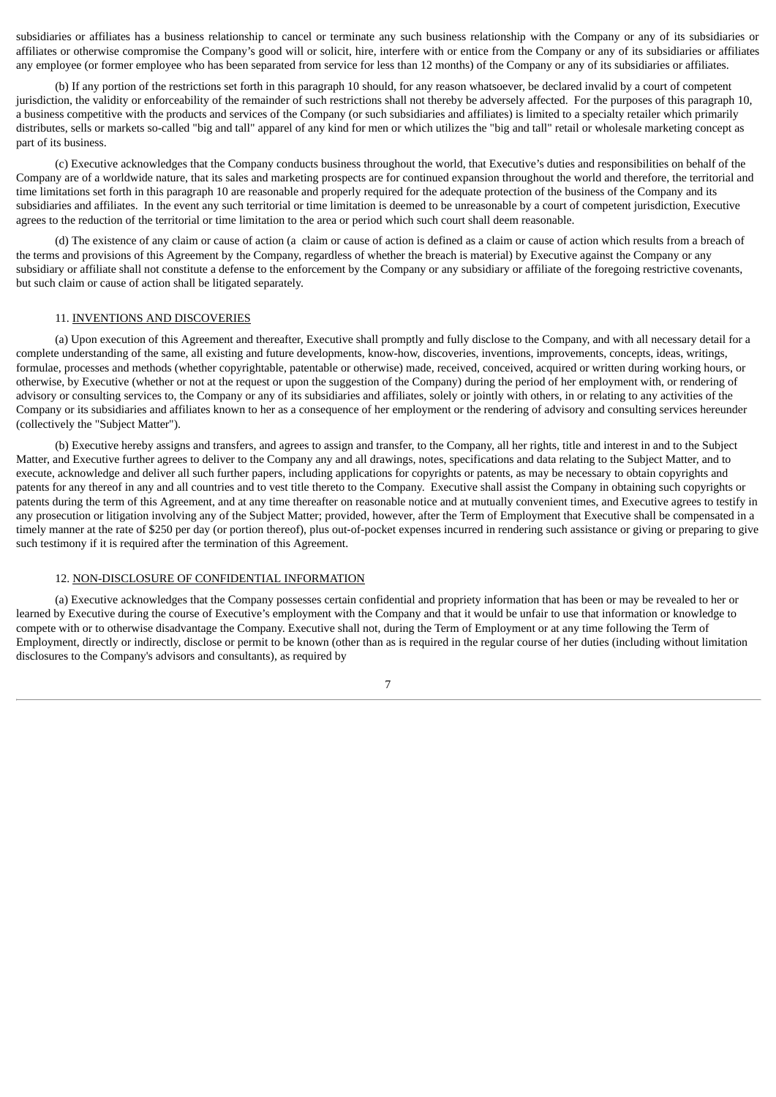subsidiaries or affiliates has a business relationship to cancel or terminate any such business relationship with the Company or any of its subsidiaries or affiliates or otherwise compromise the Company's good will or solicit, hire, interfere with or entice from the Company or any of its subsidiaries or affiliates any employee (or former employee who has been separated from service for less than 12 months) of the Company or any of its subsidiaries or affiliates.

(b) If any portion of the restrictions set forth in this paragraph 10 should, for any reason whatsoever, be declared invalid by a court of competent jurisdiction, the validity or enforceability of the remainder of such restrictions shall not thereby be adversely affected. For the purposes of this paragraph 10, a business competitive with the products and services of the Company (or such subsidiaries and affiliates) is limited to a specialty retailer which primarily distributes, sells or markets so-called "big and tall" apparel of any kind for men or which utilizes the "big and tall" retail or wholesale marketing concept as part of its business.

(c) Executive acknowledges that the Company conducts business throughout the world, that Executive's duties and responsibilities on behalf of the Company are of a worldwide nature, that its sales and marketing prospects are for continued expansion throughout the world and therefore, the territorial and time limitations set forth in this paragraph 10 are reasonable and properly required for the adequate protection of the business of the Company and its subsidiaries and affiliates. In the event any such territorial or time limitation is deemed to be unreasonable by a court of competent jurisdiction, Executive agrees to the reduction of the territorial or time limitation to the area or period which such court shall deem reasonable.

(d) The existence of any claim or cause of action (a claim or cause of action is defined as a claim or cause of action which results from a breach of the terms and provisions of this Agreement by the Company, regardless of whether the breach is material) by Executive against the Company or any subsidiary or affiliate shall not constitute a defense to the enforcement by the Company or any subsidiary or affiliate of the foregoing restrictive covenants, but such claim or cause of action shall be litigated separately.

## 11. INVENTIONS AND DISCOVERIES

(a) Upon execution of this Agreement and thereafter, Executive shall promptly and fully disclose to the Company, and with all necessary detail for a complete understanding of the same, all existing and future developments, know-how, discoveries, inventions, improvements, concepts, ideas, writings, formulae, processes and methods (whether copyrightable, patentable or otherwise) made, received, conceived, acquired or written during working hours, or otherwise, by Executive (whether or not at the request or upon the suggestion of the Company) during the period of her employment with, or rendering of advisory or consulting services to, the Company or any of its subsidiaries and affiliates, solely or jointly with others, in or relating to any activities of the Company or its subsidiaries and affiliates known to her as a consequence of her employment or the rendering of advisory and consulting services hereunder (collectively the "Subject Matter").

(b) Executive hereby assigns and transfers, and agrees to assign and transfer, to the Company, all her rights, title and interest in and to the Subject Matter, and Executive further agrees to deliver to the Company any and all drawings, notes, specifications and data relating to the Subject Matter, and to execute, acknowledge and deliver all such further papers, including applications for copyrights or patents, as may be necessary to obtain copyrights and patents for any thereof in any and all countries and to vest title thereto to the Company. Executive shall assist the Company in obtaining such copyrights or patents during the term of this Agreement, and at any time thereafter on reasonable notice and at mutually convenient times, and Executive agrees to testify in any prosecution or litigation involving any of the Subject Matter; provided, however, after the Term of Employment that Executive shall be compensated in a timely manner at the rate of \$250 per day (or portion thereof), plus out-of-pocket expenses incurred in rendering such assistance or giving or preparing to give such testimony if it is required after the termination of this Agreement.

# 12. NON-DISCLOSURE OF CONFIDENTIAL INFORMATION

(a) Executive acknowledges that the Company possesses certain confidential and propriety information that has been or may be revealed to her or learned by Executive during the course of Executive's employment with the Company and that it would be unfair to use that information or knowledge to compete with or to otherwise disadvantage the Company. Executive shall not, during the Term of Employment or at any time following the Term of Employment, directly or indirectly, disclose or permit to be known (other than as is required in the regular course of her duties (including without limitation disclosures to the Company's advisors and consultants), as required by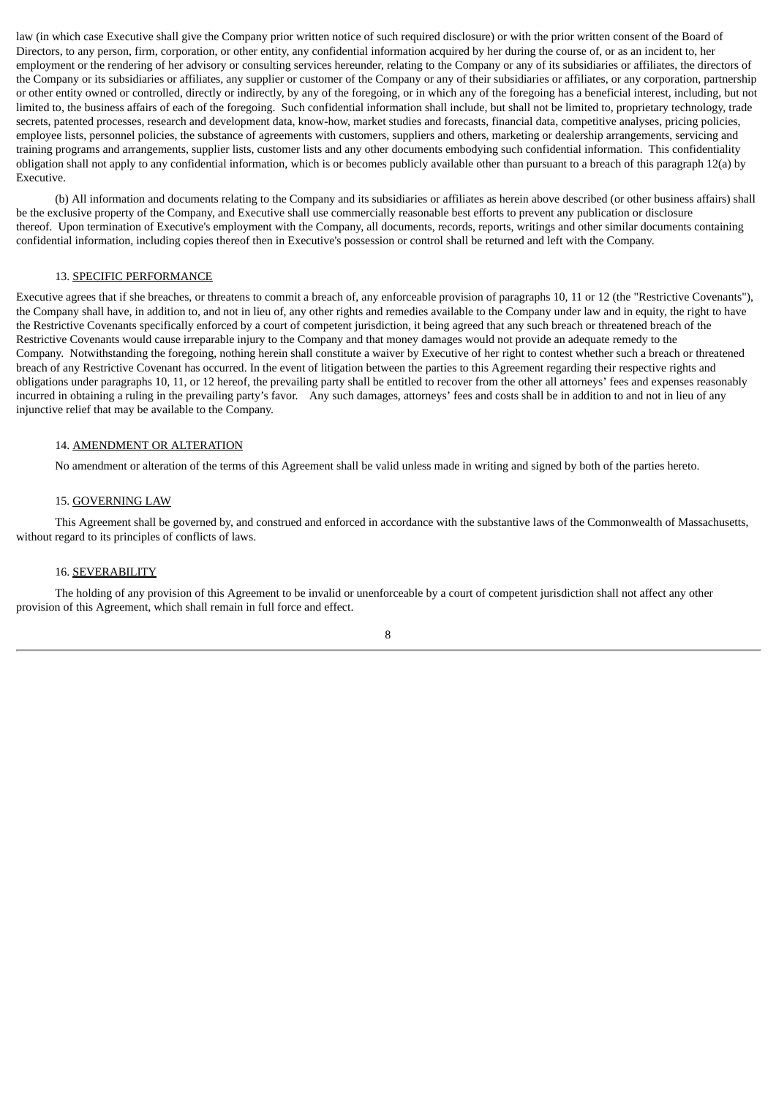law (in which case Executive shall give the Company prior written notice of such required disclosure) or with the prior written consent of the Board of Directors, to any person, firm, corporation, or other entity, any confidential information acquired by her during the course of, or as an incident to, her employment or the rendering of her advisory or consulting services hereunder, relating to the Company or any of its subsidiaries or affiliates, the directors of the Company or its subsidiaries or affiliates, any supplier or customer of the Company or any of their subsidiaries or affiliates, or any corporation, partnership or other entity owned or controlled, directly or indirectly, by any of the foregoing, or in which any of the foregoing has a beneficial interest, including, but not limited to, the business affairs of each of the foregoing. Such confidential information shall include, but shall not be limited to, proprietary technology, trade secrets, patented processes, research and development data, know-how, market studies and forecasts, financial data, competitive analyses, pricing policies, employee lists, personnel policies, the substance of agreements with customers, suppliers and others, marketing or dealership arrangements, servicing and training programs and arrangements, supplier lists, customer lists and any other documents embodying such confidential information. This confidentiality obligation shall not apply to any confidential information, which is or becomes publicly available other than pursuant to a breach of this paragraph 12(a) by Executive.

(b) All information and documents relating to the Company and its subsidiaries or affiliates as herein above described (or other business affairs) shall be the exclusive property of the Company, and Executive shall use commercially reasonable best efforts to prevent any publication or disclosure thereof. Upon termination of Executive's employment with the Company, all documents, records, reports, writings and other similar documents containing confidential information, including copies thereof then in Executive's possession or control shall be returned and left with the Company.

#### 13. SPECIFIC PERFORMANCE

Executive agrees that if she breaches, or threatens to commit a breach of, any enforceable provision of paragraphs 10, 11 or 12 (the "Restrictive Covenants"), the Company shall have, in addition to, and not in lieu of, any other rights and remedies available to the Company under law and in equity, the right to have the Restrictive Covenants specifically enforced by a court of competent jurisdiction, it being agreed that any such breach or threatened breach of the Restrictive Covenants would cause irreparable injury to the Company and that money damages would not provide an adequate remedy to the Company. Notwithstanding the foregoing, nothing herein shall constitute a waiver by Executive of her right to contest whether such a breach or threatened breach of any Restrictive Covenant has occurred. In the event of litigation between the parties to this Agreement regarding their respective rights and obligations under paragraphs 10, 11, or 12 hereof, the prevailing party shall be entitled to recover from the other all attorneys' fees and expenses reasonably incurred in obtaining a ruling in the prevailing party's favor. Any such damages, attorneys' fees and costs shall be in addition to and not in lieu of any injunctive relief that may be available to the Company.

#### 14. AMENDMENT OR ALTERATION

No amendment or alteration of the terms of this Agreement shall be valid unless made in writing and signed by both of the parties hereto.

#### 15. GOVERNING LAW

This Agreement shall be governed by, and construed and enforced in accordance with the substantive laws of the Commonwealth of Massachusetts, without regard to its principles of conflicts of laws.

### 16. SEVERABILITY

The holding of any provision of this Agreement to be invalid or unenforceable by a court of competent jurisdiction shall not affect any other provision of this Agreement, which shall remain in full force and effect.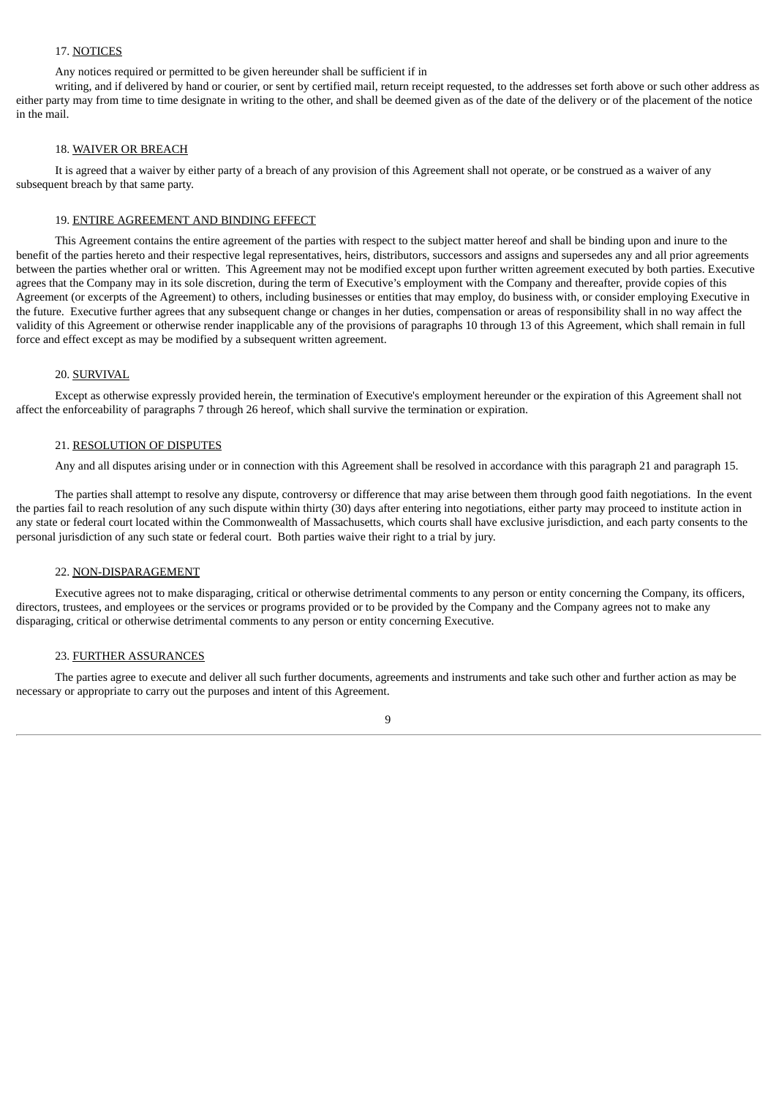# 17. NOTICES

Any notices required or permitted to be given hereunder shall be sufficient if in

writing, and if delivered by hand or courier, or sent by certified mail, return receipt requested, to the addresses set forth above or such other address as either party may from time to time designate in writing to the other, and shall be deemed given as of the date of the delivery or of the placement of the notice in the mail.

#### 18. WAIVER OR BREACH

It is agreed that a waiver by either party of a breach of any provision of this Agreement shall not operate, or be construed as a waiver of any subsequent breach by that same party.

#### 19. ENTIRE AGREEMENT AND BINDING EFFECT

This Agreement contains the entire agreement of the parties with respect to the subject matter hereof and shall be binding upon and inure to the benefit of the parties hereto and their respective legal representatives, heirs, distributors, successors and assigns and supersedes any and all prior agreements between the parties whether oral or written. This Agreement may not be modified except upon further written agreement executed by both parties. Executive agrees that the Company may in its sole discretion, during the term of Executive's employment with the Company and thereafter, provide copies of this Agreement (or excerpts of the Agreement) to others, including businesses or entities that may employ, do business with, or consider employing Executive in the future. Executive further agrees that any subsequent change or changes in her duties, compensation or areas of responsibility shall in no way affect the validity of this Agreement or otherwise render inapplicable any of the provisions of paragraphs 10 through 13 of this Agreement, which shall remain in full force and effect except as may be modified by a subsequent written agreement.

#### 20. SURVIVAL

Except as otherwise expressly provided herein, the termination of Executive's employment hereunder or the expiration of this Agreement shall not affect the enforceability of paragraphs 7 through 26 hereof, which shall survive the termination or expiration.

#### 21. RESOLUTION OF DISPUTES

Any and all disputes arising under or in connection with this Agreement shall be resolved in accordance with this paragraph 21 and paragraph 15.

The parties shall attempt to resolve any dispute, controversy or difference that may arise between them through good faith negotiations. In the event the parties fail to reach resolution of any such dispute within thirty (30) days after entering into negotiations, either party may proceed to institute action in any state or federal court located within the Commonwealth of Massachusetts, which courts shall have exclusive jurisdiction, and each party consents to the personal jurisdiction of any such state or federal court. Both parties waive their right to a trial by jury.

### 22. NON-DISPARAGEMENT

Executive agrees not to make disparaging, critical or otherwise detrimental comments to any person or entity concerning the Company, its officers, directors, trustees, and employees or the services or programs provided or to be provided by the Company and the Company agrees not to make any disparaging, critical or otherwise detrimental comments to any person or entity concerning Executive.

#### 23. FURTHER ASSURANCES

The parties agree to execute and deliver all such further documents, agreements and instruments and take such other and further action as may be necessary or appropriate to carry out the purposes and intent of this Agreement.

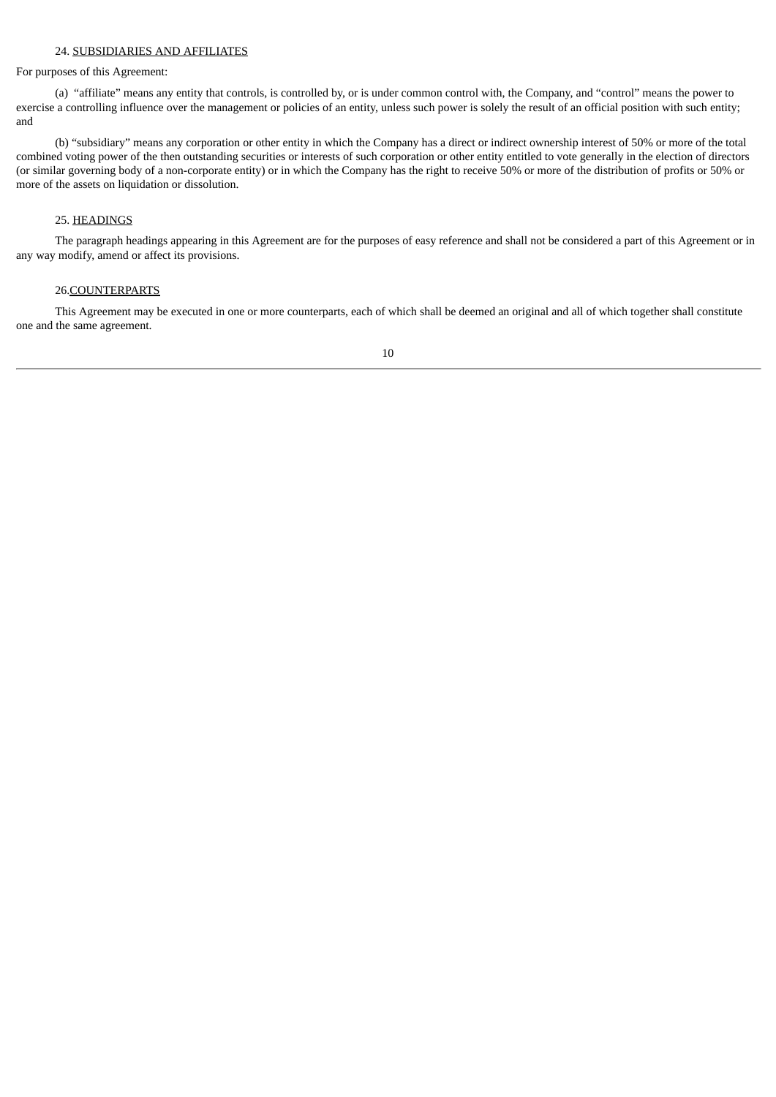#### 24. SUBSIDIARIES AND AFFILIATES

#### For purposes of this Agreement:

(a) "affiliate" means any entity that controls, is controlled by, or is under common control with, the Company, and "control" means the power to exercise a controlling influence over the management or policies of an entity, unless such power is solely the result of an official position with such entity; and

(b) "subsidiary" means any corporation or other entity in which the Company has a direct or indirect ownership interest of 50% or more of the total combined voting power of the then outstanding securities or interests of such corporation or other entity entitled to vote generally in the election of directors (or similar governing body of a non-corporate entity) or in which the Company has the right to receive 50% or more of the distribution of profits or 50% or more of the assets on liquidation or dissolution.

# 25. HEADINGS

The paragraph headings appearing in this Agreement are for the purposes of easy reference and shall not be considered a part of this Agreement or in any way modify, amend or affect its provisions.

#### 26.COUNTERPARTS

This Agreement may be executed in one or more counterparts, each of which shall be deemed an original and all of which together shall constitute one and the same agreement.

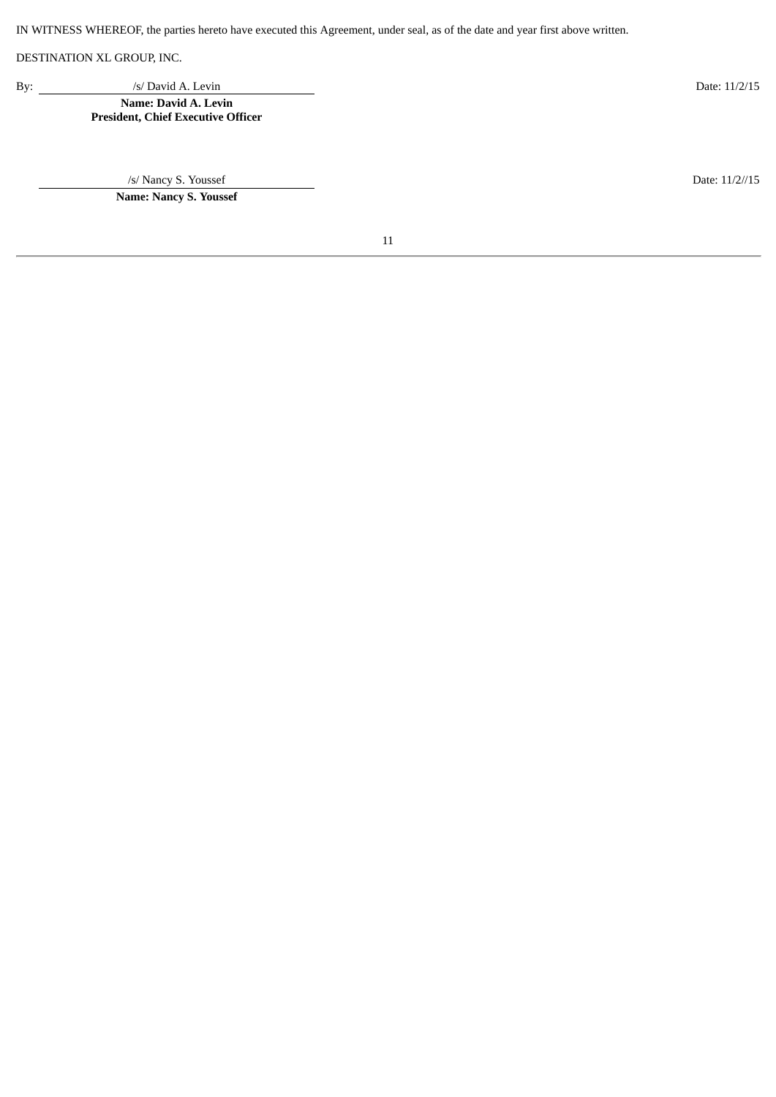IN WITNESS WHEREOF, the parties hereto have executed this Agreement, under seal, as of the date and year first above written.

DESTINATION XL GROUP, INC.

By: /s/ David A. Levin Date: 11/2/15

**Name: David A. Levin President, Chief Executive Officer**

> /s/ Nancy S. Youssef Date: 11/2//15 **Name: Nancy S. Youssef**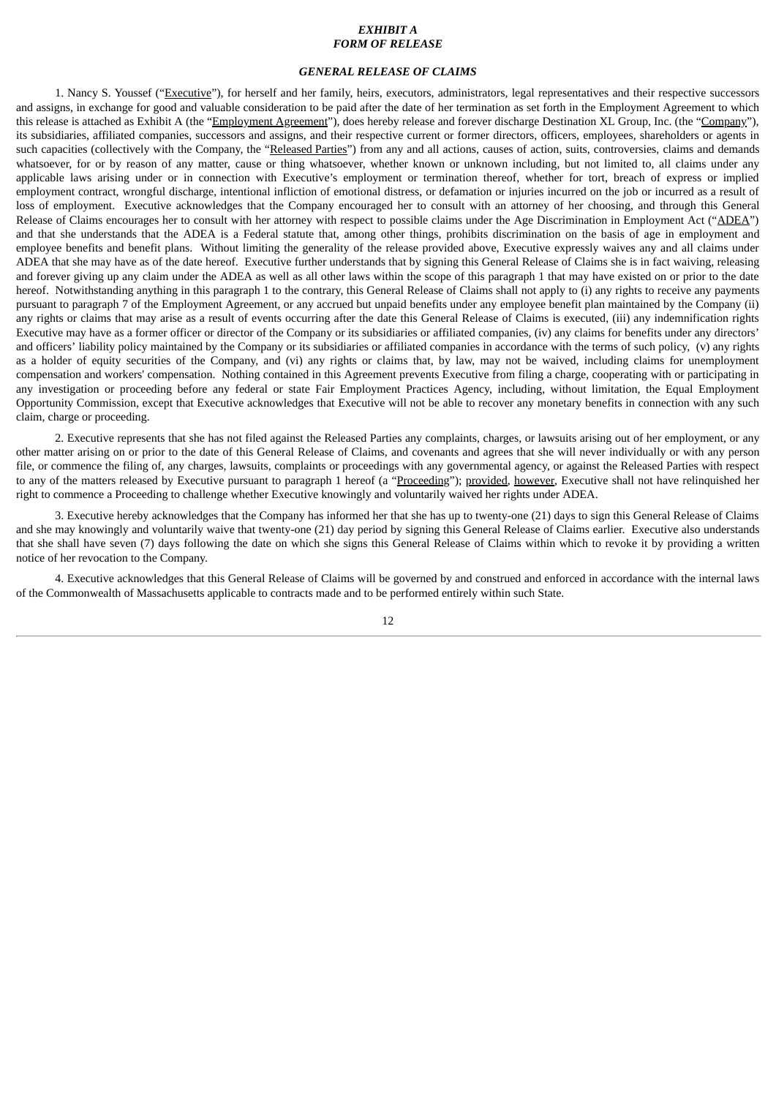### *EXHIBIT A FORM OF RELEASE*

#### *GENERAL RELEASE OF CLAIMS*

1. Nancy S. Youssef ("Executive"), for herself and her family, heirs, executors, administrators, legal representatives and their respective successors and assigns, in exchange for good and valuable consideration to be paid after the date of her termination as set forth in the Employment Agreement to which this release is attached as Exhibit A (the "Employment Agreement"), does hereby release and forever discharge Destination XL Group, Inc. (the "Company"), its subsidiaries, affiliated companies, successors and assigns, and their respective current or former directors, officers, employees, shareholders or agents in such capacities (collectively with the Company, the "Released Parties") from any and all actions, causes of action, suits, controversies, claims and demands whatsoever, for or by reason of any matter, cause or thing whatsoever, whether known or unknown including, but not limited to, all claims under any applicable laws arising under or in connection with Executive's employment or termination thereof, whether for tort, breach of express or implied employment contract, wrongful discharge, intentional infliction of emotional distress, or defamation or injuries incurred on the job or incurred as a result of loss of employment. Executive acknowledges that the Company encouraged her to consult with an attorney of her choosing, and through this General Release of Claims encourages her to consult with her attorney with respect to possible claims under the Age Discrimination in Employment Act ("ADEA") and that she understands that the ADEA is a Federal statute that, among other things, prohibits discrimination on the basis of age in employment and employee benefits and benefit plans. Without limiting the generality of the release provided above, Executive expressly waives any and all claims under ADEA that she may have as of the date hereof. Executive further understands that by signing this General Release of Claims she is in fact waiving, releasing and forever giving up any claim under the ADEA as well as all other laws within the scope of this paragraph 1 that may have existed on or prior to the date hereof. Notwithstanding anything in this paragraph 1 to the contrary, this General Release of Claims shall not apply to (i) any rights to receive any payments pursuant to paragraph 7 of the Employment Agreement, or any accrued but unpaid benefits under any employee benefit plan maintained by the Company (ii) any rights or claims that may arise as a result of events occurring after the date this General Release of Claims is executed, (iii) any indemnification rights Executive may have as a former officer or director of the Company or its subsidiaries or affiliated companies, (iv) any claims for benefits under any directors' and officers' liability policy maintained by the Company or its subsidiaries or affiliated companies in accordance with the terms of such policy, (v) any rights as a holder of equity securities of the Company, and (vi) any rights or claims that, by law, may not be waived, including claims for unemployment compensation and workers' compensation. Nothing contained in this Agreement prevents Executive from filing a charge, cooperating with or participating in any investigation or proceeding before any federal or state Fair Employment Practices Agency, including, without limitation, the Equal Employment Opportunity Commission, except that Executive acknowledges that Executive will not be able to recover any monetary benefits in connection with any such claim, charge or proceeding.

2. Executive represents that she has not filed against the Released Parties any complaints, charges, or lawsuits arising out of her employment, or any other matter arising on or prior to the date of this General Release of Claims, and covenants and agrees that she will never individually or with any person file, or commence the filing of, any charges, lawsuits, complaints or proceedings with any governmental agency, or against the Released Parties with respect to any of the matters released by Executive pursuant to paragraph 1 hereof (a "Proceeding"); provided, however, Executive shall not have relinquished her right to commence a Proceeding to challenge whether Executive knowingly and voluntarily waived her rights under ADEA.

3. Executive hereby acknowledges that the Company has informed her that she has up to twenty-one (21) days to sign this General Release of Claims and she may knowingly and voluntarily waive that twenty-one (21) day period by signing this General Release of Claims earlier. Executive also understands that she shall have seven (7) days following the date on which she signs this General Release of Claims within which to revoke it by providing a written notice of her revocation to the Company.

4. Executive acknowledges that this General Release of Claims will be governed by and construed and enforced in accordance with the internal laws of the Commonwealth of Massachusetts applicable to contracts made and to be performed entirely within such State.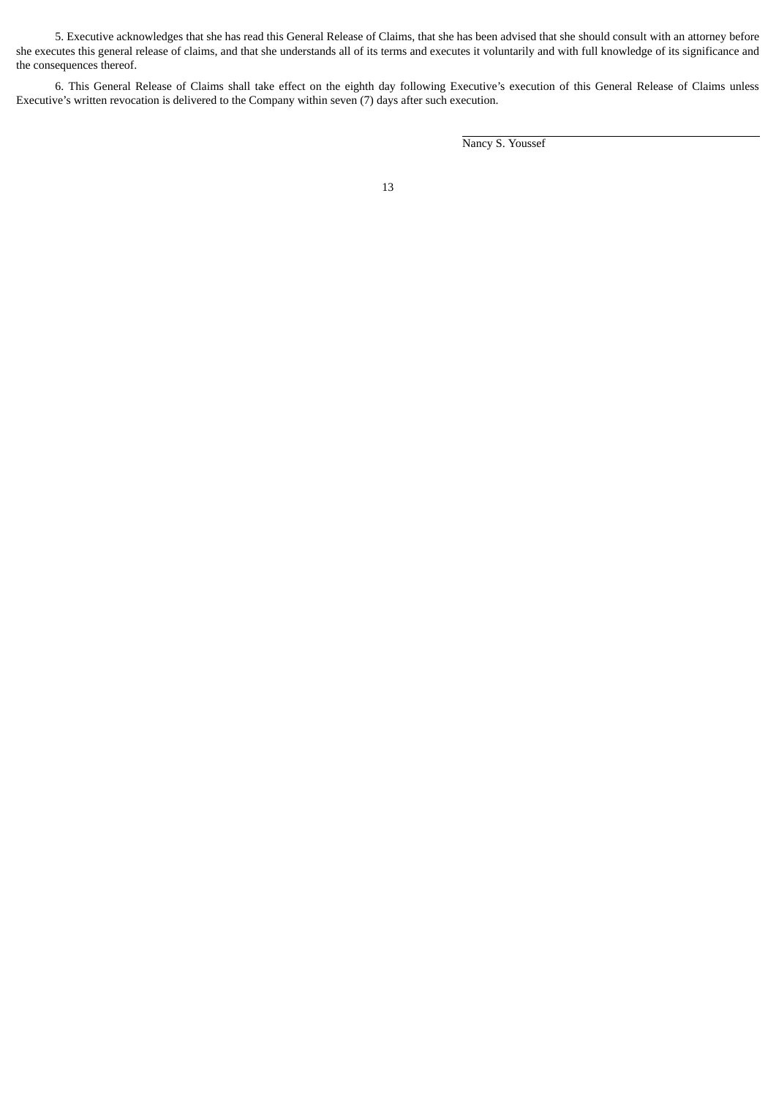5. Executive acknowledges that she has read this General Release of Claims, that she has been advised that she should consult with an attorney before she executes this general release of claims, and that she understands all of its terms and executes it voluntarily and with full knowledge of its significance and the consequences thereof.

6. This General Release of Claims shall take effect on the eighth day following Executive's execution of this General Release of Claims unless Executive's written revocation is delivered to the Company within seven (7) days after such execution.

Nancy S. Youssef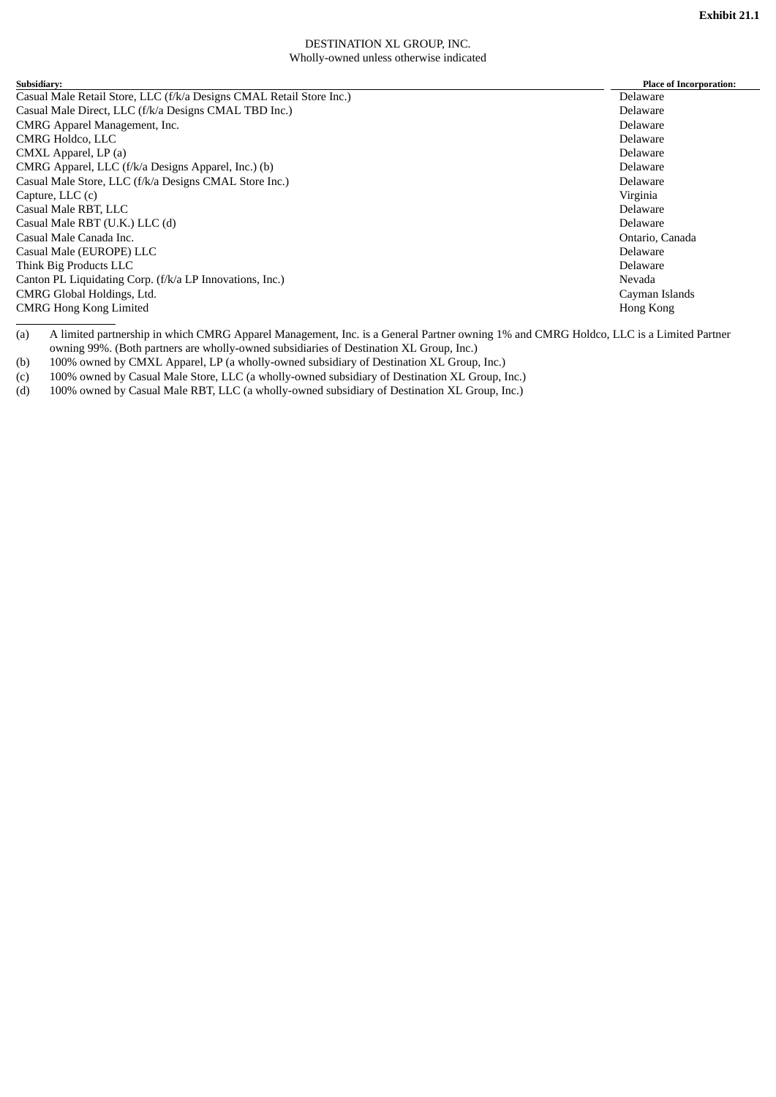# DESTINATION XL GROUP, INC. Wholly-owned unless otherwise indicated

**Subsidiary: Place of Incorporation: Place of Incorporation: Place of Incorporation: Place of Incorporation: Place of Incorporation: Place of Incorporation: Place of Incorporation: Place of** Casual Male Retail Store, LLC (f/k/a Designs CMAL Retail Store Inc.) Delaware<br>Casual Male Direct, LLC (f/k/a Designs CMAL TBD Inc.) Delaware Casual Male Direct, LLC (f/k/a Designs CMAL TBD Inc.) CMRG Apparel Management, Inc. **Delaware** CMRG Holdco, LLC Delaware CMXL Apparel, LP (a) Delaware CMRG Apparel, LLC (f/k/a Designs Apparel, Inc.) (b) Delaware<br>Casual Male Store, LLC (f/k/a Designs CMAL Store Inc.) Casual Male Store, LLC (f/k/a Designs CMAL Store Inc.) Capture, LLC (c) Virginia Casual Male RBT, LLC Casual Male RBT (U.K.) LLC (d) Delaware Casual Male Canada Inc. Ontario, Canada Casual Male (EUROPE) LLC Delaware Think Big Products LLC<br>
Canton PL Liquidating Corp. (f/k/a LP Innovations. Inc.)<br>
Nevada Canton PL Liquidating Corp. (f/k/a LP Innovations, Inc.) CMRG Global Holdings, Ltd. Cayman Islands<br>
CMRG Hong Kong Limited GMRG Hong Kong Limited GMRG Hong Kong Cayman Islands CMRG Hong Kong Limited

(a) A limited partnership in which CMRG Apparel Management, Inc. is a General Partner owning 1% and CMRG Holdco, LLC is a Limited Partner owning 99%. (Both partners are wholly-owned subsidiaries of Destination XL Group, Inc.)

- (b) 100% owned by CMXL Apparel, LP (a wholly-owned subsidiary of Destination XL Group, Inc.)
- (c) 100% owned by Casual Male Store, LLC (a wholly-owned subsidiary of Destination XL Group, Inc.)
- (d) 100% owned by Casual Male RBT, LLC (a wholly-owned subsidiary of Destination XL Group, Inc.)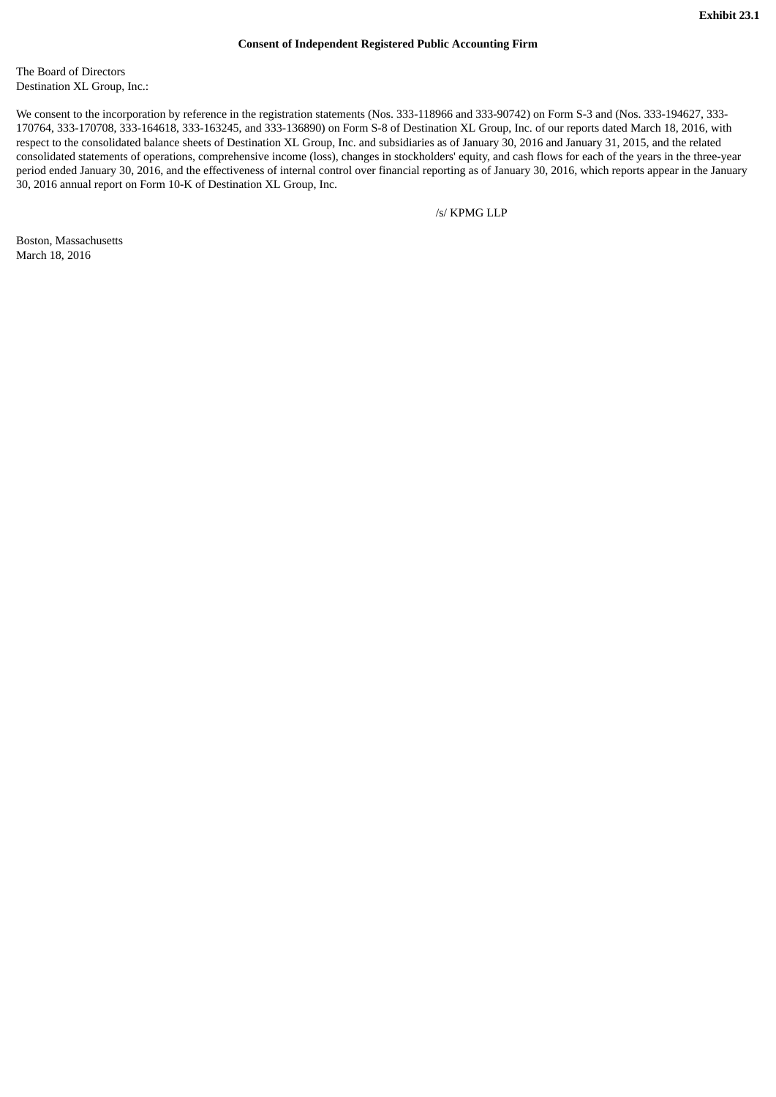# **Consent of Independent Registered Public Accounting Firm**

The Board of Directors Destination XL Group, Inc.:

We consent to the incorporation by reference in the registration statements (Nos. 333-118966 and 333-90742) on Form S-3 and (Nos. 333-194627, 333- 170764, 333-170708, 333-164618, 333-163245, and 333-136890) on Form S-8 of Destination XL Group, Inc. of our reports dated March 18, 2016, with respect to the consolidated balance sheets of Destination XL Group, Inc. and subsidiaries as of January 30, 2016 and January 31, 2015, and the related consolidated statements of operations, comprehensive income (loss), changes in stockholders' equity, and cash flows for each of the years in the three-year period ended January 30, 2016, and the effectiveness of internal control over financial reporting as of January 30, 2016, which reports appear in the January 30, 2016 annual report on Form 10-K of Destination XL Group, Inc.

/s/ KPMG LLP

Boston, Massachusetts March 18, 2016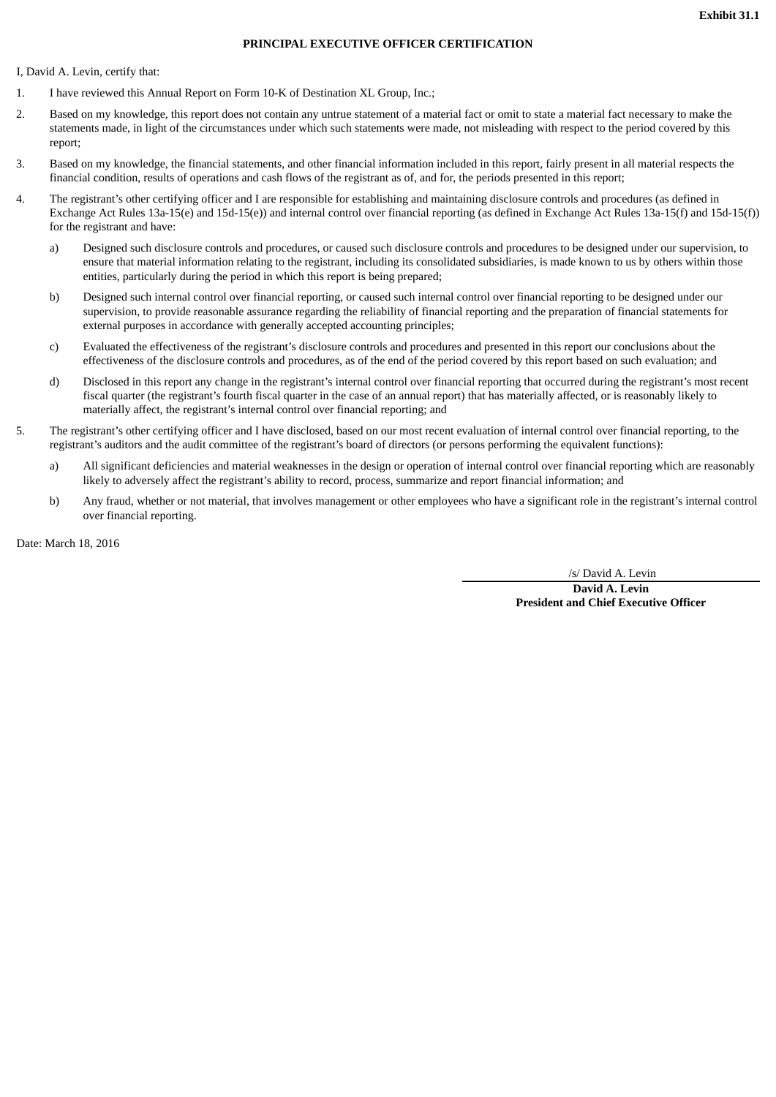# **PRINCIPAL EXECUTIVE OFFICER CERTIFICATION**

I, David A. Levin, certify that:

- 1. I have reviewed this Annual Report on Form 10-K of Destination XL Group, Inc.;
- 2. Based on my knowledge, this report does not contain any untrue statement of a material fact or omit to state a material fact necessary to make the statements made, in light of the circumstances under which such statements were made, not misleading with respect to the period covered by this report;
- 3. Based on my knowledge, the financial statements, and other financial information included in this report, fairly present in all material respects the financial condition, results of operations and cash flows of the registrant as of, and for, the periods presented in this report;
- 4. The registrant's other certifying officer and I are responsible for establishing and maintaining disclosure controls and procedures (as defined in Exchange Act Rules 13a-15(e) and 15d-15(e)) and internal control over financial reporting (as defined in Exchange Act Rules 13a-15(f) and 15d-15(f)) for the registrant and have:
	- a) Designed such disclosure controls and procedures, or caused such disclosure controls and procedures to be designed under our supervision, to ensure that material information relating to the registrant, including its consolidated subsidiaries, is made known to us by others within those entities, particularly during the period in which this report is being prepared;
	- b) Designed such internal control over financial reporting, or caused such internal control over financial reporting to be designed under our supervision, to provide reasonable assurance regarding the reliability of financial reporting and the preparation of financial statements for external purposes in accordance with generally accepted accounting principles;
	- c) Evaluated the effectiveness of the registrant's disclosure controls and procedures and presented in this report our conclusions about the effectiveness of the disclosure controls and procedures, as of the end of the period covered by this report based on such evaluation; and
	- d) Disclosed in this report any change in the registrant's internal control over financial reporting that occurred during the registrant's most recent fiscal quarter (the registrant's fourth fiscal quarter in the case of an annual report) that has materially affected, or is reasonably likely to materially affect, the registrant's internal control over financial reporting; and
- 5. The registrant's other certifying officer and I have disclosed, based on our most recent evaluation of internal control over financial reporting, to the registrant's auditors and the audit committee of the registrant's board of directors (or persons performing the equivalent functions):
	- a) All significant deficiencies and material weaknesses in the design or operation of internal control over financial reporting which are reasonably likely to adversely affect the registrant's ability to record, process, summarize and report financial information; and
	- b) Any fraud, whether or not material, that involves management or other employees who have a significant role in the registrant's internal control over financial reporting.

Date: March 18, 2016

/s/ David A. Levin

**David A. Levin President and Chief Executive Officer**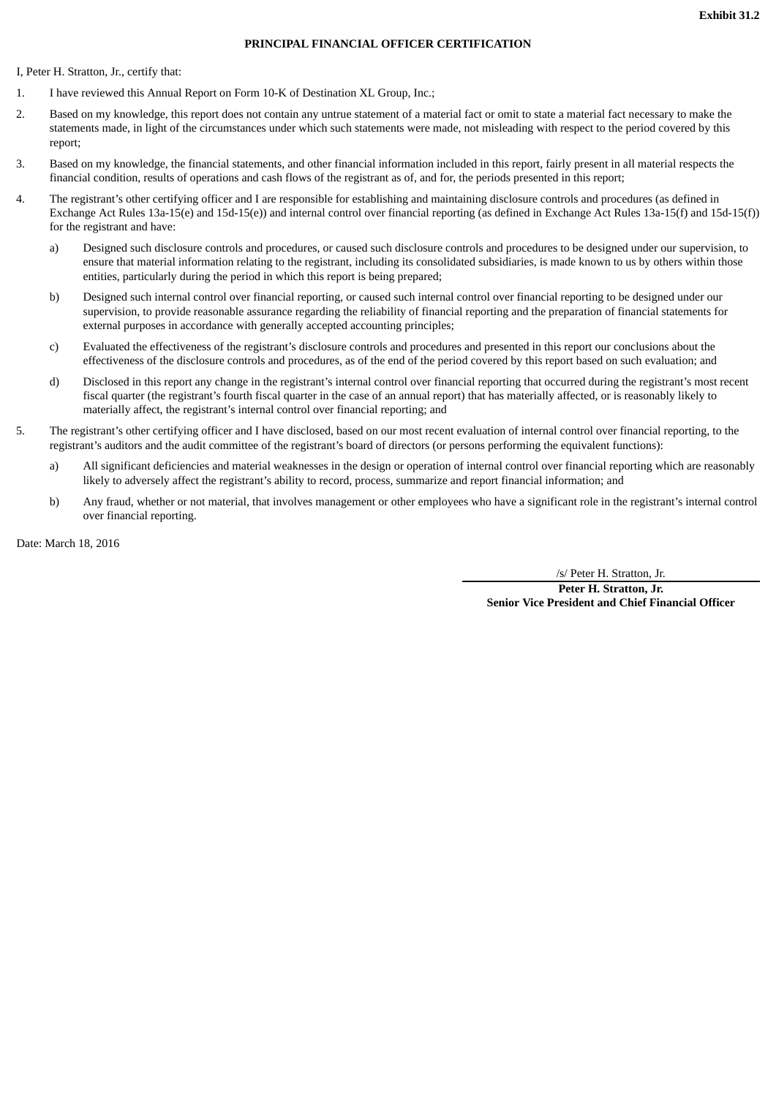# **PRINCIPAL FINANCIAL OFFICER CERTIFICATION**

I, Peter H. Stratton, Jr., certify that:

- 1. I have reviewed this Annual Report on Form 10-K of Destination XL Group, Inc.;
- 2. Based on my knowledge, this report does not contain any untrue statement of a material fact or omit to state a material fact necessary to make the statements made, in light of the circumstances under which such statements were made, not misleading with respect to the period covered by this report;
- 3. Based on my knowledge, the financial statements, and other financial information included in this report, fairly present in all material respects the financial condition, results of operations and cash flows of the registrant as of, and for, the periods presented in this report;
- 4. The registrant's other certifying officer and I are responsible for establishing and maintaining disclosure controls and procedures (as defined in Exchange Act Rules 13a-15(e) and 15d-15(e)) and internal control over financial reporting (as defined in Exchange Act Rules 13a-15(f) and 15d-15(f)) for the registrant and have:
	- a) Designed such disclosure controls and procedures, or caused such disclosure controls and procedures to be designed under our supervision, to ensure that material information relating to the registrant, including its consolidated subsidiaries, is made known to us by others within those entities, particularly during the period in which this report is being prepared;
	- b) Designed such internal control over financial reporting, or caused such internal control over financial reporting to be designed under our supervision, to provide reasonable assurance regarding the reliability of financial reporting and the preparation of financial statements for external purposes in accordance with generally accepted accounting principles;
	- c) Evaluated the effectiveness of the registrant's disclosure controls and procedures and presented in this report our conclusions about the effectiveness of the disclosure controls and procedures, as of the end of the period covered by this report based on such evaluation; and
	- d) Disclosed in this report any change in the registrant's internal control over financial reporting that occurred during the registrant's most recent fiscal quarter (the registrant's fourth fiscal quarter in the case of an annual report) that has materially affected, or is reasonably likely to materially affect, the registrant's internal control over financial reporting; and
- 5. The registrant's other certifying officer and I have disclosed, based on our most recent evaluation of internal control over financial reporting, to the registrant's auditors and the audit committee of the registrant's board of directors (or persons performing the equivalent functions):
	- a) All significant deficiencies and material weaknesses in the design or operation of internal control over financial reporting which are reasonably likely to adversely affect the registrant's ability to record, process, summarize and report financial information; and
	- b) Any fraud, whether or not material, that involves management or other employees who have a significant role in the registrant's internal control over financial reporting.

Date: March 18, 2016

/s/ Peter H. Stratton, Jr.

**Peter H. Stratton, Jr. Senior Vice President and Chief Financial Officer**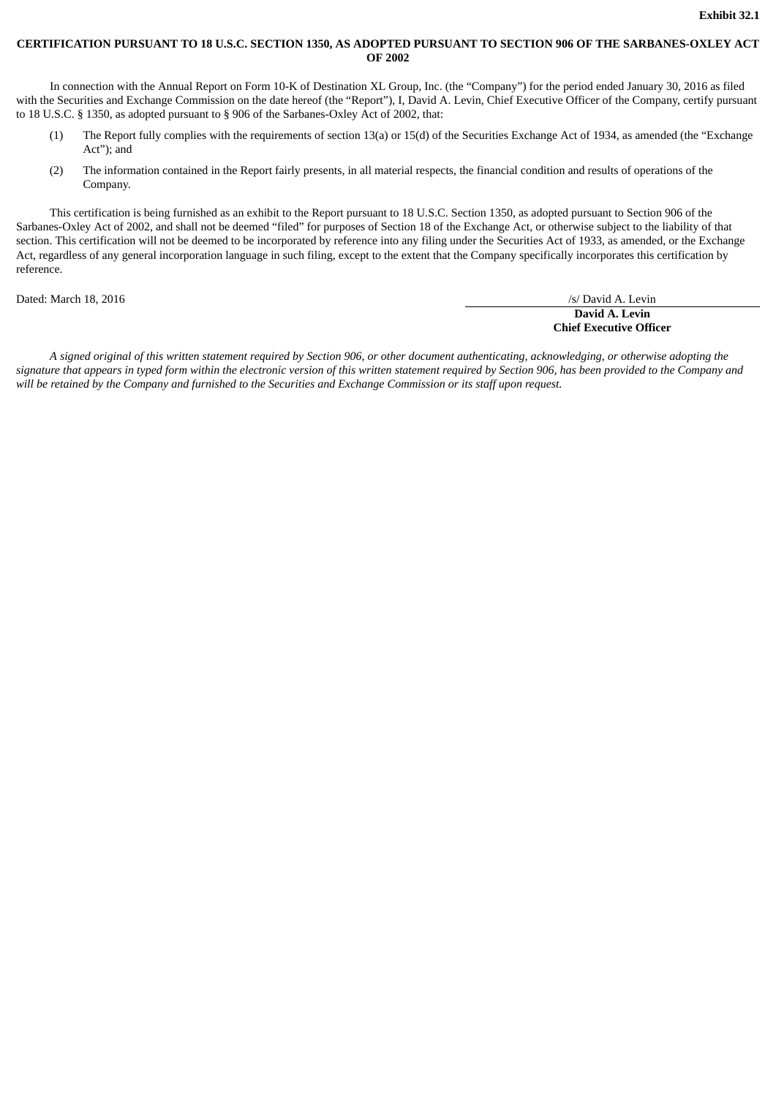# CERTIFICATION PURSUANT TO 18 U.S.C. SECTION 1350, AS ADOPTED PURSUANT TO SECTION 906 OF THE SARBANES-OXLEY ACT **OF 2002**

In connection with the Annual Report on Form 10-K of Destination XL Group, Inc. (the "Company") for the period ended January 30, 2016 as filed with the Securities and Exchange Commission on the date hereof (the "Report"), I, David A. Levin, Chief Executive Officer of the Company, certify pursuant to 18 U.S.C. § 1350, as adopted pursuant to § 906 of the Sarbanes-Oxley Act of 2002, that:

- (1) The Report fully complies with the requirements of section 13(a) or 15(d) of the Securities Exchange Act of 1934, as amended (the "Exchange Act"); and
- (2) The information contained in the Report fairly presents, in all material respects, the financial condition and results of operations of the Company.

This certification is being furnished as an exhibit to the Report pursuant to 18 U.S.C. Section 1350, as adopted pursuant to Section 906 of the Sarbanes-Oxley Act of 2002, and shall not be deemed "filed" for purposes of Section 18 of the Exchange Act, or otherwise subject to the liability of that section. This certification will not be deemed to be incorporated by reference into any filing under the Securities Act of 1933, as amended, or the Exchange Act, regardless of any general incorporation language in such filing, except to the extent that the Company specifically incorporates this certification by reference.

Dated: March 18, 2016 /s/ David A. Levin by a state of the state of the state of the state of the state of the state of the state of the state of the state of the state of the state of the state of the state of the state o

# **David A. Levin Chief Executive Officer**

A signed original of this written statement required by Section 906, or other document authenticating, acknowledging, or otherwise adopting the signature that appears in typed form within the electronic version of this written statement required by Section 906, has been provided to the Company and will be retained by the Company and furnished to the Securities and Exchange Commission or its staff upon request.